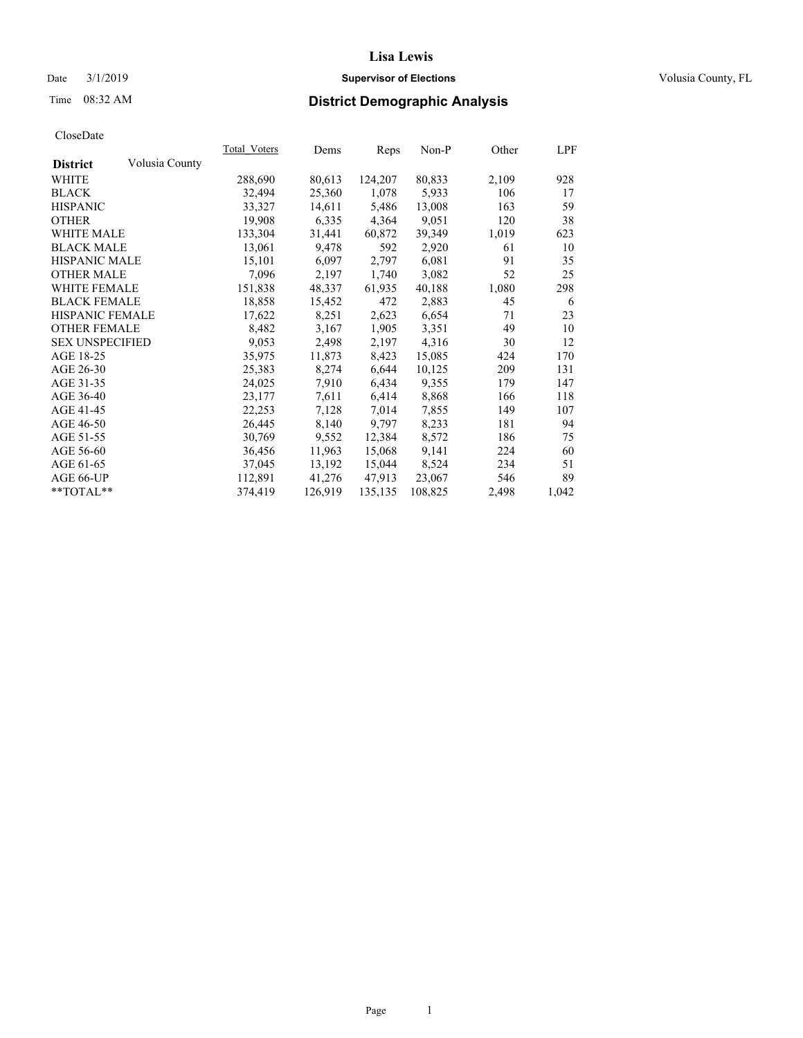### Date  $3/1/2019$  **Supervisor of Elections Supervisor of Elections** Volusia County, FL

# Time 08:32 AM **District Demographic Analysis**

|                        |                | Total Voters | Dems    | Reps    | Non-P   | Other | LPF   |
|------------------------|----------------|--------------|---------|---------|---------|-------|-------|
| <b>District</b>        | Volusia County |              |         |         |         |       |       |
| WHITE                  |                | 288,690      | 80,613  | 124,207 | 80,833  | 2,109 | 928   |
| <b>BLACK</b>           |                | 32,494       | 25,360  | 1,078   | 5,933   | 106   | 17    |
| <b>HISPANIC</b>        |                | 33,327       | 14,611  | 5,486   | 13,008  | 163   | 59    |
| <b>OTHER</b>           |                | 19,908       | 6,335   | 4,364   | 9,051   | 120   | 38    |
| <b>WHITE MALE</b>      |                | 133,304      | 31,441  | 60,872  | 39,349  | 1,019 | 623   |
| <b>BLACK MALE</b>      |                | 13,061       | 9,478   | 592     | 2,920   | 61    | 10    |
| <b>HISPANIC MALE</b>   |                | 15,101       | 6,097   | 2,797   | 6,081   | 91    | 35    |
| <b>OTHER MALE</b>      |                | 7,096        | 2,197   | 1,740   | 3,082   | 52    | 25    |
| <b>WHITE FEMALE</b>    |                | 151,838      | 48,337  | 61,935  | 40,188  | 1,080 | 298   |
| <b>BLACK FEMALE</b>    |                | 18,858       | 15,452  | 472     | 2,883   | 45    | -6    |
| HISPANIC FEMALE        |                | 17,622       | 8,251   | 2,623   | 6,654   | 71    | 23    |
| <b>OTHER FEMALE</b>    |                | 8,482        | 3,167   | 1,905   | 3,351   | 49    | 10    |
| <b>SEX UNSPECIFIED</b> |                | 9,053        | 2,498   | 2,197   | 4,316   | 30    | 12    |
| AGE 18-25              |                | 35,975       | 11,873  | 8,423   | 15,085  | 424   | 170   |
| AGE 26-30              |                | 25,383       | 8,274   | 6,644   | 10,125  | 209   | 131   |
| AGE 31-35              |                | 24,025       | 7,910   | 6,434   | 9,355   | 179   | 147   |
| AGE 36-40              |                | 23,177       | 7,611   | 6,414   | 8,868   | 166   | 118   |
| AGE 41-45              |                | 22,253       | 7,128   | 7,014   | 7,855   | 149   | 107   |
| AGE 46-50              |                | 26,445       | 8,140   | 9,797   | 8,233   | 181   | 94    |
| AGE 51-55              |                | 30,769       | 9,552   | 12,384  | 8,572   | 186   | 75    |
| AGE 56-60              |                | 36,456       | 11,963  | 15,068  | 9,141   | 224   | 60    |
| AGE 61-65              |                | 37,045       | 13,192  | 15,044  | 8,524   | 234   | 51    |
| AGE 66-UP              |                | 112,891      | 41,276  | 47,913  | 23,067  | 546   | 89    |
| $*$ $TOTAL**$          |                | 374,419      | 126,919 | 135,135 | 108,825 | 2,498 | 1,042 |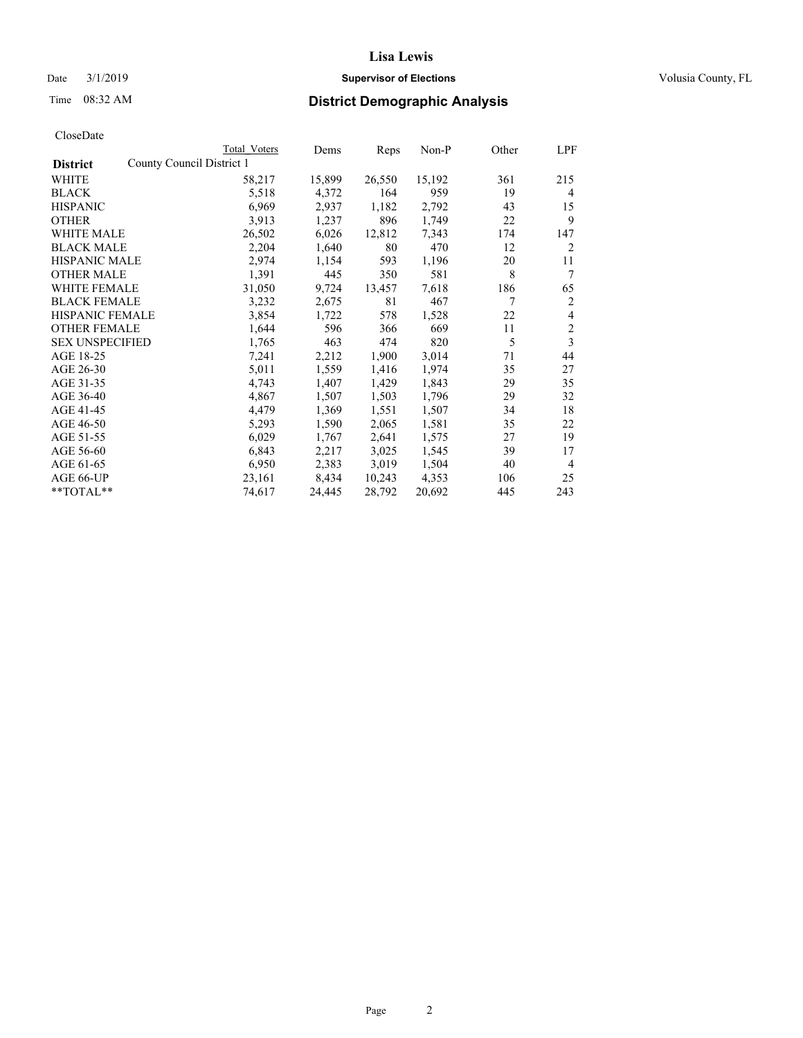## Date  $3/1/2019$  **Supervisor of Elections Supervisor of Elections** Volusia County, FL

|                                              | Total Voters | Dems   | Reps   | Non-P  | Other | LPF            |
|----------------------------------------------|--------------|--------|--------|--------|-------|----------------|
| County Council District 1<br><b>District</b> |              |        |        |        |       |                |
| WHITE                                        | 58,217       | 15,899 | 26,550 | 15,192 | 361   | 215            |
| <b>BLACK</b>                                 | 5,518        | 4,372  | 164    | 959    | 19    | 4              |
| <b>HISPANIC</b>                              | 6,969        | 2,937  | 1,182  | 2,792  | 43    | 15             |
| <b>OTHER</b>                                 | 3,913        | 1,237  | 896    | 1,749  | 22    | 9              |
| <b>WHITE MALE</b>                            | 26,502       | 6,026  | 12,812 | 7,343  | 174   | 147            |
| <b>BLACK MALE</b>                            | 2,204        | 1,640  | 80     | 470    | 12    | 2              |
| <b>HISPANIC MALE</b>                         | 2,974        | 1,154  | 593    | 1,196  | 20    | 11             |
| <b>OTHER MALE</b>                            | 1,391        | 445    | 350    | 581    | 8     | 7              |
| <b>WHITE FEMALE</b>                          | 31,050       | 9,724  | 13,457 | 7,618  | 186   | 65             |
| <b>BLACK FEMALE</b>                          | 3,232        | 2,675  | 81     | 467    | 7     | 2              |
| HISPANIC FEMALE                              | 3,854        | 1,722  | 578    | 1,528  | 22    | 4              |
| <b>OTHER FEMALE</b>                          | 1,644        | 596    | 366    | 669    | 11    | $\overline{c}$ |
| <b>SEX UNSPECIFIED</b>                       | 1,765        | 463    | 474    | 820    | 5     | 3              |
| AGE 18-25                                    | 7,241        | 2,212  | 1,900  | 3,014  | 71    | 44             |
| AGE 26-30                                    | 5,011        | 1,559  | 1,416  | 1,974  | 35    | 27             |
| AGE 31-35                                    | 4,743        | 1,407  | 1,429  | 1,843  | 29    | 35             |
| AGE 36-40                                    | 4,867        | 1,507  | 1,503  | 1,796  | 29    | 32             |
| AGE 41-45                                    | 4,479        | 1,369  | 1,551  | 1,507  | 34    | 18             |
| AGE 46-50                                    | 5,293        | 1,590  | 2,065  | 1,581  | 35    | 22             |
| AGE 51-55                                    | 6,029        | 1,767  | 2,641  | 1,575  | 27    | 19             |
| AGE 56-60                                    | 6,843        | 2,217  | 3,025  | 1,545  | 39    | 17             |
| AGE 61-65                                    | 6,950        | 2,383  | 3,019  | 1,504  | 40    | 4              |
| AGE 66-UP                                    | 23,161       | 8,434  | 10,243 | 4,353  | 106   | 25             |
| **TOTAL**                                    | 74,617       | 24,445 | 28,792 | 20,692 | 445   | 243            |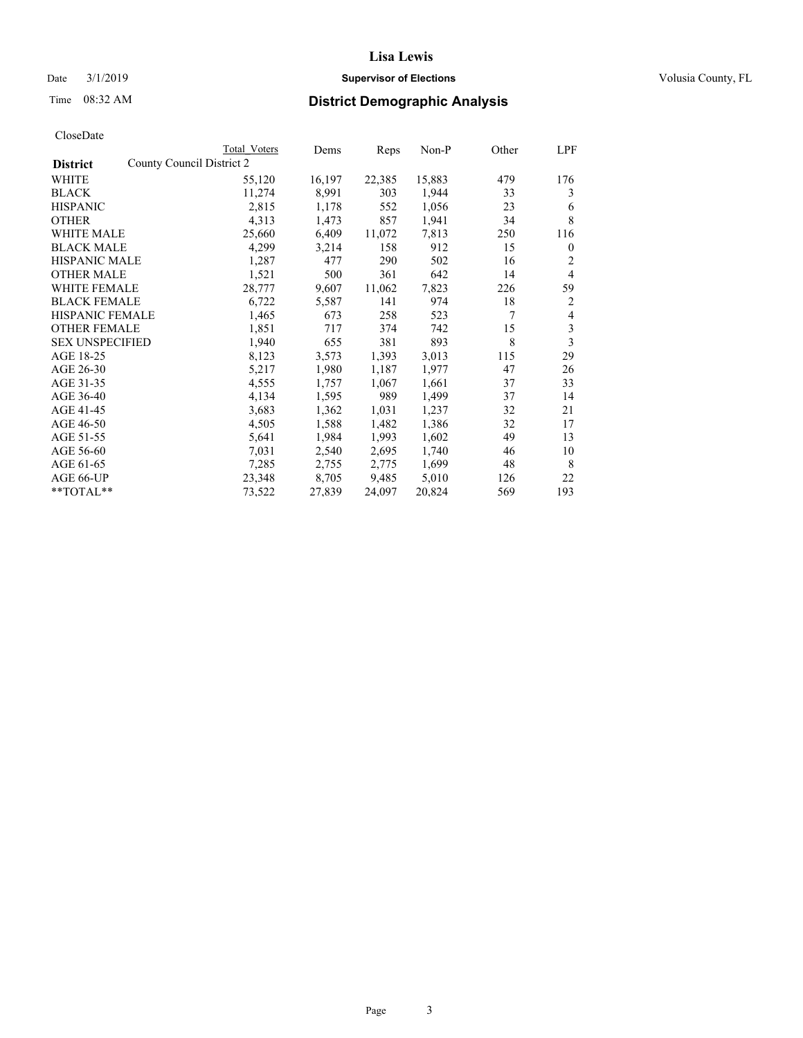### Date  $3/1/2019$  **Supervisor of Elections Supervisor of Elections** Volusia County, FL

|                                              | Total Voters | Dems   | Reps   | Non-P  | Other | LPF            |
|----------------------------------------------|--------------|--------|--------|--------|-------|----------------|
| County Council District 2<br><b>District</b> |              |        |        |        |       |                |
| WHITE                                        | 55,120       | 16,197 | 22,385 | 15,883 | 479   | 176            |
| <b>BLACK</b>                                 | 11,274       | 8,991  | 303    | 1,944  | 33    | 3              |
| <b>HISPANIC</b>                              | 2,815        | 1,178  | 552    | 1,056  | 23    | 6              |
| <b>OTHER</b>                                 | 4,313        | 1,473  | 857    | 1,941  | 34    | 8              |
| <b>WHITE MALE</b>                            | 25,660       | 6,409  | 11,072 | 7,813  | 250   | 116            |
| <b>BLACK MALE</b>                            | 4,299        | 3,214  | 158    | 912    | 15    | $\mathbf{0}$   |
| <b>HISPANIC MALE</b>                         | 1,287        | 477    | 290    | 502    | 16    | 2              |
| <b>OTHER MALE</b>                            | 1,521        | 500    | 361    | 642    | 14    | $\overline{4}$ |
| <b>WHITE FEMALE</b>                          | 28,777       | 9,607  | 11,062 | 7,823  | 226   | 59             |
| <b>BLACK FEMALE</b>                          | 6,722        | 5,587  | 141    | 974    | 18    | 2              |
| HISPANIC FEMALE                              | 1,465        | 673    | 258    | 523    | 7     | $\overline{4}$ |
| <b>OTHER FEMALE</b>                          | 1,851        | 717    | 374    | 742    | 15    | 3              |
| <b>SEX UNSPECIFIED</b>                       | 1,940        | 655    | 381    | 893    | 8     | 3              |
| AGE 18-25                                    | 8,123        | 3,573  | 1,393  | 3,013  | 115   | 29             |
| AGE 26-30                                    | 5,217        | 1,980  | 1,187  | 1,977  | 47    | 26             |
| AGE 31-35                                    | 4,555        | 1,757  | 1,067  | 1,661  | 37    | 33             |
| AGE 36-40                                    | 4,134        | 1,595  | 989    | 1,499  | 37    | 14             |
| AGE 41-45                                    | 3,683        | 1,362  | 1,031  | 1,237  | 32    | 21             |
| AGE 46-50                                    | 4,505        | 1,588  | 1,482  | 1,386  | 32    | 17             |
| AGE 51-55                                    | 5,641        | 1,984  | 1,993  | 1,602  | 49    | 13             |
| AGE 56-60                                    | 7,031        | 2,540  | 2,695  | 1,740  | 46    | 10             |
| AGE 61-65                                    | 7,285        | 2,755  | 2,775  | 1,699  | 48    | 8              |
| AGE 66-UP                                    | 23,348       | 8,705  | 9,485  | 5,010  | 126   | 22             |
| **TOTAL**                                    | 73,522       | 27,839 | 24,097 | 20,824 | 569   | 193            |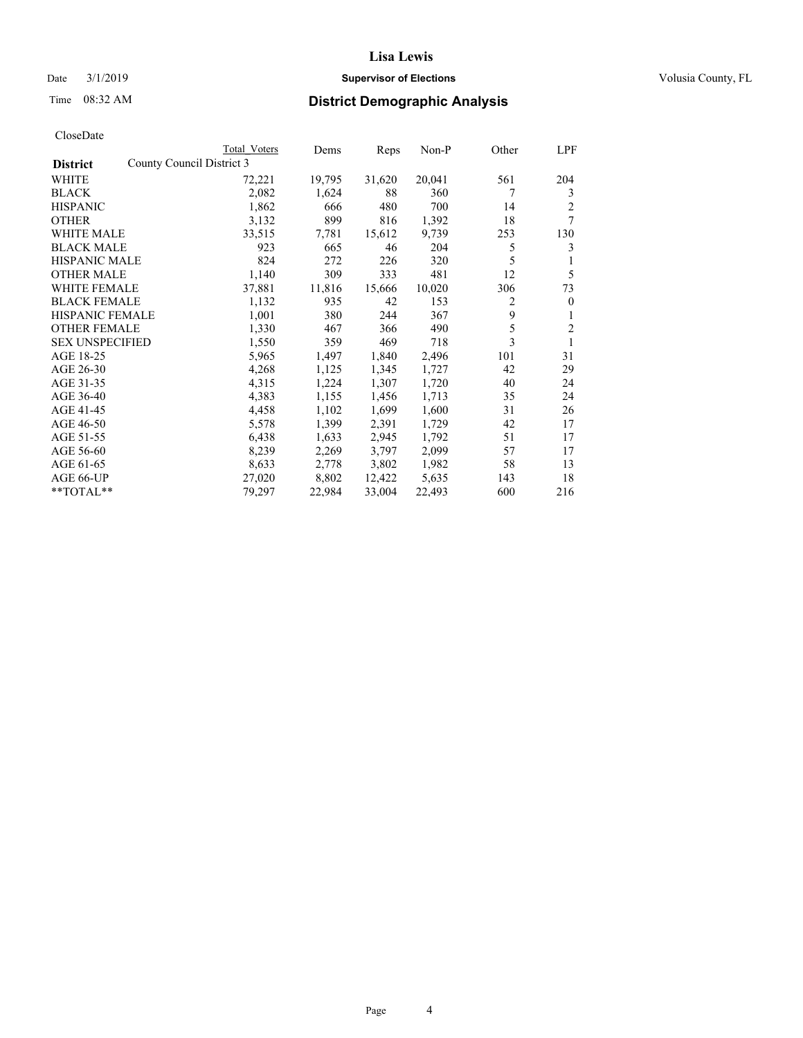### Date  $3/1/2019$  **Supervisor of Elections Supervisor of Elections** Volusia County, FL

| CloseDate |
|-----------|
|-----------|

|                                              | Total Voters | Dems   | Reps   | Non-P  | Other | LPF          |
|----------------------------------------------|--------------|--------|--------|--------|-------|--------------|
| County Council District 3<br><b>District</b> |              |        |        |        |       |              |
| WHITE                                        | 72,221       | 19,795 | 31,620 | 20,041 | 561   | 204          |
| <b>BLACK</b>                                 | 2,082        | 1,624  | 88     | 360    | 7     | 3            |
| <b>HISPANIC</b>                              | 1,862        | 666    | 480    | 700    | 14    | 2            |
| <b>OTHER</b>                                 | 3,132        | 899    | 816    | 1,392  | 18    | 7            |
| WHITE MALE                                   | 33,515       | 7,781  | 15,612 | 9,739  | 253   | 130          |
| <b>BLACK MALE</b>                            | 923          | 665    | 46     | 204    | 5     | 3            |
| <b>HISPANIC MALE</b>                         | 824          | 272    | 226    | 320    | 5     | 1            |
| <b>OTHER MALE</b>                            | 1,140        | 309    | 333    | 481    | 12    | 5            |
| <b>WHITE FEMALE</b>                          | 37,881       | 11,816 | 15,666 | 10,020 | 306   | 73           |
| <b>BLACK FEMALE</b>                          | 1,132        | 935    | 42     | 153    | 2     | $\mathbf{0}$ |
| <b>HISPANIC FEMALE</b>                       | 1,001        | 380    | 244    | 367    | 9     | 1            |
| <b>OTHER FEMALE</b>                          | 1,330        | 467    | 366    | 490    | 5     | 2            |
| <b>SEX UNSPECIFIED</b>                       | 1,550        | 359    | 469    | 718    | 3     | 1            |
| AGE 18-25                                    | 5,965        | 1,497  | 1,840  | 2,496  | 101   | 31           |
| AGE 26-30                                    | 4,268        | 1,125  | 1,345  | 1,727  | 42    | 29           |
| AGE 31-35                                    | 4,315        | 1,224  | 1,307  | 1,720  | 40    | 24           |
| AGE 36-40                                    | 4,383        | 1,155  | 1,456  | 1,713  | 35    | 24           |
| AGE 41-45                                    | 4,458        | 1,102  | 1,699  | 1,600  | 31    | 26           |
| AGE 46-50                                    | 5,578        | 1,399  | 2,391  | 1,729  | 42    | 17           |
| AGE 51-55                                    | 6,438        | 1,633  | 2,945  | 1,792  | 51    | 17           |
| AGE 56-60                                    | 8,239        | 2,269  | 3,797  | 2,099  | 57    | 17           |
| AGE 61-65                                    | 8,633        | 2,778  | 3,802  | 1,982  | 58    | 13           |
| AGE 66-UP                                    | 27,020       | 8,802  | 12,422 | 5,635  | 143   | 18           |
| $*$ $TOTAL**$                                | 79,297       | 22,984 | 33,004 | 22,493 | 600   | 216          |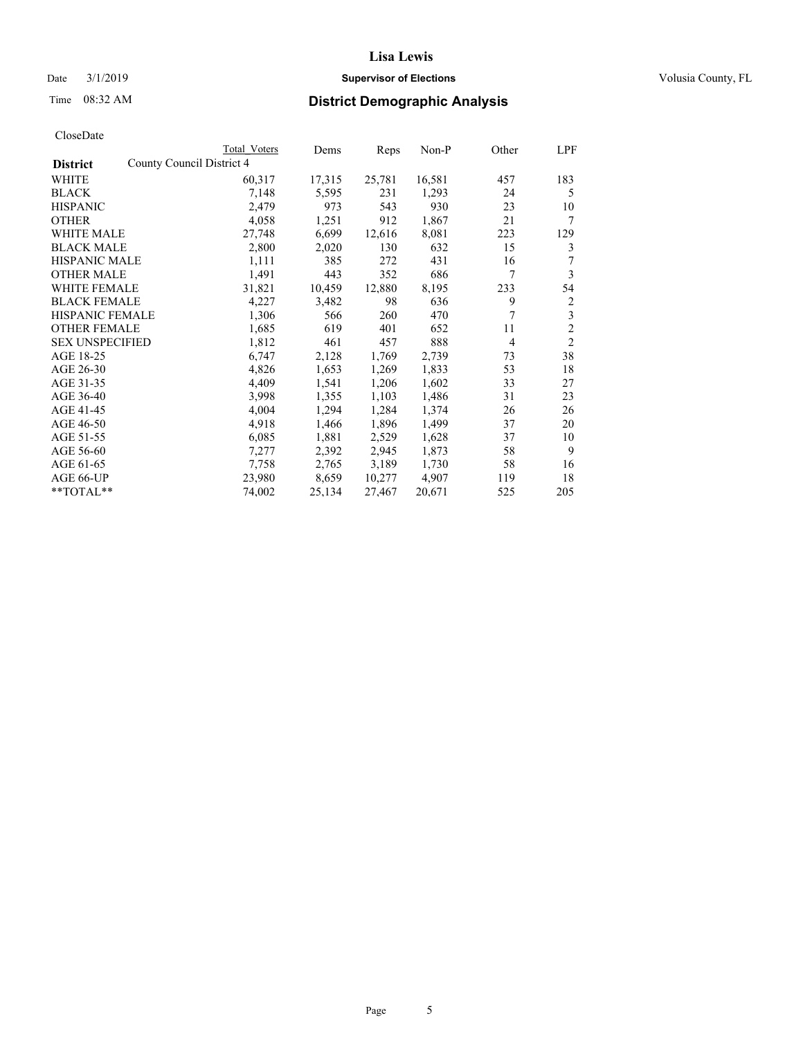### Date  $3/1/2019$  **Supervisor of Elections Supervisor of Elections** Volusia County, FL

|                                              | Total Voters | Dems   | Reps   | Non-P  | Other | LPF            |
|----------------------------------------------|--------------|--------|--------|--------|-------|----------------|
| County Council District 4<br><b>District</b> |              |        |        |        |       |                |
| WHITE                                        | 60,317       | 17,315 | 25,781 | 16,581 | 457   | 183            |
| <b>BLACK</b>                                 | 7,148        | 5,595  | 231    | 1,293  | 24    | 5              |
| <b>HISPANIC</b>                              | 2,479        | 973    | 543    | 930    | 23    | 10             |
| <b>OTHER</b>                                 | 4,058        | 1,251  | 912    | 1,867  | 21    | 7              |
| <b>WHITE MALE</b>                            | 27,748       | 6,699  | 12,616 | 8,081  | 223   | 129            |
| <b>BLACK MALE</b>                            | 2,800        | 2,020  | 130    | 632    | 15    | 3              |
| <b>HISPANIC MALE</b>                         | 1,111        | 385    | 272    | 431    | 16    | 7              |
| <b>OTHER MALE</b>                            | 1,491        | 443    | 352    | 686    | 7     | 3              |
| <b>WHITE FEMALE</b>                          | 31,821       | 10,459 | 12,880 | 8,195  | 233   | 54             |
| <b>BLACK FEMALE</b>                          | 4,227        | 3,482  | 98     | 636    | 9     | 2              |
| HISPANIC FEMALE                              | 1,306        | 566    | 260    | 470    | 7     | 3              |
| <b>OTHER FEMALE</b>                          | 1,685        | 619    | 401    | 652    | 11    | 2              |
| <b>SEX UNSPECIFIED</b>                       | 1,812        | 461    | 457    | 888    | 4     | $\overline{2}$ |
| AGE 18-25                                    | 6,747        | 2,128  | 1,769  | 2,739  | 73    | 38             |
| AGE 26-30                                    | 4,826        | 1,653  | 1,269  | 1,833  | 53    | 18             |
| AGE 31-35                                    | 4,409        | 1,541  | 1,206  | 1,602  | 33    | 27             |
| AGE 36-40                                    | 3,998        | 1,355  | 1,103  | 1,486  | 31    | 23             |
| AGE 41-45                                    | 4,004        | 1,294  | 1,284  | 1,374  | 26    | 26             |
| AGE 46-50                                    | 4,918        | 1,466  | 1,896  | 1,499  | 37    | 20             |
| AGE 51-55                                    | 6,085        | 1,881  | 2,529  | 1,628  | 37    | 10             |
| AGE 56-60                                    | 7,277        | 2,392  | 2,945  | 1,873  | 58    | 9              |
| AGE 61-65                                    | 7,758        | 2,765  | 3,189  | 1,730  | 58    | 16             |
| AGE 66-UP                                    | 23,980       | 8,659  | 10,277 | 4,907  | 119   | 18             |
| **TOTAL**                                    | 74,002       | 25,134 | 27,467 | 20,671 | 525   | 205            |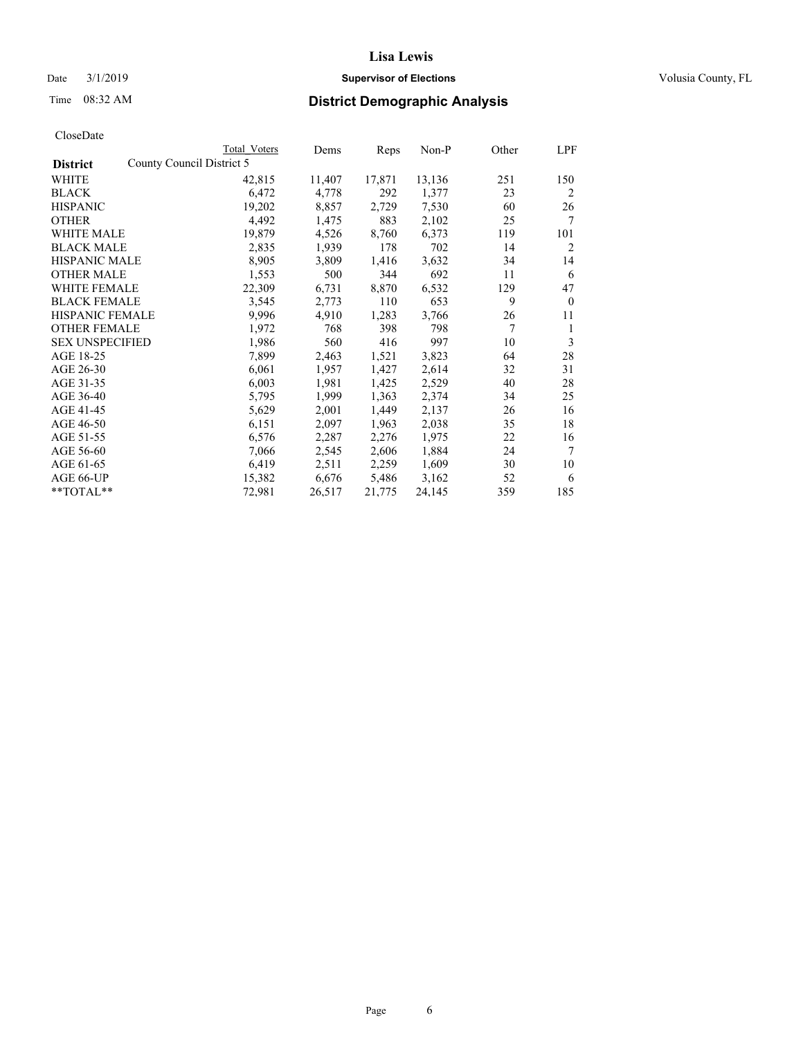## Date  $3/1/2019$  **Supervisor of Elections Supervisor of Elections** Volusia County, FL

| CloseDate |
|-----------|
|-----------|

|                                              | Total Voters | Dems   | Reps   | Non-P  | Other | LPF          |
|----------------------------------------------|--------------|--------|--------|--------|-------|--------------|
| County Council District 5<br><b>District</b> |              |        |        |        |       |              |
| WHITE                                        | 42,815       | 11,407 | 17,871 | 13,136 | 251   | 150          |
| BLACK                                        | 6,472        | 4,778  | 292    | 1,377  | 23    | 2            |
| <b>HISPANIC</b>                              | 19,202       | 8,857  | 2,729  | 7,530  | 60    | 26           |
| <b>OTHER</b>                                 | 4,492        | 1,475  | 883    | 2,102  | 25    | 7            |
| <b>WHITE MALE</b>                            | 19,879       | 4,526  | 8,760  | 6,373  | 119   | 101          |
| <b>BLACK MALE</b>                            | 2,835        | 1,939  | 178    | 702    | 14    | 2            |
| <b>HISPANIC MALE</b>                         | 8,905        | 3,809  | 1,416  | 3,632  | 34    | 14           |
| <b>OTHER MALE</b>                            | 1,553        | 500    | 344    | 692    | 11    | 6            |
| <b>WHITE FEMALE</b>                          | 22,309       | 6,731  | 8,870  | 6,532  | 129   | 47           |
| <b>BLACK FEMALE</b>                          | 3,545        | 2,773  | 110    | 653    | 9     | $\mathbf{0}$ |
| HISPANIC FEMALE                              | 9,996        | 4,910  | 1,283  | 3,766  | 26    | 11           |
| <b>OTHER FEMALE</b>                          | 1,972        | 768    | 398    | 798    | 7     | 1            |
| <b>SEX UNSPECIFIED</b>                       | 1,986        | 560    | 416    | 997    | 10    | 3            |
| AGE 18-25                                    | 7,899        | 2,463  | 1,521  | 3,823  | 64    | 28           |
| AGE 26-30                                    | 6,061        | 1,957  | 1,427  | 2,614  | 32    | 31           |
| AGE 31-35                                    | 6,003        | 1,981  | 1,425  | 2,529  | 40    | 28           |
| AGE 36-40                                    | 5,795        | 1,999  | 1,363  | 2,374  | 34    | 25           |
| AGE 41-45                                    | 5,629        | 2,001  | 1,449  | 2,137  | 26    | 16           |
| AGE 46-50                                    | 6,151        | 2,097  | 1,963  | 2,038  | 35    | 18           |
| AGE 51-55                                    | 6,576        | 2,287  | 2,276  | 1,975  | 22    | 16           |
| AGE 56-60                                    | 7,066        | 2,545  | 2,606  | 1,884  | 24    | 7            |
| AGE 61-65                                    | 6,419        | 2,511  | 2,259  | 1,609  | 30    | 10           |
| AGE 66-UP                                    | 15,382       | 6,676  | 5,486  | 3,162  | 52    | 6            |
| **TOTAL**                                    | 72,981       | 26,517 | 21,775 | 24,145 | 359   | 185          |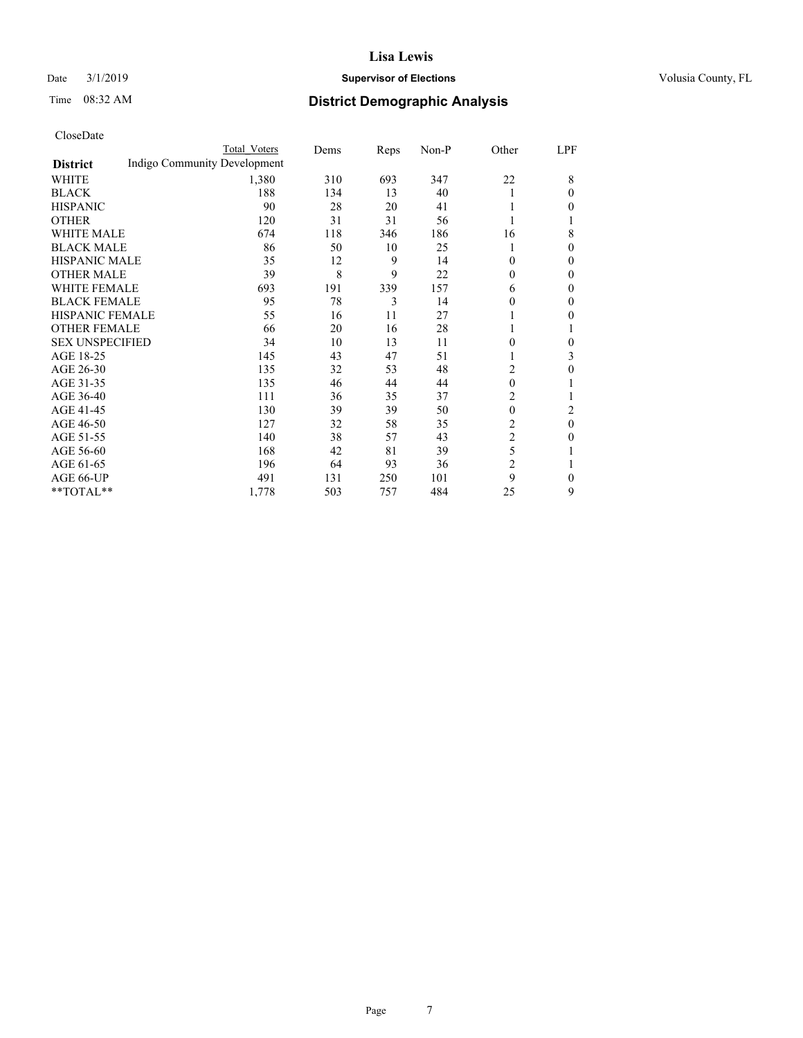### Date  $3/1/2019$  **Supervisor of Elections Supervisor of Elections** Volusia County, FL

# Time 08:32 AM **District Demographic Analysis**

|                        |                              | Total Voters | Dems | Reps | Non-P | Other            | LPF          |
|------------------------|------------------------------|--------------|------|------|-------|------------------|--------------|
| <b>District</b>        | Indigo Community Development |              |      |      |       |                  |              |
| WHITE                  |                              | 1,380        | 310  | 693  | 347   | 22               | 8            |
| <b>BLACK</b>           |                              | 188          | 134  | 13   | 40    |                  | 0            |
| <b>HISPANIC</b>        |                              | 90           | 28   | 20   | 41    |                  | 0            |
| <b>OTHER</b>           |                              | 120          | 31   | 31   | 56    |                  |              |
| <b>WHITE MALE</b>      |                              | 674          | 118  | 346  | 186   | 16               | 8            |
| <b>BLACK MALE</b>      |                              | 86           | 50   | 10   | 25    |                  | 0            |
| <b>HISPANIC MALE</b>   |                              | 35           | 12   | 9    | 14    | 0                | 0            |
| <b>OTHER MALE</b>      |                              | 39           | 8    | 9    | 22    | $\theta$         | $\theta$     |
| <b>WHITE FEMALE</b>    |                              | 693          | 191  | 339  | 157   | 6                | 0            |
| <b>BLACK FEMALE</b>    |                              | 95           | 78   | 3    | 14    | 0                | 0            |
| HISPANIC FEMALE        |                              | 55           | 16   | 11   | 27    |                  | 0            |
| <b>OTHER FEMALE</b>    |                              | 66           | 20   | 16   | 28    |                  | 1            |
| <b>SEX UNSPECIFIED</b> |                              | 34           | 10   | 13   | 11    | 0                | 0            |
| AGE 18-25              |                              | 145          | 43   | 47   | 51    |                  | 3            |
| AGE 26-30              |                              | 135          | 32   | 53   | 48    | 2                | 0            |
| AGE 31-35              |                              | 135          | 46   | 44   | 44    | $\theta$         | 1            |
| AGE 36-40              |                              | 111          | 36   | 35   | 37    | 2                |              |
| AGE 41-45              |                              | 130          | 39   | 39   | 50    | $\boldsymbol{0}$ | 2            |
| AGE 46-50              |                              | 127          | 32   | 58   | 35    | 2                | $\theta$     |
| AGE 51-55              |                              | 140          | 38   | 57   | 43    | $\overline{2}$   | 0            |
| AGE 56-60              |                              | 168          | 42   | 81   | 39    | 5                |              |
| AGE 61-65              |                              | 196          | 64   | 93   | 36    | $\overline{c}$   | 1            |
| <b>AGE 66-UP</b>       |                              | 491          | 131  | 250  | 101   | 9                | $\mathbf{0}$ |
| **TOTAL**              |                              | 1,778        | 503  | 757  | 484   | 25               | 9            |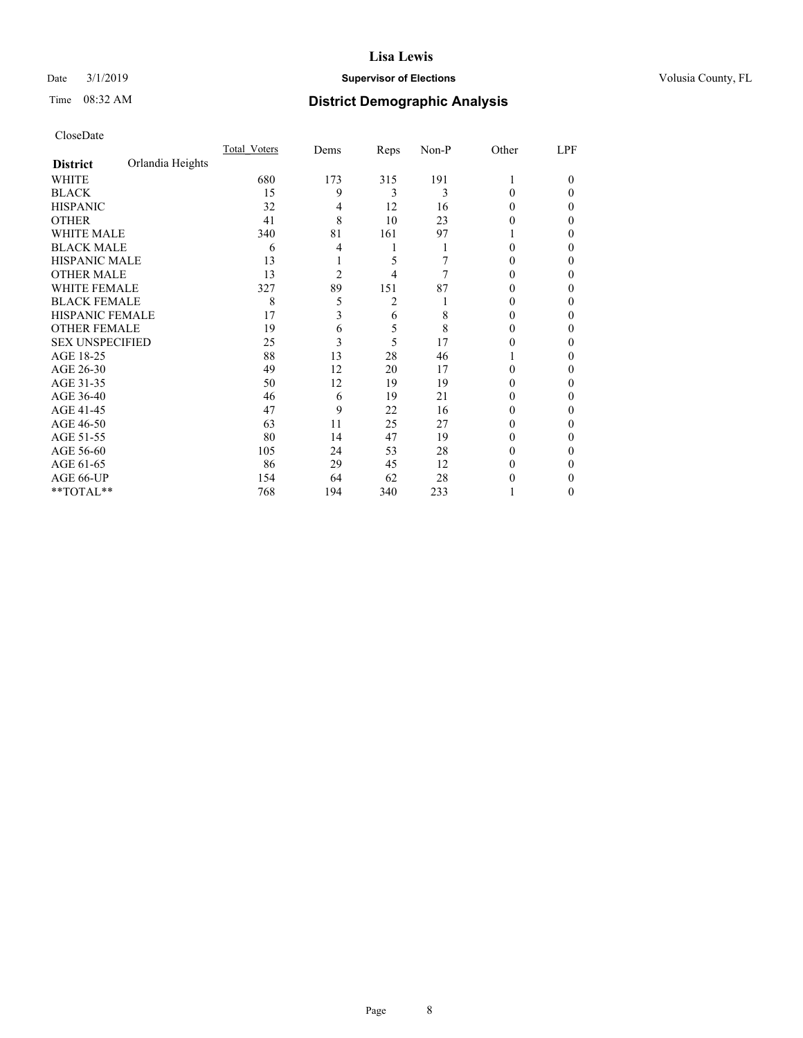### Date  $3/1/2019$  **Supervisor of Elections Supervisor of Elections** Volusia County, FL

# Time 08:32 AM **District Demographic Analysis**

|                        |                  | Total Voters | Dems           | Reps | Non-P | Other    | LPF    |
|------------------------|------------------|--------------|----------------|------|-------|----------|--------|
| <b>District</b>        | Orlandia Heights |              |                |      |       |          |        |
| WHITE                  |                  | 680          | 173            | 315  | 191   | 1        | $_{0}$ |
| <b>BLACK</b>           |                  | 15           | 9              | 3    | 3     | 0        | 0      |
| <b>HISPANIC</b>        |                  | 32           | 4              | 12   | 16    | $_{0}$   | 0      |
| <b>OTHER</b>           |                  | 41           | 8              | 10   | 23    | 0        | 0      |
| <b>WHITE MALE</b>      |                  | 340          | 81             | 161  | 97    |          | 0      |
| <b>BLACK MALE</b>      |                  | 6            | 4              | 1    |       | 0        | 0      |
| <b>HISPANIC MALE</b>   |                  | 13           |                | 5    |       | 0        | 0      |
| <b>OTHER MALE</b>      |                  | 13           | $\overline{c}$ | 4    | 7     | 0        | 0      |
| <b>WHITE FEMALE</b>    |                  | 327          | 89             | 151  | 87    |          | 0      |
| <b>BLACK FEMALE</b>    |                  | 8            | 5              | 2    |       | $_{0}$   | 0      |
| <b>HISPANIC FEMALE</b> |                  | 17           | 3              | 6    | 8     | $_{0}$   | 0      |
| <b>OTHER FEMALE</b>    |                  | 19           | 6              | 5    | 8     | $_{0}$   | 0      |
| <b>SEX UNSPECIFIED</b> |                  | 25           | 3              | 5    | 17    | 0        | 0      |
| AGE 18-25              |                  | 88           | 13             | 28   | 46    |          | 0      |
| AGE 26-30              |                  | 49           | 12             | 20   | 17    | 0        | 0      |
| AGE 31-35              |                  | 50           | 12             | 19   | 19    |          | 0      |
| AGE 36-40              |                  | 46           | 6              | 19   | 21    | 0        | 0      |
| AGE 41-45              |                  | 47           | 9              | 22   | 16    | 0        | 0      |
| AGE 46-50              |                  | 63           | 11             | 25   | 27    | $_{0}$   | 0      |
| AGE 51-55              |                  | 80           | 14             | 47   | 19    | $\theta$ | 0      |
| AGE 56-60              |                  | 105          | 24             | 53   | 28    | $_{0}$   | 0      |
| AGE 61-65              |                  | 86           | 29             | 45   | 12    | $_{0}$   | 0      |
| AGE 66-UP              |                  | 154          | 64             | 62   | 28    |          | 0      |
| **TOTAL**              |                  | 768          | 194            | 340  | 233   |          | 0      |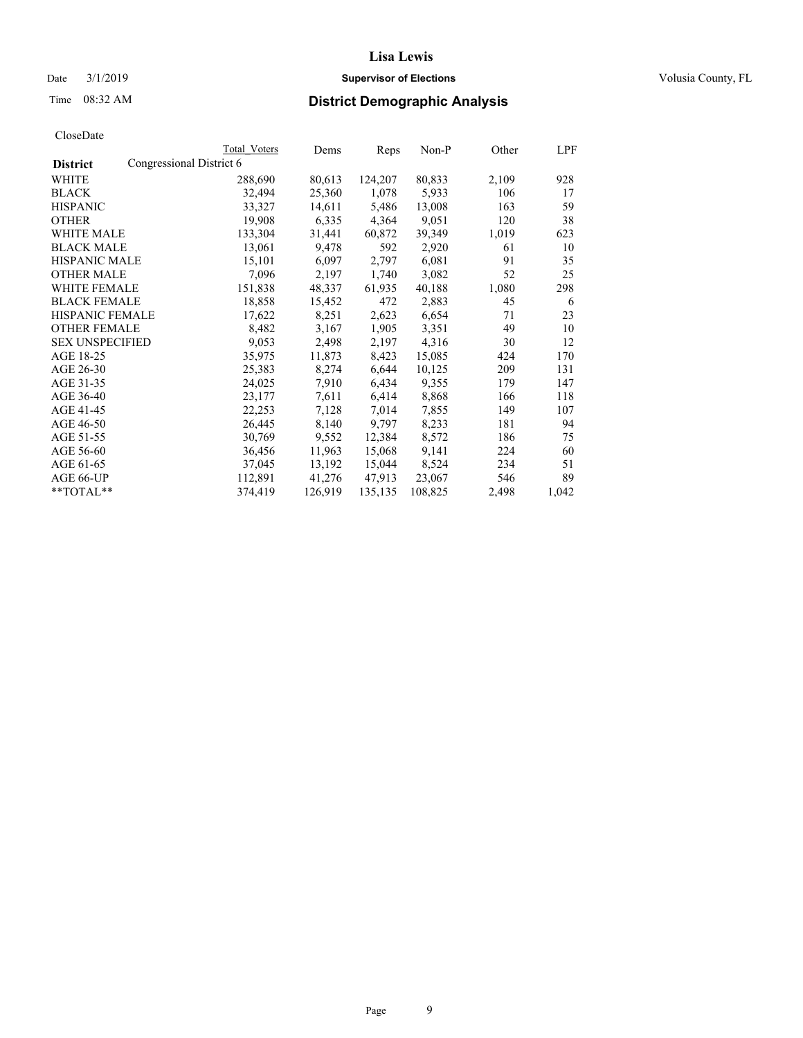### Date  $3/1/2019$  **Supervisor of Elections Supervisor of Elections** Volusia County, FL

# Time 08:32 AM **District Demographic Analysis**

|                        | Total Voters             | Dems    | Reps    | Non-P   | Other | LPF   |
|------------------------|--------------------------|---------|---------|---------|-------|-------|
| <b>District</b>        | Congressional District 6 |         |         |         |       |       |
| WHITE                  | 288,690                  | 80,613  | 124,207 | 80,833  | 2,109 | 928   |
| <b>BLACK</b>           | 32,494                   | 25,360  | 1,078   | 5,933   | 106   | 17    |
| <b>HISPANIC</b>        | 33,327                   | 14,611  | 5,486   | 13,008  | 163   | 59    |
| <b>OTHER</b>           | 19,908                   | 6,335   | 4,364   | 9,051   | 120   | 38    |
| <b>WHITE MALE</b>      | 133,304                  | 31,441  | 60,872  | 39,349  | 1,019 | 623   |
| <b>BLACK MALE</b>      | 13,061                   | 9,478   | 592     | 2,920   | 61    | 10    |
| <b>HISPANIC MALE</b>   | 15,101                   | 6,097   | 2,797   | 6,081   | 91    | 35    |
| <b>OTHER MALE</b>      | 7,096                    | 2,197   | 1,740   | 3,082   | 52    | 25    |
| <b>WHITE FEMALE</b>    | 151,838                  | 48,337  | 61,935  | 40,188  | 1,080 | 298   |
| <b>BLACK FEMALE</b>    | 18,858                   | 15,452  | 472     | 2,883   | 45    | -6    |
| <b>HISPANIC FEMALE</b> | 17,622                   | 8,251   | 2,623   | 6,654   | 71    | 23    |
| <b>OTHER FEMALE</b>    | 8,482                    | 3,167   | 1,905   | 3,351   | 49    | 10    |
| <b>SEX UNSPECIFIED</b> | 9,053                    | 2,498   | 2,197   | 4,316   | 30    | 12    |
| AGE 18-25              | 35,975                   | 11,873  | 8,423   | 15,085  | 424   | 170   |
| AGE 26-30              | 25,383                   | 8,274   | 6,644   | 10,125  | 209   | 131   |
| AGE 31-35              | 24,025                   | 7,910   | 6,434   | 9,355   | 179   | 147   |
| AGE 36-40              | 23,177                   | 7,611   | 6,414   | 8,868   | 166   | 118   |
| AGE 41-45              | 22,253                   | 7,128   | 7,014   | 7,855   | 149   | 107   |
| AGE 46-50              | 26,445                   | 8,140   | 9,797   | 8,233   | 181   | 94    |
| AGE 51-55              | 30,769                   | 9,552   | 12,384  | 8,572   | 186   | 75    |
| AGE 56-60              | 36,456                   | 11,963  | 15,068  | 9,141   | 224   | 60    |
| AGE 61-65              | 37,045                   | 13,192  | 15,044  | 8,524   | 234   | 51    |
| <b>AGE 66-UP</b>       | 112,891                  | 41,276  | 47,913  | 23,067  | 546   | 89    |
| $*$ $TOTAL**$          | 374,419                  | 126,919 | 135,135 | 108,825 | 2,498 | 1,042 |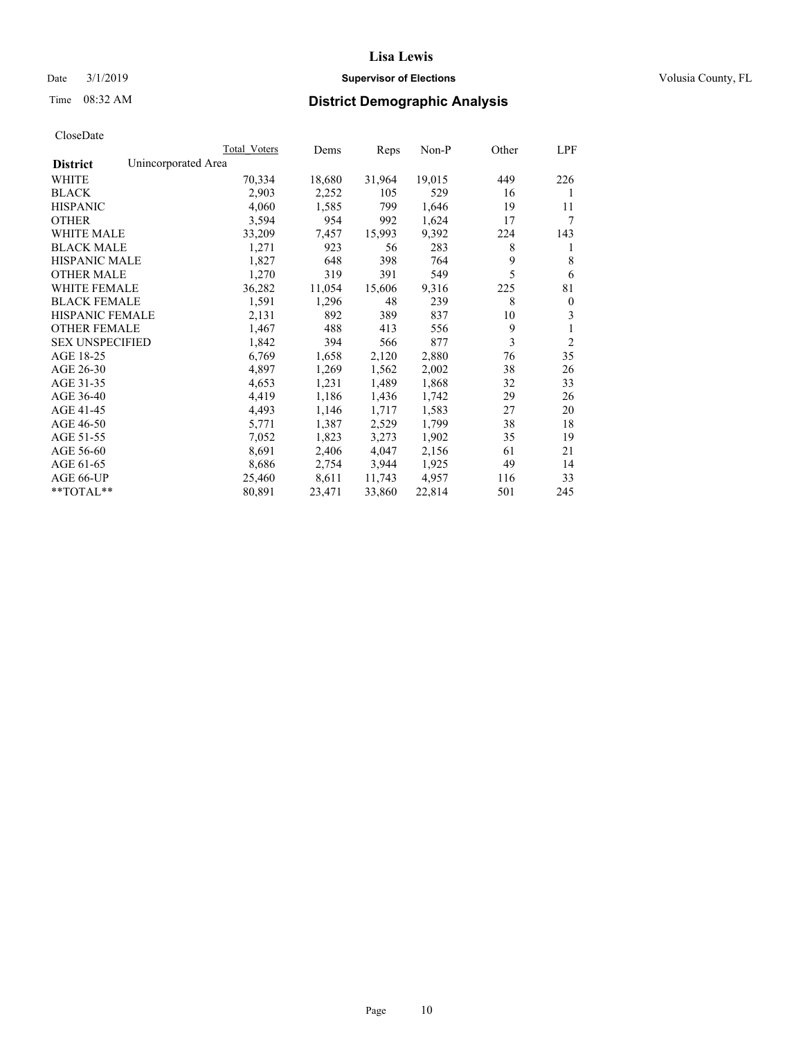## Date  $3/1/2019$  **Supervisor of Elections Supervisor of Elections** Volusia County, FL

# Time 08:32 AM **District Demographic Analysis**

|                        | Total Voters        | Dems   | Reps   | Non-P  | Other | LPF            |
|------------------------|---------------------|--------|--------|--------|-------|----------------|
| <b>District</b>        | Unincorporated Area |        |        |        |       |                |
| WHITE                  | 70,334              | 18,680 | 31,964 | 19,015 | 449   | 226            |
| <b>BLACK</b>           | 2,903               | 2,252  | 105    | 529    | 16    | 1              |
| <b>HISPANIC</b>        | 4,060               | 1,585  | 799    | 1,646  | 19    | 11             |
| <b>OTHER</b>           | 3,594               | 954    | 992    | 1,624  | 17    | 7              |
| WHITE MALE             | 33,209              | 7,457  | 15,993 | 9,392  | 224   | 143            |
| <b>BLACK MALE</b>      | 1,271               | 923    | 56     | 283    | 8     | 1              |
| <b>HISPANIC MALE</b>   | 1,827               | 648    | 398    | 764    | 9     | 8              |
| <b>OTHER MALE</b>      | 1,270               | 319    | 391    | 549    | 5     | 6              |
| WHITE FEMALE           | 36,282              | 11,054 | 15,606 | 9,316  | 225   | 81             |
| <b>BLACK FEMALE</b>    | 1,591               | 1,296  | 48     | 239    | 8     | $\mathbf{0}$   |
| <b>HISPANIC FEMALE</b> | 2,131               | 892    | 389    | 837    | 10    | 3              |
| <b>OTHER FEMALE</b>    | 1,467               | 488    | 413    | 556    | 9     | 1              |
| <b>SEX UNSPECIFIED</b> | 1,842               | 394    | 566    | 877    | 3     | $\overline{2}$ |
| AGE 18-25              | 6,769               | 1,658  | 2,120  | 2,880  | 76    | 35             |
| AGE 26-30              | 4,897               | 1,269  | 1,562  | 2,002  | 38    | 26             |
| AGE 31-35              | 4,653               | 1,231  | 1,489  | 1,868  | 32    | 33             |
| AGE 36-40              | 4,419               | 1,186  | 1,436  | 1,742  | 29    | 26             |
| AGE 41-45              | 4,493               | 1,146  | 1,717  | 1,583  | 27    | 20             |
| AGE 46-50              | 5,771               | 1,387  | 2,529  | 1,799  | 38    | 18             |
| AGE 51-55              | 7,052               | 1,823  | 3,273  | 1,902  | 35    | 19             |
| AGE 56-60              | 8,691               | 2,406  | 4,047  | 2,156  | 61    | 21             |
| AGE 61-65              | 8,686               | 2,754  | 3,944  | 1,925  | 49    | 14             |
| AGE 66-UP              | 25,460              | 8,611  | 11,743 | 4.957  | 116   | 33             |
| $*$ $TOTAL**$          | 80,891              | 23,471 | 33,860 | 22,814 | 501   | 245            |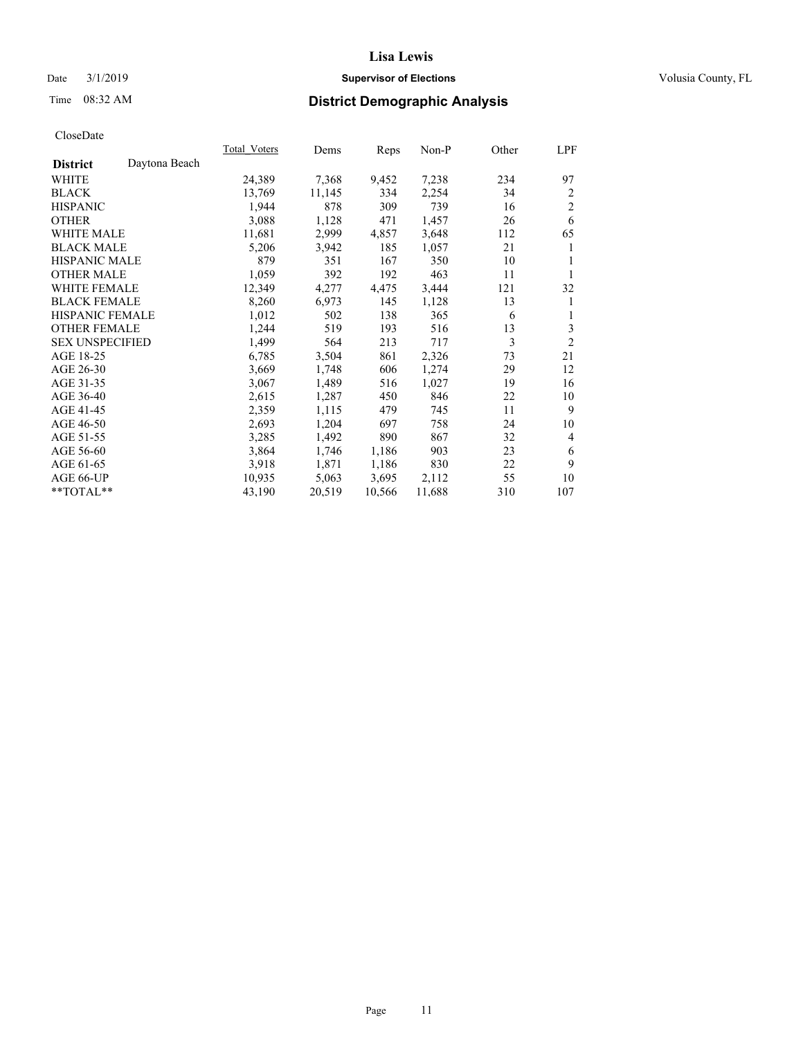## Date  $3/1/2019$  **Supervisor of Elections Supervisor of Elections** Volusia County, FL

# Time 08:32 AM **District Demographic Analysis**

| Total Voters | Dems   |        | Non-P  | Other | LPF            |
|--------------|--------|--------|--------|-------|----------------|
|              |        |        |        |       |                |
| 24,389       | 7,368  | 9,452  | 7,238  | 234   | 97             |
| 13,769       | 11,145 | 334    | 2,254  | 34    | 2              |
| 1,944        | 878    | 309    | 739    | 16    | $\overline{2}$ |
| 3,088        | 1,128  | 471    | 1,457  | 26    | 6              |
| 11,681       | 2,999  | 4,857  | 3,648  | 112   | 65             |
| 5,206        | 3,942  | 185    | 1,057  | 21    | 1              |
| 879          | 351    | 167    | 350    | 10    | 1              |
| 1,059        | 392    | 192    | 463    | 11    | 1              |
| 12,349       | 4,277  | 4,475  | 3,444  | 121   | 32             |
| 8,260        | 6,973  | 145    | 1,128  | 13    | 1              |
| 1,012        | 502    | 138    | 365    | 6     | 1              |
| 1,244        | 519    | 193    | 516    | 13    | 3              |
| 1,499        | 564    | 213    | 717    | 3     | $\overline{2}$ |
| 6,785        | 3,504  | 861    | 2,326  | 73    | 21             |
| 3,669        | 1,748  | 606    | 1,274  | 29    | 12             |
| 3,067        | 1,489  | 516    | 1,027  | 19    | 16             |
| 2,615        | 1,287  | 450    | 846    | 22    | 10             |
| 2,359        | 1,115  | 479    | 745    | 11    | 9              |
| 2,693        | 1,204  | 697    | 758    | 24    | 10             |
| 3,285        | 1,492  | 890    | 867    | 32    | $\overline{4}$ |
| 3,864        | 1,746  | 1,186  | 903    | 23    | 6              |
| 3,918        | 1,871  | 1,186  | 830    | 22    | 9              |
| 10,935       | 5,063  | 3,695  | 2,112  | 55    | 10             |
| 43,190       | 20,519 | 10,566 | 11,688 | 310   | 107            |
|              |        |        | Reps   |       |                |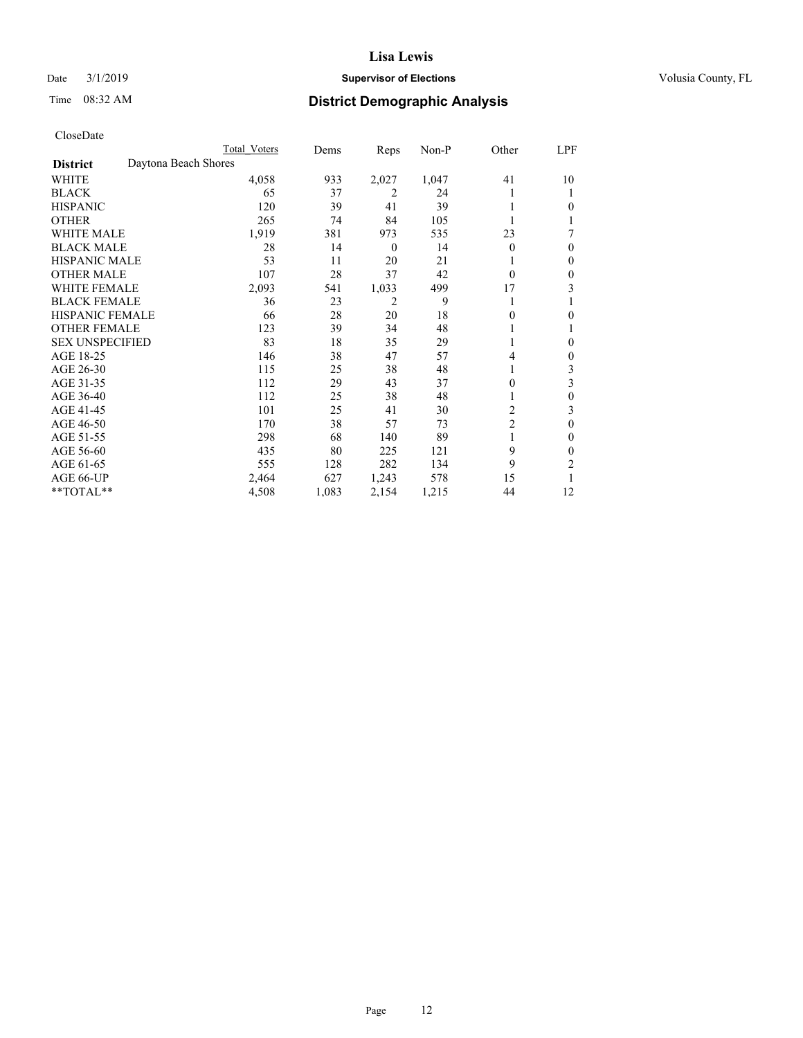## Date  $3/1/2019$  **Supervisor of Elections Supervisor of Elections** Volusia County, FL

# Time 08:32 AM **District Demographic Analysis**

|                        | Total Voters         | Dems  | Reps             | Non-P | Other          | LPF          |
|------------------------|----------------------|-------|------------------|-------|----------------|--------------|
| <b>District</b>        | Daytona Beach Shores |       |                  |       |                |              |
| WHITE                  | 4,058                | 933   | 2,027            | 1,047 | 41             | 10           |
| <b>BLACK</b>           | 65                   | 37    | 2                | 24    |                |              |
| <b>HISPANIC</b>        | 120                  | 39    | 41               | 39    |                | 0            |
| <b>OTHER</b>           | 265                  | 74    | 84               | 105   |                |              |
| <b>WHITE MALE</b>      | 1,919                | 381   | 973              | 535   | 23             |              |
| <b>BLACK MALE</b>      | 28                   | 14    | $\boldsymbol{0}$ | 14    | $\theta$       | $\Omega$     |
| <b>HISPANIC MALE</b>   | 53                   | 11    | 20               | 21    |                | $\mathbf{0}$ |
| <b>OTHER MALE</b>      | 107                  | 28    | 37               | 42    | $\Omega$       | $\mathbf{0}$ |
| <b>WHITE FEMALE</b>    | 2,093                | 541   | 1,033            | 499   | 17             | 3            |
| <b>BLACK FEMALE</b>    | 36                   | 23    | 2                | 9     |                |              |
| <b>HISPANIC FEMALE</b> | 66                   | 28    | 20               | 18    | 0              | 0            |
| <b>OTHER FEMALE</b>    | 123                  | 39    | 34               | 48    |                |              |
| <b>SEX UNSPECIFIED</b> | 83                   | 18    | 35               | 29    |                | 0            |
| AGE 18-25              | 146                  | 38    | 47               | 57    | 4              | $\mathbf{0}$ |
| AGE 26-30              | 115                  | 25    | 38               | 48    | 1              | 3            |
| AGE 31-35              | 112                  | 29    | 43               | 37    | 0              | 3            |
| AGE 36-40              | 112                  | 25    | 38               | 48    |                | $\theta$     |
| AGE 41-45              | 101                  | 25    | 41               | 30    | 2              | 3            |
| AGE 46-50              | 170                  | 38    | 57               | 73    | $\overline{2}$ | $\theta$     |
| AGE 51-55              | 298                  | 68    | 140              | 89    |                | 0            |
| AGE 56-60              | 435                  | 80    | 225              | 121   | 9              | $\theta$     |
| AGE 61-65              | 555                  | 128   | 282              | 134   | 9              | 2            |
| AGE 66-UP              | 2,464                | 627   | 1,243            | 578   | 15             |              |
| **TOTAL**              | 4,508                | 1,083 | 2,154            | 1,215 | 44             | 12           |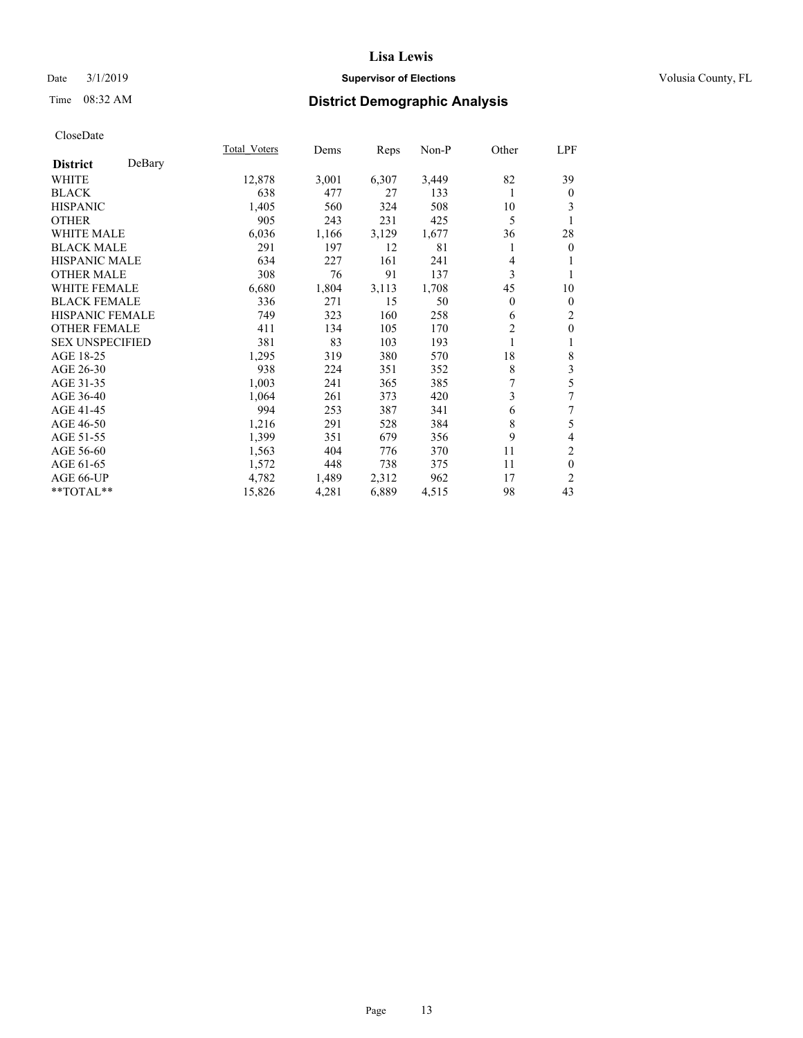## Date  $3/1/2019$  **Supervisor of Elections Supervisor of Elections** Volusia County, FL

# Time 08:32 AM **District Demographic Analysis**

|                        |        | Total Voters | Dems  | Reps  | Non-P | Other | LPF              |
|------------------------|--------|--------------|-------|-------|-------|-------|------------------|
| <b>District</b>        | DeBary |              |       |       |       |       |                  |
| WHITE                  |        | 12,878       | 3,001 | 6,307 | 3,449 | 82    | 39               |
| <b>BLACK</b>           |        | 638          | 477   | 27    | 133   | 1     | $\boldsymbol{0}$ |
| <b>HISPANIC</b>        |        | 1,405        | 560   | 324   | 508   | 10    | 3                |
| <b>OTHER</b>           |        | 905          | 243   | 231   | 425   | 5     |                  |
| <b>WHITE MALE</b>      |        | 6,036        | 1,166 | 3,129 | 1,677 | 36    | 28               |
| <b>BLACK MALE</b>      |        | 291          | 197   | 12    | 81    |       | $\mathbf{0}$     |
| <b>HISPANIC MALE</b>   |        | 634          | 227   | 161   | 241   | 4     | 1                |
| <b>OTHER MALE</b>      |        | 308          | 76    | 91    | 137   | 3     | 1                |
| <b>WHITE FEMALE</b>    |        | 6,680        | 1,804 | 3,113 | 1,708 | 45    | 10               |
| <b>BLACK FEMALE</b>    |        | 336          | 271   | 15    | 50    | 0     | $\boldsymbol{0}$ |
| <b>HISPANIC FEMALE</b> |        | 749          | 323   | 160   | 258   | 6     | $\overline{2}$   |
| <b>OTHER FEMALE</b>    |        | 411          | 134   | 105   | 170   | 2     | $\boldsymbol{0}$ |
| <b>SEX UNSPECIFIED</b> |        | 381          | 83    | 103   | 193   | 1     | 1                |
| AGE 18-25              |        | 1,295        | 319   | 380   | 570   | 18    | $\,$ 8 $\,$      |
| AGE 26-30              |        | 938          | 224   | 351   | 352   | 8     | 3                |
| AGE 31-35              |        | 1,003        | 241   | 365   | 385   | 7     | 5                |
| AGE 36-40              |        | 1,064        | 261   | 373   | 420   | 3     | 7                |
| AGE 41-45              |        | 994          | 253   | 387   | 341   | 6     | 7                |
| AGE 46-50              |        | 1,216        | 291   | 528   | 384   | 8     | 5                |
| AGE 51-55              |        | 1,399        | 351   | 679   | 356   | 9     | $\overline{4}$   |
| AGE 56-60              |        | 1,563        | 404   | 776   | 370   | 11    | $\overline{c}$   |
| AGE 61-65              |        | 1,572        | 448   | 738   | 375   | 11    | $\mathbf{0}$     |
| AGE 66-UP              |        | 4,782        | 1,489 | 2,312 | 962   | 17    | $\overline{2}$   |
| **TOTAL**              |        | 15,826       | 4,281 | 6,889 | 4,515 | 98    | 43               |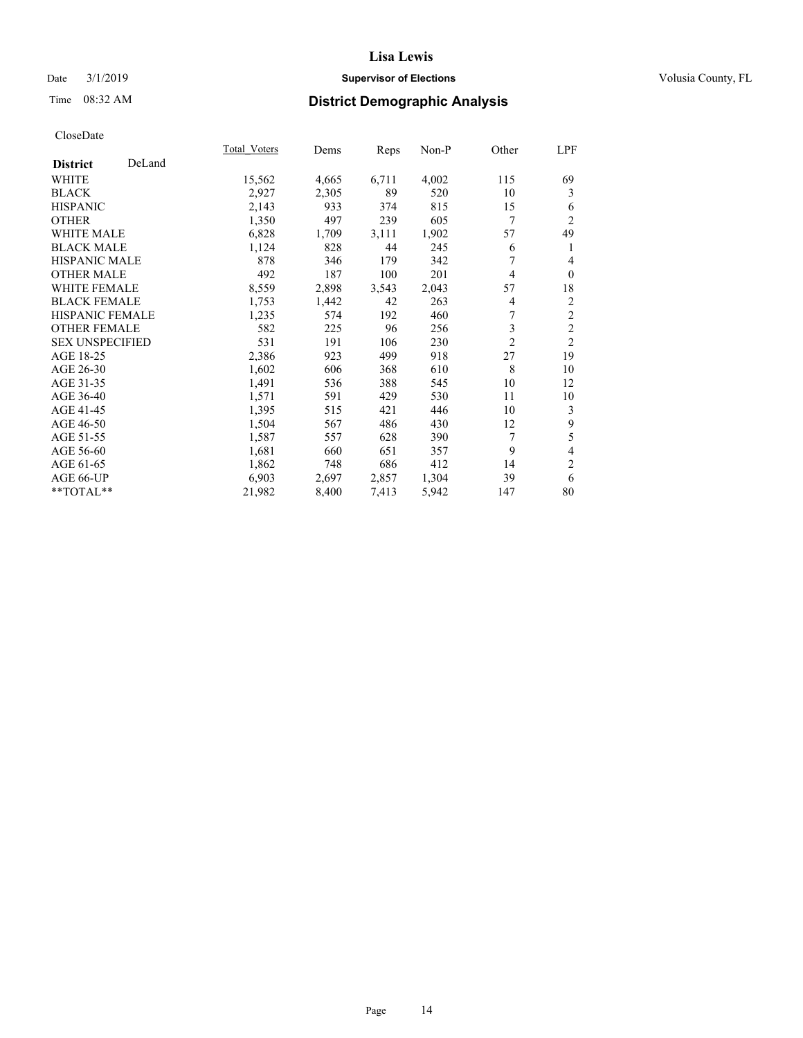## Date  $3/1/2019$  **Supervisor of Elections Supervisor of Elections** Volusia County, FL

# Time 08:32 AM **District Demographic Analysis**

|                        |        | Total Voters | Dems  | Reps  | Non-P | Other          | LPF            |
|------------------------|--------|--------------|-------|-------|-------|----------------|----------------|
| <b>District</b>        | DeLand |              |       |       |       |                |                |
| WHITE                  |        | 15,562       | 4,665 | 6,711 | 4,002 | 115            | 69             |
| <b>BLACK</b>           |        | 2,927        | 2,305 | 89    | 520   | 10             | 3              |
| <b>HISPANIC</b>        |        | 2,143        | 933   | 374   | 815   | 15             | 6              |
| <b>OTHER</b>           |        | 1,350        | 497   | 239   | 605   | 7              | $\overline{2}$ |
| WHITE MALE             |        | 6,828        | 1,709 | 3,111 | 1,902 | 57             | 49             |
| <b>BLACK MALE</b>      |        | 1,124        | 828   | 44    | 245   | 6              | 1              |
| <b>HISPANIC MALE</b>   |        | 878          | 346   | 179   | 342   | 7              | 4              |
| <b>OTHER MALE</b>      |        | 492          | 187   | 100   | 201   | 4              | $\mathbf{0}$   |
| <b>WHITE FEMALE</b>    |        | 8,559        | 2,898 | 3,543 | 2,043 | 57             | 18             |
| <b>BLACK FEMALE</b>    |        | 1,753        | 1,442 | 42    | 263   | 4              | $\overline{c}$ |
| <b>HISPANIC FEMALE</b> |        | 1,235        | 574   | 192   | 460   | 7              | $\overline{c}$ |
| <b>OTHER FEMALE</b>    |        | 582          | 225   | 96    | 256   | 3              | $\overline{c}$ |
| <b>SEX UNSPECIFIED</b> |        | 531          | 191   | 106   | 230   | $\overline{2}$ | $\overline{2}$ |
| AGE 18-25              |        | 2,386        | 923   | 499   | 918   | 27             | 19             |
| AGE 26-30              |        | 1,602        | 606   | 368   | 610   | 8              | 10             |
| AGE 31-35              |        | 1,491        | 536   | 388   | 545   | 10             | 12             |
| AGE 36-40              |        | 1,571        | 591   | 429   | 530   | 11             | 10             |
| AGE 41-45              |        | 1,395        | 515   | 421   | 446   | 10             | 3              |
| AGE 46-50              |        | 1,504        | 567   | 486   | 430   | 12             | 9              |
| AGE 51-55              |        | 1,587        | 557   | 628   | 390   | 7              | 5              |
| AGE 56-60              |        | 1,681        | 660   | 651   | 357   | 9              | 4              |
| AGE 61-65              |        | 1,862        | 748   | 686   | 412   | 14             | $\mathfrak{2}$ |
| AGE 66-UP              |        | 6,903        | 2,697 | 2,857 | 1,304 | 39             | 6              |
| **TOTAL**              |        | 21,982       | 8,400 | 7,413 | 5,942 | 147            | 80             |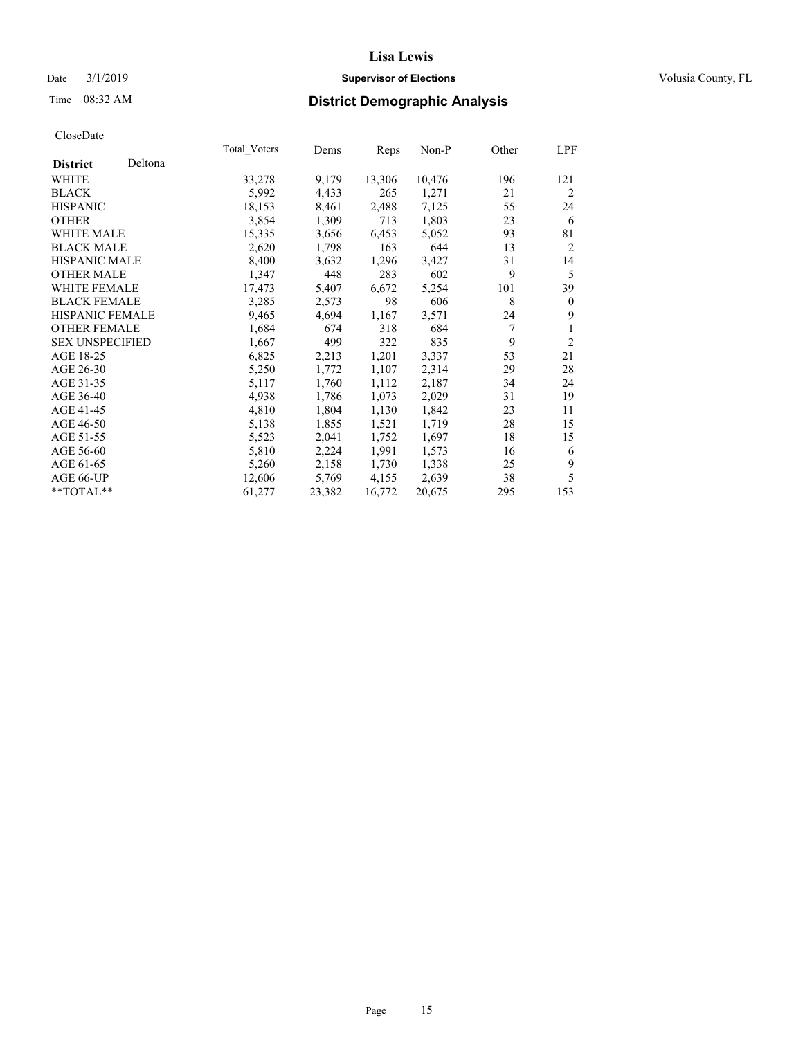## Date  $3/1/2019$  **Supervisor of Elections Supervisor of Elections** Volusia County, FL

# Time 08:32 AM **District Demographic Analysis**

|                        |         | Total Voters | Dems   | Reps   | Non-P  | Other | LPF            |
|------------------------|---------|--------------|--------|--------|--------|-------|----------------|
| <b>District</b>        | Deltona |              |        |        |        |       |                |
| WHITE                  |         | 33,278       | 9,179  | 13,306 | 10,476 | 196   | 121            |
| <b>BLACK</b>           |         | 5,992        | 4,433  | 265    | 1,271  | 21    | $\overline{2}$ |
| <b>HISPANIC</b>        |         | 18,153       | 8,461  | 2,488  | 7,125  | 55    | 24             |
| <b>OTHER</b>           |         | 3,854        | 1,309  | 713    | 1,803  | 23    | 6              |
| WHITE MALE             |         | 15,335       | 3,656  | 6,453  | 5,052  | 93    | 81             |
| <b>BLACK MALE</b>      |         | 2,620        | 1,798  | 163    | 644    | 13    | 2              |
| <b>HISPANIC MALE</b>   |         | 8,400        | 3,632  | 1,296  | 3,427  | 31    | 14             |
| <b>OTHER MALE</b>      |         | 1,347        | 448    | 283    | 602    | 9     | 5              |
| <b>WHITE FEMALE</b>    |         | 17,473       | 5,407  | 6,672  | 5,254  | 101   | 39             |
| <b>BLACK FEMALE</b>    |         | 3,285        | 2,573  | 98     | 606    | 8     | $\theta$       |
| <b>HISPANIC FEMALE</b> |         | 9,465        | 4,694  | 1,167  | 3,571  | 24    | 9              |
| <b>OTHER FEMALE</b>    |         | 1,684        | 674    | 318    | 684    | 7     | 1              |
| <b>SEX UNSPECIFIED</b> |         | 1,667        | 499    | 322    | 835    | 9     | $\overline{2}$ |
| AGE 18-25              |         | 6,825        | 2,213  | 1,201  | 3,337  | 53    | 21             |
| AGE 26-30              |         | 5,250        | 1,772  | 1,107  | 2,314  | 29    | 28             |
| AGE 31-35              |         | 5,117        | 1,760  | 1,112  | 2,187  | 34    | 24             |
| AGE 36-40              |         | 4,938        | 1,786  | 1,073  | 2,029  | 31    | 19             |
| AGE 41-45              |         | 4,810        | 1,804  | 1,130  | 1,842  | 23    | 11             |
| AGE 46-50              |         | 5,138        | 1,855  | 1,521  | 1,719  | 28    | 15             |
| AGE 51-55              |         | 5,523        | 2,041  | 1,752  | 1,697  | 18    | 15             |
| AGE 56-60              |         | 5,810        | 2,224  | 1,991  | 1,573  | 16    | 6              |
| AGE 61-65              |         | 5,260        | 2,158  | 1,730  | 1,338  | 25    | 9              |
| AGE 66-UP              |         | 12,606       | 5,769  | 4,155  | 2,639  | 38    | 5              |
| $*$ TOTAL $*$          |         | 61,277       | 23,382 | 16,772 | 20,675 | 295   | 153            |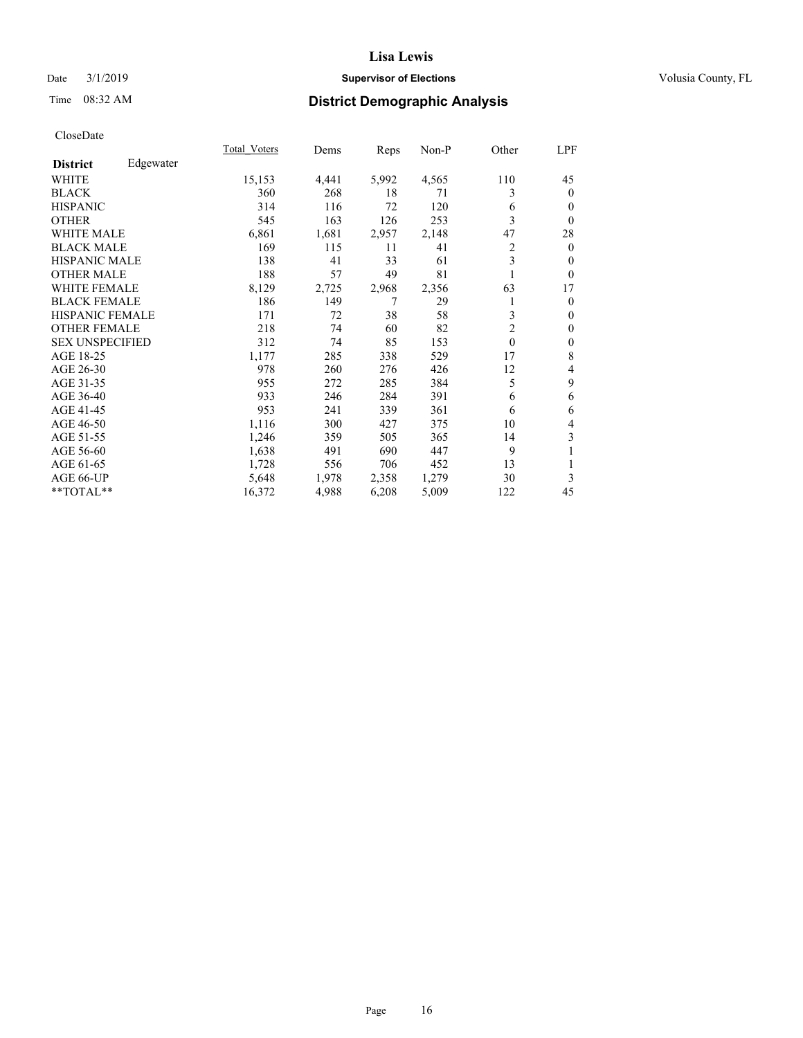## Date  $3/1/2019$  **Supervisor of Elections Supervisor of Elections** Volusia County, FL

# Time 08:32 AM **District Demographic Analysis**

|                        |           | Total Voters | Dems  | Reps  | Non-P | Other          | LPF          |
|------------------------|-----------|--------------|-------|-------|-------|----------------|--------------|
| <b>District</b>        | Edgewater |              |       |       |       |                |              |
| WHITE                  |           | 15,153       | 4,441 | 5,992 | 4,565 | 110            | 45           |
| <b>BLACK</b>           |           | 360          | 268   | 18    | 71    | 3              | $\mathbf{0}$ |
| <b>HISPANIC</b>        |           | 314          | 116   | 72    | 120   | 6              | $\mathbf{0}$ |
| <b>OTHER</b>           |           | 545          | 163   | 126   | 253   | 3              | $\theta$     |
| <b>WHITE MALE</b>      |           | 6,861        | 1,681 | 2,957 | 2,148 | 47             | 28           |
| <b>BLACK MALE</b>      |           | 169          | 115   | 11    | 41    | 2              | $\mathbf{0}$ |
| <b>HISPANIC MALE</b>   |           | 138          | 41    | 33    | 61    | 3              | $\theta$     |
| <b>OTHER MALE</b>      |           | 188          | 57    | 49    | 81    | 1              | $\theta$     |
| <b>WHITE FEMALE</b>    |           | 8,129        | 2,725 | 2,968 | 2,356 | 63             | 17           |
| <b>BLACK FEMALE</b>    |           | 186          | 149   | 7     | 29    | 1              | $\mathbf{0}$ |
| <b>HISPANIC FEMALE</b> |           | 171          | 72    | 38    | 58    | 3              | $\mathbf{0}$ |
| <b>OTHER FEMALE</b>    |           | 218          | 74    | 60    | 82    | $\overline{2}$ | $\mathbf{0}$ |
| <b>SEX UNSPECIFIED</b> |           | 312          | 74    | 85    | 153   | $\theta$       | $\mathbf{0}$ |
| AGE 18-25              |           | 1,177        | 285   | 338   | 529   | 17             | 8            |
| AGE 26-30              |           | 978          | 260   | 276   | 426   | 12             | 4            |
| AGE 31-35              |           | 955          | 272   | 285   | 384   | 5              | 9            |
| AGE 36-40              |           | 933          | 246   | 284   | 391   | 6              | 6            |
| AGE 41-45              |           | 953          | 241   | 339   | 361   | 6              | 6            |
| AGE 46-50              |           | 1,116        | 300   | 427   | 375   | 10             | 4            |
| AGE 51-55              |           | 1,246        | 359   | 505   | 365   | 14             | 3            |
| AGE 56-60              |           | 1,638        | 491   | 690   | 447   | 9              | 1            |
| AGE 61-65              |           | 1,728        | 556   | 706   | 452   | 13             | 1            |
| AGE 66-UP              |           | 5,648        | 1,978 | 2,358 | 1,279 | 30             | 3            |
| **TOTAL**              |           | 16,372       | 4,988 | 6,208 | 5,009 | 122            | 45           |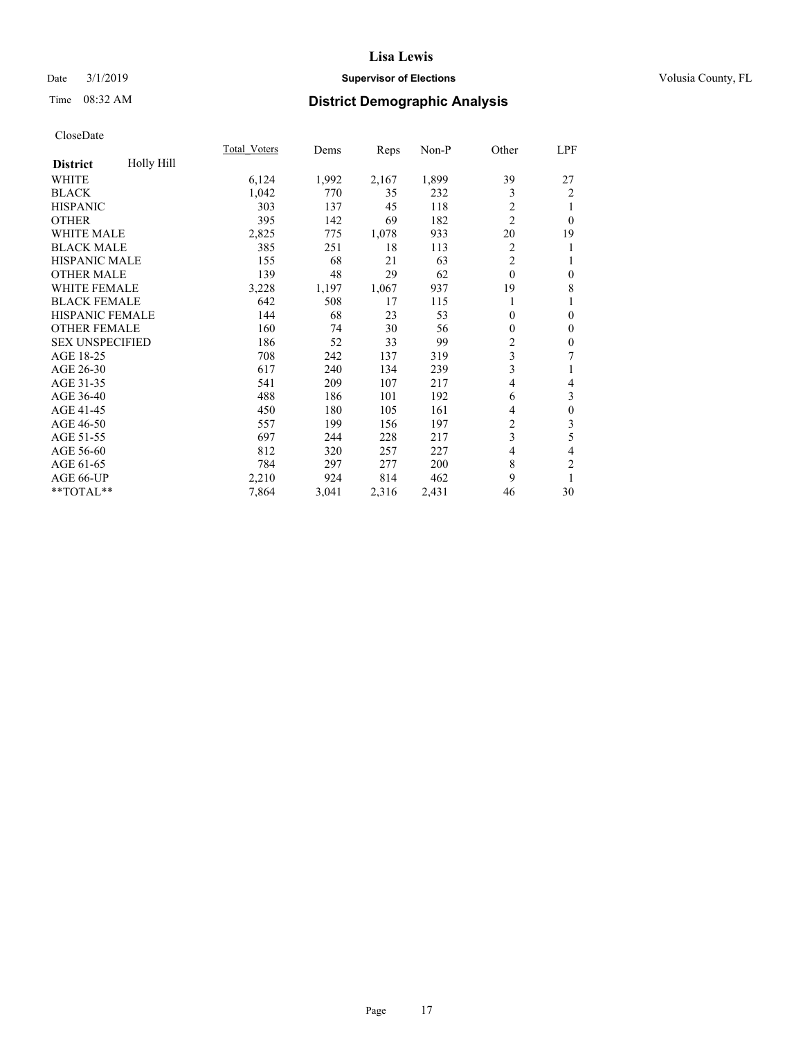## Date  $3/1/2019$  **Supervisor of Elections Supervisor of Elections** Volusia County, FL

# Time 08:32 AM **District Demographic Analysis**

|                        |            | Total Voters | Dems  | Reps  | Non-P | Other          | LPF                      |
|------------------------|------------|--------------|-------|-------|-------|----------------|--------------------------|
| <b>District</b>        | Holly Hill |              |       |       |       |                |                          |
| WHITE                  |            | 6,124        | 1,992 | 2,167 | 1,899 | 39             | 27                       |
| <b>BLACK</b>           |            | 1,042        | 770   | 35    | 232   | 3              | $\overline{2}$           |
| <b>HISPANIC</b>        |            | 303          | 137   | 45    | 118   | $\overline{2}$ | 1                        |
| <b>OTHER</b>           |            | 395          | 142   | 69    | 182   | $\overline{2}$ | $\mathbf{0}$             |
| <b>WHITE MALE</b>      |            | 2,825        | 775   | 1,078 | 933   | 20             | 19                       |
| <b>BLACK MALE</b>      |            | 385          | 251   | 18    | 113   | $\overline{c}$ | 1                        |
| <b>HISPANIC MALE</b>   |            | 155          | 68    | 21    | 63    | $\overline{2}$ | 1                        |
| <b>OTHER MALE</b>      |            | 139          | 48    | 29    | 62    | $\theta$       | $\boldsymbol{0}$         |
| <b>WHITE FEMALE</b>    |            | 3,228        | 1,197 | 1,067 | 937   | 19             | 8                        |
| <b>BLACK FEMALE</b>    |            | 642          | 508   | 17    | 115   |                | 1                        |
| <b>HISPANIC FEMALE</b> |            | 144          | 68    | 23    | 53    | $\theta$       | $\mathbf{0}$             |
| <b>OTHER FEMALE</b>    |            | 160          | 74    | 30    | 56    | $\mathbf{0}$   | $\mathbf{0}$             |
| <b>SEX UNSPECIFIED</b> |            | 186          | 52    | 33    | 99    | 2              | $\boldsymbol{0}$         |
| AGE 18-25              |            | 708          | 242   | 137   | 319   | 3              | 7                        |
| AGE 26-30              |            | 617          | 240   | 134   | 239   | 3              | 1                        |
| AGE 31-35              |            | 541          | 209   | 107   | 217   | 4              | $\overline{\mathcal{L}}$ |
| AGE 36-40              |            | 488          | 186   | 101   | 192   | 6              | 3                        |
| AGE 41-45              |            | 450          | 180   | 105   | 161   | 4              | $\boldsymbol{0}$         |
| AGE 46-50              |            | 557          | 199   | 156   | 197   | 2              | 3                        |
| AGE 51-55              |            | 697          | 244   | 228   | 217   | 3              | 5                        |
| AGE 56-60              |            | 812          | 320   | 257   | 227   | 4              | $\overline{4}$           |
| AGE 61-65              |            | 784          | 297   | 277   | 200   | 8              | $\mathfrak{2}$           |
| AGE 66-UP              |            | 2,210        | 924   | 814   | 462   | 9              | 1                        |
| **TOTAL**              |            | 7,864        | 3,041 | 2,316 | 2,431 | 46             | 30                       |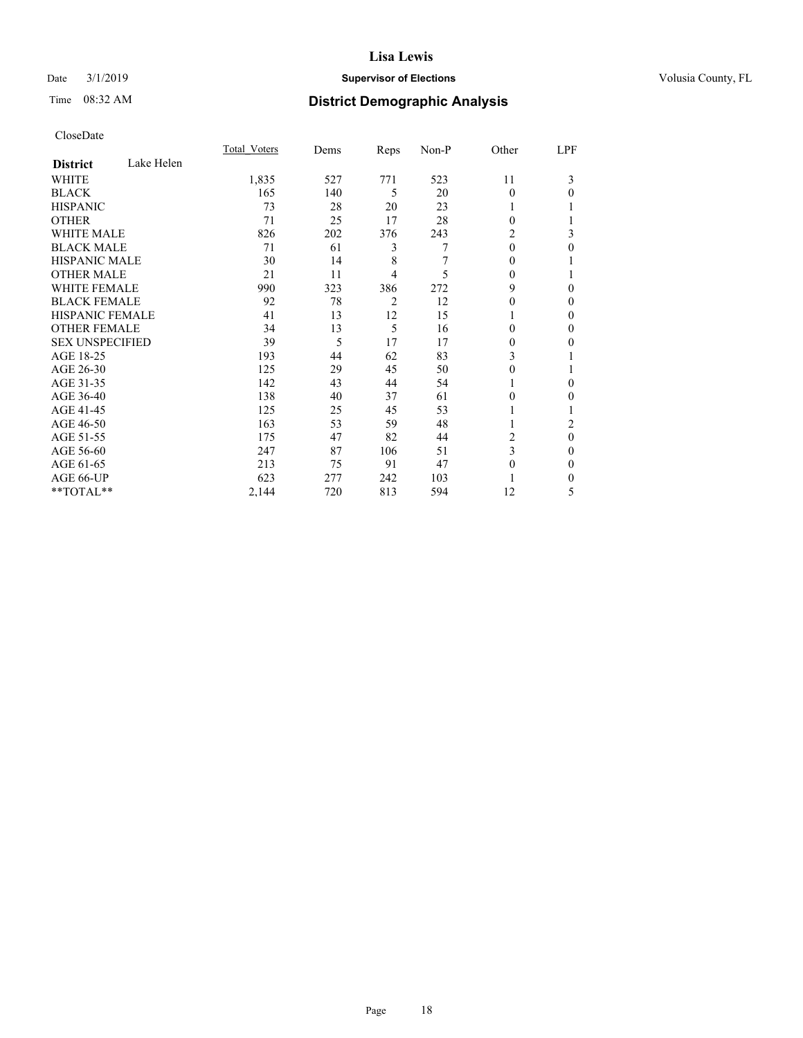## Date  $3/1/2019$  **Supervisor of Elections Supervisor of Elections** Volusia County, FL

# Time 08:32 AM **District Demographic Analysis**

|                        |            | Total Voters | Dems | Reps | Non-P | Other    | LPF      |
|------------------------|------------|--------------|------|------|-------|----------|----------|
| <b>District</b>        | Lake Helen |              |      |      |       |          |          |
| WHITE                  |            | 1,835        | 527  | 771  | 523   | 11       | 3        |
| <b>BLACK</b>           |            | 165          | 140  | 5    | 20    | $\theta$ | $\Omega$ |
| <b>HISPANIC</b>        |            | 73           | 28   | 20   | 23    |          |          |
| <b>OTHER</b>           |            | 71           | 25   | 17   | 28    | $\Omega$ |          |
| <b>WHITE MALE</b>      |            | 826          | 202  | 376  | 243   | 2        | 3        |
| <b>BLACK MALE</b>      |            | 71           | 61   | 3    | 7     | $\Omega$ | 0        |
| <b>HISPANIC MALE</b>   |            | 30           | 14   | 8    |       | $\Omega$ |          |
| <b>OTHER MALE</b>      |            | 21           | 11   | 4    | 5     | $\Omega$ |          |
| <b>WHITE FEMALE</b>    |            | 990          | 323  | 386  | 272   | 9        | 0        |
| <b>BLACK FEMALE</b>    |            | 92           | 78   | 2    | 12    | 0        | 0        |
| <b>HISPANIC FEMALE</b> |            | 41           | 13   | 12   | 15    |          | 0        |
| <b>OTHER FEMALE</b>    |            | 34           | 13   | 5    | 16    | $\Omega$ | 0        |
| <b>SEX UNSPECIFIED</b> |            | 39           | 5    | 17   | 17    | 0        | 0        |
| AGE 18-25              |            | 193          | 44   | 62   | 83    | 3        |          |
| AGE 26-30              |            | 125          | 29   | 45   | 50    | $\Omega$ |          |
| AGE 31-35              |            | 142          | 43   | 44   | 54    |          | 0        |
| AGE 36-40              |            | 138          | 40   | 37   | 61    | 0        | 0        |
| AGE 41-45              |            | 125          | 25   | 45   | 53    |          |          |
| AGE 46-50              |            | 163          | 53   | 59   | 48    |          | 2        |
| AGE 51-55              |            | 175          | 47   | 82   | 44    | 2        | $\theta$ |
| AGE 56-60              |            | 247          | 87   | 106  | 51    | 3        | 0        |
| AGE 61-65              |            | 213          | 75   | 91   | 47    | $\Omega$ | 0        |
| AGE 66-UP              |            | 623          | 277  | 242  | 103   |          | 0        |
| **TOTAL**              |            | 2,144        | 720  | 813  | 594   | 12       | 5        |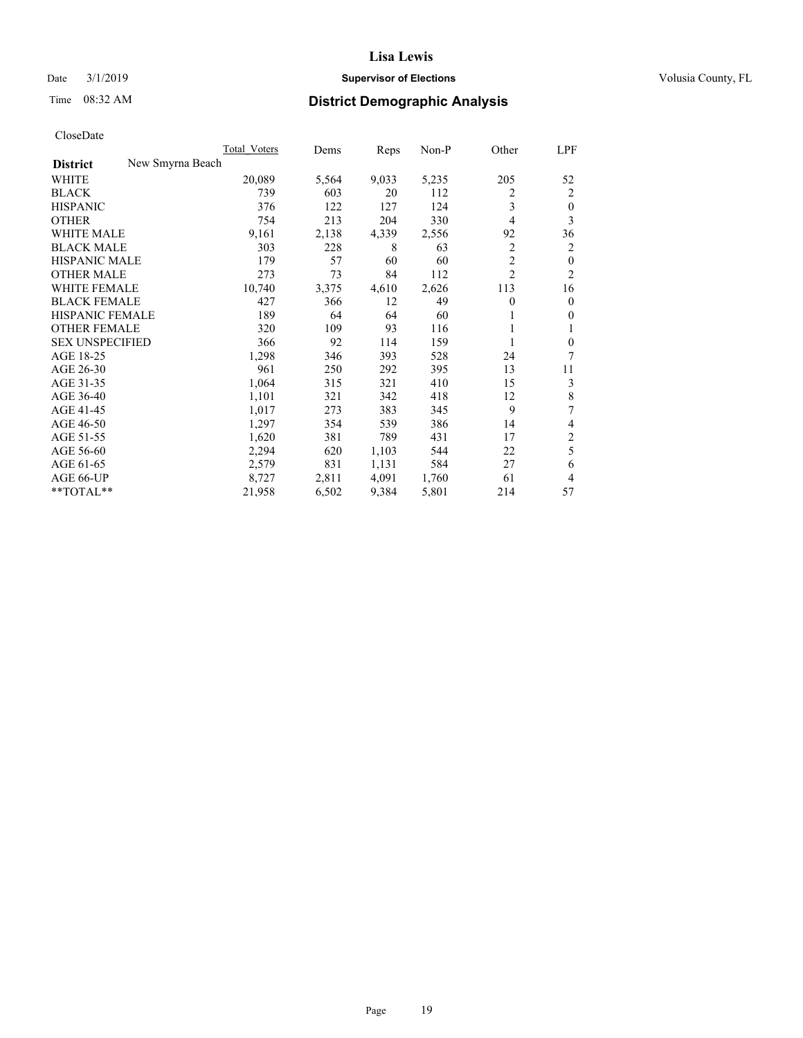## Date  $3/1/2019$  **Supervisor of Elections Supervisor of Elections** Volusia County, FL

# Time 08:32 AM **District Demographic Analysis**

|                                     | Total Voters | Dems  | Reps  | $Non-P$ | Other          | LPF            |
|-------------------------------------|--------------|-------|-------|---------|----------------|----------------|
| New Smyrna Beach<br><b>District</b> |              |       |       |         |                |                |
| WHITE                               | 20,089       | 5,564 | 9,033 | 5,235   | 205            | 52             |
| <b>BLACK</b>                        | 739          | 603   | 20    | 112     | 2              | 2              |
| <b>HISPANIC</b>                     | 376          | 122   | 127   | 124     | 3              | $\mathbf{0}$   |
| <b>OTHER</b>                        | 754          | 213   | 204   | 330     | 4              | 3              |
| <b>WHITE MALE</b>                   | 9,161        | 2,138 | 4,339 | 2,556   | 92             | 36             |
| <b>BLACK MALE</b>                   | 303          | 228   | 8     | 63      | 2              | 2              |
| <b>HISPANIC MALE</b>                | 179          | 57    | 60    | 60      | $\overline{2}$ | $\mathbf{0}$   |
| <b>OTHER MALE</b>                   | 273          | 73    | 84    | 112     | $\overline{c}$ | $\overline{2}$ |
| WHITE FEMALE                        | 10,740       | 3,375 | 4,610 | 2,626   | 113            | 16             |
| <b>BLACK FEMALE</b>                 | 427          | 366   | 12    | 49      | 0              | $\mathbf{0}$   |
| HISPANIC FEMALE                     | 189          | 64    | 64    | 60      | 1              | $\mathbf{0}$   |
| <b>OTHER FEMALE</b>                 | 320          | 109   | 93    | 116     |                | 1              |
| <b>SEX UNSPECIFIED</b>              | 366          | 92    | 114   | 159     | 1              | $\theta$       |
| AGE 18-25                           | 1,298        | 346   | 393   | 528     | 24             | 7              |
| AGE 26-30                           | 961          | 250   | 292   | 395     | 13             | 11             |
| AGE 31-35                           | 1,064        | 315   | 321   | 410     | 15             | 3              |
| AGE 36-40                           | 1,101        | 321   | 342   | 418     | 12             | 8              |
| AGE 41-45                           | 1,017        | 273   | 383   | 345     | 9              | 7              |
| AGE 46-50                           | 1,297        | 354   | 539   | 386     | 14             | 4              |
| AGE 51-55                           | 1,620        | 381   | 789   | 431     | 17             | $\overline{c}$ |
| AGE 56-60                           | 2,294        | 620   | 1,103 | 544     | 22             | 5              |
| AGE 61-65                           | 2,579        | 831   | 1,131 | 584     | 27             | 6              |
| AGE 66-UP                           | 8,727        | 2,811 | 4,091 | 1,760   | 61             | 4              |
| **TOTAL**                           | 21,958       | 6,502 | 9,384 | 5,801   | 214            | 57             |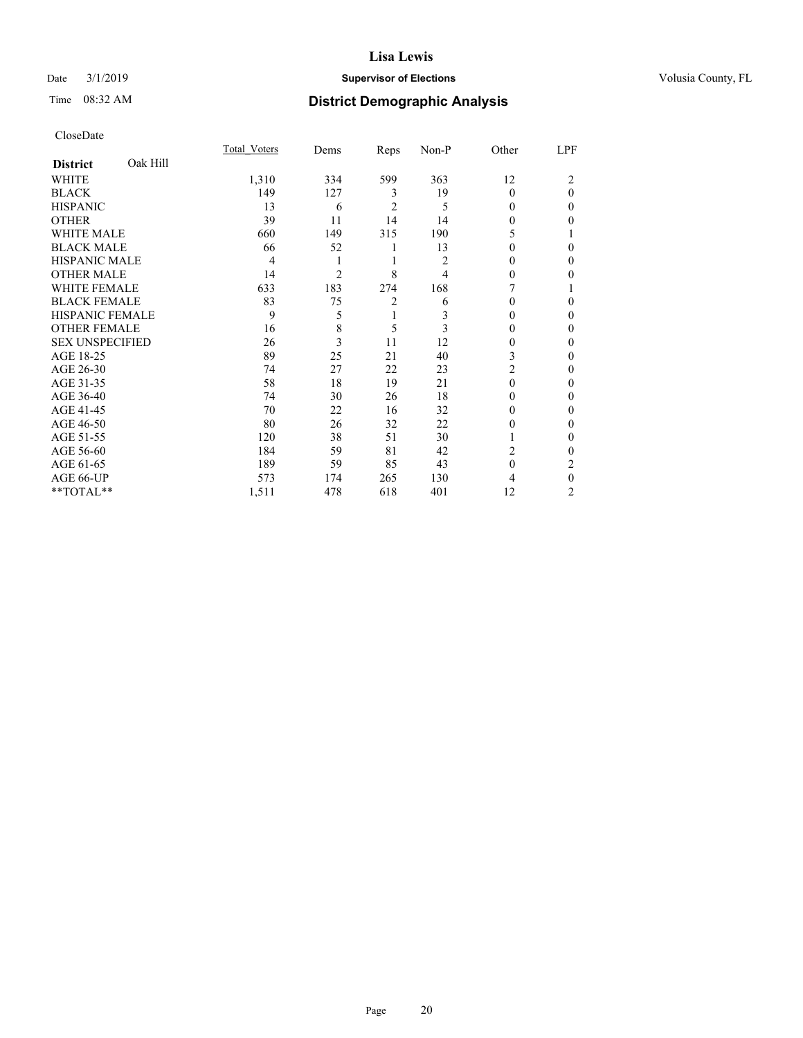## Date  $3/1/2019$  **Supervisor of Elections Supervisor of Elections** Volusia County, FL

# Time 08:32 AM **District Demographic Analysis**

|                        |          | Total Voters | Dems | Reps           | Non-P | Other    | LPF      |
|------------------------|----------|--------------|------|----------------|-------|----------|----------|
| <b>District</b>        | Oak Hill |              |      |                |       |          |          |
| WHITE                  |          | 1,310        | 334  | 599            | 363   | 12       | 2        |
| <b>BLACK</b>           |          | 149          | 127  | 3              | 19    | $\Omega$ | $\theta$ |
| <b>HISPANIC</b>        |          | 13           | 6    | $\overline{2}$ | 5     | $\Omega$ | $\Omega$ |
| <b>OTHER</b>           |          | 39           | 11   | 14             | 14    | 0        | 0        |
| <b>WHITE MALE</b>      |          | 660          | 149  | 315            | 190   | 5        |          |
| <b>BLACK MALE</b>      |          | 66           | 52   | 1              | 13    | $\Omega$ | 0        |
| <b>HISPANIC MALE</b>   |          | 4            | 1    | 1              | 2     | 0        | 0        |
| <b>OTHER MALE</b>      |          | 14           | 2    | 8              | 4     | 0        | 0        |
| <b>WHITE FEMALE</b>    |          | 633          | 183  | 274            | 168   |          |          |
| <b>BLACK FEMALE</b>    |          | 83           | 75   | $\overline{2}$ | 6     | $\Omega$ | 0        |
| <b>HISPANIC FEMALE</b> |          | 9            | 5    | 1              | 3     | 0        | 0        |
| <b>OTHER FEMALE</b>    |          | 16           | 8    | 5              | 3     | 0        | 0        |
| <b>SEX UNSPECIFIED</b> |          | 26           | 3    | 11             | 12    | 0        | 0        |
| AGE 18-25              |          | 89           | 25   | 21             | 40    | 3        | 0        |
| AGE 26-30              |          | 74           | 27   | 22             | 23    | 2        | 0        |
| AGE 31-35              |          | 58           | 18   | 19             | 21    | $\Omega$ | 0        |
| AGE 36-40              |          | 74           | 30   | 26             | 18    | $\Omega$ | 0        |
| AGE 41-45              |          | 70           | 22   | 16             | 32    | 0        | 0        |
| AGE 46-50              |          | 80           | 26   | 32             | 22    | 0        | 0        |
| AGE 51-55              |          | 120          | 38   | 51             | 30    | 1        | $\Omega$ |
| AGE 56-60              |          | 184          | 59   | 81             | 42    | 2        | 0        |
| AGE 61-65              |          | 189          | 59   | 85             | 43    | $\theta$ | 2        |
| AGE 66-UP              |          | 573          | 174  | 265            | 130   | 4        | $\theta$ |
| **TOTAL**              |          | 1,511        | 478  | 618            | 401   | 12       | 2        |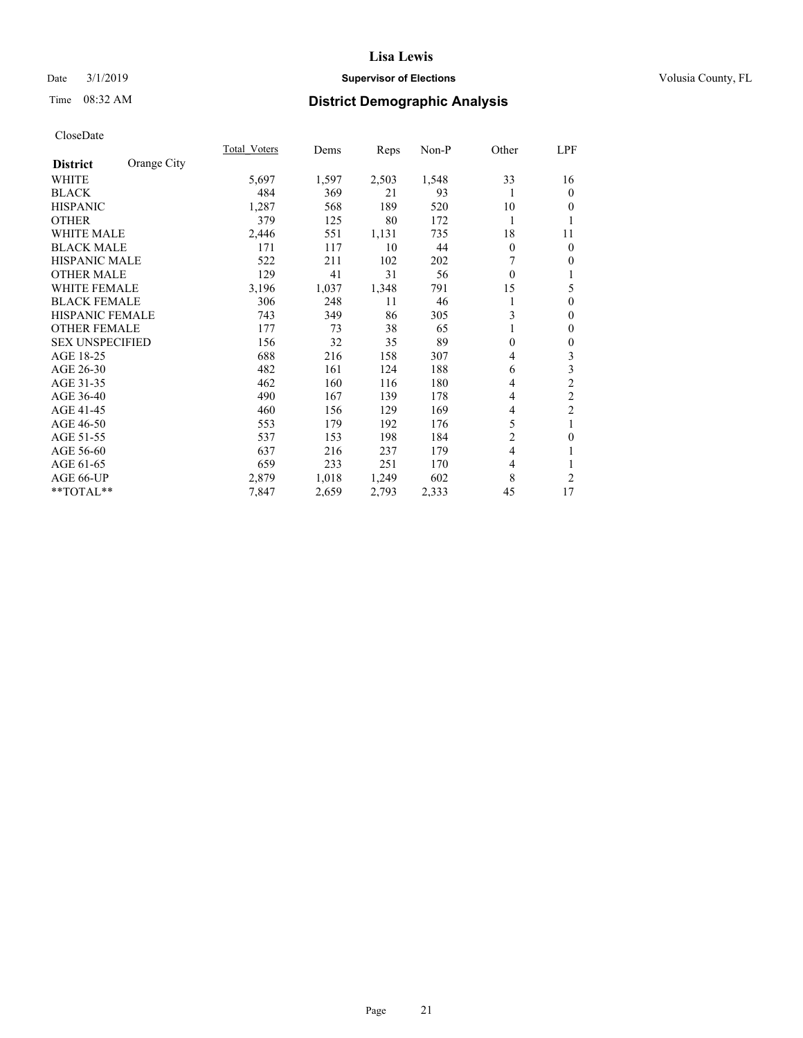## Date  $3/1/2019$  **Supervisor of Elections Supervisor of Elections** Volusia County, FL

# Time 08:32 AM **District Demographic Analysis**

|                        |             | Total Voters | Dems  | Reps  | Non-P | Other          | LPF            |
|------------------------|-------------|--------------|-------|-------|-------|----------------|----------------|
| <b>District</b>        | Orange City |              |       |       |       |                |                |
| WHITE                  |             | 5,697        | 1,597 | 2,503 | 1,548 | 33             | 16             |
| <b>BLACK</b>           |             | 484          | 369   | 21    | 93    | 1              | $\overline{0}$ |
| <b>HISPANIC</b>        |             | 1,287        | 568   | 189   | 520   | 10             | $\Omega$       |
| <b>OTHER</b>           |             | 379          | 125   | 80    | 172   | 1              | 1              |
| WHITE MALE             |             | 2,446        | 551   | 1,131 | 735   | 18             | 11             |
| <b>BLACK MALE</b>      |             | 171          | 117   | 10    | 44    | 0              | $\theta$       |
| <b>HISPANIC MALE</b>   |             | 522          | 211   | 102   | 202   |                | $\theta$       |
| <b>OTHER MALE</b>      |             | 129          | 41    | 31    | 56    | $\theta$       | 1              |
| <b>WHITE FEMALE</b>    |             | 3,196        | 1,037 | 1,348 | 791   | 15             | 5              |
| <b>BLACK FEMALE</b>    |             | 306          | 248   | 11    | 46    | 1              | $\theta$       |
| <b>HISPANIC FEMALE</b> |             | 743          | 349   | 86    | 305   | 3              | $\theta$       |
| <b>OTHER FEMALE</b>    |             | 177          | 73    | 38    | 65    | 1              | $\mathbf{0}$   |
| <b>SEX UNSPECIFIED</b> |             | 156          | 32    | 35    | 89    | 0              | $\theta$       |
| AGE 18-25              |             | 688          | 216   | 158   | 307   | 4              | 3              |
| AGE 26-30              |             | 482          | 161   | 124   | 188   | 6              | 3              |
| AGE 31-35              |             | 462          | 160   | 116   | 180   | 4              | $\overline{c}$ |
| AGE 36-40              |             | 490          | 167   | 139   | 178   | 4              | $\overline{c}$ |
| AGE 41-45              |             | 460          | 156   | 129   | 169   | 4              | $\overline{c}$ |
| AGE 46-50              |             | 553          | 179   | 192   | 176   | 5              | 1              |
| AGE 51-55              |             | 537          | 153   | 198   | 184   | $\overline{c}$ | $\mathbf{0}$   |
| AGE 56-60              |             | 637          | 216   | 237   | 179   | 4              | 1              |
| AGE 61-65              |             | 659          | 233   | 251   | 170   | 4              | 1              |
| AGE 66-UP              |             | 2,879        | 1,018 | 1,249 | 602   | 8              | 2              |
| **TOTAL**              |             | 7,847        | 2,659 | 2,793 | 2,333 | 45             | 17             |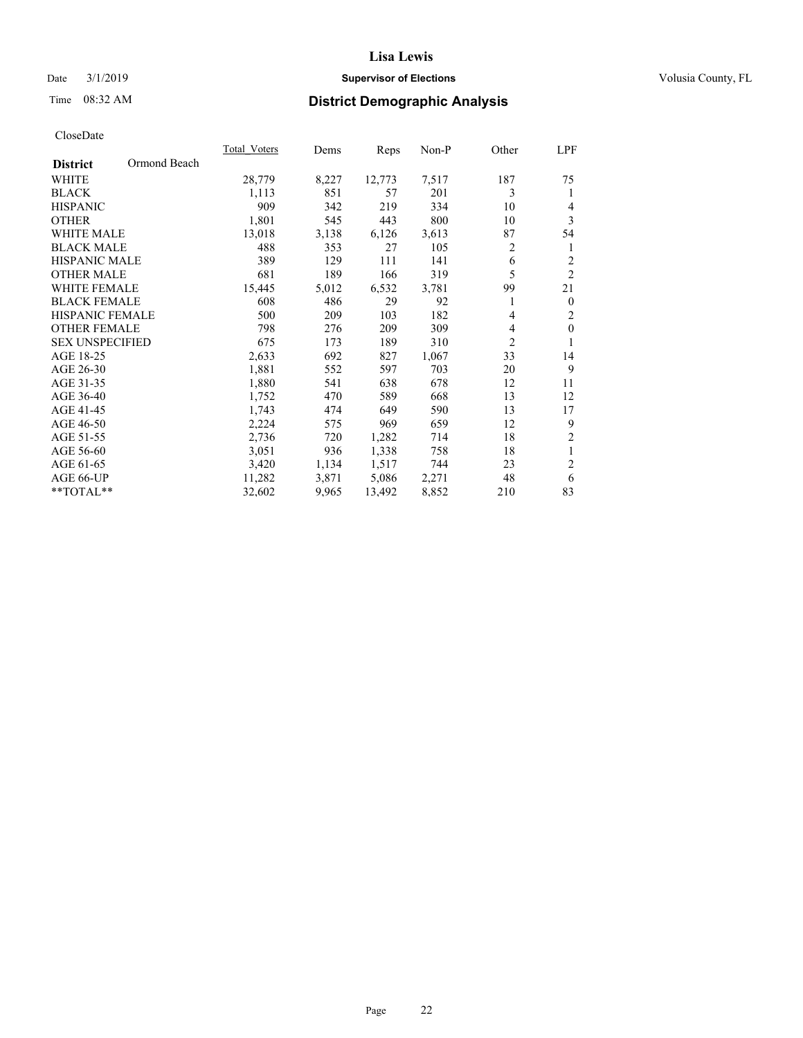## Date  $3/1/2019$  **Supervisor of Elections Supervisor of Elections** Volusia County, FL

# Time 08:32 AM **District Demographic Analysis**

|                        |              | Total Voters | Dems  | Reps   | Non-P | Other | LPF              |
|------------------------|--------------|--------------|-------|--------|-------|-------|------------------|
| <b>District</b>        | Ormond Beach |              |       |        |       |       |                  |
| <b>WHITE</b>           |              | 28,779       | 8,227 | 12,773 | 7,517 | 187   | 75               |
| <b>BLACK</b>           |              | 1,113        | 851   | 57     | 201   | 3     | 1                |
| <b>HISPANIC</b>        |              | 909          | 342   | 219    | 334   | 10    | 4                |
| <b>OTHER</b>           |              | 1,801        | 545   | 443    | 800   | 10    | 3                |
| <b>WHITE MALE</b>      |              | 13,018       | 3,138 | 6,126  | 3,613 | 87    | 54               |
| <b>BLACK MALE</b>      |              | 488          | 353   | 27     | 105   | 2     | 1                |
| <b>HISPANIC MALE</b>   |              | 389          | 129   | 111    | 141   | 6     | $\overline{c}$   |
| <b>OTHER MALE</b>      |              | 681          | 189   | 166    | 319   | 5     | $\overline{2}$   |
| WHITE FEMALE           |              | 15,445       | 5,012 | 6,532  | 3,781 | 99    | 21               |
| <b>BLACK FEMALE</b>    |              | 608          | 486   | 29     | 92    | 1     | $\boldsymbol{0}$ |
| <b>HISPANIC FEMALE</b> |              | 500          | 209   | 103    | 182   | 4     | $\overline{c}$   |
| <b>OTHER FEMALE</b>    |              | 798          | 276   | 209    | 309   | 4     | $\mathbf{0}$     |
| <b>SEX UNSPECIFIED</b> |              | 675          | 173   | 189    | 310   | 2     | 1                |
| AGE 18-25              |              | 2,633        | 692   | 827    | 1,067 | 33    | 14               |
| AGE 26-30              |              | 1,881        | 552   | 597    | 703   | 20    | 9                |
| AGE 31-35              |              | 1,880        | 541   | 638    | 678   | 12    | 11               |
| AGE 36-40              |              | 1,752        | 470   | 589    | 668   | 13    | 12               |
| AGE 41-45              |              | 1,743        | 474   | 649    | 590   | 13    | 17               |
| AGE 46-50              |              | 2,224        | 575   | 969    | 659   | 12    | 9                |
| AGE 51-55              |              | 2,736        | 720   | 1,282  | 714   | 18    | $\overline{c}$   |
| AGE 56-60              |              | 3,051        | 936   | 1,338  | 758   | 18    | 1                |
| AGE 61-65              |              | 3,420        | 1,134 | 1,517  | 744   | 23    | $\overline{c}$   |
| AGE 66-UP              |              | 11,282       | 3,871 | 5,086  | 2,271 | 48    | 6                |
| **TOTAL**              |              | 32,602       | 9,965 | 13,492 | 8,852 | 210   | 83               |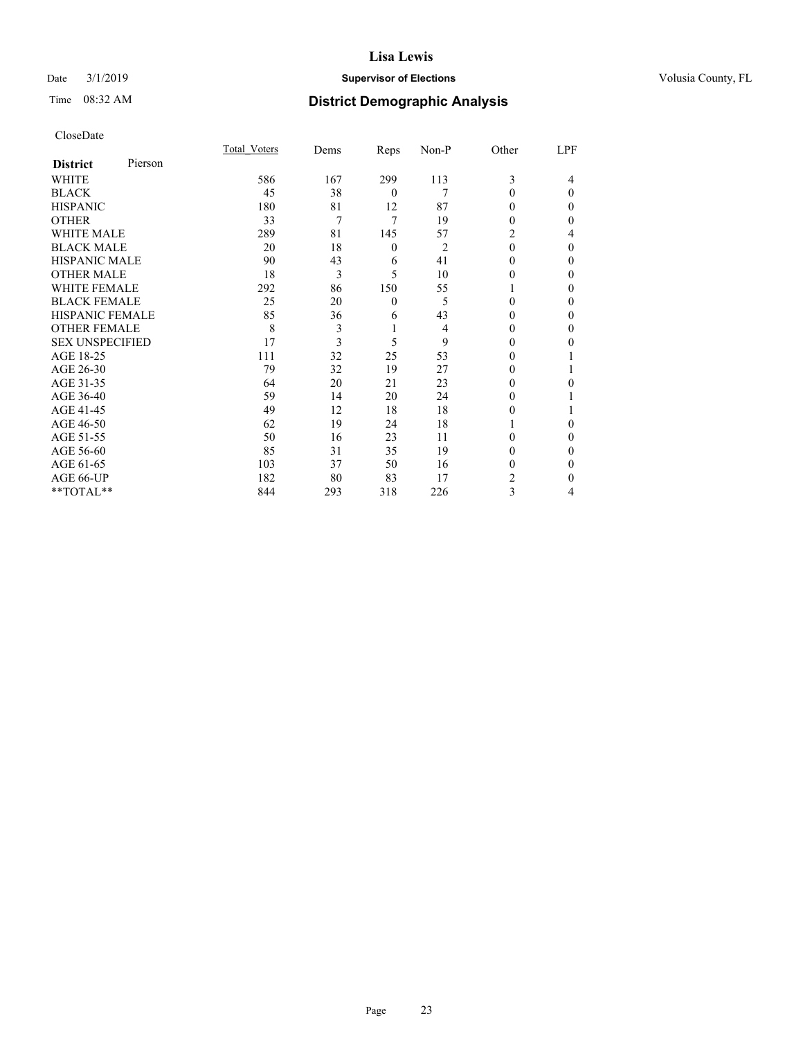## Date  $3/1/2019$  **Supervisor of Elections Supervisor of Elections** Volusia County, FL

| CloseDate |
|-----------|
|-----------|

|                            | Total Voters | Dems | Reps     | Non-P          | Other    | LPF      |
|----------------------------|--------------|------|----------|----------------|----------|----------|
| Pierson<br><b>District</b> |              |      |          |                |          |          |
| WHITE                      | 586          | 167  | 299      | 113            | 3        | 4        |
| BLACK                      | 45           | 38   | $\theta$ | 7              | $\theta$ | $\theta$ |
| HISPANIC                   | 180          | 81   | 12       | 87             | 0        | $\Omega$ |
| OTHER                      | 33           | 7    | 7        | 19             | 0        | 0        |
| WHITE MALE                 | 289          | 81   | 145      | 57             | 2        | 4        |
| <b>BLACK MALE</b>          | 20           | 18   | 0        | $\overline{2}$ | 0        | $\Omega$ |
| HISPANIC MALE              | 90           | 43   | 6        | 41             | 0        | 0        |
| OTHER MALE                 | 18           | 3    | 5        | 10             | 0        | 0        |
| WHITE FEMALE               | 292          | 86   | 150      | 55             |          | 0        |
| BLACK FEMALE               | 25           | 20   | $\theta$ | 5              | 0        | 0        |
| HISPANIC FEMALE            | 85           | 36   | 6        | 43             | 0        | 0        |
| OTHER FEMALE               | 8            | 3    | 1        | 4              | 0        | 0        |
| <b>SEX UNSPECIFIED</b>     | 17           | 3    | 5        | 9              | 0        | 0        |
| AGE 18-25                  | 111          | 32   | 25       | 53             |          |          |
| AGE 26-30                  | 79           | 32   | 19       | 27             | 0        |          |
| AGE 31-35                  | 64           | 20   | 21       | 23             | 0        | 0        |
| AGE 36-40                  | 59           | 14   | 20       | 24             | 0        |          |
| AGE 41-45                  | 49           | 12   | 18       | 18             | 0        |          |
| AGE 46-50                  | 62           | 19   | 24       | 18             |          | 0        |
| AGE 51-55                  | 50           | 16   | 23       | 11             | 0        | $\theta$ |
| AGE 56-60                  | 85           | 31   | 35       | 19             | 0        | 0        |
| AGE 61-65                  | 103          | 37   | 50       | 16             | 0        | 0        |
| AGE 66-UP                  | 182          | 80   | 83       | 17             | 2        | 0        |
| $*$ $TOTAL**$              | 844          | 293  | 318      | 226            | 3        | 4        |
|                            |              |      |          |                |          |          |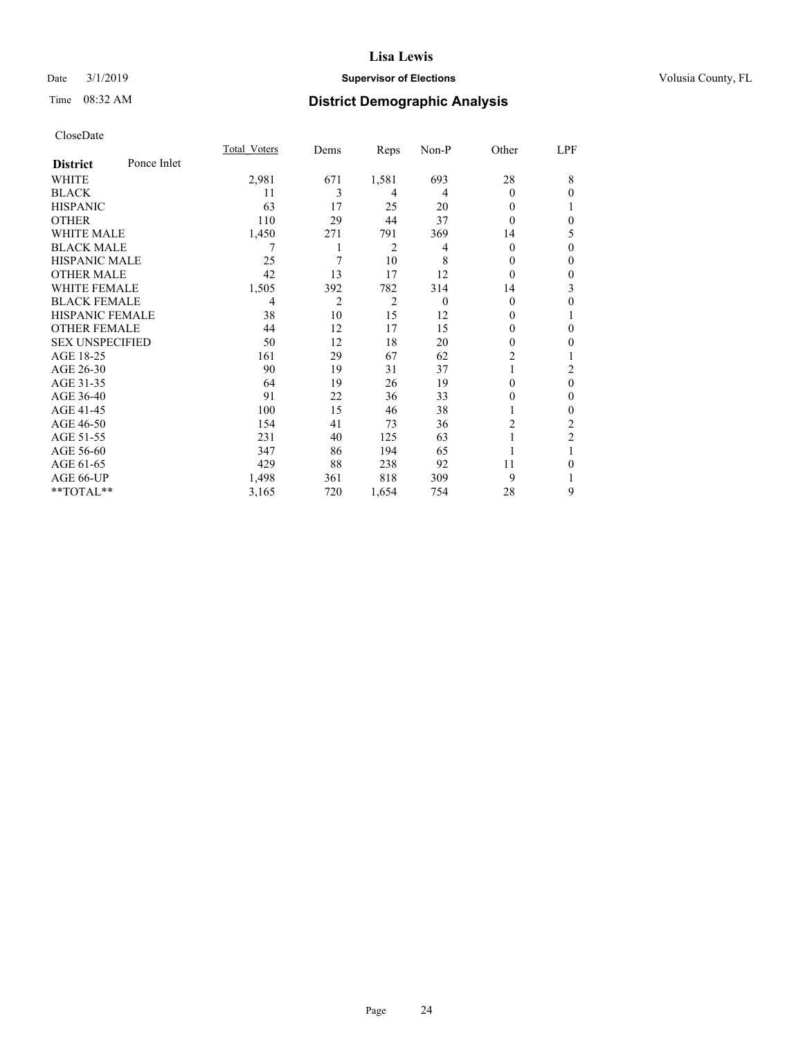## Date  $3/1/2019$  **Supervisor of Elections Supervisor of Elections** Volusia County, FL

# Time 08:32 AM **District Demographic Analysis**

|                        |             | Total Voters | Dems           | Reps           | Non-P    | Other          | LPF            |
|------------------------|-------------|--------------|----------------|----------------|----------|----------------|----------------|
| <b>District</b>        | Ponce Inlet |              |                |                |          |                |                |
| WHITE                  |             | 2,981        | 671            | 1,581          | 693      | 28             | 8              |
| <b>BLACK</b>           |             | 11           | 3              | 4              | 4        | 0              | $\theta$       |
| <b>HISPANIC</b>        |             | 63           | 17             | 25             | 20       | 0              | 1              |
| <b>OTHER</b>           |             | 110          | 29             | 44             | 37       | 0              | $\theta$       |
| <b>WHITE MALE</b>      |             | 1,450        | 271            | 791            | 369      | 14             | 5              |
| <b>BLACK MALE</b>      |             | 7            | 1              | 2              | 4        | 0              | $\theta$       |
| <b>HISPANIC MALE</b>   |             | 25           | 7              | 10             | 8        | 0              | $\theta$       |
| <b>OTHER MALE</b>      |             | 42           | 13             | 17             | 12       | 0              | $\mathbf{0}$   |
| <b>WHITE FEMALE</b>    |             | 1,505        | 392            | 782            | 314      | 14             | 3              |
| <b>BLACK FEMALE</b>    |             | 4            | $\overline{2}$ | $\overline{2}$ | $\theta$ | 0              | $\theta$       |
| <b>HISPANIC FEMALE</b> |             | 38           | 10             | 15             | 12       | 0              | 1              |
| <b>OTHER FEMALE</b>    |             | 44           | 12             | 17             | 15       | 0              | $\theta$       |
| <b>SEX UNSPECIFIED</b> |             | 50           | 12             | 18             | 20       | $\mathbf{0}$   | $\mathbf{0}$   |
| AGE 18-25              |             | 161          | 29             | 67             | 62       | $\overline{2}$ | 1              |
| AGE 26-30              |             | 90           | 19             | 31             | 37       |                | 2              |
| AGE 31-35              |             | 64           | 19             | 26             | 19       | 0              | $\theta$       |
| AGE 36-40              |             | 91           | 22             | 36             | 33       | 0              | $\mathbf{0}$   |
| AGE 41-45              |             | 100          | 15             | 46             | 38       |                | $\theta$       |
| AGE 46-50              |             | 154          | 41             | 73             | 36       | $\overline{c}$ | 2              |
| AGE 51-55              |             | 231          | 40             | 125            | 63       |                | $\overline{2}$ |
| AGE 56-60              |             | 347          | 86             | 194            | 65       |                |                |
| AGE 61-65              |             | 429          | 88             | 238            | 92       | 11             | $\theta$       |
| AGE 66-UP              |             | 1,498        | 361            | 818            | 309      | 9              | 1              |
| **TOTAL**              |             | 3,165        | 720            | 1,654          | 754      | 28             | 9              |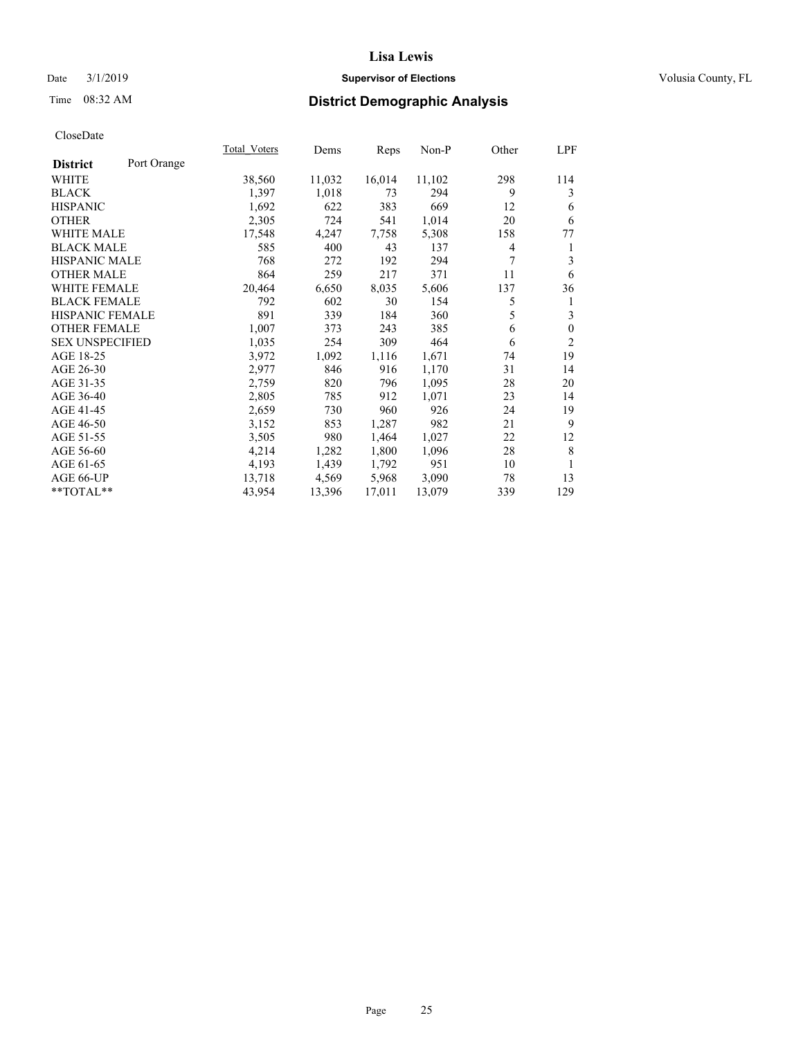## Date  $3/1/2019$  **Supervisor of Elections Supervisor of Elections** Volusia County, FL

# Time 08:32 AM **District Demographic Analysis**

|                                | Total Voters | Dems   | Reps   | Non-P  | Other | LPF          |
|--------------------------------|--------------|--------|--------|--------|-------|--------------|
| Port Orange<br><b>District</b> |              |        |        |        |       |              |
| WHITE                          | 38,560       | 11,032 | 16,014 | 11,102 | 298   | 114          |
| <b>BLACK</b>                   | 1,397        | 1,018  | 73     | 294    | 9     | 3            |
| <b>HISPANIC</b>                | 1,692        | 622    | 383    | 669    | 12    | 6            |
| <b>OTHER</b>                   | 2,305        | 724    | 541    | 1,014  | 20    | 6            |
| WHITE MALE                     | 17,548       | 4,247  | 7,758  | 5,308  | 158   | 77           |
| <b>BLACK MALE</b>              | 585          | 400    | 43     | 137    | 4     | 1            |
| HISPANIC MALE                  | 768          | 272    | 192    | 294    | 7     | 3            |
| <b>OTHER MALE</b>              | 864          | 259    | 217    | 371    | 11    | 6            |
| <b>WHITE FEMALE</b>            | 20,464       | 6,650  | 8,035  | 5,606  | 137   | 36           |
| <b>BLACK FEMALE</b>            | 792          | 602    | 30     | 154    | 5     | 1            |
| HISPANIC FEMALE                | 891          | 339    | 184    | 360    | 5     | 3            |
| <b>OTHER FEMALE</b>            | 1,007        | 373    | 243    | 385    | 6     | $\mathbf{0}$ |
| <b>SEX UNSPECIFIED</b>         | 1,035        | 254    | 309    | 464    | 6     | 2            |
| AGE 18-25                      | 3,972        | 1,092  | 1,116  | 1,671  | 74    | 19           |
| AGE 26-30                      | 2,977        | 846    | 916    | 1,170  | 31    | 14           |
| AGE 31-35                      | 2,759        | 820    | 796    | 1,095  | 28    | 20           |
| AGE 36-40                      | 2,805        | 785    | 912    | 1,071  | 23    | 14           |
| AGE 41-45                      | 2,659        | 730    | 960    | 926    | 24    | 19           |
| AGE 46-50                      | 3,152        | 853    | 1,287  | 982    | 21    | 9            |
| AGE 51-55                      | 3,505        | 980    | 1,464  | 1,027  | 22    | 12           |
| AGE 56-60                      | 4,214        | 1,282  | 1,800  | 1,096  | 28    | 8            |
| AGE 61-65                      | 4,193        | 1,439  | 1,792  | 951    | 10    | 1            |
| AGE 66-UP                      | 13,718       | 4,569  | 5,968  | 3,090  | 78    | 13           |
| $*$ $TOTAL**$                  | 43,954       | 13,396 | 17,011 | 13,079 | 339   | 129          |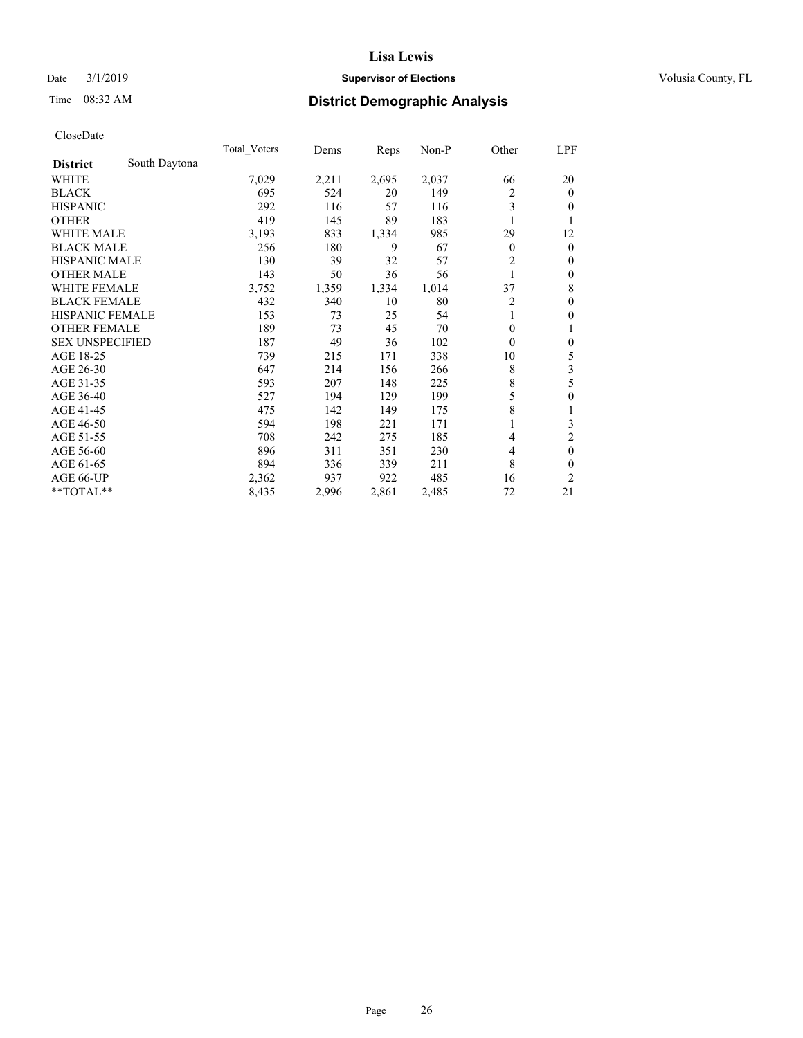## Date  $3/1/2019$  **Supervisor of Elections Supervisor of Elections** Volusia County, FL

# Time 08:32 AM **District Demographic Analysis**

|                        |               | Total Voters | Dems  | Reps  | Non-P | Other          | LPF              |
|------------------------|---------------|--------------|-------|-------|-------|----------------|------------------|
| <b>District</b>        | South Daytona |              |       |       |       |                |                  |
| WHITE                  |               | 7,029        | 2,211 | 2,695 | 2,037 | 66             | 20               |
| <b>BLACK</b>           |               | 695          | 524   | 20    | 149   | 2              | $\mathbf{0}$     |
| <b>HISPANIC</b>        |               | 292          | 116   | 57    | 116   | 3              | $\overline{0}$   |
| <b>OTHER</b>           |               | 419          | 145   | 89    | 183   |                | 1                |
| WHITE MALE             |               | 3,193        | 833   | 1,334 | 985   | 29             | 12               |
| <b>BLACK MALE</b>      |               | 256          | 180   | 9     | 67    | $\theta$       | $\mathbf{0}$     |
| <b>HISPANIC MALE</b>   |               | 130          | 39    | 32    | 57    | $\overline{2}$ | $\mathbf{0}$     |
| <b>OTHER MALE</b>      |               | 143          | 50    | 36    | 56    | 1              | $\mathbf{0}$     |
| <b>WHITE FEMALE</b>    |               | 3,752        | 1,359 | 1,334 | 1,014 | 37             | 8                |
| <b>BLACK FEMALE</b>    |               | 432          | 340   | 10    | 80    | 2              | $\mathbf{0}$     |
| <b>HISPANIC FEMALE</b> |               | 153          | 73    | 25    | 54    |                | $\mathbf{0}$     |
| <b>OTHER FEMALE</b>    |               | 189          | 73    | 45    | 70    | $\theta$       | 1                |
| <b>SEX UNSPECIFIED</b> |               | 187          | 49    | 36    | 102   | $\theta$       | $\mathbf{0}$     |
| AGE 18-25              |               | 739          | 215   | 171   | 338   | 10             | 5                |
| AGE 26-30              |               | 647          | 214   | 156   | 266   | 8              | 3                |
| AGE 31-35              |               | 593          | 207   | 148   | 225   | 8              | 5                |
| AGE 36-40              |               | 527          | 194   | 129   | 199   | 5              | $\boldsymbol{0}$ |
| AGE 41-45              |               | 475          | 142   | 149   | 175   | 8              | 1                |
| AGE 46-50              |               | 594          | 198   | 221   | 171   |                | 3                |
| AGE 51-55              |               | 708          | 242   | 275   | 185   | 4              | $\overline{c}$   |
| AGE 56-60              |               | 896          | 311   | 351   | 230   | 4              | $\mathbf{0}$     |
| AGE 61-65              |               | 894          | 336   | 339   | 211   | 8              | $\theta$         |
| AGE 66-UP              |               | 2,362        | 937   | 922   | 485   | 16             | 2                |
| **TOTAL**              |               | 8,435        | 2,996 | 2,861 | 2,485 | 72             | 21               |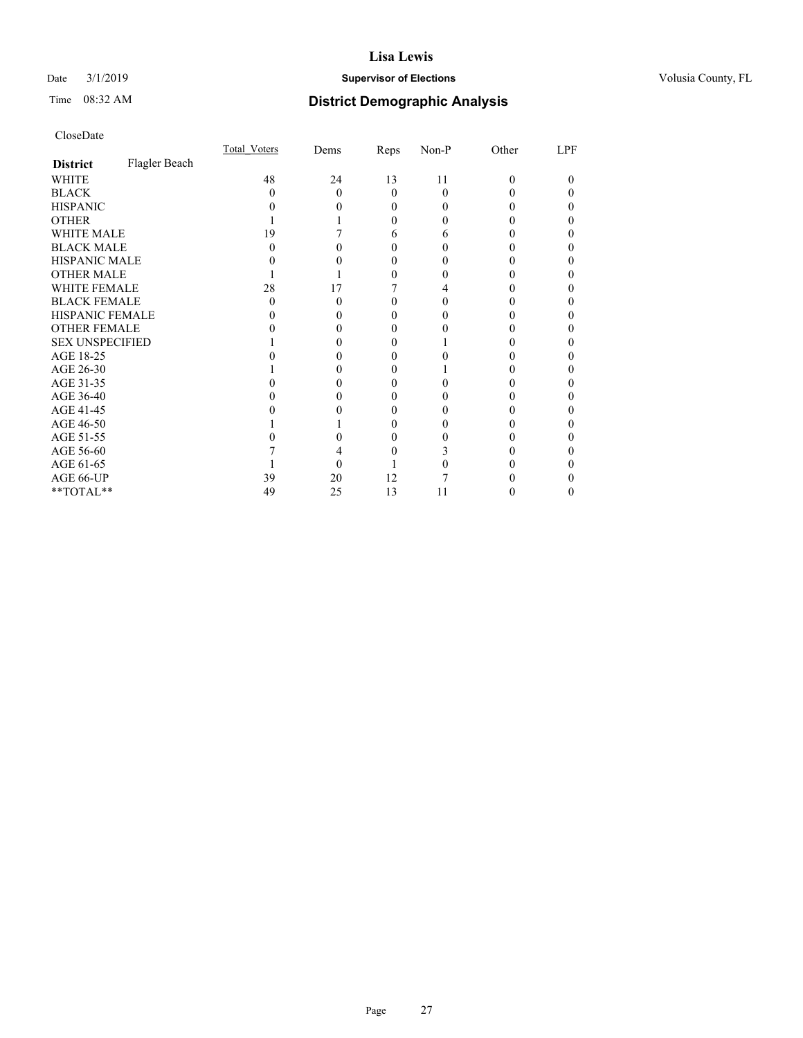## Date  $3/1/2019$  **Supervisor of Elections Supervisor of Elections** Volusia County, FL

# Time 08:32 AM **District Demographic Analysis**

|                        |               | Total Voters | Dems | Reps     | Non-P    | Other    | LPF |
|------------------------|---------------|--------------|------|----------|----------|----------|-----|
| <b>District</b>        | Flagler Beach |              |      |          |          |          |     |
| WHITE                  |               | 48           | 24   | 13       | 11       | $\Omega$ | 0   |
| <b>BLACK</b>           |               | $\mathbf{0}$ | 0    | $\Omega$ | $\Omega$ |          |     |
| <b>HISPANIC</b>        |               |              |      | $_{0}$   | $_{0}$   |          |     |
| <b>OTHER</b>           |               |              |      | 0        |          |          |     |
| WHITE MALE             |               | 19           |      | 6        | 6        |          |     |
| <b>BLACK MALE</b>      |               |              |      |          |          |          |     |
| <b>HISPANIC MALE</b>   |               |              |      |          |          |          |     |
| <b>OTHER MALE</b>      |               |              |      |          |          |          | 0   |
| WHITE FEMALE           |               | 28           | 17   |          |          |          |     |
| <b>BLACK FEMALE</b>    |               | $\mathbf{0}$ | 0    | $\theta$ | $\theta$ |          |     |
| <b>HISPANIC FEMALE</b> |               |              |      |          |          |          |     |
| <b>OTHER FEMALE</b>    |               |              |      | 0        |          |          |     |
| <b>SEX UNSPECIFIED</b> |               |              |      |          |          |          |     |
| AGE 18-25              |               |              |      |          |          |          |     |
| AGE 26-30              |               |              |      |          |          |          |     |
| AGE 31-35              |               |              |      |          |          |          |     |
| AGE 36-40              |               |              |      | 0        |          |          |     |
| AGE 41-45              |               |              |      |          |          |          |     |
| AGE 46-50              |               |              |      | $\theta$ | 0        |          |     |
| AGE 51-55              |               |              |      |          |          |          |     |
| AGE 56-60              |               |              |      |          |          |          |     |
| AGE 61-65              |               |              |      |          |          |          |     |
| AGE 66-UP              |               | 39           | 20   | 12       |          |          |     |
| **TOTAL**              |               | 49           | 25   | 13       | 11       |          | 0   |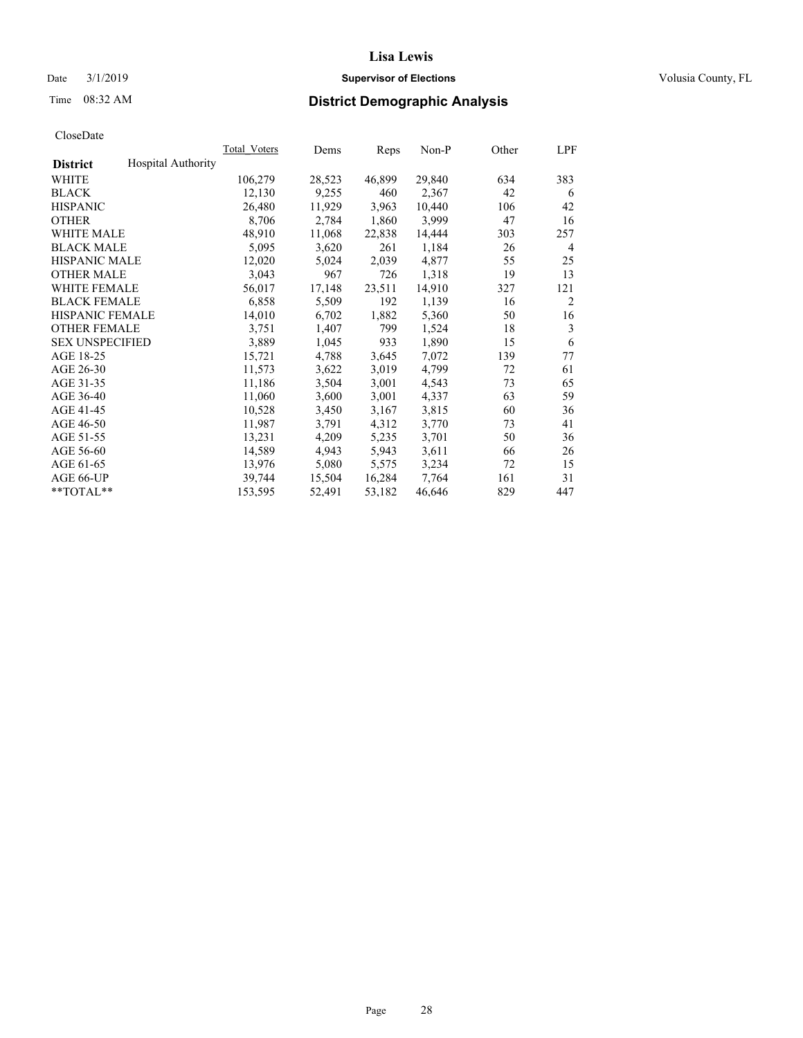## Date  $3/1/2019$  **Supervisor of Elections Supervisor of Elections** Volusia County, FL

# Time 08:32 AM **District Demographic Analysis**

|                        |                           | Total Voters | Dems   | Reps   | Non-P  | Other | LPF            |
|------------------------|---------------------------|--------------|--------|--------|--------|-------|----------------|
| <b>District</b>        | <b>Hospital Authority</b> |              |        |        |        |       |                |
| WHITE                  |                           | 106,279      | 28,523 | 46,899 | 29,840 | 634   | 383            |
| <b>BLACK</b>           |                           | 12,130       | 9,255  | 460    | 2,367  | 42    | 6              |
| <b>HISPANIC</b>        |                           | 26,480       | 11,929 | 3,963  | 10,440 | 106   | 42             |
| <b>OTHER</b>           |                           | 8,706        | 2,784  | 1,860  | 3,999  | 47    | 16             |
| WHITE MALE             |                           | 48,910       | 11,068 | 22,838 | 14,444 | 303   | 257            |
| <b>BLACK MALE</b>      |                           | 5,095        | 3,620  | 261    | 1,184  | 26    | 4              |
| <b>HISPANIC MALE</b>   |                           | 12,020       | 5,024  | 2,039  | 4,877  | 55    | 25             |
| <b>OTHER MALE</b>      |                           | 3,043        | 967    | 726    | 1,318  | 19    | 13             |
| <b>WHITE FEMALE</b>    |                           | 56,017       | 17,148 | 23,511 | 14,910 | 327   | 121            |
| <b>BLACK FEMALE</b>    |                           | 6,858        | 5,509  | 192    | 1,139  | 16    | $\overline{c}$ |
| <b>HISPANIC FEMALE</b> |                           | 14,010       | 6,702  | 1,882  | 5,360  | 50    | 16             |
| <b>OTHER FEMALE</b>    |                           | 3,751        | 1,407  | 799    | 1,524  | 18    | 3              |
| <b>SEX UNSPECIFIED</b> |                           | 3,889        | 1,045  | 933    | 1,890  | 15    | 6              |
| AGE 18-25              |                           | 15,721       | 4,788  | 3,645  | 7,072  | 139   | 77             |
| AGE 26-30              |                           | 11,573       | 3,622  | 3,019  | 4,799  | 72    | 61             |
| AGE 31-35              |                           | 11,186       | 3,504  | 3,001  | 4,543  | 73    | 65             |
| AGE 36-40              |                           | 11,060       | 3,600  | 3,001  | 4,337  | 63    | 59             |
| AGE 41-45              |                           | 10,528       | 3,450  | 3,167  | 3,815  | 60    | 36             |
| AGE 46-50              |                           | 11,987       | 3,791  | 4,312  | 3,770  | 73    | 41             |
| AGE 51-55              |                           | 13,231       | 4,209  | 5,235  | 3,701  | 50    | 36             |
| AGE 56-60              |                           | 14,589       | 4,943  | 5,943  | 3,611  | 66    | 26             |
| AGE 61-65              |                           | 13,976       | 5,080  | 5,575  | 3,234  | 72    | 15             |
| AGE 66-UP              |                           | 39,744       | 15,504 | 16,284 | 7,764  | 161   | 31             |
| $*$ TOTAL $*$          |                           | 153,595      | 52,491 | 53,182 | 46,646 | 829   | 447            |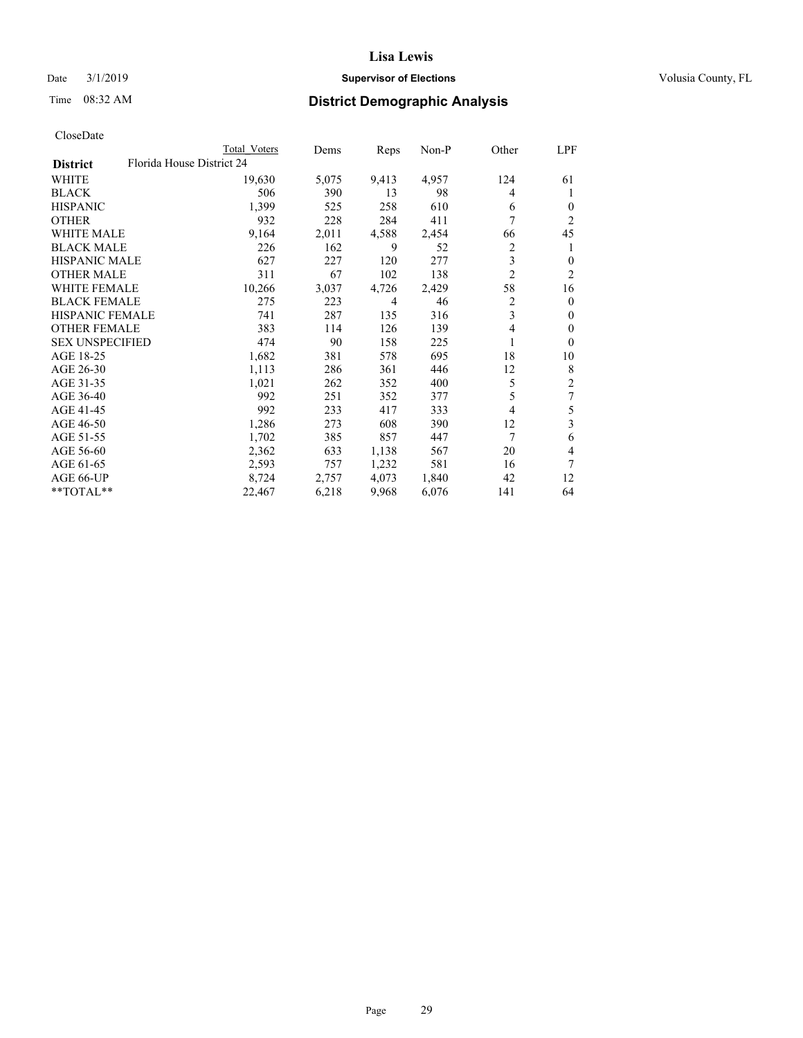## Date  $3/1/2019$  **Supervisor of Elections Supervisor of Elections** Volusia County, FL

| CloseDate |
|-----------|
|-----------|

|                                              | Total Voters | Dems  | Reps  | Non-P | Other          | LPF            |
|----------------------------------------------|--------------|-------|-------|-------|----------------|----------------|
| Florida House District 24<br><b>District</b> |              |       |       |       |                |                |
| WHITE                                        | 19,630       | 5,075 | 9,413 | 4,957 | 124            | 61             |
| BLACK                                        | 506          | 390   | 13    | 98    | 4              | 1              |
| <b>HISPANIC</b>                              | 1,399        | 525   | 258   | 610   | 6              | $\overline{0}$ |
| OTHER                                        | 932          | 228   | 284   | 411   | 7              | 2              |
| <b>WHITE MALE</b>                            | 9,164        | 2,011 | 4,588 | 2,454 | 66             | 45             |
| <b>BLACK MALE</b>                            | 226          | 162   | 9     | 52    | 2              | 1              |
| <b>HISPANIC MALE</b>                         | 627          | 227   | 120   | 277   | 3              | 0              |
| <b>OTHER MALE</b>                            | 311          | 67    | 102   | 138   | $\overline{2}$ | $\overline{2}$ |
| <b>WHITE FEMALE</b>                          | 10,266       | 3,037 | 4,726 | 2,429 | 58             | 16             |
| <b>BLACK FEMALE</b>                          | 275          | 223   | 4     | 46    | 2              | $\theta$       |
| HISPANIC FEMALE                              | 741          | 287   | 135   | 316   | 3              | $\Omega$       |
| <b>OTHER FEMALE</b>                          | 383          | 114   | 126   | 139   | 4              | $\theta$       |
| <b>SEX UNSPECIFIED</b>                       | 474          | 90    | 158   | 225   | 1              | $\theta$       |
| AGE 18-25                                    | 1,682        | 381   | 578   | 695   | 18             | 10             |
| AGE 26-30                                    | 1,113        | 286   | 361   | 446   | 12             | 8              |
| AGE 31-35                                    | 1,021        | 262   | 352   | 400   | 5              | $\overline{c}$ |
| AGE 36-40                                    | 992          | 251   | 352   | 377   | 5              | 7              |
| AGE 41-45                                    | 992          | 233   | 417   | 333   | 4              | 5              |
| AGE 46-50                                    | 1,286        | 273   | 608   | 390   | 12             | 3              |
| AGE 51-55                                    | 1,702        | 385   | 857   | 447   | 7              | 6              |
| AGE 56-60                                    | 2,362        | 633   | 1,138 | 567   | 20             | 4              |
| AGE 61-65                                    | 2,593        | 757   | 1,232 | 581   | 16             | 7              |
| AGE 66-UP                                    | 8,724        | 2,757 | 4,073 | 1,840 | 42             | 12             |
| **TOTAL**                                    | 22,467       | 6,218 | 9,968 | 6,076 | 141            | 64             |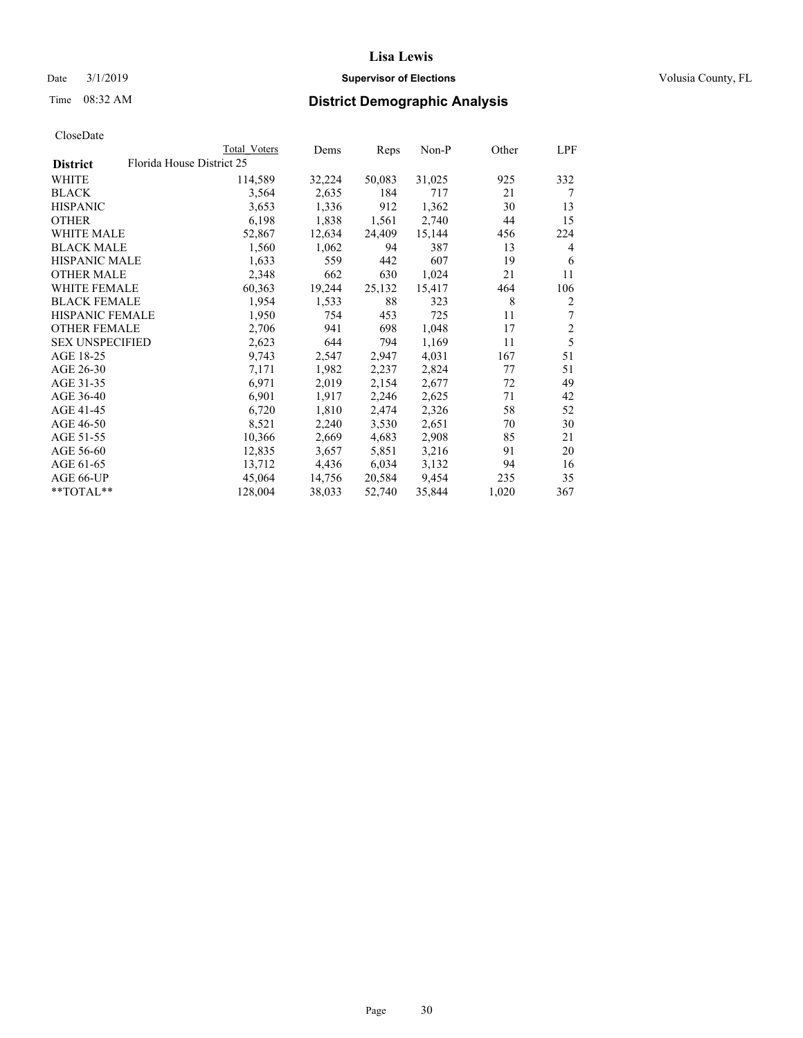## Date  $3/1/2019$  **Supervisor of Elections Supervisor of Elections** Volusia County, FL

| Total Voters | Dems                      | Reps   | Non-P  | Other | LPF            |
|--------------|---------------------------|--------|--------|-------|----------------|
|              |                           |        |        |       |                |
| 114,589      | 32,224                    | 50,083 | 31,025 | 925   | 332            |
| 3,564        | 2,635                     | 184    | 717    | 21    | 7              |
| 3,653        | 1,336                     | 912    | 1,362  | 30    | 13             |
| 6,198        | 1,838                     | 1,561  | 2,740  | 44    | 15             |
| 52,867       | 12,634                    | 24,409 | 15,144 | 456   | 224            |
| 1,560        | 1,062                     | 94     | 387    | 13    | 4              |
| 1,633        | 559                       | 442    | 607    | 19    | 6              |
| 2,348        | 662                       | 630    | 1,024  | 21    | 11             |
| 60,363       | 19,244                    | 25,132 | 15,417 | 464   | 106            |
| 1,954        | 1,533                     | 88     | 323    | 8     | $\overline{2}$ |
| 1,950        | 754                       | 453    | 725    | 11    | 7              |
| 2,706        | 941                       | 698    | 1,048  | 17    | $\overline{2}$ |
| 2,623        | 644                       | 794    | 1,169  | 11    | 5              |
| 9,743        | 2,547                     | 2,947  | 4,031  | 167   | 51             |
| 7,171        | 1,982                     | 2,237  | 2,824  | 77    | 51             |
| 6,971        | 2,019                     | 2,154  | 2,677  | 72    | 49             |
| 6,901        | 1,917                     | 2,246  | 2,625  | 71    | 42             |
| 6,720        | 1,810                     | 2,474  | 2,326  | 58    | 52             |
| 8,521        | 2,240                     | 3,530  | 2,651  | 70    | 30             |
| 10,366       | 2,669                     | 4,683  | 2,908  | 85    | 21             |
| 12,835       | 3,657                     | 5,851  | 3,216  | 91    | 20             |
| 13,712       | 4,436                     | 6,034  | 3,132  | 94    | 16             |
| 45,064       | 14,756                    | 20,584 | 9,454  | 235   | 35             |
| 128,004      | 38,033                    | 52,740 | 35,844 | 1,020 | 367            |
|              | Florida House District 25 |        |        |       |                |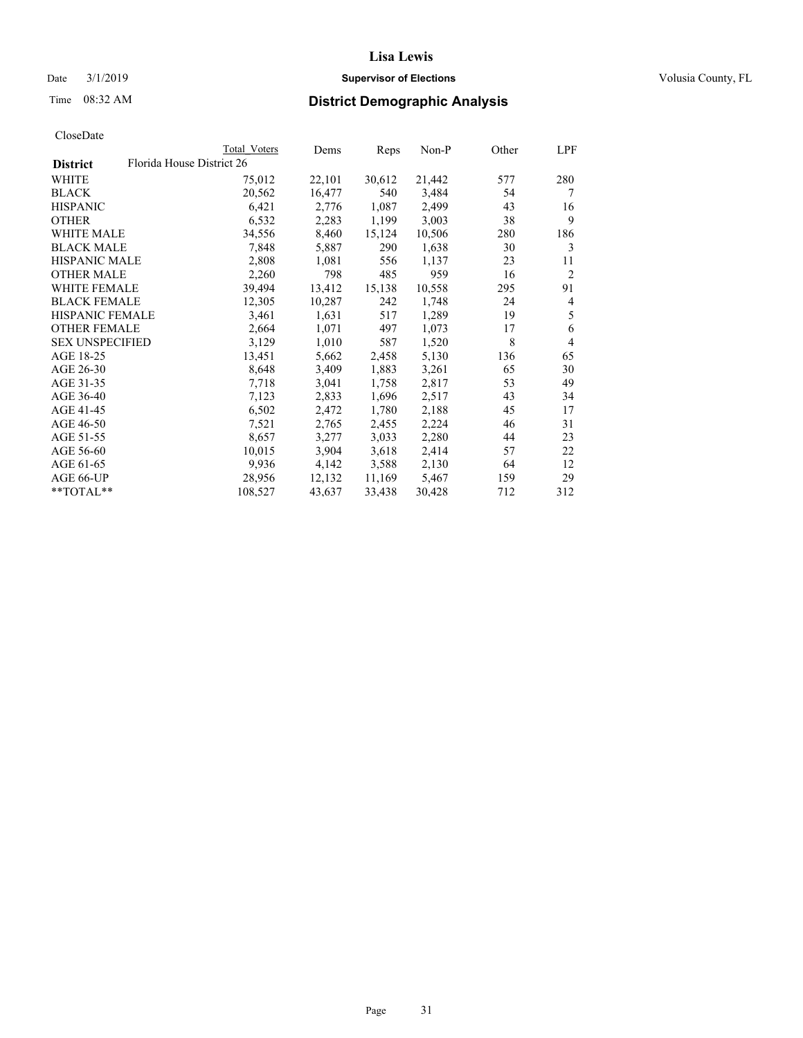## Date  $3/1/2019$  **Supervisor of Elections Supervisor of Elections** Volusia County, FL

|                        |                           | Total Voters | Dems   | Reps   | Non-P  | Other | LPF            |
|------------------------|---------------------------|--------------|--------|--------|--------|-------|----------------|
| <b>District</b>        | Florida House District 26 |              |        |        |        |       |                |
| WHITE                  |                           | 75,012       | 22,101 | 30,612 | 21,442 | 577   | 280            |
| BLACK                  |                           | 20,562       | 16,477 | 540    | 3,484  | 54    | 7              |
| <b>HISPANIC</b>        |                           | 6,421        | 2,776  | 1,087  | 2,499  | 43    | 16             |
| OTHER                  |                           | 6,532        | 2,283  | 1,199  | 3,003  | 38    | 9              |
| <b>WHITE MALE</b>      |                           | 34,556       | 8,460  | 15,124 | 10,506 | 280   | 186            |
| <b>BLACK MALE</b>      |                           | 7,848        | 5,887  | 290    | 1,638  | 30    | 3              |
| <b>HISPANIC MALE</b>   |                           | 2,808        | 1,081  | 556    | 1,137  | 23    | 11             |
| <b>OTHER MALE</b>      |                           | 2,260        | 798    | 485    | 959    | 16    | $\overline{2}$ |
| <b>WHITE FEMALE</b>    |                           | 39,494       | 13,412 | 15,138 | 10,558 | 295   | 91             |
| <b>BLACK FEMALE</b>    |                           | 12,305       | 10,287 | 242    | 1,748  | 24    | 4              |
| <b>HISPANIC FEMALE</b> |                           | 3,461        | 1,631  | 517    | 1,289  | 19    | 5              |
| <b>OTHER FEMALE</b>    |                           | 2,664        | 1,071  | 497    | 1,073  | 17    | 6              |
| <b>SEX UNSPECIFIED</b> |                           | 3,129        | 1,010  | 587    | 1,520  | 8     | 4              |
| AGE 18-25              |                           | 13,451       | 5,662  | 2,458  | 5,130  | 136   | 65             |
| AGE 26-30              |                           | 8,648        | 3,409  | 1,883  | 3,261  | 65    | 30             |
| AGE 31-35              |                           | 7,718        | 3,041  | 1,758  | 2,817  | 53    | 49             |
| AGE 36-40              |                           | 7,123        | 2,833  | 1,696  | 2,517  | 43    | 34             |
| AGE 41-45              |                           | 6,502        | 2,472  | 1,780  | 2,188  | 45    | 17             |
| AGE 46-50              |                           | 7,521        | 2,765  | 2,455  | 2,224  | 46    | 31             |
| AGE 51-55              |                           | 8,657        | 3,277  | 3,033  | 2,280  | 44    | 23             |
| AGE 56-60              |                           | 10,015       | 3,904  | 3,618  | 2,414  | 57    | 22             |
| AGE 61-65              |                           | 9,936        | 4,142  | 3,588  | 2,130  | 64    | 12             |
| AGE 66-UP              |                           | 28,956       | 12,132 | 11,169 | 5,467  | 159   | 29             |
| **TOTAL**              |                           | 108,527      | 43,637 | 33,438 | 30,428 | 712   | 312            |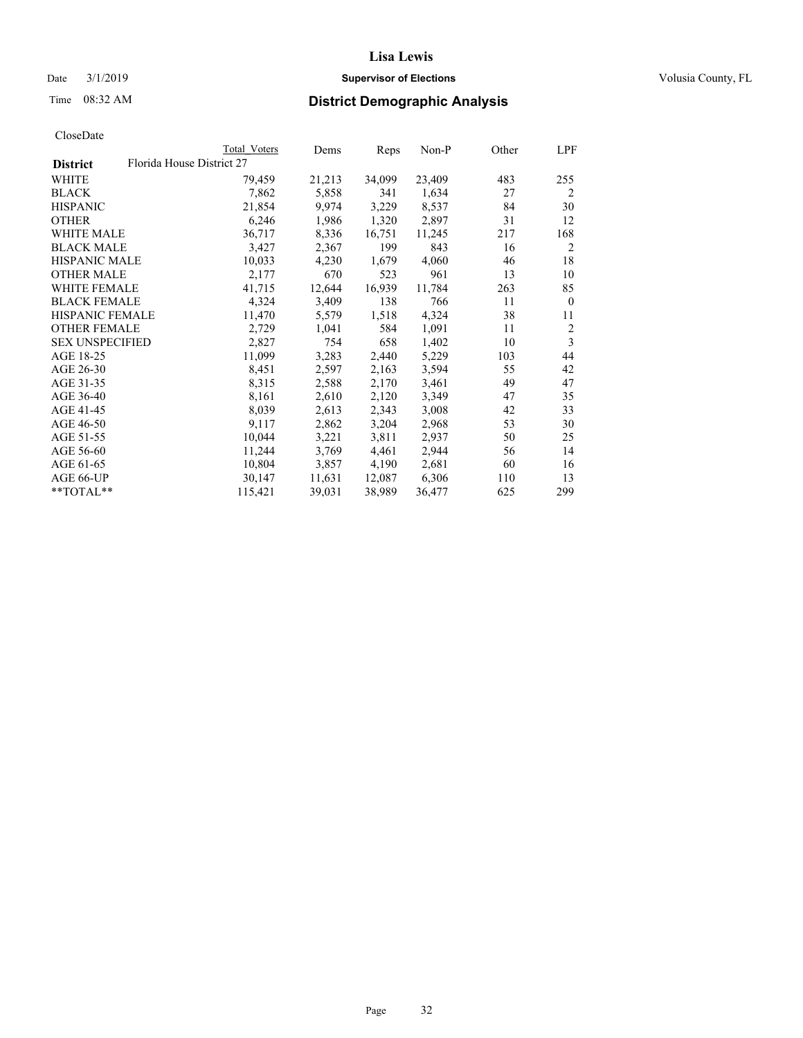## Date  $3/1/2019$  **Supervisor of Elections Supervisor of Elections** Volusia County, FL

|                        | Total Voters              | Dems   | Reps   | Non-P  | Other | LPF            |
|------------------------|---------------------------|--------|--------|--------|-------|----------------|
| <b>District</b>        | Florida House District 27 |        |        |        |       |                |
| WHITE                  | 79,459                    | 21,213 | 34,099 | 23,409 | 483   | 255            |
| <b>BLACK</b>           | 7,862                     | 5,858  | 341    | 1,634  | 27    | 2              |
| <b>HISPANIC</b>        | 21,854                    | 9,974  | 3,229  | 8,537  | 84    | 30             |
| <b>OTHER</b>           | 6,246                     | 1,986  | 1,320  | 2,897  | 31    | 12             |
| <b>WHITE MALE</b>      | 36,717                    | 8,336  | 16,751 | 11,245 | 217   | 168            |
| <b>BLACK MALE</b>      | 3,427                     | 2,367  | 199    | 843    | 16    | $\overline{2}$ |
| <b>HISPANIC MALE</b>   | 10,033                    | 4,230  | 1,679  | 4,060  | 46    | 18             |
| <b>OTHER MALE</b>      | 2,177                     | 670    | 523    | 961    | 13    | 10             |
| <b>WHITE FEMALE</b>    | 41,715                    | 12,644 | 16,939 | 11,784 | 263   | 85             |
| <b>BLACK FEMALE</b>    | 4,324                     | 3,409  | 138    | 766    | 11    | $\mathbf{0}$   |
| HISPANIC FEMALE        | 11,470                    | 5,579  | 1,518  | 4,324  | 38    | 11             |
| <b>OTHER FEMALE</b>    | 2,729                     | 1,041  | 584    | 1,091  | 11    | 2              |
| <b>SEX UNSPECIFIED</b> | 2,827                     | 754    | 658    | 1,402  | 10    | 3              |
| AGE 18-25              | 11,099                    | 3,283  | 2,440  | 5,229  | 103   | 44             |
| AGE 26-30              | 8,451                     | 2,597  | 2,163  | 3,594  | 55    | 42             |
| AGE 31-35              | 8,315                     | 2,588  | 2,170  | 3,461  | 49    | 47             |
| AGE 36-40              | 8,161                     | 2,610  | 2,120  | 3,349  | 47    | 35             |
| AGE 41-45              | 8,039                     | 2,613  | 2,343  | 3,008  | 42    | 33             |
| AGE 46-50              | 9,117                     | 2,862  | 3,204  | 2,968  | 53    | 30             |
| AGE 51-55              | 10,044                    | 3,221  | 3,811  | 2,937  | 50    | 25             |
| AGE 56-60              | 11,244                    | 3,769  | 4,461  | 2,944  | 56    | 14             |
| AGE 61-65              | 10,804                    | 3,857  | 4,190  | 2,681  | 60    | 16             |
| AGE 66-UP              | 30,147                    | 11,631 | 12,087 | 6,306  | 110   | 13             |
| $*$ $TOTAL**$          | 115,421                   | 39,031 | 38,989 | 36,477 | 625   | 299            |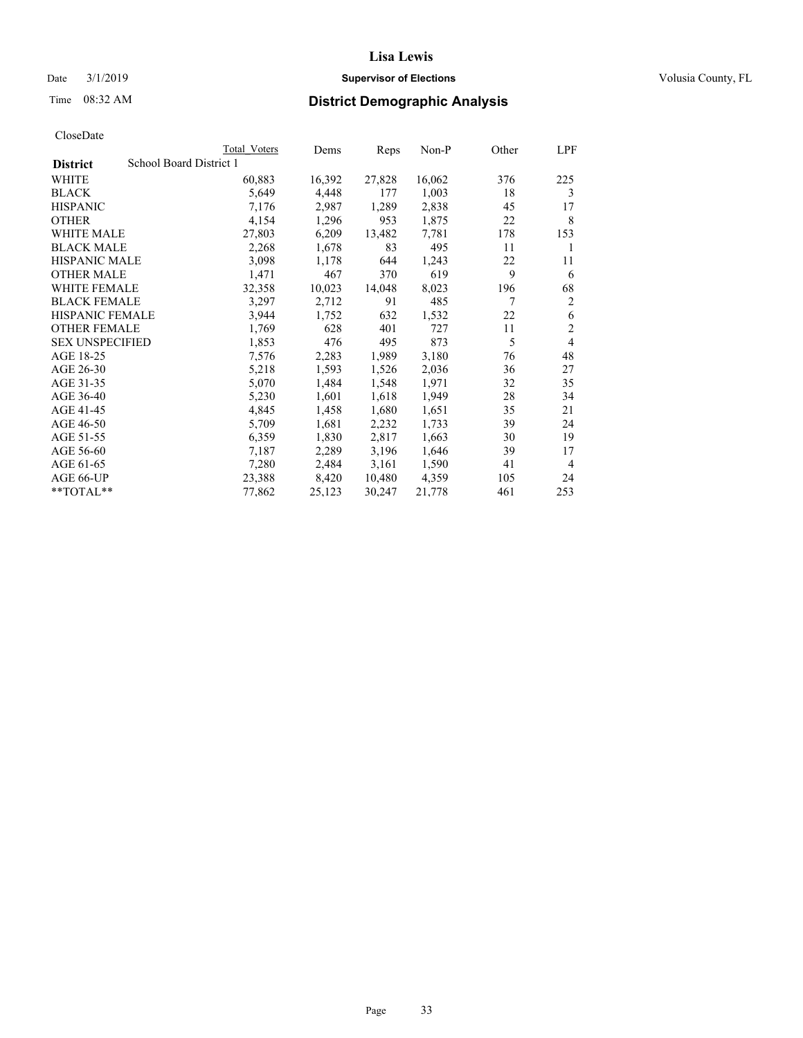### Date  $3/1/2019$  **Supervisor of Elections Supervisor of Elections** Volusia County, FL

# Time 08:32 AM **District Demographic Analysis**

|                        | Total Voters            | Dems   | Reps   | Non-P  | Other | LPF            |
|------------------------|-------------------------|--------|--------|--------|-------|----------------|
| <b>District</b>        | School Board District 1 |        |        |        |       |                |
| WHITE                  | 60,883                  | 16,392 | 27,828 | 16,062 | 376   | 225            |
| <b>BLACK</b>           | 5,649                   | 4,448  | 177    | 1,003  | 18    | 3              |
| <b>HISPANIC</b>        | 7,176                   | 2,987  | 1,289  | 2,838  | 45    | 17             |
| <b>OTHER</b>           | 4,154                   | 1,296  | 953    | 1,875  | 22    | 8              |
| WHITE MALE             | 27,803                  | 6,209  | 13,482 | 7,781  | 178   | 153            |
| <b>BLACK MALE</b>      | 2,268                   | 1,678  | 83     | 495    | 11    | 1              |
| <b>HISPANIC MALE</b>   | 3,098                   | 1,178  | 644    | 1,243  | 22    | 11             |
| <b>OTHER MALE</b>      | 1,471                   | 467    | 370    | 619    | 9     | 6              |
| WHITE FEMALE           | 32,358                  | 10,023 | 14,048 | 8,023  | 196   | 68             |
| <b>BLACK FEMALE</b>    | 3,297                   | 2,712  | 91     | 485    | 7     | $\overline{2}$ |
| <b>HISPANIC FEMALE</b> | 3,944                   | 1,752  | 632    | 1,532  | 22    | 6              |
| <b>OTHER FEMALE</b>    | 1,769                   | 628    | 401    | 727    | 11    | $\mathfrak{2}$ |
| <b>SEX UNSPECIFIED</b> | 1,853                   | 476    | 495    | 873    | 5     | 4              |
| AGE 18-25              | 7,576                   | 2,283  | 1,989  | 3,180  | 76    | 48             |
| AGE 26-30              | 5,218                   | 1,593  | 1,526  | 2,036  | 36    | 27             |
| AGE 31-35              | 5,070                   | 1,484  | 1,548  | 1,971  | 32    | 35             |
| AGE 36-40              | 5,230                   | 1,601  | 1,618  | 1,949  | 28    | 34             |
| AGE 41-45              | 4,845                   | 1,458  | 1,680  | 1,651  | 35    | 21             |
| AGE 46-50              | 5,709                   | 1,681  | 2,232  | 1,733  | 39    | 24             |
| AGE 51-55              | 6,359                   | 1,830  | 2,817  | 1,663  | 30    | 19             |
| AGE 56-60              | 7,187                   | 2,289  | 3,196  | 1,646  | 39    | 17             |
| AGE 61-65              | 7,280                   | 2,484  | 3,161  | 1,590  | 41    | 4              |
| AGE 66-UP              | 23,388                  | 8,420  | 10,480 | 4,359  | 105   | 24             |
| $*$ $TOTAL**$          | 77,862                  | 25,123 | 30,247 | 21,778 | 461   | 253            |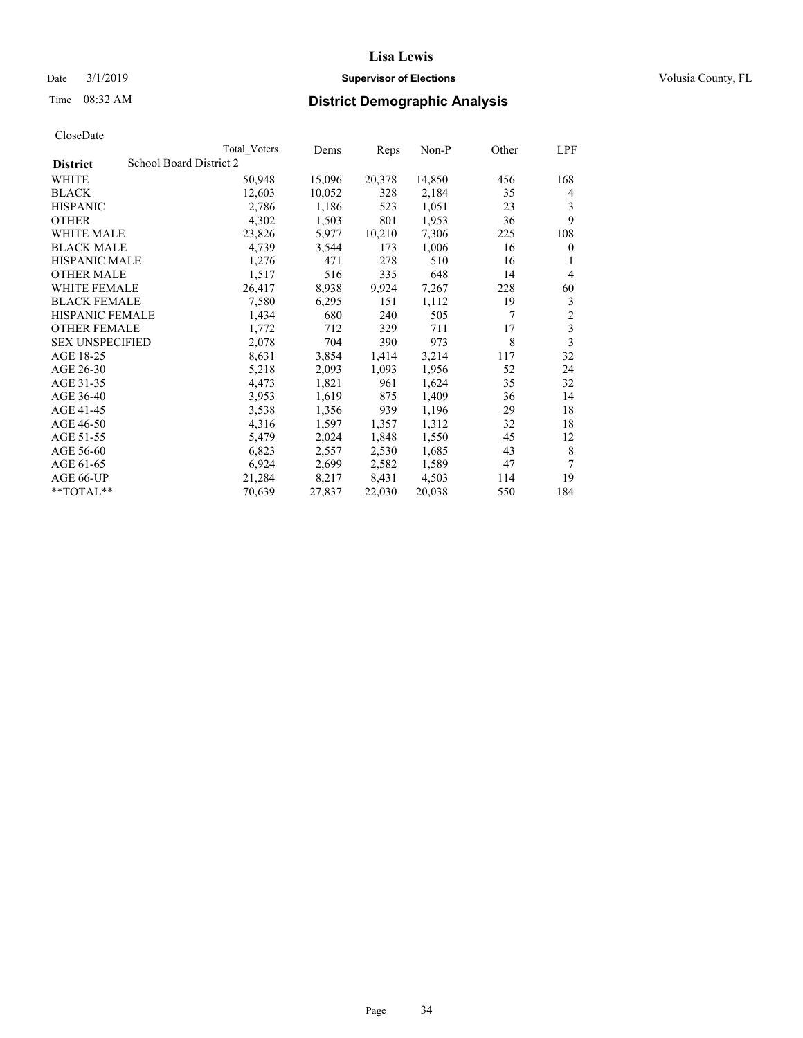## Date  $3/1/2019$  **Supervisor of Elections Supervisor of Elections** Volusia County, FL

# Time 08:32 AM **District Demographic Analysis**

|                        |                         | Total Voters | Dems   | Reps   | Non-P  | Other | LPF            |
|------------------------|-------------------------|--------------|--------|--------|--------|-------|----------------|
| <b>District</b>        | School Board District 2 |              |        |        |        |       |                |
| WHITE                  |                         | 50,948       | 15,096 | 20,378 | 14,850 | 456   | 168            |
| <b>BLACK</b>           |                         | 12,603       | 10,052 | 328    | 2,184  | 35    | 4              |
| <b>HISPANIC</b>        |                         | 2,786        | 1,186  | 523    | 1,051  | 23    | 3              |
| <b>OTHER</b>           |                         | 4,302        | 1,503  | 801    | 1,953  | 36    | 9              |
| WHITE MALE             |                         | 23,826       | 5,977  | 10,210 | 7,306  | 225   | 108            |
| <b>BLACK MALE</b>      |                         | 4,739        | 3,544  | 173    | 1,006  | 16    | 0              |
| <b>HISPANIC MALE</b>   |                         | 1,276        | 471    | 278    | 510    | 16    | 1              |
| <b>OTHER MALE</b>      |                         | 1,517        | 516    | 335    | 648    | 14    | 4              |
| <b>WHITE FEMALE</b>    |                         | 26,417       | 8,938  | 9,924  | 7,267  | 228   | 60             |
| <b>BLACK FEMALE</b>    |                         | 7,580        | 6,295  | 151    | 1,112  | 19    | 3              |
| <b>HISPANIC FEMALE</b> |                         | 1,434        | 680    | 240    | 505    | 7     | $\overline{c}$ |
| <b>OTHER FEMALE</b>    |                         | 1,772        | 712    | 329    | 711    | 17    | 3              |
| <b>SEX UNSPECIFIED</b> |                         | 2,078        | 704    | 390    | 973    | 8     | 3              |
| AGE 18-25              |                         | 8,631        | 3,854  | 1,414  | 3,214  | 117   | 32             |
| AGE 26-30              |                         | 5,218        | 2,093  | 1,093  | 1,956  | 52    | 24             |
| AGE 31-35              |                         | 4,473        | 1,821  | 961    | 1,624  | 35    | 32             |
| AGE 36-40              |                         | 3,953        | 1,619  | 875    | 1,409  | 36    | 14             |
| AGE 41-45              |                         | 3,538        | 1,356  | 939    | 1,196  | 29    | 18             |
| AGE 46-50              |                         | 4,316        | 1,597  | 1,357  | 1,312  | 32    | 18             |
| AGE 51-55              |                         | 5,479        | 2,024  | 1,848  | 1,550  | 45    | 12             |
| AGE 56-60              |                         | 6,823        | 2,557  | 2,530  | 1,685  | 43    | 8              |
| AGE 61-65              |                         | 6,924        | 2,699  | 2,582  | 1,589  | 47    | 7              |
| AGE 66-UP              |                         | 21,284       | 8,217  | 8,431  | 4,503  | 114   | 19             |
| $*$ $TOTAL**$          |                         | 70,639       | 27,837 | 22,030 | 20,038 | 550   | 184            |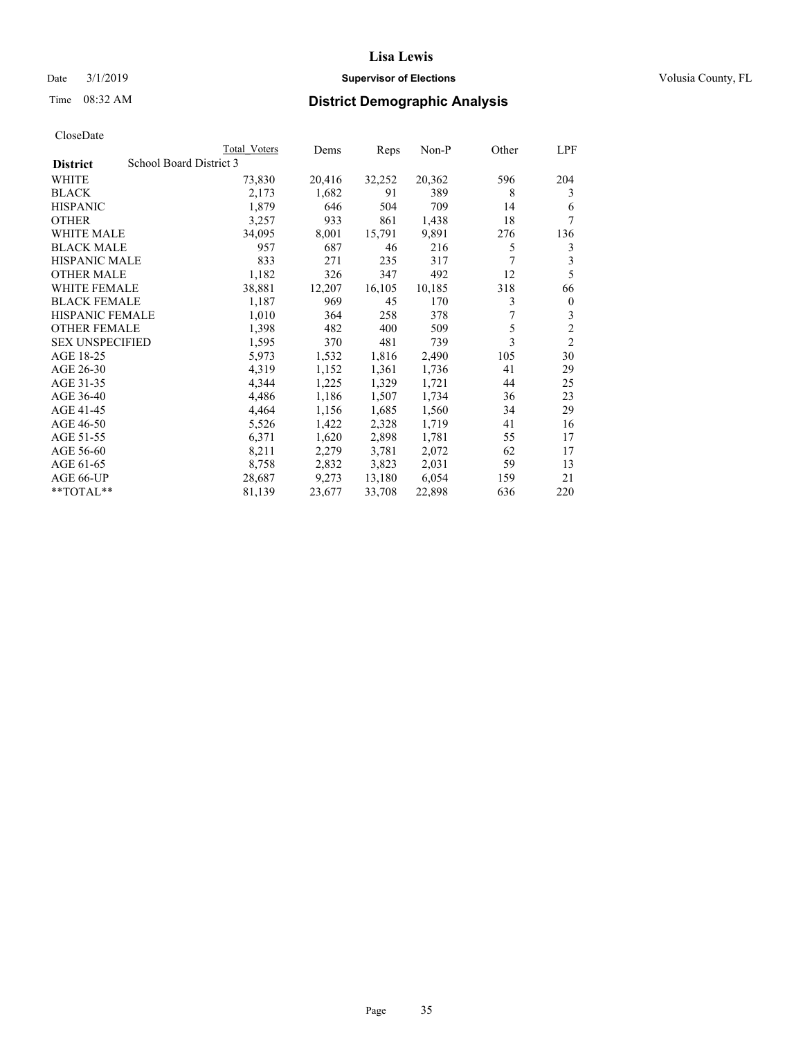## Date  $3/1/2019$  **Supervisor of Elections Supervisor of Elections** Volusia County, FL

# Time 08:32 AM **District Demographic Analysis**

|                        |                         | Total Voters | Dems   | Reps   | Non-P  | Other | LPF            |
|------------------------|-------------------------|--------------|--------|--------|--------|-------|----------------|
| <b>District</b>        | School Board District 3 |              |        |        |        |       |                |
| WHITE                  |                         | 73,830       | 20,416 | 32,252 | 20,362 | 596   | 204            |
| <b>BLACK</b>           |                         | 2,173        | 1,682  | 91     | 389    | 8     | 3              |
| <b>HISPANIC</b>        |                         | 1,879        | 646    | 504    | 709    | 14    | 6              |
| <b>OTHER</b>           |                         | 3,257        | 933    | 861    | 1,438  | 18    | 7              |
| WHITE MALE             |                         | 34,095       | 8,001  | 15,791 | 9,891  | 276   | 136            |
| <b>BLACK MALE</b>      |                         | 957          | 687    | 46     | 216    | 5     | 3              |
| <b>HISPANIC MALE</b>   |                         | 833          | 271    | 235    | 317    | 7     | 3              |
| <b>OTHER MALE</b>      |                         | 1,182        | 326    | 347    | 492    | 12    | 5              |
| WHITE FEMALE           |                         | 38,881       | 12,207 | 16,105 | 10,185 | 318   | 66             |
| <b>BLACK FEMALE</b>    |                         | 1,187        | 969    | 45     | 170    | 3     | $\mathbf{0}$   |
| <b>HISPANIC FEMALE</b> |                         | 1,010        | 364    | 258    | 378    |       | 3              |
| <b>OTHER FEMALE</b>    |                         | 1,398        | 482    | 400    | 509    | 5     | $\overline{c}$ |
| <b>SEX UNSPECIFIED</b> |                         | 1,595        | 370    | 481    | 739    | 3     | $\overline{2}$ |
| AGE 18-25              |                         | 5,973        | 1,532  | 1,816  | 2,490  | 105   | 30             |
| AGE 26-30              |                         | 4,319        | 1,152  | 1,361  | 1,736  | 41    | 29             |
| AGE 31-35              |                         | 4,344        | 1,225  | 1,329  | 1,721  | 44    | 25             |
| AGE 36-40              |                         | 4,486        | 1,186  | 1,507  | 1,734  | 36    | 23             |
| AGE 41-45              |                         | 4,464        | 1,156  | 1,685  | 1,560  | 34    | 29             |
| AGE 46-50              |                         | 5,526        | 1,422  | 2,328  | 1,719  | 41    | 16             |
| AGE 51-55              |                         | 6,371        | 1,620  | 2,898  | 1,781  | 55    | 17             |
| AGE 56-60              |                         | 8,211        | 2,279  | 3,781  | 2,072  | 62    | 17             |
| AGE 61-65              |                         | 8,758        | 2,832  | 3,823  | 2,031  | 59    | 13             |
| AGE 66-UP              |                         | 28,687       | 9,273  | 13,180 | 6,054  | 159   | 21             |
| $*$ $TOTAL**$          |                         | 81,139       | 23,677 | 33,708 | 22,898 | 636   | 220            |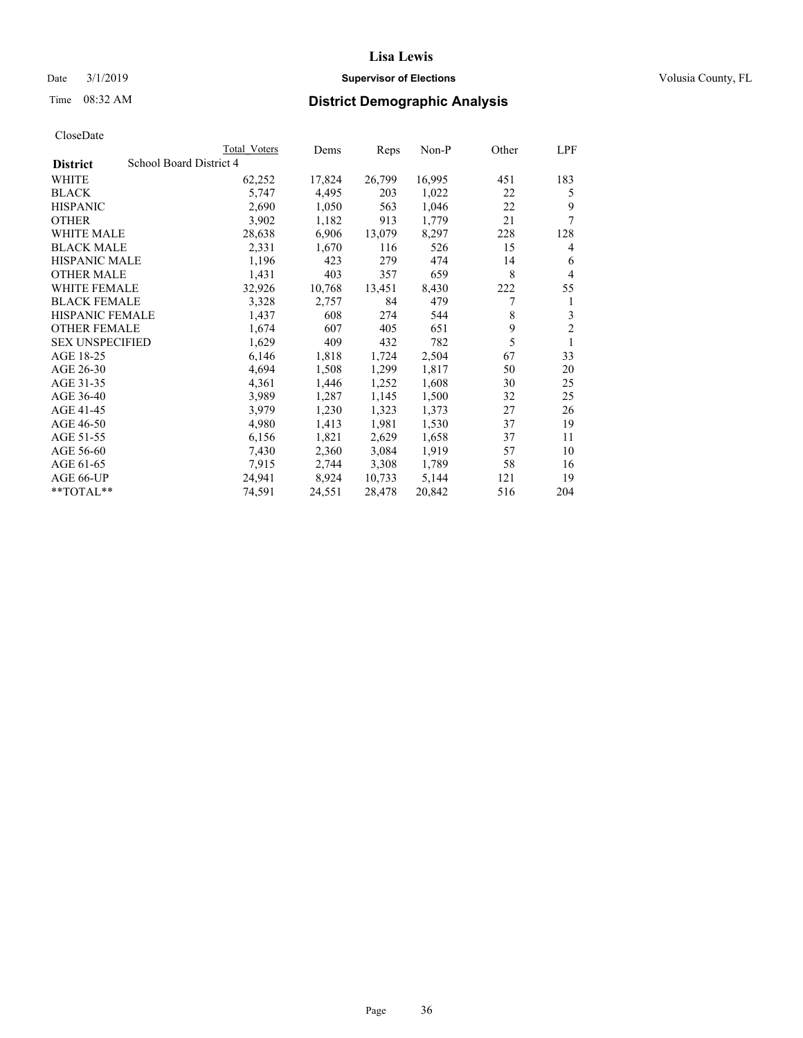## Date  $3/1/2019$  **Supervisor of Elections Supervisor of Elections** Volusia County, FL

# Time 08:32 AM **District Demographic Analysis**

|                        |                         | Total Voters | Dems   | Reps   | Non-P  | Other | LPF            |
|------------------------|-------------------------|--------------|--------|--------|--------|-------|----------------|
| <b>District</b>        | School Board District 4 |              |        |        |        |       |                |
| WHITE                  |                         | 62,252       | 17,824 | 26,799 | 16,995 | 451   | 183            |
| <b>BLACK</b>           |                         | 5,747        | 4,495  | 203    | 1,022  | 22    | 5              |
| <b>HISPANIC</b>        |                         | 2,690        | 1,050  | 563    | 1,046  | 22    | 9              |
| <b>OTHER</b>           |                         | 3,902        | 1,182  | 913    | 1,779  | 21    | 7              |
| WHITE MALE             |                         | 28,638       | 6,906  | 13,079 | 8,297  | 228   | 128            |
| <b>BLACK MALE</b>      |                         | 2,331        | 1,670  | 116    | 526    | 15    | 4              |
| <b>HISPANIC MALE</b>   |                         | 1,196        | 423    | 279    | 474    | 14    | 6              |
| <b>OTHER MALE</b>      |                         | 1,431        | 403    | 357    | 659    | 8     | $\overline{4}$ |
| WHITE FEMALE           |                         | 32,926       | 10,768 | 13,451 | 8,430  | 222   | 55             |
| <b>BLACK FEMALE</b>    |                         | 3,328        | 2,757  | 84     | 479    | 7     | 1              |
| <b>HISPANIC FEMALE</b> |                         | 1,437        | 608    | 274    | 544    | 8     | 3              |
| <b>OTHER FEMALE</b>    |                         | 1,674        | 607    | 405    | 651    | 9     | $\overline{c}$ |
| <b>SEX UNSPECIFIED</b> |                         | 1,629        | 409    | 432    | 782    | 5     | 1              |
| AGE 18-25              |                         | 6,146        | 1,818  | 1,724  | 2,504  | 67    | 33             |
| AGE 26-30              |                         | 4,694        | 1,508  | 1,299  | 1,817  | 50    | 20             |
| AGE 31-35              |                         | 4,361        | 1,446  | 1,252  | 1,608  | 30    | 25             |
| AGE 36-40              |                         | 3,989        | 1,287  | 1,145  | 1,500  | 32    | 25             |
| AGE 41-45              |                         | 3,979        | 1,230  | 1,323  | 1,373  | 27    | 26             |
| AGE 46-50              |                         | 4,980        | 1,413  | 1,981  | 1,530  | 37    | 19             |
| AGE 51-55              |                         | 6,156        | 1,821  | 2,629  | 1,658  | 37    | 11             |
| AGE 56-60              |                         | 7,430        | 2,360  | 3,084  | 1,919  | 57    | 10             |
| AGE 61-65              |                         | 7,915        | 2,744  | 3,308  | 1,789  | 58    | 16             |
| AGE 66-UP              |                         | 24,941       | 8,924  | 10,733 | 5,144  | 121   | 19             |
| $*$ $TOTAL**$          |                         | 74,591       | 24,551 | 28,478 | 20,842 | 516   | 204            |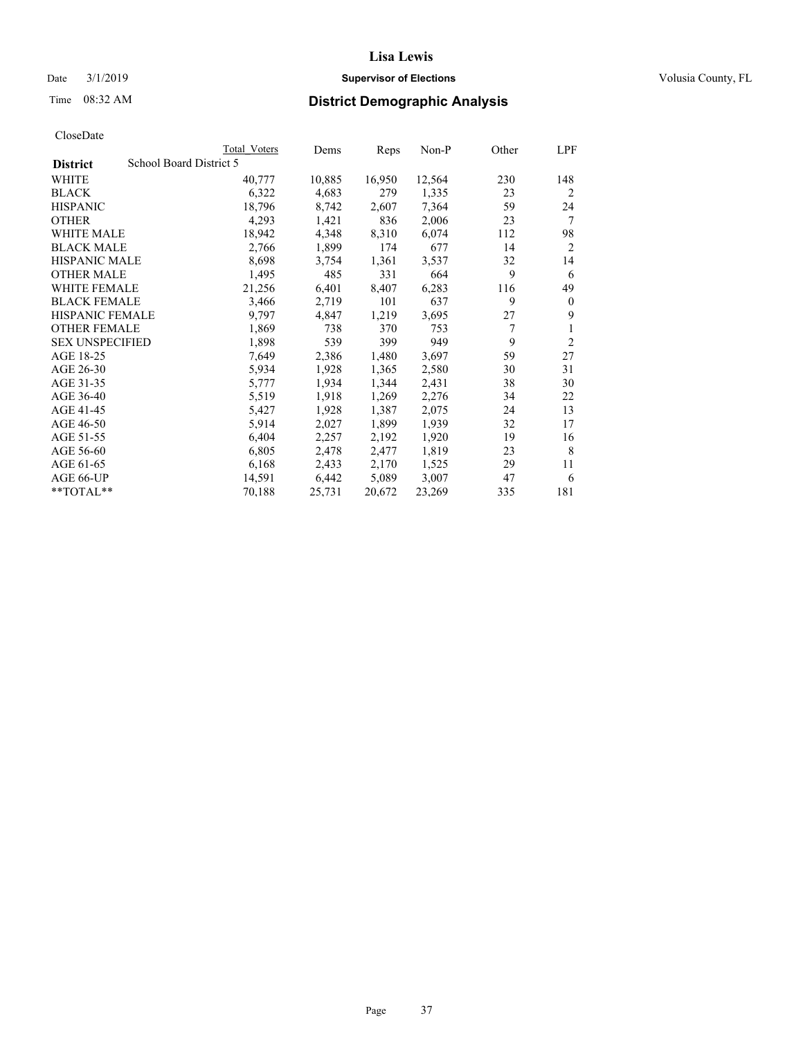## Date  $3/1/2019$  **Supervisor of Elections Supervisor of Elections** Volusia County, FL

# Time 08:32 AM **District Demographic Analysis**

|                        |                         | Total Voters | Dems   | Reps   | Non-P  | Other | LPF            |
|------------------------|-------------------------|--------------|--------|--------|--------|-------|----------------|
| <b>District</b>        | School Board District 5 |              |        |        |        |       |                |
| WHITE                  |                         | 40,777       | 10,885 | 16,950 | 12,564 | 230   | 148            |
| <b>BLACK</b>           |                         | 6,322        | 4,683  | 279    | 1,335  | 23    | $\overline{2}$ |
| <b>HISPANIC</b>        |                         | 18,796       | 8,742  | 2,607  | 7,364  | 59    | 24             |
| <b>OTHER</b>           |                         | 4,293        | 1,421  | 836    | 2,006  | 23    | 7              |
| WHITE MALE             |                         | 18,942       | 4,348  | 8,310  | 6,074  | 112   | 98             |
| <b>BLACK MALE</b>      |                         | 2,766        | 1,899  | 174    | 677    | 14    | 2              |
| <b>HISPANIC MALE</b>   |                         | 8,698        | 3,754  | 1,361  | 3,537  | 32    | 14             |
| <b>OTHER MALE</b>      |                         | 1,495        | 485    | 331    | 664    | 9     | 6              |
| WHITE FEMALE           |                         | 21,256       | 6,401  | 8,407  | 6,283  | 116   | 49             |
| <b>BLACK FEMALE</b>    |                         | 3,466        | 2,719  | 101    | 637    | 9     | $\theta$       |
| <b>HISPANIC FEMALE</b> |                         | 9,797        | 4,847  | 1,219  | 3,695  | 27    | 9              |
| <b>OTHER FEMALE</b>    |                         | 1,869        | 738    | 370    | 753    | 7     | 1              |
| <b>SEX UNSPECIFIED</b> |                         | 1,898        | 539    | 399    | 949    | 9     | $\overline{2}$ |
| AGE 18-25              |                         | 7,649        | 2,386  | 1,480  | 3,697  | 59    | 27             |
| AGE 26-30              |                         | 5,934        | 1,928  | 1,365  | 2,580  | 30    | 31             |
| AGE 31-35              |                         | 5,777        | 1,934  | 1,344  | 2,431  | 38    | 30             |
| AGE 36-40              |                         | 5,519        | 1,918  | 1,269  | 2,276  | 34    | 22             |
| AGE 41-45              |                         | 5,427        | 1,928  | 1,387  | 2,075  | 24    | 13             |
| AGE 46-50              |                         | 5,914        | 2,027  | 1,899  | 1,939  | 32    | 17             |
| AGE 51-55              |                         | 6,404        | 2,257  | 2,192  | 1,920  | 19    | 16             |
| AGE 56-60              |                         | 6,805        | 2,478  | 2,477  | 1,819  | 23    | 8              |
| AGE 61-65              |                         | 6,168        | 2,433  | 2,170  | 1,525  | 29    | 11             |
| AGE 66-UP              |                         | 14,591       | 6,442  | 5,089  | 3,007  | 47    | 6              |
| $*$ $TOTAL**$          |                         | 70,188       | 25,731 | 20,672 | 23,269 | 335   | 181            |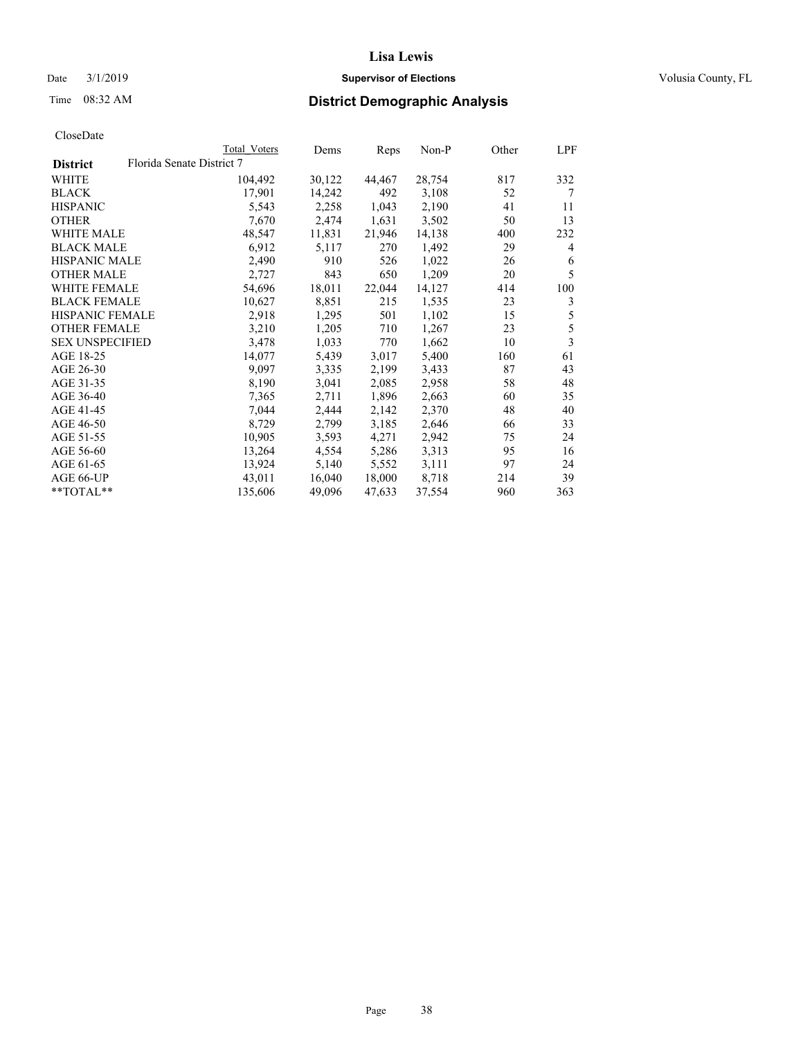### Date  $3/1/2019$  **Supervisor of Elections Supervisor of Elections** Volusia County, FL

# Time 08:32 AM **District Demographic Analysis**

|                        | Total Voters              | Dems   | Reps   | Non-P  | Other | LPF |
|------------------------|---------------------------|--------|--------|--------|-------|-----|
| <b>District</b>        | Florida Senate District 7 |        |        |        |       |     |
| WHITE                  | 104,492                   | 30,122 | 44,467 | 28,754 | 817   | 332 |
| <b>BLACK</b>           | 17,901                    | 14,242 | 492    | 3,108  | 52    | 7   |
| <b>HISPANIC</b>        | 5,543                     | 2,258  | 1,043  | 2,190  | 41    | 11  |
| <b>OTHER</b>           | 7,670                     | 2,474  | 1,631  | 3,502  | 50    | 13  |
| WHITE MALE             | 48,547                    | 11,831 | 21,946 | 14,138 | 400   | 232 |
| <b>BLACK MALE</b>      | 6,912                     | 5,117  | 270    | 1,492  | 29    | 4   |
| <b>HISPANIC MALE</b>   | 2,490                     | 910    | 526    | 1,022  | 26    | 6   |
| <b>OTHER MALE</b>      | 2,727                     | 843    | 650    | 1,209  | 20    | 5   |
| WHITE FEMALE           | 54,696                    | 18,011 | 22,044 | 14,127 | 414   | 100 |
| <b>BLACK FEMALE</b>    | 10,627                    | 8,851  | 215    | 1,535  | 23    | 3   |
| <b>HISPANIC FEMALE</b> | 2,918                     | 1,295  | 501    | 1,102  | 15    | 5   |
| <b>OTHER FEMALE</b>    | 3,210                     | 1,205  | 710    | 1,267  | 23    | 5   |
| <b>SEX UNSPECIFIED</b> | 3,478                     | 1,033  | 770    | 1,662  | 10    | 3   |
| AGE 18-25              | 14,077                    | 5,439  | 3,017  | 5,400  | 160   | 61  |
| AGE 26-30              | 9,097                     | 3,335  | 2,199  | 3,433  | 87    | 43  |
| AGE 31-35              | 8,190                     | 3,041  | 2,085  | 2,958  | 58    | 48  |
| AGE 36-40              | 7,365                     | 2,711  | 1,896  | 2,663  | 60    | 35  |
| AGE 41-45              | 7,044                     | 2,444  | 2,142  | 2,370  | 48    | 40  |
| AGE 46-50              | 8,729                     | 2,799  | 3,185  | 2,646  | 66    | 33  |
| AGE 51-55              | 10,905                    | 3,593  | 4,271  | 2,942  | 75    | 24  |
| AGE 56-60              | 13,264                    | 4,554  | 5,286  | 3,313  | 95    | 16  |
| AGE 61-65              | 13,924                    | 5,140  | 5,552  | 3,111  | 97    | 24  |
| AGE 66-UP              | 43,011                    | 16,040 | 18,000 | 8,718  | 214   | 39  |
| $*$ TOTAL $*$          | 135,606                   | 49,096 | 47,633 | 37,554 | 960   | 363 |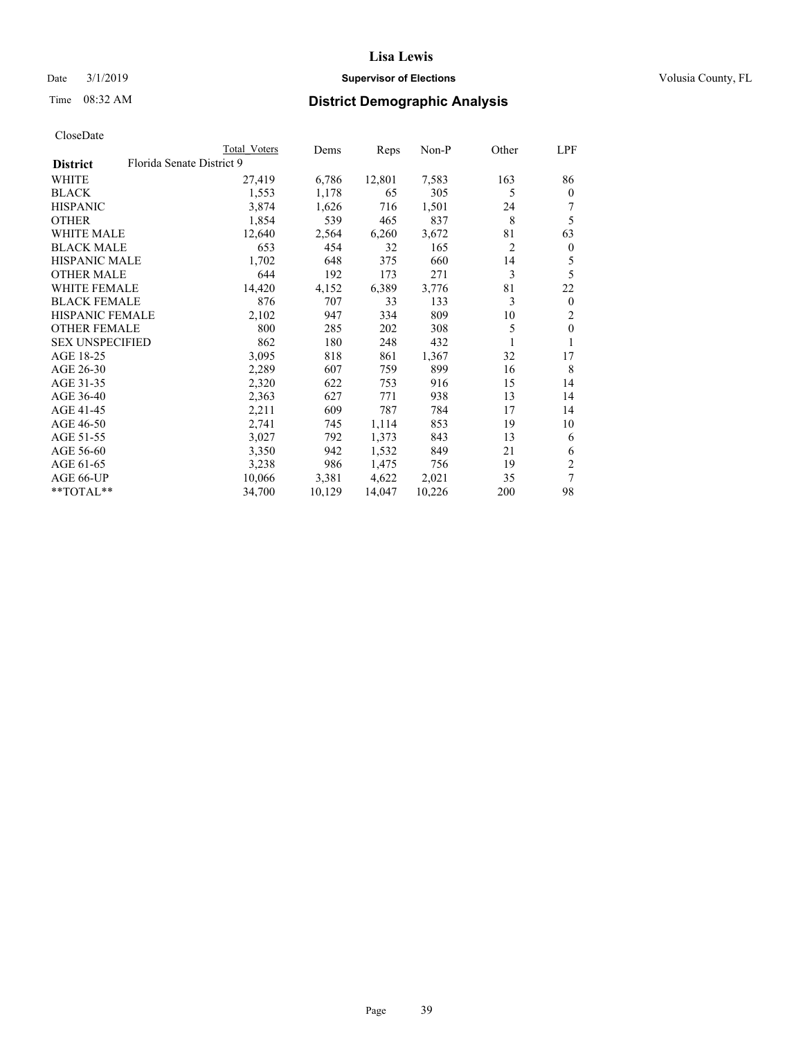## Date  $3/1/2019$  **Supervisor of Elections Supervisor of Elections** Volusia County, FL

# Time 08:32 AM **District Demographic Analysis**

|                        |                           | Total Voters | Dems   | Reps   | Non-P  | Other | LPF            |
|------------------------|---------------------------|--------------|--------|--------|--------|-------|----------------|
| <b>District</b>        | Florida Senate District 9 |              |        |        |        |       |                |
| WHITE                  |                           | 27,419       | 6,786  | 12,801 | 7,583  | 163   | 86             |
| <b>BLACK</b>           |                           | 1,553        | 1,178  | 65     | 305    | 5     | $\mathbf{0}$   |
| <b>HISPANIC</b>        |                           | 3,874        | 1,626  | 716    | 1,501  | 24    | 7              |
| <b>OTHER</b>           |                           | 1,854        | 539    | 465    | 837    | 8     | 5              |
| WHITE MALE             |                           | 12,640       | 2,564  | 6,260  | 3,672  | 81    | 63             |
| <b>BLACK MALE</b>      |                           | 653          | 454    | 32     | 165    | 2     | $\mathbf{0}$   |
| <b>HISPANIC MALE</b>   |                           | 1,702        | 648    | 375    | 660    | 14    | 5              |
| <b>OTHER MALE</b>      |                           | 644          | 192    | 173    | 271    | 3     | 5              |
| WHITE FEMALE           |                           | 14,420       | 4,152  | 6,389  | 3,776  | 81    | 22             |
| <b>BLACK FEMALE</b>    |                           | 876          | 707    | 33     | 133    | 3     | $\mathbf{0}$   |
| HISPANIC FEMALE        |                           | 2,102        | 947    | 334    | 809    | 10    | $\overline{2}$ |
| <b>OTHER FEMALE</b>    |                           | 800          | 285    | 202    | 308    | 5     | $\theta$       |
| <b>SEX UNSPECIFIED</b> |                           | 862          | 180    | 248    | 432    | 1     |                |
| AGE 18-25              |                           | 3,095        | 818    | 861    | 1,367  | 32    | 17             |
| AGE 26-30              |                           | 2,289        | 607    | 759    | 899    | 16    | 8              |
| AGE 31-35              |                           | 2,320        | 622    | 753    | 916    | 15    | 14             |
| AGE 36-40              |                           | 2,363        | 627    | 771    | 938    | 13    | 14             |
| AGE 41-45              |                           | 2,211        | 609    | 787    | 784    | 17    | 14             |
| AGE 46-50              |                           | 2,741        | 745    | 1,114  | 853    | 19    | 10             |
| AGE 51-55              |                           | 3,027        | 792    | 1,373  | 843    | 13    | 6              |
| AGE 56-60              |                           | 3,350        | 942    | 1,532  | 849    | 21    | 6              |
| AGE 61-65              |                           | 3,238        | 986    | 1,475  | 756    | 19    | $\overline{2}$ |
| AGE 66-UP              |                           | 10,066       | 3,381  | 4,622  | 2,021  | 35    | 7              |
| **TOTAL**              |                           | 34,700       | 10,129 | 14,047 | 10,226 | 200   | 98             |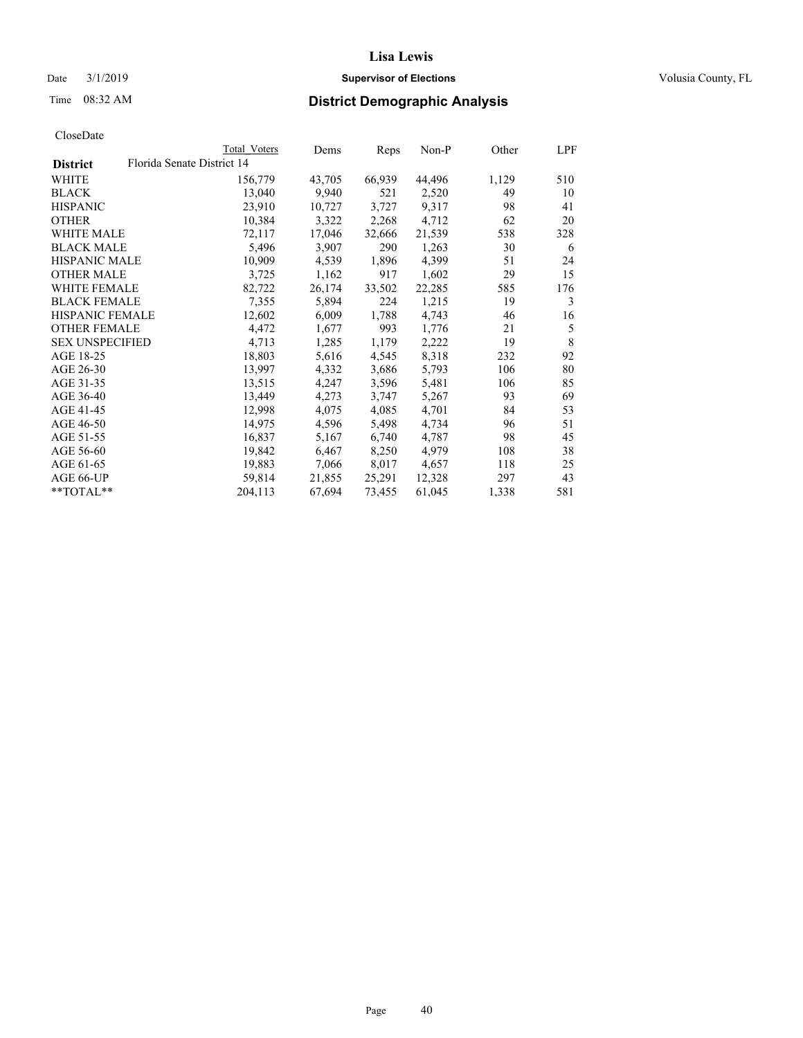## Date  $3/1/2019$  **Supervisor of Elections Supervisor of Elections** Volusia County, FL

# Time 08:32 AM **District Demographic Analysis**

| CloseDate |
|-----------|
|-----------|

|                        | Total Voters               | Dems   | Reps   | Non-P  | Other | LPF |
|------------------------|----------------------------|--------|--------|--------|-------|-----|
| <b>District</b>        | Florida Senate District 14 |        |        |        |       |     |
| WHITE                  | 156,779                    | 43,705 | 66,939 | 44,496 | 1,129 | 510 |
| BLACK                  | 13,040                     | 9,940  | 521    | 2,520  | 49    | 10  |
| HISPANIC               | 23,910                     | 10,727 | 3,727  | 9,317  | 98    | 41  |
| OTHER                  | 10,384                     | 3,322  | 2,268  | 4,712  | 62    | 20  |
| WHITE MALE             | 72,117                     | 17,046 | 32,666 | 21,539 | 538   | 328 |
| BLACK MALE             | 5,496                      | 3,907  | 290    | 1,263  | 30    | 6   |
| HISPANIC MALE          | 10,909                     | 4,539  | 1,896  | 4,399  | 51    | 24  |
| <b>OTHER MALE</b>      | 3,725                      | 1,162  | 917    | 1,602  | 29    | 15  |
| WHITE FEMALE           | 82,722                     | 26,174 | 33,502 | 22,285 | 585   | 176 |
| BLACK FEMALE           | 7,355                      | 5,894  | 224    | 1,215  | 19    | 3   |
| HISPANIC FEMALE        | 12,602                     | 6,009  | 1,788  | 4,743  | 46    | 16  |
| OTHER FEMALE           | 4,472                      | 1,677  | 993    | 1,776  | 21    | 5   |
| <b>SEX UNSPECIFIED</b> | 4,713                      | 1,285  | 1,179  | 2,222  | 19    | 8   |
| AGE 18-25              | 18,803                     | 5,616  | 4,545  | 8,318  | 232   | 92  |
| AGE 26-30              | 13,997                     | 4,332  | 3,686  | 5,793  | 106   | 80  |
| AGE 31-35              | 13,515                     | 4,247  | 3,596  | 5,481  | 106   | 85  |
| AGE 36-40              | 13,449                     | 4,273  | 3,747  | 5,267  | 93    | 69  |
| AGE 41-45              | 12,998                     | 4,075  | 4,085  | 4,701  | 84    | 53  |
| AGE 46-50              | 14,975                     | 4,596  | 5,498  | 4,734  | 96    | 51  |
| AGE 51-55              | 16,837                     | 5,167  | 6,740  | 4,787  | 98    | 45  |
| AGE 56-60              | 19,842                     | 6,467  | 8,250  | 4,979  | 108   | 38  |
| AGE 61-65              | 19,883                     | 7,066  | 8,017  | 4,657  | 118   | 25  |
| AGE 66-UP              | 59,814                     | 21,855 | 25,291 | 12,328 | 297   | 43  |
| **TOTAL**              | 204,113                    | 67,694 | 73,455 | 61,045 | 1,338 | 581 |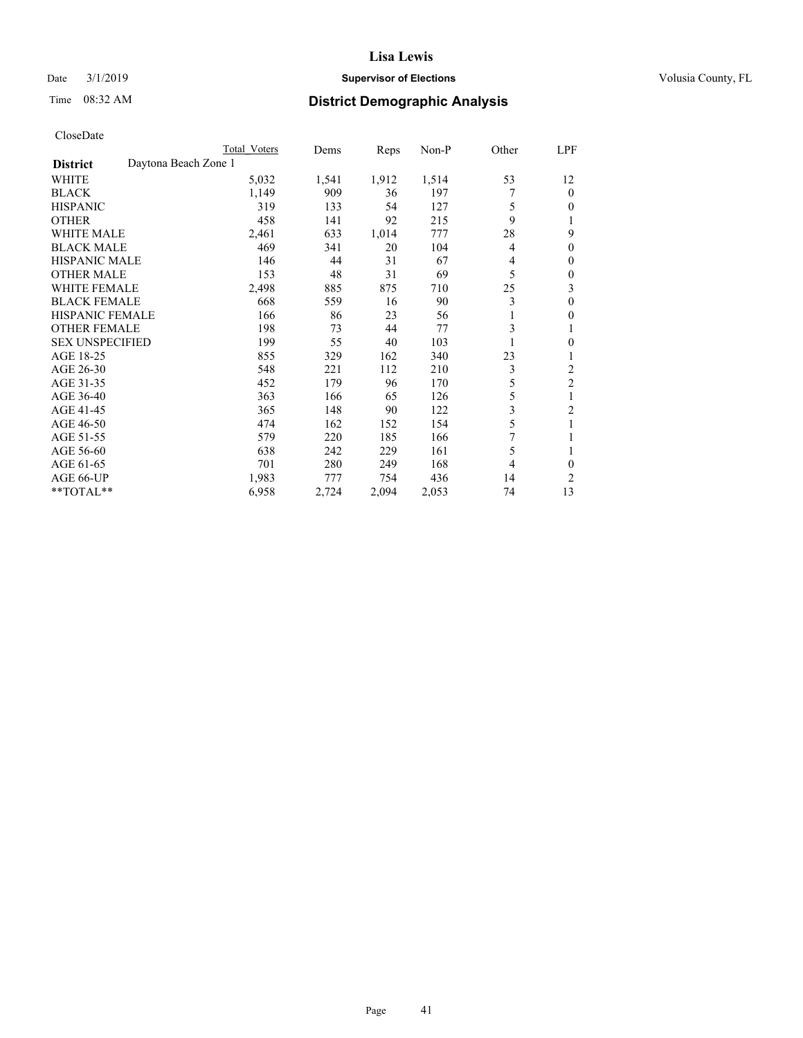## Date  $3/1/2019$  **Supervisor of Elections Supervisor of Elections** Volusia County, FL

# Time 08:32 AM **District Demographic Analysis**

|                                         | Total Voters | Dems  | Reps  | $Non-P$ | Other | LPF              |
|-----------------------------------------|--------------|-------|-------|---------|-------|------------------|
| Daytona Beach Zone 1<br><b>District</b> |              |       |       |         |       |                  |
| WHITE                                   | 5,032        | 1,541 | 1,912 | 1,514   | 53    | 12               |
| <b>BLACK</b>                            | 1,149        | 909   | 36    | 197     |       | $\Omega$         |
| <b>HISPANIC</b>                         | 319          | 133   | 54    | 127     | 5     | 0                |
| <b>OTHER</b>                            | 458          | 141   | 92    | 215     | 9     |                  |
| <b>WHITE MALE</b>                       | 2,461        | 633   | 1,014 | 777     | 28    | 9                |
| <b>BLACK MALE</b>                       | 469          | 341   | 20    | 104     | 4     | $\boldsymbol{0}$ |
| <b>HISPANIC MALE</b>                    | 146          | 44    | 31    | 67      | 4     | 0                |
| <b>OTHER MALE</b>                       | 153          | 48    | 31    | 69      | 5     | 0                |
| <b>WHITE FEMALE</b>                     | 2,498        | 885   | 875   | 710     | 25    | 3                |
| <b>BLACK FEMALE</b>                     | 668          | 559   | 16    | 90      | 3     | 0                |
| <b>HISPANIC FEMALE</b>                  | 166          | 86    | 23    | 56      | 1     | 0                |
| <b>OTHER FEMALE</b>                     | 198          | 73    | 44    | 77      | 3     | 1                |
| <b>SEX UNSPECIFIED</b>                  | 199          | 55    | 40    | 103     |       | 0                |
| AGE 18-25                               | 855          | 329   | 162   | 340     | 23    |                  |
| AGE 26-30                               | 548          | 221   | 112   | 210     | 3     | $\overline{2}$   |
| AGE 31-35                               | 452          | 179   | 96    | 170     | 5     | $\overline{2}$   |
| AGE 36-40                               | 363          | 166   | 65    | 126     | 5     | 1                |
| AGE 41-45                               | 365          | 148   | 90    | 122     | 3     | 2                |
| AGE 46-50                               | 474          | 162   | 152   | 154     | 5     |                  |
| AGE 51-55                               | 579          | 220   | 185   | 166     | 7     |                  |
| AGE 56-60                               | 638          | 242   | 229   | 161     | 5     | 1                |
| AGE 61-65                               | 701          | 280   | 249   | 168     | 4     | 0                |
| AGE 66-UP                               | 1,983        | 777   | 754   | 436     | 14    | 2                |
| **TOTAL**                               | 6,958        | 2,724 | 2,094 | 2,053   | 74    | 13               |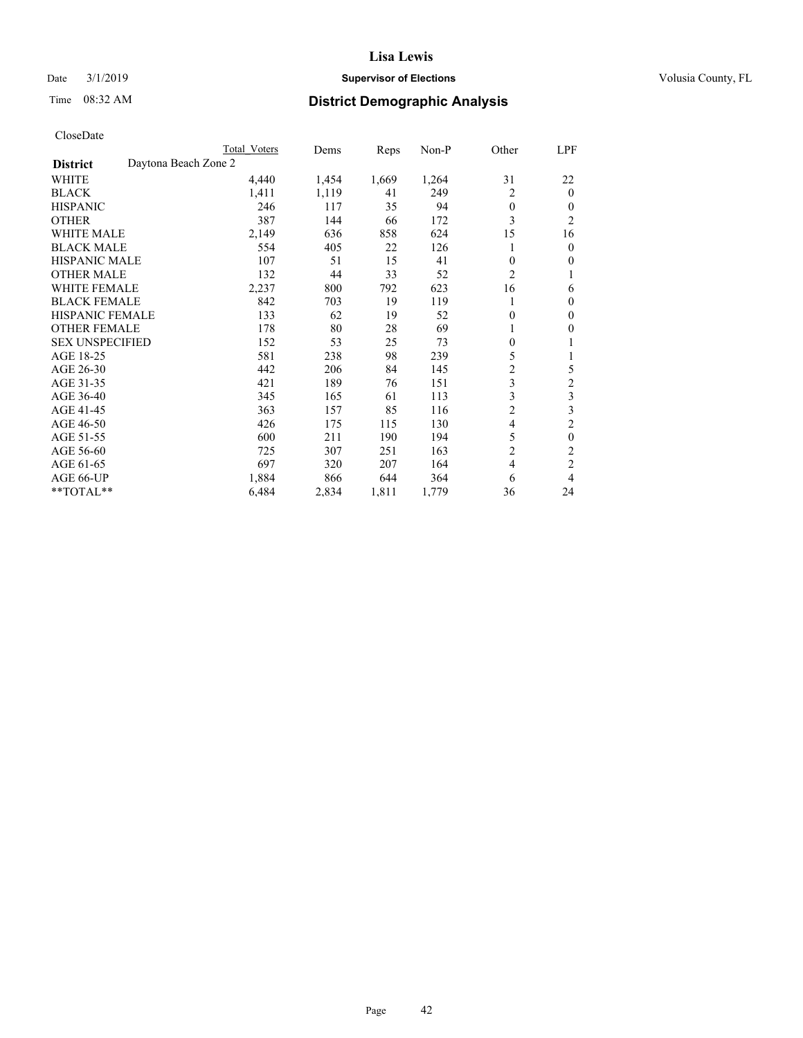## Date  $3/1/2019$  **Supervisor of Elections Supervisor of Elections** Volusia County, FL

# Time 08:32 AM **District Demographic Analysis**

|                                         | Total Voters | Dems  | Reps  | $Non-P$ | Other          | LPF            |
|-----------------------------------------|--------------|-------|-------|---------|----------------|----------------|
| Daytona Beach Zone 2<br><b>District</b> |              |       |       |         |                |                |
| WHITE                                   | 4,440        | 1,454 | 1,669 | 1,264   | 31             | 22             |
| <b>BLACK</b>                            | 1,411        | 1,119 | 41    | 249     | $\overline{2}$ | $\theta$       |
| <b>HISPANIC</b>                         | 246          | 117   | 35    | 94      | $\theta$       | $\theta$       |
| <b>OTHER</b>                            | 387          | 144   | 66    | 172     | 3              | $\overline{2}$ |
| <b>WHITE MALE</b>                       | 2,149        | 636   | 858   | 624     | 15             | 16             |
| <b>BLACK MALE</b>                       | 554          | 405   | 22    | 126     |                | $\mathbf{0}$   |
| <b>HISPANIC MALE</b>                    | 107          | 51    | 15    | 41      | $\theta$       | $\theta$       |
| <b>OTHER MALE</b>                       | 132          | 44    | 33    | 52      | $\overline{2}$ | 1              |
| <b>WHITE FEMALE</b>                     | 2,237        | 800   | 792   | 623     | 16             | 6              |
| <b>BLACK FEMALE</b>                     | 842          | 703   | 19    | 119     |                | $\theta$       |
| <b>HISPANIC FEMALE</b>                  | 133          | 62    | 19    | 52      | $\mathbf{0}$   | $\mathbf{0}$   |
| <b>OTHER FEMALE</b>                     | 178          | 80    | 28    | 69      | 1              | $\theta$       |
| <b>SEX UNSPECIFIED</b>                  | 152          | 53    | 25    | 73      | $\theta$       |                |
| AGE 18-25                               | 581          | 238   | 98    | 239     | 5              | 1              |
| AGE 26-30                               | 442          | 206   | 84    | 145     | $\overline{c}$ | 5              |
| AGE 31-35                               | 421          | 189   | 76    | 151     | 3              | $\mathfrak{2}$ |
| AGE 36-40                               | 345          | 165   | 61    | 113     | 3              | 3              |
| AGE 41-45                               | 363          | 157   | 85    | 116     | $\overline{c}$ | 3              |
| AGE 46-50                               | 426          | 175   | 115   | 130     | 4              | $\overline{2}$ |
| AGE 51-55                               | 600          | 211   | 190   | 194     | 5              | $\theta$       |
| AGE 56-60                               | 725          | 307   | 251   | 163     | $\overline{2}$ | $\overline{c}$ |
| AGE 61-65                               | 697          | 320   | 207   | 164     | $\overline{4}$ | $\overline{c}$ |
| AGE 66-UP                               | 1,884        | 866   | 644   | 364     | 6              | 4              |
| **TOTAL**                               | 6,484        | 2,834 | 1,811 | 1,779   | 36             | 24             |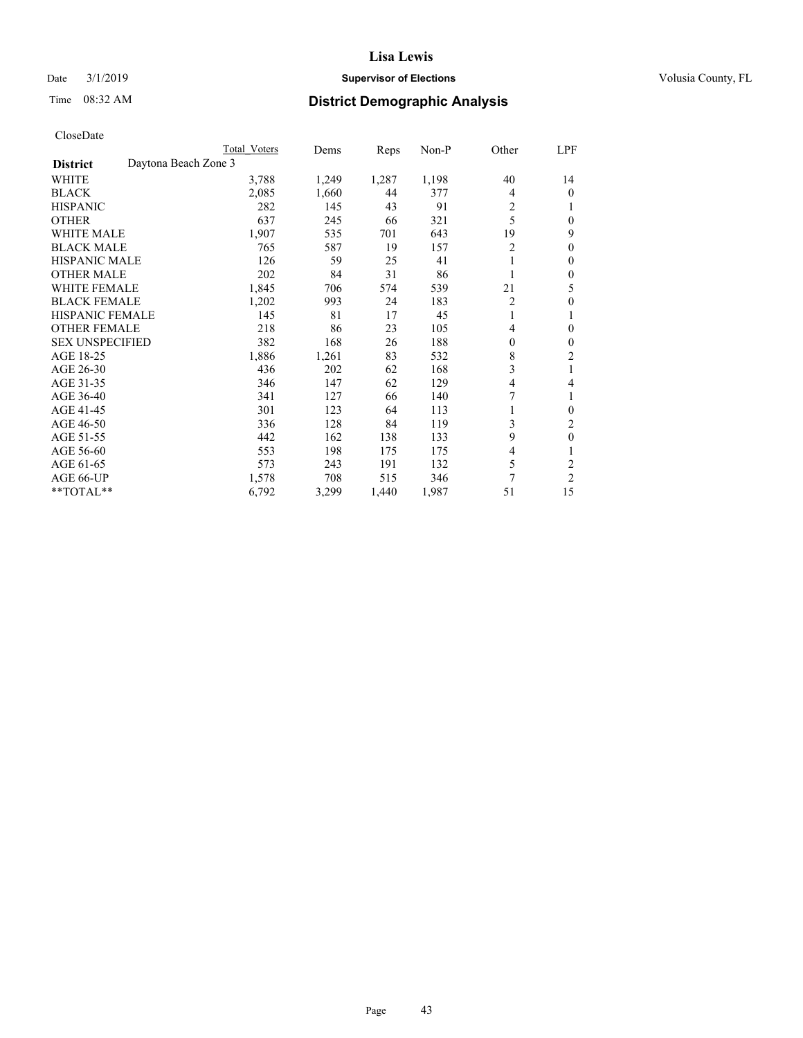## Date  $3/1/2019$  **Supervisor of Elections Supervisor of Elections** Volusia County, FL

# Time 08:32 AM **District Demographic Analysis**

|                        | Total Voters         | Dems  | Reps  | Non-P | Other          | LPF            |
|------------------------|----------------------|-------|-------|-------|----------------|----------------|
| <b>District</b>        | Daytona Beach Zone 3 |       |       |       |                |                |
| WHITE                  | 3,788                | 1,249 | 1,287 | 1,198 | 40             | 14             |
| <b>BLACK</b>           | 2,085                | 1,660 | 44    | 377   | 4              | 0              |
| <b>HISPANIC</b>        | 282                  | 145   | 43    | 91    | 2              |                |
| <b>OTHER</b>           | 637                  | 245   | 66    | 321   | 5              | 0              |
| WHITE MALE             | 1,907                | 535   | 701   | 643   | 19             | 9              |
| <b>BLACK MALE</b>      | 765                  | 587   | 19    | 157   | 2              | 0              |
| <b>HISPANIC MALE</b>   | 126                  | 59    | 25    | 41    |                | 0              |
| <b>OTHER MALE</b>      | 202                  | 84    | 31    | 86    |                | 0              |
| <b>WHITE FEMALE</b>    | 1,845                | 706   | 574   | 539   | 21             | 5              |
| <b>BLACK FEMALE</b>    | 1,202                | 993   | 24    | 183   | $\overline{2}$ | 0              |
| <b>HISPANIC FEMALE</b> | 145                  | 81    | 17    | 45    | 1              |                |
| <b>OTHER FEMALE</b>    | 218                  | 86    | 23    | 105   | 4              | 0              |
| <b>SEX UNSPECIFIED</b> | 382                  | 168   | 26    | 188   | $\theta$       | 0              |
| AGE 18-25              | 1,886                | 1,261 | 83    | 532   | 8              | $\overline{c}$ |
| AGE 26-30              | 436                  | 202   | 62    | 168   | 3              | 1              |
| AGE 31-35              | 346                  | 147   | 62    | 129   | 4              | 4              |
| AGE 36-40              | 341                  | 127   | 66    | 140   | 7              |                |
| AGE 41-45              | 301                  | 123   | 64    | 113   |                | 0              |
| AGE 46-50              | 336                  | 128   | 84    | 119   | 3              | 2              |
| AGE 51-55              | 442                  | 162   | 138   | 133   | 9              | 0              |
| AGE 56-60              | 553                  | 198   | 175   | 175   | 4              |                |
| AGE 61-65              | 573                  | 243   | 191   | 132   | 5              | 2              |
| AGE 66-UP              | 1,578                | 708   | 515   | 346   | 7              | $\overline{c}$ |
| **TOTAL**              | 6,792                | 3,299 | 1,440 | 1,987 | 51             | 15             |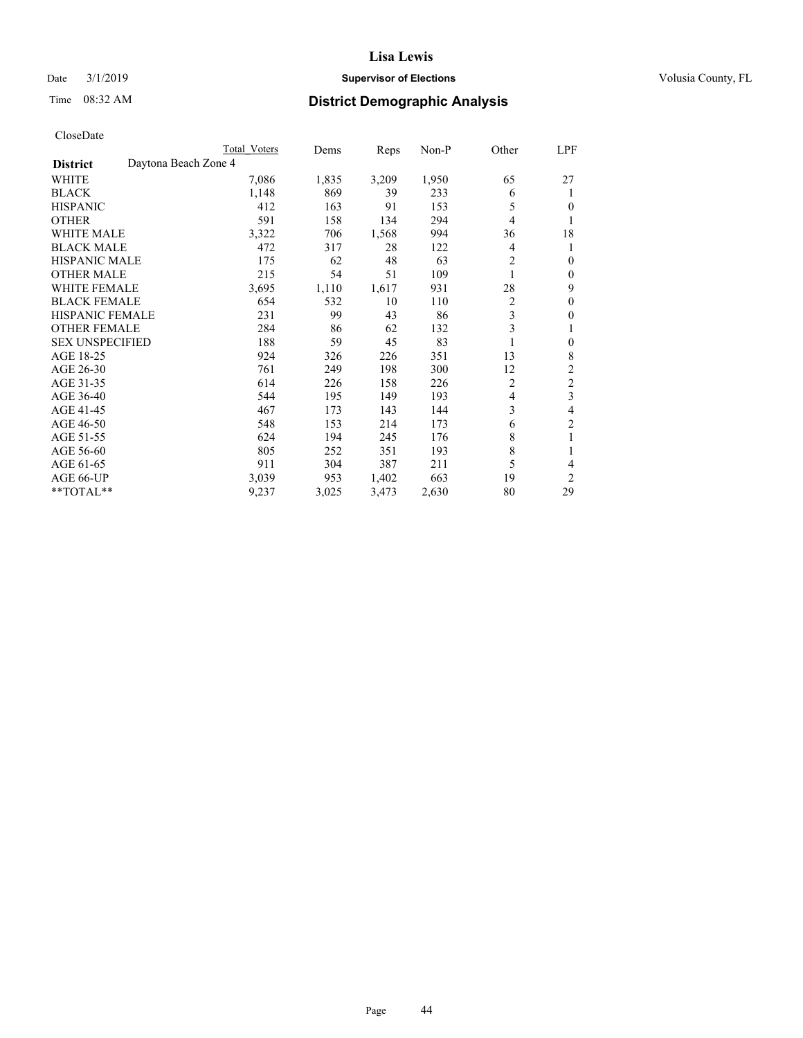## Date  $3/1/2019$  **Supervisor of Elections Supervisor of Elections** Volusia County, FL

# Time 08:32 AM **District Demographic Analysis**

|                        |                      | Total Voters | Dems  | Reps  | Non-P | Other          | LPF            |
|------------------------|----------------------|--------------|-------|-------|-------|----------------|----------------|
| <b>District</b>        | Daytona Beach Zone 4 |              |       |       |       |                |                |
| WHITE                  |                      | 7,086        | 1,835 | 3,209 | 1,950 | 65             | 27             |
| <b>BLACK</b>           |                      | 1,148        | 869   | 39    | 233   | 6              | 1              |
| <b>HISPANIC</b>        |                      | 412          | 163   | 91    | 153   | 5              | $\theta$       |
| <b>OTHER</b>           |                      | 591          | 158   | 134   | 294   | 4              |                |
| <b>WHITE MALE</b>      |                      | 3,322        | 706   | 1,568 | 994   | 36             | 18             |
| <b>BLACK MALE</b>      |                      | 472          | 317   | 28    | 122   | 4              | 1              |
| <b>HISPANIC MALE</b>   |                      | 175          | 62    | 48    | 63    | $\overline{2}$ | $\theta$       |
| <b>OTHER MALE</b>      |                      | 215          | 54    | 51    | 109   | 1              | $\mathbf{0}$   |
| <b>WHITE FEMALE</b>    |                      | 3,695        | 1,110 | 1,617 | 931   | 28             | 9              |
| <b>BLACK FEMALE</b>    |                      | 654          | 532   | 10    | 110   | $\overline{2}$ | $\theta$       |
| <b>HISPANIC FEMALE</b> |                      | 231          | 99    | 43    | 86    | 3              | $\theta$       |
| <b>OTHER FEMALE</b>    |                      | 284          | 86    | 62    | 132   | 3              | 1              |
| <b>SEX UNSPECIFIED</b> |                      | 188          | 59    | 45    | 83    |                | $\theta$       |
| AGE 18-25              |                      | 924          | 326   | 226   | 351   | 13             | 8              |
| AGE 26-30              |                      | 761          | 249   | 198   | 300   | 12             | $\overline{2}$ |
| AGE 31-35              |                      | 614          | 226   | 158   | 226   | 2              | $\overline{2}$ |
| AGE 36-40              |                      | 544          | 195   | 149   | 193   | 4              | 3              |
| AGE 41-45              |                      | 467          | 173   | 143   | 144   | 3              | 4              |
| AGE 46-50              |                      | 548          | 153   | 214   | 173   | 6              | $\overline{c}$ |
| AGE 51-55              |                      | 624          | 194   | 245   | 176   | 8              | 1              |
| AGE 56-60              |                      | 805          | 252   | 351   | 193   | 8              |                |
| AGE 61-65              |                      | 911          | 304   | 387   | 211   | 5              | 4              |
| AGE 66-UP              |                      | 3,039        | 953   | 1,402 | 663   | 19             | $\overline{2}$ |
| **TOTAL**              |                      | 9,237        | 3,025 | 3,473 | 2,630 | 80             | 29             |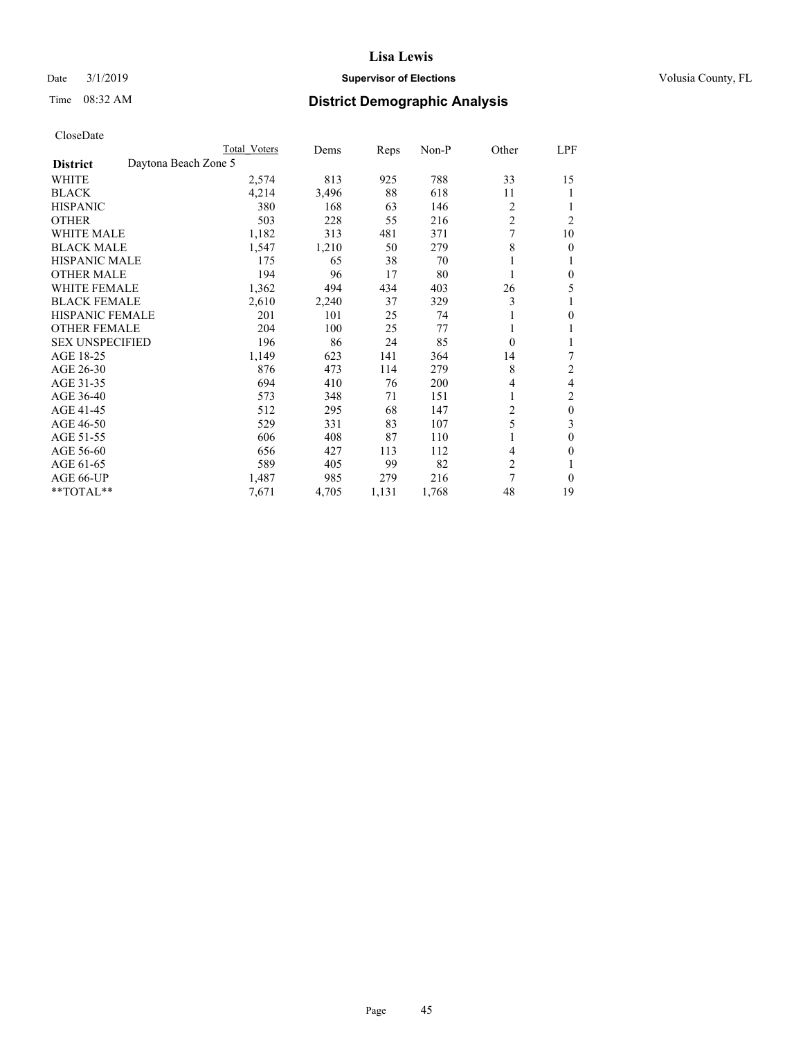## Date  $3/1/2019$  **Supervisor of Elections Supervisor of Elections** Volusia County, FL

# Time 08:32 AM **District Demographic Analysis**

|                        | Total Voters         | Dems  | Reps  | Non-P | Other          | LPF            |
|------------------------|----------------------|-------|-------|-------|----------------|----------------|
| <b>District</b>        | Daytona Beach Zone 5 |       |       |       |                |                |
| WHITE                  | 2,574                | 813   | 925   | 788   | 33             | 15             |
| <b>BLACK</b>           | 4,214                | 3,496 | 88    | 618   | 11             |                |
| <b>HISPANIC</b>        | 380                  | 168   | 63    | 146   | 2              |                |
| <b>OTHER</b>           | 503                  | 228   | 55    | 216   | $\overline{c}$ | 2              |
| <b>WHITE MALE</b>      | 1,182                | 313   | 481   | 371   |                | 10             |
| <b>BLACK MALE</b>      | 1,547                | 1,210 | 50    | 279   | 8              | $\theta$       |
| <b>HISPANIC MALE</b>   | 175                  | 65    | 38    | 70    |                |                |
| <b>OTHER MALE</b>      | 194                  | 96    | 17    | 80    |                | 0              |
| <b>WHITE FEMALE</b>    | 1,362                | 494   | 434   | 403   | 26             | 5              |
| <b>BLACK FEMALE</b>    | 2,610                | 2,240 | 37    | 329   | 3              |                |
| <b>HISPANIC FEMALE</b> | 201                  | 101   | 25    | 74    |                | 0              |
| <b>OTHER FEMALE</b>    | 204                  | 100   | 25    | 77    |                |                |
| <b>SEX UNSPECIFIED</b> | 196                  | 86    | 24    | 85    | $\theta$       |                |
| AGE 18-25              | 1,149                | 623   | 141   | 364   | 14             | 7              |
| AGE 26-30              | 876                  | 473   | 114   | 279   | 8              | $\overline{2}$ |
| AGE 31-35              | 694                  | 410   | 76    | 200   | 4              | 4              |
| AGE 36-40              | 573                  | 348   | 71    | 151   |                | 2              |
| AGE 41-45              | 512                  | 295   | 68    | 147   | $\overline{c}$ | $\theta$       |
| AGE 46-50              | 529                  | 331   | 83    | 107   | 5              | 3              |
| AGE 51-55              | 606                  | 408   | 87    | 110   |                | 0              |
| AGE 56-60              | 656                  | 427   | 113   | 112   | 4              | 0              |
| AGE 61-65              | 589                  | 405   | 99    | 82    | $\overline{c}$ |                |
| AGE 66-UP              | 1,487                | 985   | 279   | 216   | 7              | $\Omega$       |
| **TOTAL**              | 7,671                | 4,705 | 1,131 | 1,768 | 48             | 19             |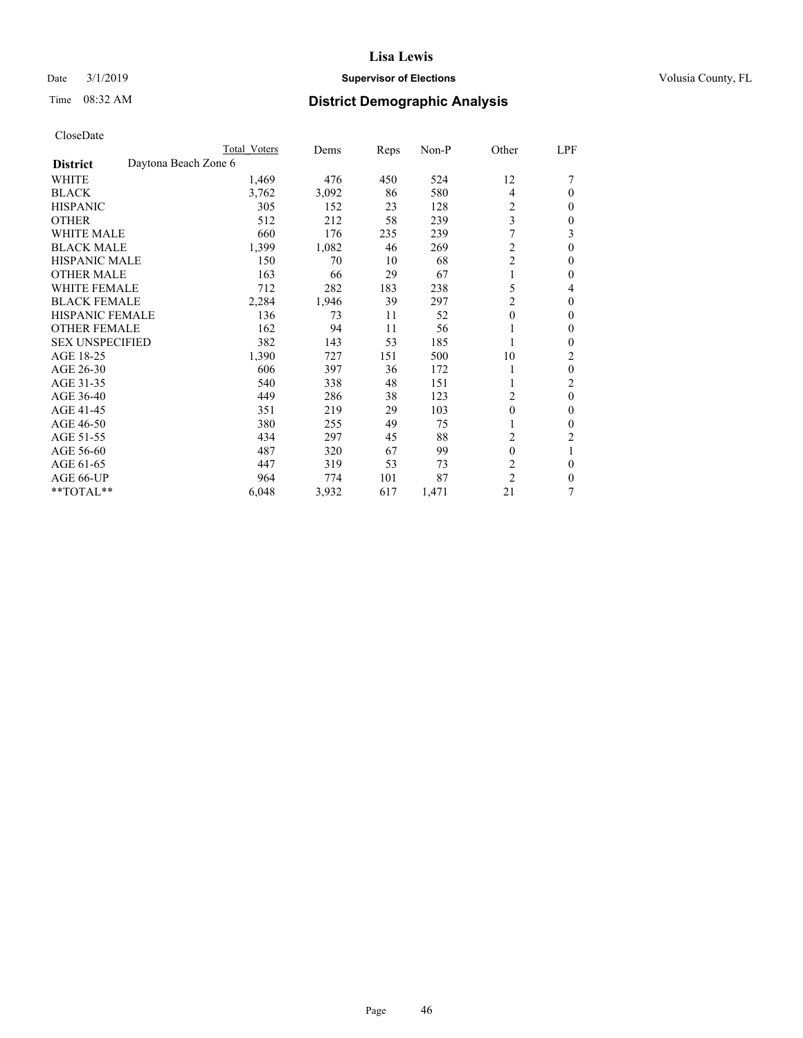## Date  $3/1/2019$  **Supervisor of Elections Supervisor of Elections** Volusia County, FL

# Time 08:32 AM **District Demographic Analysis**

|                        |                      | Total Voters | Dems  | Reps | Non-P | Other            | LPF          |
|------------------------|----------------------|--------------|-------|------|-------|------------------|--------------|
| <b>District</b>        | Daytona Beach Zone 6 |              |       |      |       |                  |              |
| WHITE                  |                      | 1,469        | 476   | 450  | 524   | 12               |              |
| <b>BLACK</b>           |                      | 3,762        | 3,092 | 86   | 580   | 4                | $\Omega$     |
| <b>HISPANIC</b>        |                      | 305          | 152   | 23   | 128   | 2                | $\Omega$     |
| <b>OTHER</b>           |                      | 512          | 212   | 58   | 239   | 3                | $\Omega$     |
| <b>WHITE MALE</b>      |                      | 660          | 176   | 235  | 239   | 7                | 3            |
| <b>BLACK MALE</b>      |                      | 1,399        | 1,082 | 46   | 269   | 2                | $\theta$     |
| <b>HISPANIC MALE</b>   |                      | 150          | 70    | 10   | 68    | $\overline{2}$   | 0            |
| <b>OTHER MALE</b>      |                      | 163          | 66    | 29   | 67    | 1                | $\mathbf{0}$ |
| <b>WHITE FEMALE</b>    |                      | 712          | 282   | 183  | 238   | 5                | 4            |
| <b>BLACK FEMALE</b>    |                      | 2,284        | 1,946 | 39   | 297   | $\overline{2}$   | $\Omega$     |
| <b>HISPANIC FEMALE</b> |                      | 136          | 73    | 11   | 52    | $\theta$         | $\Omega$     |
| <b>OTHER FEMALE</b>    |                      | 162          | 94    | 11   | 56    | 1                | $\theta$     |
| <b>SEX UNSPECIFIED</b> |                      | 382          | 143   | 53   | 185   |                  | 0            |
| AGE 18-25              |                      | 1,390        | 727   | 151  | 500   | 10               | 2            |
| AGE 26-30              |                      | 606          | 397   | 36   | 172   | 1                | $\mathbf{0}$ |
| AGE 31-35              |                      | 540          | 338   | 48   | 151   |                  | 2            |
| AGE 36-40              |                      | 449          | 286   | 38   | 123   | 2                | $\theta$     |
| AGE 41-45              |                      | 351          | 219   | 29   | 103   | $\boldsymbol{0}$ | 0            |
| AGE 46-50              |                      | 380          | 255   | 49   | 75    |                  | $\theta$     |
| AGE 51-55              |                      | 434          | 297   | 45   | 88    | 2                | 2            |
| AGE 56-60              |                      | 487          | 320   | 67   | 99    | $\theta$         |              |
| AGE 61-65              |                      | 447          | 319   | 53   | 73    | $\overline{c}$   | $\theta$     |
| AGE 66-UP              |                      | 964          | 774   | 101  | 87    | $\overline{c}$   | $\Omega$     |
| **TOTAL**              |                      | 6,048        | 3,932 | 617  | 1,471 | 21               | 7            |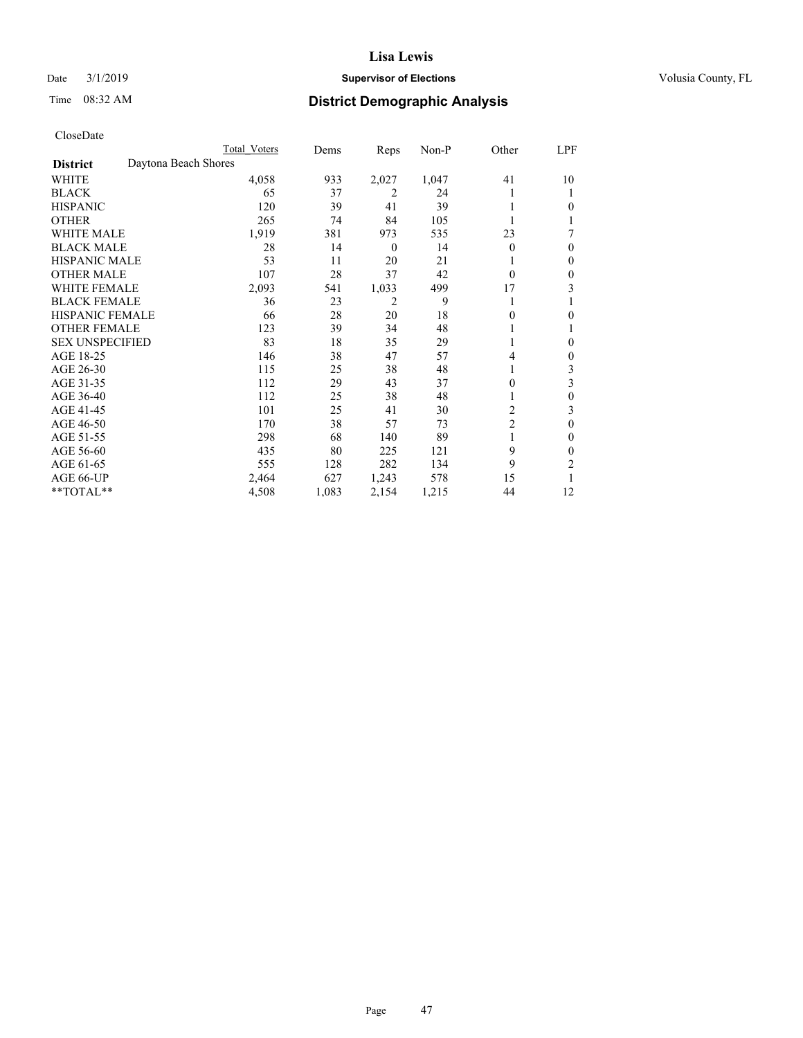## Date  $3/1/2019$  **Supervisor of Elections Supervisor of Elections** Volusia County, FL

# Time 08:32 AM **District Demographic Analysis**

|                        | Total Voters         | Dems  | Reps             | Non-P | Other          | LPF |
|------------------------|----------------------|-------|------------------|-------|----------------|-----|
| <b>District</b>        | Daytona Beach Shores |       |                  |       |                |     |
| WHITE                  | 4,058                | 933   | 2,027            | 1,047 | 41             | 10  |
| <b>BLACK</b>           | 65                   | 37    | 2                | 24    |                |     |
| <b>HISPANIC</b>        | 120                  | 39    | 41               | 39    |                | 0   |
| <b>OTHER</b>           | 265                  | 74    | 84               | 105   |                |     |
| WHITE MALE             | 1,919                | 381   | 973              | 535   | 23             | 7   |
| <b>BLACK MALE</b>      | 28                   | 14    | $\boldsymbol{0}$ | 14    | $\Omega$       | 0   |
| <b>HISPANIC MALE</b>   | 53                   | 11    | 20               | 21    |                | 0   |
| <b>OTHER MALE</b>      | 107                  | 28    | 37               | 42    | $\theta$       | 0   |
| <b>WHITE FEMALE</b>    | 2,093                | 541   | 1,033            | 499   | 17             | 3   |
| <b>BLACK FEMALE</b>    | 36                   | 23    | $\overline{2}$   | 9     |                |     |
| <b>HISPANIC FEMALE</b> | 66                   | 28    | 20               | 18    | 0              | 0   |
| <b>OTHER FEMALE</b>    | 123                  | 39    | 34               | 48    |                |     |
| <b>SEX UNSPECIFIED</b> | 83                   | 18    | 35               | 29    |                | 0   |
| AGE 18-25              | 146                  | 38    | 47               | 57    | 4              | 0   |
| AGE 26-30              | 115                  | 25    | 38               | 48    | 1              | 3   |
| AGE 31-35              | 112                  | 29    | 43               | 37    | 0              | 3   |
| AGE 36-40              | 112                  | 25    | 38               | 48    |                | 0   |
| AGE 41-45              | 101                  | 25    | 41               | 30    | 2              | 3   |
| AGE 46-50              | 170                  | 38    | 57               | 73    | $\overline{2}$ | 0   |
| AGE 51-55              | 298                  | 68    | 140              | 89    |                | 0   |
| AGE 56-60              | 435                  | 80    | 225              | 121   | 9              | 0   |
| AGE 61-65              | 555                  | 128   | 282              | 134   | 9              | 2   |
| AGE 66-UP              | 2,464                | 627   | 1,243            | 578   | 15             |     |
| **TOTAL**              | 4,508                | 1,083 | 2,154            | 1,215 | 44             | 12  |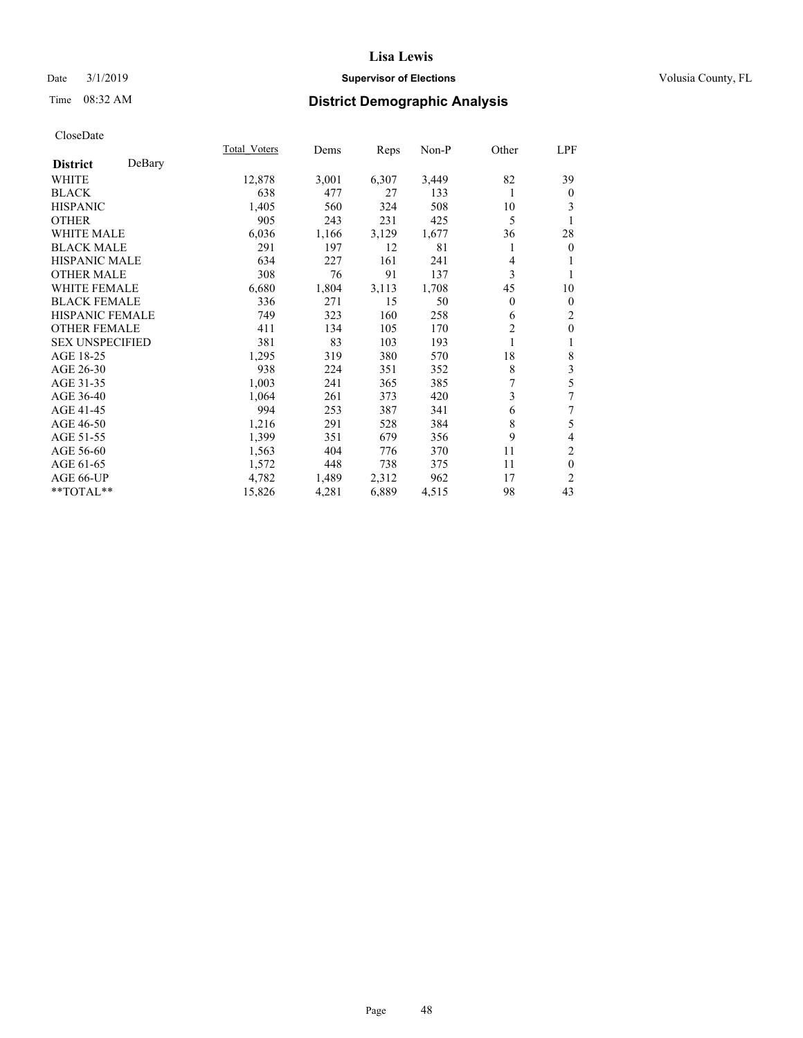## Date  $3/1/2019$  **Supervisor of Elections Supervisor of Elections** Volusia County, FL

# Time 08:32 AM **District Demographic Analysis**

|                        |        | Total Voters | Dems  | Reps  | Non-P | Other          | LPF            |
|------------------------|--------|--------------|-------|-------|-------|----------------|----------------|
| <b>District</b>        | DeBary |              |       |       |       |                |                |
| WHITE                  |        | 12,878       | 3,001 | 6,307 | 3,449 | 82             | 39             |
| <b>BLACK</b>           |        | 638          | 477   | 27    | 133   | 1              | $\mathbf{0}$   |
| <b>HISPANIC</b>        |        | 1,405        | 560   | 324   | 508   | 10             | 3              |
| <b>OTHER</b>           |        | 905          | 243   | 231   | 425   | 5              | 1              |
| WHITE MALE             |        | 6,036        | 1,166 | 3,129 | 1,677 | 36             | 28             |
| <b>BLACK MALE</b>      |        | 291          | 197   | 12    | 81    | 1              | $\overline{0}$ |
| <b>HISPANIC MALE</b>   |        | 634          | 227   | 161   | 241   | 4              | 1              |
| <b>OTHER MALE</b>      |        | 308          | 76    | 91    | 137   | 3              | 1              |
| <b>WHITE FEMALE</b>    |        | 6,680        | 1,804 | 3,113 | 1,708 | 45             | 10             |
| <b>BLACK FEMALE</b>    |        | 336          | 271   | 15    | 50    | $\overline{0}$ | $\mathbf{0}$   |
| <b>HISPANIC FEMALE</b> |        | 749          | 323   | 160   | 258   | 6              | 2              |
| <b>OTHER FEMALE</b>    |        | 411          | 134   | 105   | 170   | $\overline{2}$ | $\mathbf{0}$   |
| <b>SEX UNSPECIFIED</b> |        | 381          | 83    | 103   | 193   | 1              | 1              |
| AGE 18-25              |        | 1,295        | 319   | 380   | 570   | 18             | $\,$ $\,$      |
| AGE 26-30              |        | 938          | 224   | 351   | 352   | 8              | 3              |
| AGE 31-35              |        | 1,003        | 241   | 365   | 385   | 7              | 5              |
| AGE 36-40              |        | 1,064        | 261   | 373   | 420   | 3              | 7              |
| AGE 41-45              |        | 994          | 253   | 387   | 341   | 6              | 7              |
| AGE 46-50              |        | 1,216        | 291   | 528   | 384   | 8              | 5              |
| AGE 51-55              |        | 1,399        | 351   | 679   | 356   | 9              | 4              |
| AGE 56-60              |        | 1,563        | 404   | 776   | 370   | 11             | $\overline{c}$ |
| AGE 61-65              |        | 1,572        | 448   | 738   | 375   | 11             | $\mathbf{0}$   |
| AGE 66-UP              |        | 4,782        | 1,489 | 2,312 | 962   | 17             | $\overline{c}$ |
| **TOTAL**              |        | 15,826       | 4,281 | 6,889 | 4,515 | 98             | 43             |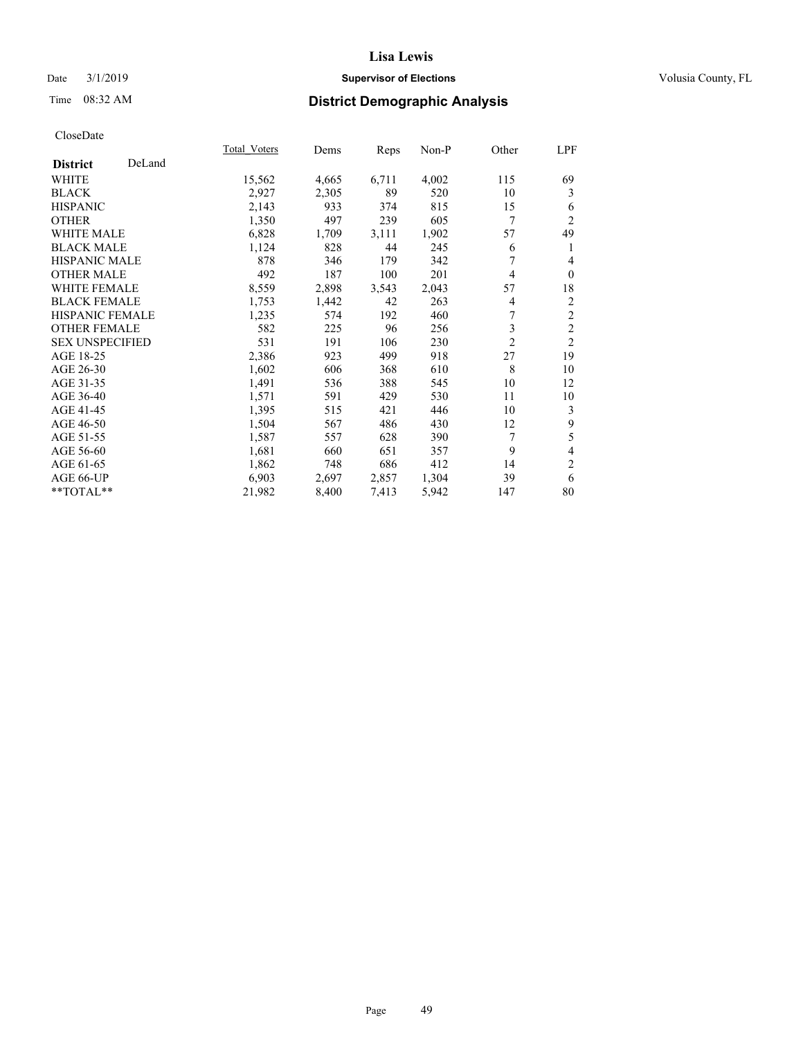## Date  $3/1/2019$  **Supervisor of Elections Supervisor of Elections** Volusia County, FL

# Time 08:32 AM **District Demographic Analysis**

|                        |        | Total Voters | Dems  | Reps  | Non-P | Other          | LPF            |
|------------------------|--------|--------------|-------|-------|-------|----------------|----------------|
| <b>District</b>        | DeLand |              |       |       |       |                |                |
| WHITE                  |        | 15,562       | 4,665 | 6,711 | 4,002 | 115            | 69             |
| <b>BLACK</b>           |        | 2,927        | 2,305 | 89    | 520   | 10             | 3              |
| <b>HISPANIC</b>        |        | 2,143        | 933   | 374   | 815   | 15             | 6              |
| <b>OTHER</b>           |        | 1,350        | 497   | 239   | 605   | 7              | $\overline{2}$ |
| <b>WHITE MALE</b>      |        | 6,828        | 1,709 | 3,111 | 1,902 | 57             | 49             |
| <b>BLACK MALE</b>      |        | 1,124        | 828   | 44    | 245   | 6              | 1              |
| <b>HISPANIC MALE</b>   |        | 878          | 346   | 179   | 342   | 7              | 4              |
| <b>OTHER MALE</b>      |        | 492          | 187   | 100   | 201   | 4              | $\theta$       |
| <b>WHITE FEMALE</b>    |        | 8,559        | 2,898 | 3,543 | 2,043 | 57             | 18             |
| <b>BLACK FEMALE</b>    |        | 1,753        | 1,442 | 42    | 263   | 4              | 2              |
| <b>HISPANIC FEMALE</b> |        | 1,235        | 574   | 192   | 460   |                | $\overline{c}$ |
| <b>OTHER FEMALE</b>    |        | 582          | 225   | 96    | 256   | 3              | $\overline{c}$ |
| <b>SEX UNSPECIFIED</b> |        | 531          | 191   | 106   | 230   | $\overline{2}$ | $\overline{2}$ |
| AGE 18-25              |        | 2,386        | 923   | 499   | 918   | 27             | 19             |
| AGE 26-30              |        | 1,602        | 606   | 368   | 610   | 8              | 10             |
| AGE 31-35              |        | 1,491        | 536   | 388   | 545   | 10             | 12             |
| AGE 36-40              |        | 1,571        | 591   | 429   | 530   | 11             | 10             |
| AGE 41-45              |        | 1,395        | 515   | 421   | 446   | 10             | 3              |
| AGE 46-50              |        | 1,504        | 567   | 486   | 430   | 12             | 9              |
| AGE 51-55              |        | 1,587        | 557   | 628   | 390   | 7              | 5              |
| AGE 56-60              |        | 1,681        | 660   | 651   | 357   | 9              | 4              |
| AGE 61-65              |        | 1,862        | 748   | 686   | 412   | 14             | $\overline{c}$ |
| AGE 66-UP              |        | 6,903        | 2,697 | 2,857 | 1,304 | 39             | 6              |
| **TOTAL**              |        | 21,982       | 8,400 | 7,413 | 5,942 | 147            | 80             |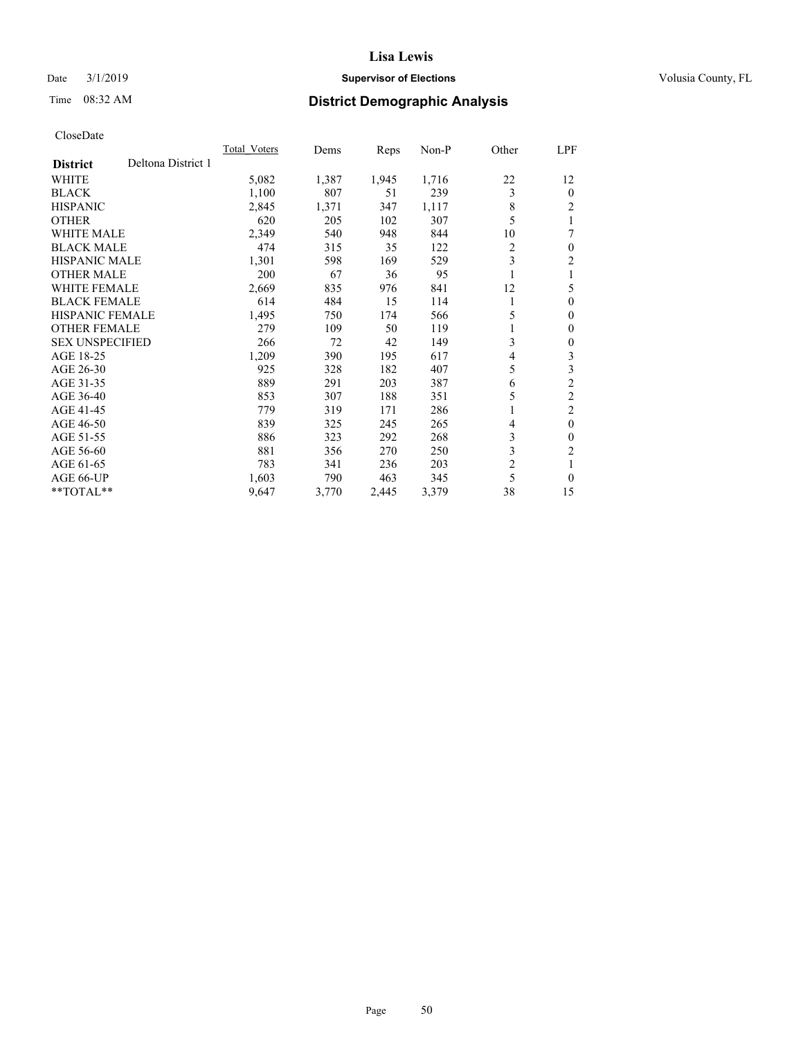## Date  $3/1/2019$  **Supervisor of Elections Supervisor of Elections** Volusia County, FL

# Time 08:32 AM **District Demographic Analysis**

|                                       | Total Voters | Dems  | Reps  | $Non-P$ | Other          | LPF            |
|---------------------------------------|--------------|-------|-------|---------|----------------|----------------|
| Deltona District 1<br><b>District</b> |              |       |       |         |                |                |
| <b>WHITE</b>                          | 5,082        | 1,387 | 1,945 | 1,716   | 22             | 12             |
| <b>BLACK</b>                          | 1,100        | 807   | 51    | 239     | 3              | $\Omega$       |
| <b>HISPANIC</b>                       | 2,845        | 1,371 | 347   | 1,117   | 8              | 2              |
| <b>OTHER</b>                          | 620          | 205   | 102   | 307     | 5              | 1              |
| <b>WHITE MALE</b>                     | 2,349        | 540   | 948   | 844     | 10             | 7              |
| <b>BLACK MALE</b>                     | 474          | 315   | 35    | 122     | 2              | 0              |
| HISPANIC MALE                         | 1,301        | 598   | 169   | 529     | 3              | 2              |
| <b>OTHER MALE</b>                     | 200          | 67    | 36    | 95      |                | 1              |
| <b>WHITE FEMALE</b>                   | 2,669        | 835   | 976   | 841     | 12             | 5              |
| <b>BLACK FEMALE</b>                   | 614          | 484   | 15    | 114     | 1              | 0              |
| <b>HISPANIC FEMALE</b>                | 1,495        | 750   | 174   | 566     | 5              | 0              |
| <b>OTHER FEMALE</b>                   | 279          | 109   | 50    | 119     |                | 0              |
| <b>SEX UNSPECIFIED</b>                | 266          | 72    | 42    | 149     | 3              | 0              |
| AGE 18-25                             | 1,209        | 390   | 195   | 617     | 4              | 3              |
| AGE 26-30                             | 925          | 328   | 182   | 407     | 5              | 3              |
| AGE 31-35                             | 889          | 291   | 203   | 387     | 6              | $\overline{2}$ |
| AGE 36-40                             | 853          | 307   | 188   | 351     | 5              | $\overline{2}$ |
| AGE 41-45                             | 779          | 319   | 171   | 286     | 1              | 2              |
| AGE 46-50                             | 839          | 325   | 245   | 265     | 4              | $\theta$       |
| AGE 51-55                             | 886          | 323   | 292   | 268     | 3              | 0              |
| AGE 56-60                             | 881          | 356   | 270   | 250     | 3              | $\overline{c}$ |
| AGE 61-65                             | 783          | 341   | 236   | 203     | $\overline{c}$ | 1              |
| AGE 66-UP                             | 1,603        | 790   | 463   | 345     | 5              | 0              |
| $*$ TOTAL $*$                         | 9,647        | 3,770 | 2,445 | 3,379   | 38             | 15             |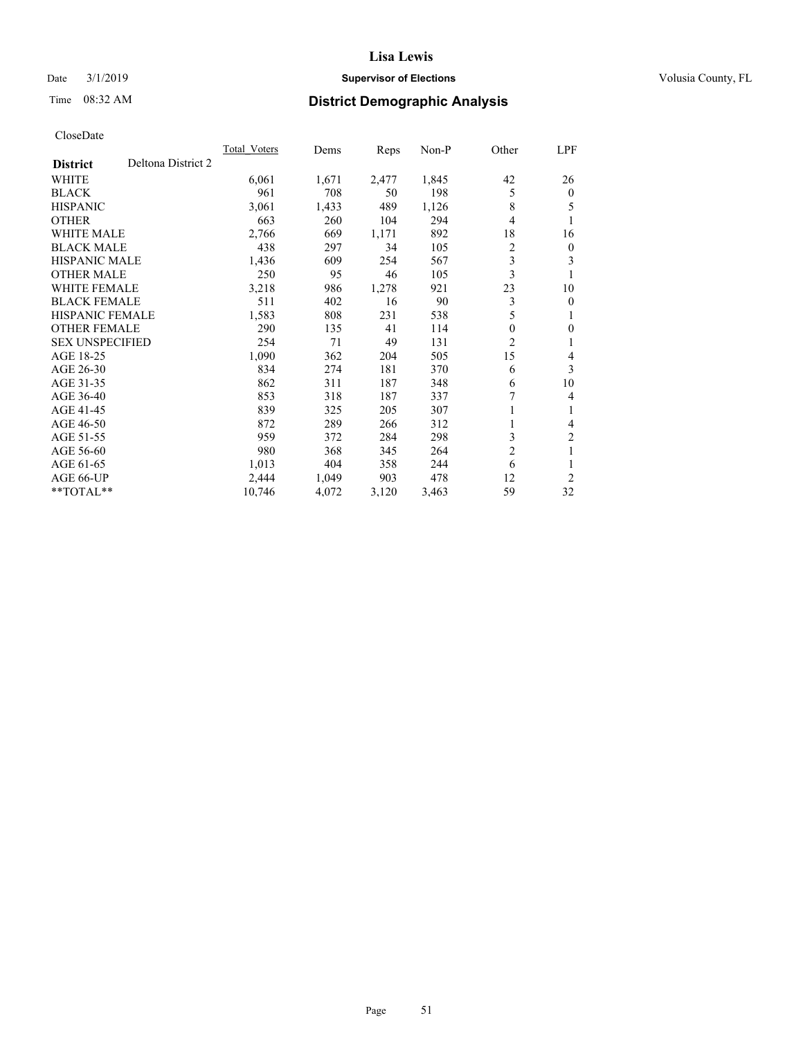## Date  $3/1/2019$  **Supervisor of Elections Supervisor of Elections** Volusia County, FL

# Time 08:32 AM **District Demographic Analysis**

|                                       | Total Voters | Dems  | Reps  | $Non-P$ | Other          | LPF            |
|---------------------------------------|--------------|-------|-------|---------|----------------|----------------|
| Deltona District 2<br><b>District</b> |              |       |       |         |                |                |
| WHITE                                 | 6,061        | 1,671 | 2,477 | 1,845   | 42             | 26             |
| <b>BLACK</b>                          | 961          | 708   | 50    | 198     | 5              | $\mathbf{0}$   |
| <b>HISPANIC</b>                       | 3,061        | 1,433 | 489   | 1,126   | 8              | 5              |
| <b>OTHER</b>                          | 663          | 260   | 104   | 294     | 4              | 1              |
| <b>WHITE MALE</b>                     | 2,766        | 669   | 1,171 | 892     | 18             | 16             |
| <b>BLACK MALE</b>                     | 438          | 297   | 34    | 105     | 2              | $\mathbf{0}$   |
| <b>HISPANIC MALE</b>                  | 1,436        | 609   | 254   | 567     | 3              | 3              |
| <b>OTHER MALE</b>                     | 250          | 95    | 46    | 105     | 3              | 1              |
| <b>WHITE FEMALE</b>                   | 3,218        | 986   | 1,278 | 921     | 23             | 10             |
| <b>BLACK FEMALE</b>                   | 511          | 402   | 16    | 90      | 3              | $\mathbf{0}$   |
| <b>HISPANIC FEMALE</b>                | 1,583        | 808   | 231   | 538     | 5              | 1              |
| <b>OTHER FEMALE</b>                   | 290          | 135   | 41    | 114     | 0              | $\theta$       |
| <b>SEX UNSPECIFIED</b>                | 254          | 71    | 49    | 131     | 2              | 1              |
| AGE 18-25                             | 1,090        | 362   | 204   | 505     | 15             | 4              |
| AGE 26-30                             | 834          | 274   | 181   | 370     | 6              | 3              |
| AGE 31-35                             | 862          | 311   | 187   | 348     | 6              | 10             |
| AGE 36-40                             | 853          | 318   | 187   | 337     | 7              | 4              |
| AGE 41-45                             | 839          | 325   | 205   | 307     | 1              | 1              |
| AGE 46-50                             | 872          | 289   | 266   | 312     |                | 4              |
| AGE 51-55                             | 959          | 372   | 284   | 298     | 3              | $\overline{2}$ |
| AGE 56-60                             | 980          | 368   | 345   | 264     | $\overline{2}$ | 1              |
| AGE 61-65                             | 1,013        | 404   | 358   | 244     | 6              | 1              |
| AGE 66-UP                             | 2,444        | 1,049 | 903   | 478     | 12             | 2              |
| $*$ TOTAL $*$                         | 10,746       | 4,072 | 3,120 | 3,463   | 59             | 32             |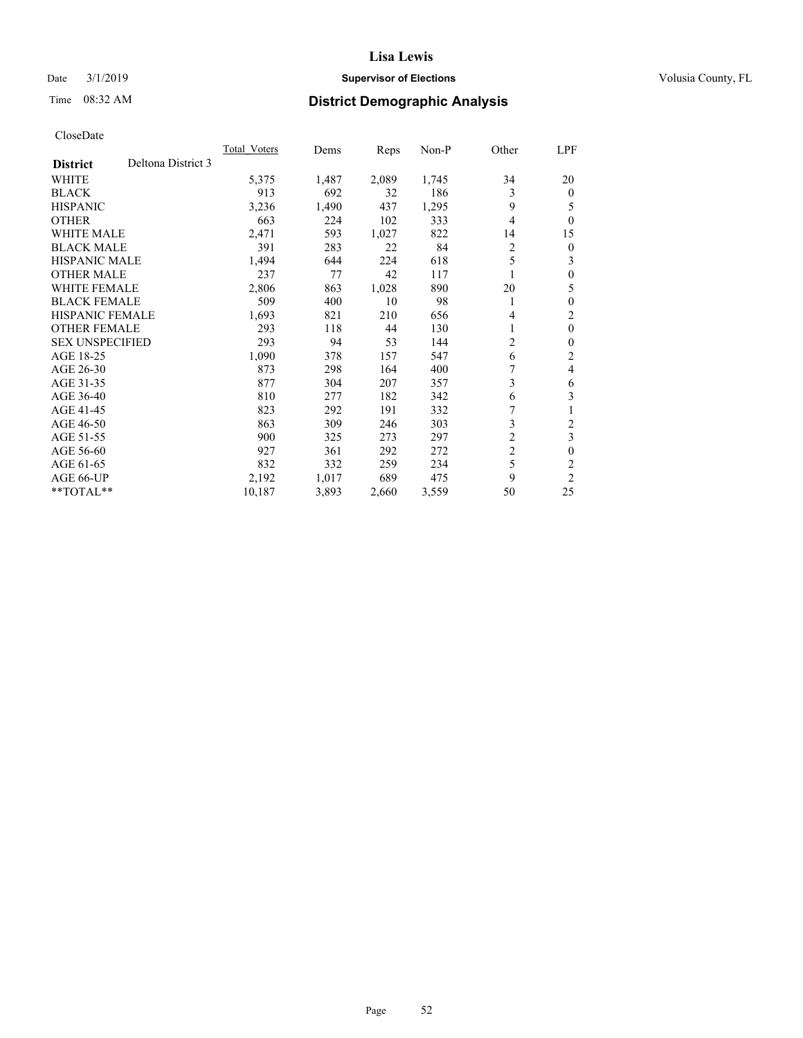## Date  $3/1/2019$  **Supervisor of Elections Supervisor of Elections** Volusia County, FL

# Time 08:32 AM **District Demographic Analysis**

|                        |                    | Total Voters | Dems  | Reps  | Non-P | Other          | LPF            |
|------------------------|--------------------|--------------|-------|-------|-------|----------------|----------------|
| <b>District</b>        | Deltona District 3 |              |       |       |       |                |                |
| WHITE                  |                    | 5,375        | 1,487 | 2,089 | 1,745 | 34             | 20             |
| <b>BLACK</b>           |                    | 913          | 692   | 32    | 186   | 3              | $\mathbf{0}$   |
| <b>HISPANIC</b>        |                    | 3,236        | 1,490 | 437   | 1,295 | 9              | 5              |
| <b>OTHER</b>           |                    | 663          | 224   | 102   | 333   | 4              | $\theta$       |
| <b>WHITE MALE</b>      |                    | 2,471        | 593   | 1,027 | 822   | 14             | 15             |
| <b>BLACK MALE</b>      |                    | 391          | 283   | 22    | 84    | 2              | $\theta$       |
| <b>HISPANIC MALE</b>   |                    | 1,494        | 644   | 224   | 618   | 5              | 3              |
| <b>OTHER MALE</b>      |                    | 237          | 77    | 42    | 117   |                | 0              |
| <b>WHITE FEMALE</b>    |                    | 2,806        | 863   | 1,028 | 890   | 20             | 5              |
| <b>BLACK FEMALE</b>    |                    | 509          | 400   | 10    | 98    | 1              | $\theta$       |
| <b>HISPANIC FEMALE</b> |                    | 1,693        | 821   | 210   | 656   | 4              | $\overline{c}$ |
| <b>OTHER FEMALE</b>    |                    | 293          | 118   | 44    | 130   |                | $\theta$       |
| <b>SEX UNSPECIFIED</b> |                    | 293          | 94    | 53    | 144   | 2              | $\theta$       |
| AGE 18-25              |                    | 1,090        | 378   | 157   | 547   | 6              | 2              |
| AGE 26-30              |                    | 873          | 298   | 164   | 400   |                | 4              |
| AGE 31-35              |                    | 877          | 304   | 207   | 357   | 3              | 6              |
| AGE 36-40              |                    | 810          | 277   | 182   | 342   | 6              | 3              |
| AGE 41-45              |                    | 823          | 292   | 191   | 332   | 7              | 1              |
| AGE 46-50              |                    | 863          | 309   | 246   | 303   | 3              | $\overline{2}$ |
| AGE 51-55              |                    | 900          | 325   | 273   | 297   | $\overline{c}$ | 3              |
| AGE 56-60              |                    | 927          | 361   | 292   | 272   | $\overline{c}$ | $\mathbf{0}$   |
| AGE 61-65              |                    | 832          | 332   | 259   | 234   | 5              | 2              |
| AGE 66-UP              |                    | 2,192        | 1,017 | 689   | 475   | 9              | $\overline{2}$ |
| **TOTAL**              |                    | 10,187       | 3,893 | 2,660 | 3,559 | 50             | 25             |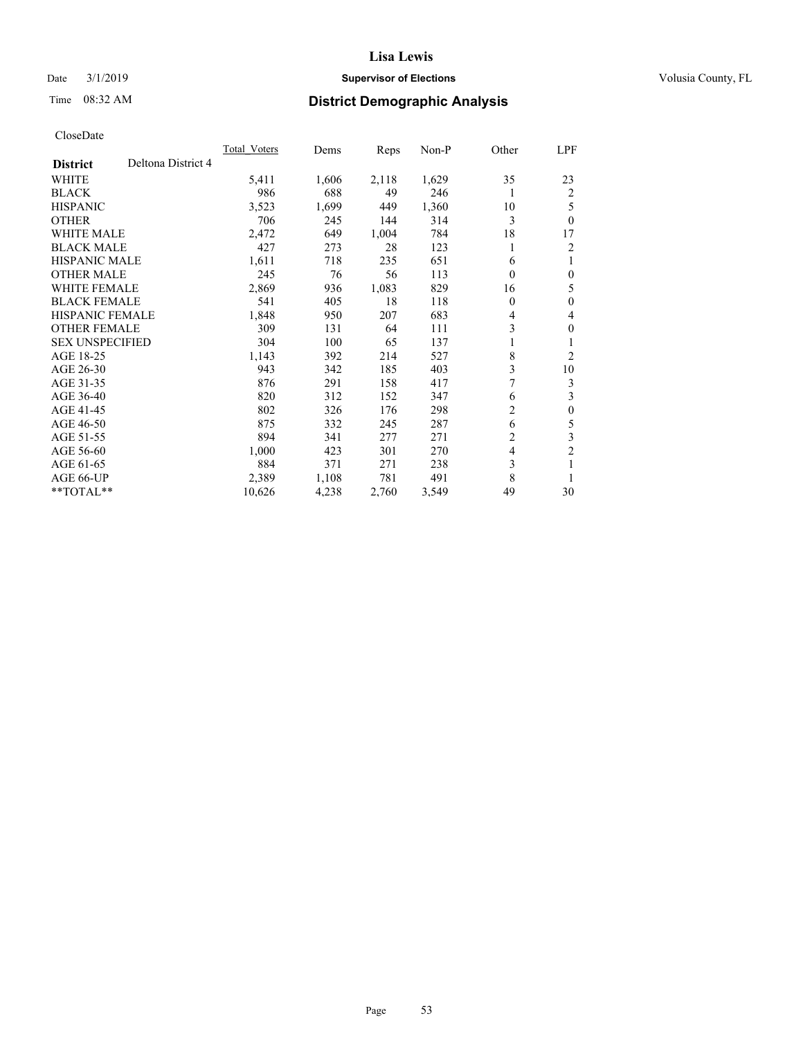## Date  $3/1/2019$  **Supervisor of Elections Supervisor of Elections** Volusia County, FL

# Time 08:32 AM **District Demographic Analysis**

|                                       | <b>Total Voters</b> | Dems  | Reps  | $Non-P$ | Other | LPF            |
|---------------------------------------|---------------------|-------|-------|---------|-------|----------------|
| Deltona District 4<br><b>District</b> |                     |       |       |         |       |                |
| <b>WHITE</b>                          | 5,411               | 1,606 | 2,118 | 1,629   | 35    | 23             |
| <b>BLACK</b>                          | 986                 | 688   | 49    | 246     | 1     | $\overline{2}$ |
| <b>HISPANIC</b>                       | 3,523               | 1,699 | 449   | 1,360   | 10    | 5              |
| <b>OTHER</b>                          | 706                 | 245   | 144   | 314     | 3     | $\theta$       |
| <b>WHITE MALE</b>                     | 2,472               | 649   | 1,004 | 784     | 18    | 17             |
| <b>BLACK MALE</b>                     | 427                 | 273   | 28    | 123     |       | 2              |
| <b>HISPANIC MALE</b>                  | 1,611               | 718   | 235   | 651     | 6     | 1              |
| <b>OTHER MALE</b>                     | 245                 | 76    | 56    | 113     | 0     | $\theta$       |
| <b>WHITE FEMALE</b>                   | 2,869               | 936   | 1,083 | 829     | 16    | 5              |
| <b>BLACK FEMALE</b>                   | 541                 | 405   | 18    | 118     | 0     | $\theta$       |
| <b>HISPANIC FEMALE</b>                | 1,848               | 950   | 207   | 683     | 4     | 4              |
| <b>OTHER FEMALE</b>                   | 309                 | 131   | 64    | 111     | 3     | $\theta$       |
| <b>SEX UNSPECIFIED</b>                | 304                 | 100   | 65    | 137     | 1     |                |
| AGE 18-25                             | 1,143               | 392   | 214   | 527     | 8     | $\overline{2}$ |
| AGE 26-30                             | 943                 | 342   | 185   | 403     | 3     | 10             |
| AGE 31-35                             | 876                 | 291   | 158   | 417     | 7     | 3              |
| AGE 36-40                             | 820                 | 312   | 152   | 347     | 6     | 3              |
| AGE 41-45                             | 802                 | 326   | 176   | 298     | 2     | $\theta$       |
| AGE 46-50                             | 875                 | 332   | 245   | 287     | 6     | 5              |
| AGE 51-55                             | 894                 | 341   | 277   | 271     | 2     | 3              |
| AGE 56-60                             | 1,000               | 423   | 301   | 270     | 4     | $\overline{c}$ |
| AGE 61-65                             | 884                 | 371   | 271   | 238     | 3     | 1              |
| AGE 66-UP                             | 2,389               | 1,108 | 781   | 491     | 8     | 1              |
| $*$ TOTAL $*$                         | 10,626              | 4,238 | 2,760 | 3,549   | 49    | 30             |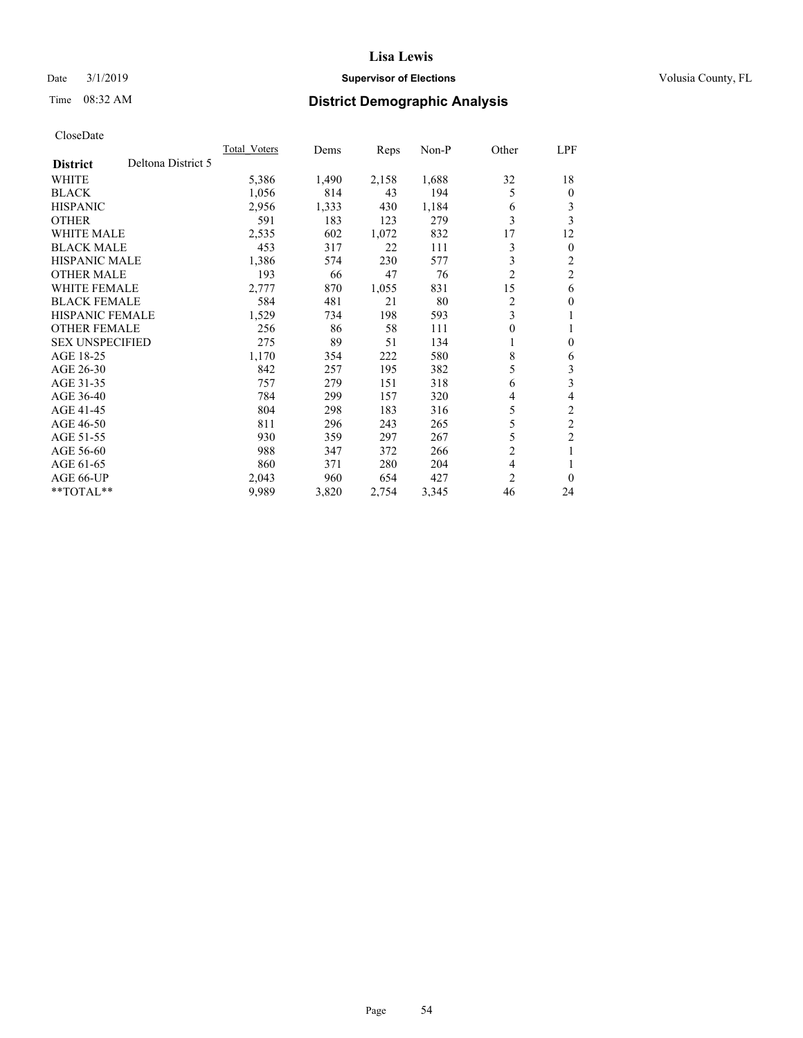## Date  $3/1/2019$  **Supervisor of Elections Supervisor of Elections** Volusia County, FL

# Time 08:32 AM **District Demographic Analysis**

|                        |                    | Total Voters | Dems  | Reps  | $Non-P$ | Other          | LPF            |
|------------------------|--------------------|--------------|-------|-------|---------|----------------|----------------|
| <b>District</b>        | Deltona District 5 |              |       |       |         |                |                |
| WHITE                  |                    | 5,386        | 1,490 | 2,158 | 1,688   | 32             | 18             |
| <b>BLACK</b>           |                    | 1,056        | 814   | 43    | 194     | 5              | $\mathbf{0}$   |
| <b>HISPANIC</b>        |                    | 2,956        | 1,333 | 430   | 1,184   | 6              | 3              |
| <b>OTHER</b>           |                    | 591          | 183   | 123   | 279     | 3              | 3              |
| <b>WHITE MALE</b>      |                    | 2,535        | 602   | 1,072 | 832     | 17             | 12             |
| <b>BLACK MALE</b>      |                    | 453          | 317   | 22    | 111     | 3              | $\mathbf{0}$   |
| <b>HISPANIC MALE</b>   |                    | 1,386        | 574   | 230   | 577     | 3              | 2              |
| <b>OTHER MALE</b>      |                    | 193          | 66    | 47    | 76      | $\overline{2}$ | $\overline{c}$ |
| WHITE FEMALE           |                    | 2,777        | 870   | 1,055 | 831     | 15             | 6              |
| <b>BLACK FEMALE</b>    |                    | 584          | 481   | 21    | 80      | $\overline{2}$ | $\theta$       |
| <b>HISPANIC FEMALE</b> |                    | 1,529        | 734   | 198   | 593     | 3              | 1              |
| <b>OTHER FEMALE</b>    |                    | 256          | 86    | 58    | 111     | 0              | 1              |
| <b>SEX UNSPECIFIED</b> |                    | 275          | 89    | 51    | 134     | 1              | $\mathbf{0}$   |
| AGE 18-25              |                    | 1,170        | 354   | 222   | 580     | 8              | 6              |
| AGE 26-30              |                    | 842          | 257   | 195   | 382     | 5              | 3              |
| AGE 31-35              |                    | 757          | 279   | 151   | 318     | 6              | 3              |
| AGE 36-40              |                    | 784          | 299   | 157   | 320     | 4              | 4              |
| AGE 41-45              |                    | 804          | 298   | 183   | 316     | 5              | $\mathfrak{2}$ |
| AGE 46-50              |                    | 811          | 296   | 243   | 265     | 5              | $\overline{c}$ |
| AGE 51-55              |                    | 930          | 359   | 297   | 267     | 5              | $\overline{c}$ |
| AGE 56-60              |                    | 988          | 347   | 372   | 266     | $\overline{2}$ | 1              |
| AGE 61-65              |                    | 860          | 371   | 280   | 204     | $\overline{4}$ |                |
| AGE 66-UP              |                    | 2,043        | 960   | 654   | 427     | $\overline{2}$ | $\theta$       |
| **TOTAL**              |                    | 9,989        | 3,820 | 2,754 | 3,345   | 46             | 24             |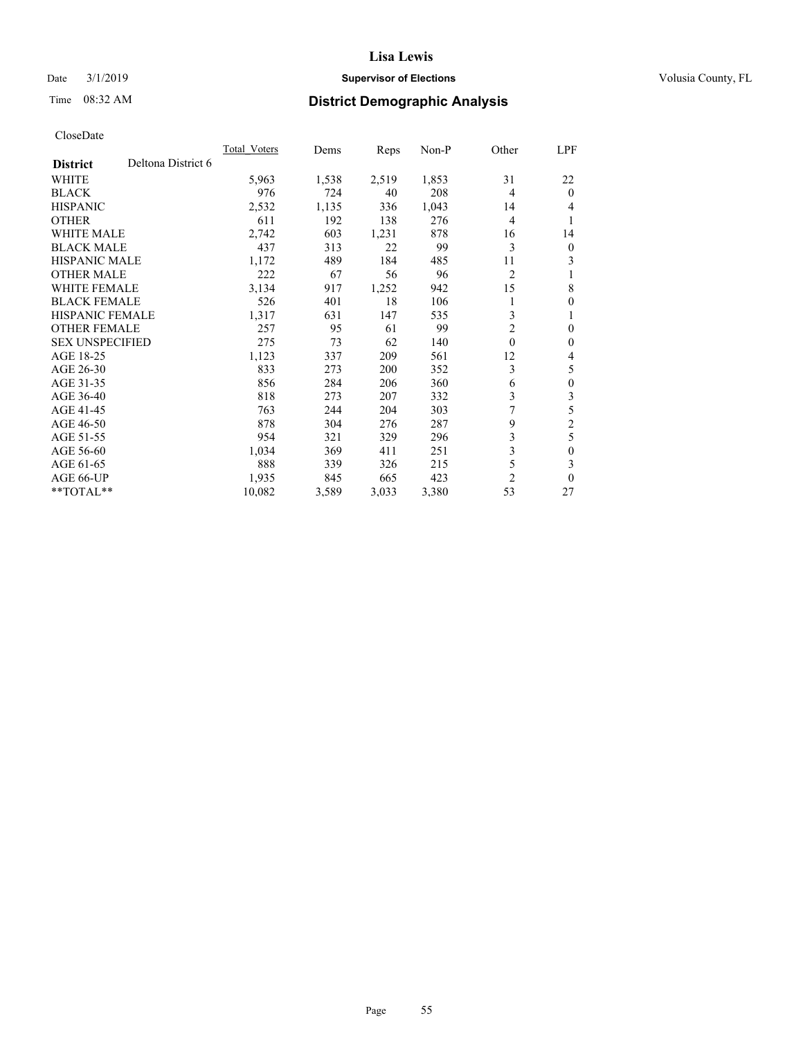## Date  $3/1/2019$  **Supervisor of Elections Supervisor of Elections** Volusia County, FL

# Time 08:32 AM **District Demographic Analysis**

|                                       | Total Voters | Dems  | Reps  | $Non-P$ | Other          | <u>LPF</u>     |
|---------------------------------------|--------------|-------|-------|---------|----------------|----------------|
| Deltona District 6<br><b>District</b> |              |       |       |         |                |                |
| WHITE                                 | 5,963        | 1,538 | 2,519 | 1,853   | 31             | 22             |
| <b>BLACK</b>                          | 976          | 724   | 40    | 208     | $\overline{4}$ | $\theta$       |
| <b>HISPANIC</b>                       | 2,532        | 1,135 | 336   | 1,043   | 14             | 4              |
| <b>OTHER</b>                          | 611          | 192   | 138   | 276     | $\overline{4}$ | 1              |
| <b>WHITE MALE</b>                     | 2,742        | 603   | 1,231 | 878     | 16             | 14             |
| <b>BLACK MALE</b>                     | 437          | 313   | 22    | 99      | 3              | $\mathbf{0}$   |
| <b>HISPANIC MALE</b>                  | 1,172        | 489   | 184   | 485     | 11             | 3              |
| <b>OTHER MALE</b>                     | 222          | 67    | 56    | 96      | 2              | 1              |
| <b>WHITE FEMALE</b>                   | 3,134        | 917   | 1,252 | 942     | 15             | 8              |
| <b>BLACK FEMALE</b>                   | 526          | 401   | 18    | 106     |                | $\mathbf{0}$   |
| <b>HISPANIC FEMALE</b>                | 1,317        | 631   | 147   | 535     | 3              | 1              |
| <b>OTHER FEMALE</b>                   | 257          | 95    | 61    | 99      | 2              | $\mathbf{0}$   |
| <b>SEX UNSPECIFIED</b>                | 275          | 73    | 62    | 140     | $\theta$       | $\mathbf{0}$   |
| AGE 18-25                             | 1,123        | 337   | 209   | 561     | 12             | 4              |
| AGE 26-30                             | 833          | 273   | 200   | 352     | 3              | 5              |
| AGE 31-35                             | 856          | 284   | 206   | 360     | 6              | $\mathbf{0}$   |
| AGE 36-40                             | 818          | 273   | 207   | 332     | 3              | 3              |
| AGE 41-45                             | 763          | 244   | 204   | 303     | 7              | 5              |
| AGE 46-50                             | 878          | 304   | 276   | 287     | 9              | $\overline{c}$ |
| AGE 51-55                             | 954          | 321   | 329   | 296     | 3              | 5              |
| AGE 56-60                             | 1,034        | 369   | 411   | 251     | 3              | $\mathbf{0}$   |
| AGE 61-65                             | 888          | 339   | 326   | 215     | 5              | 3              |
| AGE 66-UP                             | 1,935        | 845   | 665   | 423     | 2              | $\theta$       |
| $*$ TOTAL $*$                         | 10,082       | 3,589 | 3,033 | 3,380   | 53             | 27             |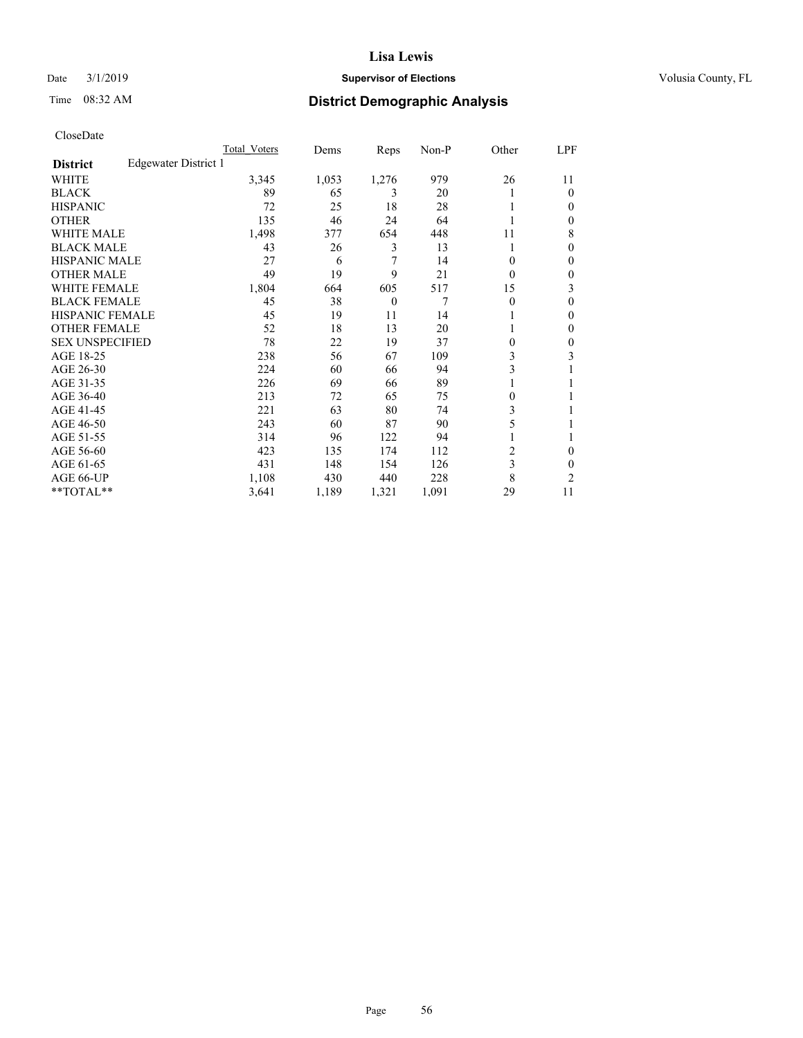## Date  $3/1/2019$  **Supervisor of Elections Supervisor of Elections** Volusia County, FL

# Time 08:32 AM **District Demographic Analysis**

|                        |                      | Total Voters | Dems  | Reps           | Non-P | Other | LPF          |
|------------------------|----------------------|--------------|-------|----------------|-------|-------|--------------|
| <b>District</b>        | Edgewater District 1 |              |       |                |       |       |              |
| WHITE                  |                      | 3,345        | 1,053 | 1,276          | 979   | 26    | 11           |
| <b>BLACK</b>           |                      | 89           | 65    | 3              | 20    |       | $\theta$     |
| <b>HISPANIC</b>        |                      | 72           | 25    | 18             | 28    |       | $\Omega$     |
| <b>OTHER</b>           |                      | 135          | 46    | 24             | 64    |       | 0            |
| <b>WHITE MALE</b>      |                      | 1,498        | 377   | 654            | 448   | 11    | 8            |
| <b>BLACK MALE</b>      |                      | 43           | 26    | 3              | 13    |       | $\mathbf{0}$ |
| <b>HISPANIC MALE</b>   |                      | 27           | 6     | 7              | 14    | 0     | $\mathbf{0}$ |
| <b>OTHER MALE</b>      |                      | 49           | 19    | 9              | 21    | 0     | 0            |
| <b>WHITE FEMALE</b>    |                      | 1,804        | 664   | 605            | 517   | 15    | 3            |
| <b>BLACK FEMALE</b>    |                      | 45           | 38    | $\overline{0}$ | 7     | 0     | 0            |
| <b>HISPANIC FEMALE</b> |                      | 45           | 19    | 11             | 14    |       | 0            |
| <b>OTHER FEMALE</b>    |                      | 52           | 18    | 13             | 20    |       | 0            |
| <b>SEX UNSPECIFIED</b> |                      | 78           | 22    | 19             | 37    | 0     | $\theta$     |
| AGE 18-25              |                      | 238          | 56    | 67             | 109   | 3     | 3            |
| AGE 26-30              |                      | 224          | 60    | 66             | 94    | 3     | 1            |
| AGE 31-35              |                      | 226          | 69    | 66             | 89    |       |              |
| AGE 36-40              |                      | 213          | 72    | 65             | 75    | 0     |              |
| AGE 41-45              |                      | 221          | 63    | 80             | 74    | 3     |              |
| AGE 46-50              |                      | 243          | 60    | 87             | 90    | 5     |              |
| AGE 51-55              |                      | 314          | 96    | 122            | 94    |       |              |
| AGE 56-60              |                      | 423          | 135   | 174            | 112   | 2     | 0            |
| AGE 61-65              |                      | 431          | 148   | 154            | 126   | 3     | 0            |
| AGE 66-UP              |                      | 1,108        | 430   | 440            | 228   | 8     | 2            |
| **TOTAL**              |                      | 3,641        | 1,189 | 1,321          | 1,091 | 29    | 11           |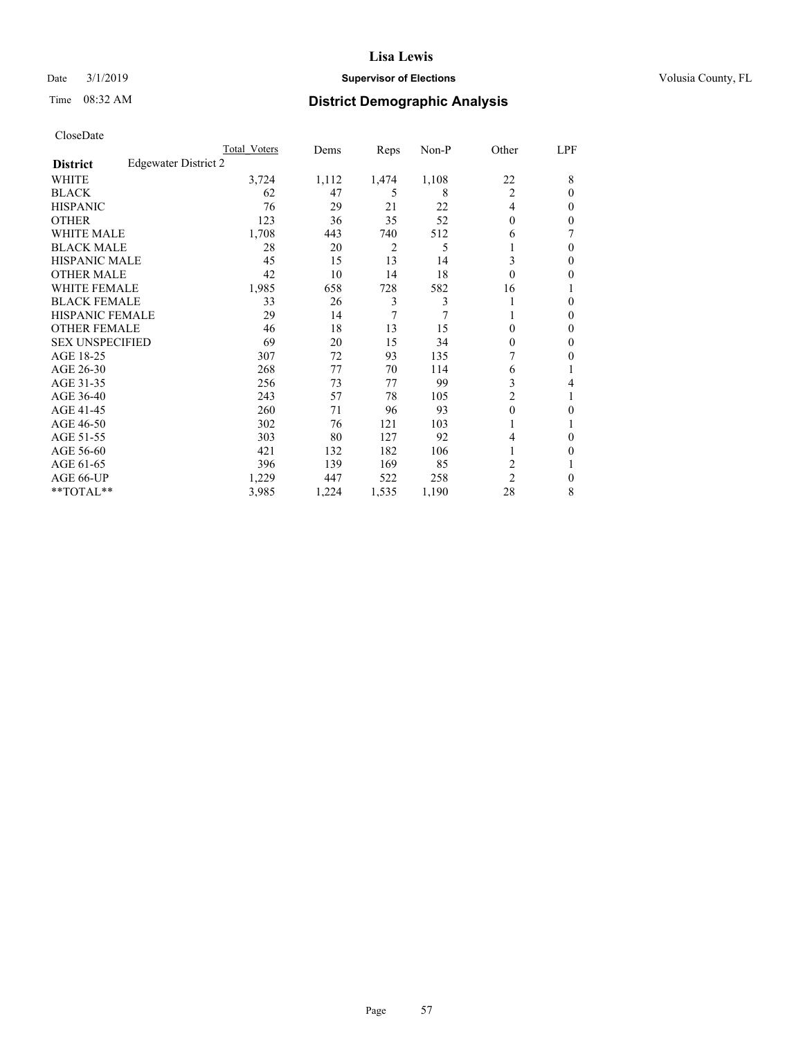### Date  $3/1/2019$  **Supervisor of Elections Supervisor of Elections** Volusia County, FL

# Time 08:32 AM **District Demographic Analysis**

|                        |                      | Total Voters | Dems  | Reps           | Non-P | Other          | LPF    |
|------------------------|----------------------|--------------|-------|----------------|-------|----------------|--------|
| <b>District</b>        | Edgewater District 2 |              |       |                |       |                |        |
| WHITE                  |                      | 3,724        | 1,112 | 1,474          | 1,108 | 22             | 8      |
| <b>BLACK</b>           |                      | 62           | 47    | 5              | 8     | $\overline{2}$ | 0      |
| <b>HISPANIC</b>        |                      | 76           | 29    | 21             | 22    | 4              | $_{0}$ |
| <b>OTHER</b>           |                      | 123          | 36    | 35             | 52    | 0              | 0      |
| WHITE MALE             |                      | 1,708        | 443   | 740            | 512   | 6              |        |
| <b>BLACK MALE</b>      |                      | 28           | 20    | $\overline{2}$ | 5     |                | 0      |
| <b>HISPANIC MALE</b>   |                      | 45           | 15    | 13             | 14    | 3              | 0      |
| <b>OTHER MALE</b>      |                      | 42           | 10    | 14             | 18    | 0              | 0      |
| WHITE FEMALE           |                      | 1,985        | 658   | 728            | 582   | 16             |        |
| <b>BLACK FEMALE</b>    |                      | 33           | 26    | 3              | 3     |                | 0      |
| <b>HISPANIC FEMALE</b> |                      | 29           | 14    | 7              | 7     |                | 0      |
| <b>OTHER FEMALE</b>    |                      | 46           | 18    | 13             | 15    | 0              | 0      |
| <b>SEX UNSPECIFIED</b> |                      | 69           | 20    | 15             | 34    | 0              | 0      |
| AGE 18-25              |                      | 307          | 72    | 93             | 135   | 7              | 0      |
| AGE 26-30              |                      | 268          | 77    | 70             | 114   | 6              |        |
| AGE 31-35              |                      | 256          | 73    | 77             | 99    | 3              | 4      |
| AGE 36-40              |                      | 243          | 57    | 78             | 105   | 2              |        |
| AGE 41-45              |                      | 260          | 71    | 96             | 93    | 0              | 0      |
| AGE 46-50              |                      | 302          | 76    | 121            | 103   |                |        |
| AGE 51-55              |                      | 303          | 80    | 127            | 92    | 4              | 0      |
| AGE 56-60              |                      | 421          | 132   | 182            | 106   |                | 0      |
| AGE 61-65              |                      | 396          | 139   | 169            | 85    | 2              |        |
| AGE 66-UP              |                      | 1,229        | 447   | 522            | 258   | $\overline{c}$ | 0      |
| **TOTAL**              |                      | 3,985        | 1,224 | 1,535          | 1,190 | 28             | 8      |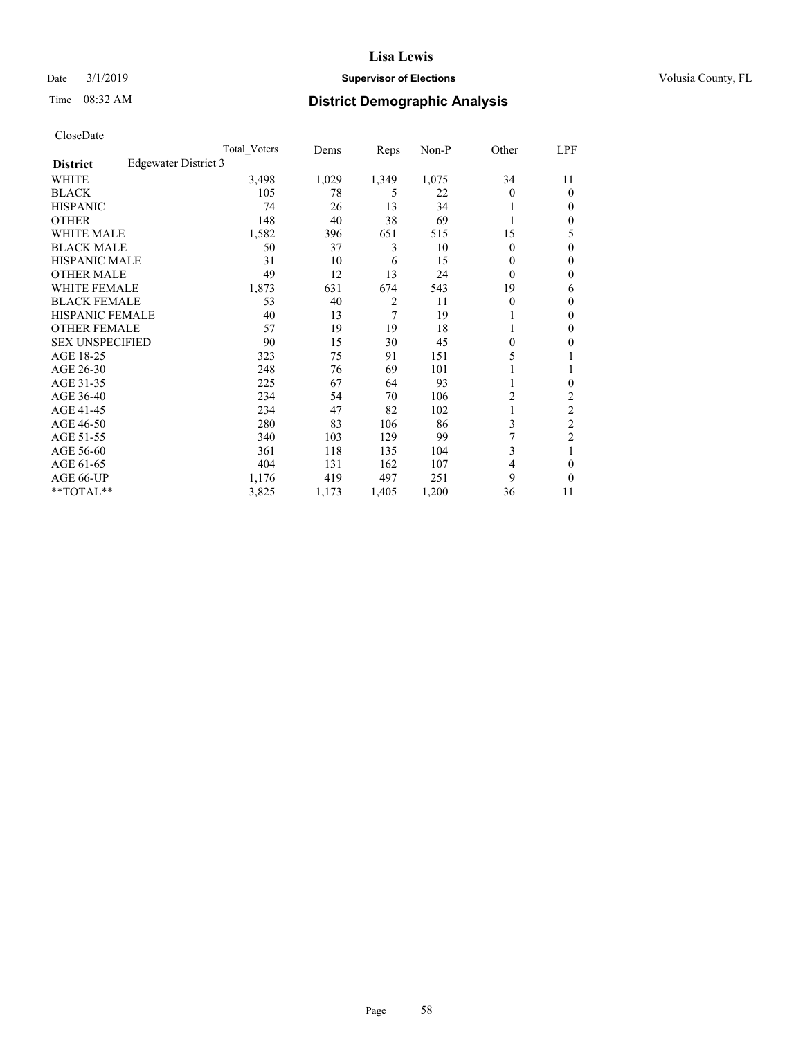## Date  $3/1/2019$  **Supervisor of Elections Supervisor of Elections** Volusia County, FL

# Time 08:32 AM **District Demographic Analysis**

|                        |                      | Total Voters | Dems  | Reps           | Non-P | Other    | LPF            |
|------------------------|----------------------|--------------|-------|----------------|-------|----------|----------------|
| <b>District</b>        | Edgewater District 3 |              |       |                |       |          |                |
| WHITE                  |                      | 3,498        | 1,029 | 1,349          | 1,075 | 34       | 11             |
| <b>BLACK</b>           |                      | 105          | 78    | 5              | 22    | 0        | $\Omega$       |
| <b>HISPANIC</b>        |                      | 74           | 26    | 13             | 34    |          | $\Omega$       |
| <b>OTHER</b>           |                      | 148          | 40    | 38             | 69    |          | $\Omega$       |
| WHITE MALE             |                      | 1,582        | 396   | 651            | 515   | 15       | 5              |
| <b>BLACK MALE</b>      |                      | 50           | 37    | 3              | 10    | $\theta$ | $\theta$       |
| <b>HISPANIC MALE</b>   |                      | 31           | 10    | 6              | 15    | 0        | $\theta$       |
| <b>OTHER MALE</b>      |                      | 49           | 12    | 13             | 24    | 0        | $\mathbf{0}$   |
| WHITE FEMALE           |                      | 1,873        | 631   | 674            | 543   | 19       | 6              |
| <b>BLACK FEMALE</b>    |                      | 53           | 40    | $\overline{2}$ | 11    | 0        | $\mathbf{0}$   |
| <b>HISPANIC FEMALE</b> |                      | 40           | 13    | 7              | 19    |          | $\Omega$       |
| <b>OTHER FEMALE</b>    |                      | 57           | 19    | 19             | 18    |          | $\Omega$       |
| <b>SEX UNSPECIFIED</b> |                      | 90           | 15    | 30             | 45    | 0        | 0              |
| AGE 18-25              |                      | 323          | 75    | 91             | 151   | 5        |                |
| AGE 26-30              |                      | 248          | 76    | 69             | 101   |          |                |
| AGE 31-35              |                      | 225          | 67    | 64             | 93    |          | 0              |
| AGE 36-40              |                      | 234          | 54    | 70             | 106   | 2        | 2              |
| AGE 41-45              |                      | 234          | 47    | 82             | 102   |          | $\overline{c}$ |
| AGE 46-50              |                      | 280          | 83    | 106            | 86    | 3        | $\overline{c}$ |
| AGE 51-55              |                      | 340          | 103   | 129            | 99    |          | $\overline{2}$ |
| AGE 56-60              |                      | 361          | 118   | 135            | 104   | 3        |                |
| AGE 61-65              |                      | 404          | 131   | 162            | 107   | 4        | $\theta$       |
| AGE 66-UP              |                      | 1,176        | 419   | 497            | 251   | 9        | $\Omega$       |
| **TOTAL**              |                      | 3,825        | 1,173 | 1,405          | 1,200 | 36       | 11             |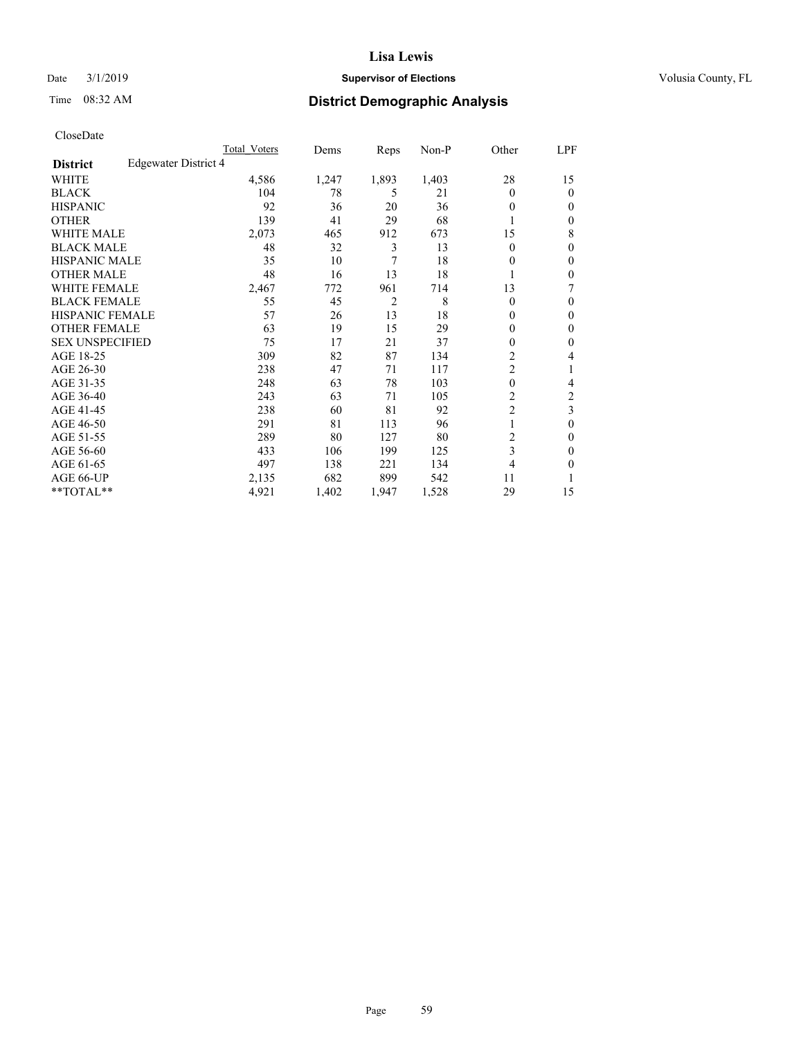## Date  $3/1/2019$  **Supervisor of Elections Supervisor of Elections** Volusia County, FL

# Time 08:32 AM **District Demographic Analysis**

|                        |                      | Total Voters | Dems  | Reps           | Non-P | Other          | LPF            |
|------------------------|----------------------|--------------|-------|----------------|-------|----------------|----------------|
| <b>District</b>        | Edgewater District 4 |              |       |                |       |                |                |
| WHITE                  |                      | 4,586        | 1,247 | 1,893          | 1,403 | 28             | 15             |
| <b>BLACK</b>           |                      | 104          | 78    | 5              | 21    | 0              | $\mathbf{0}$   |
| <b>HISPANIC</b>        |                      | 92           | 36    | 20             | 36    | 0              | $\Omega$       |
| <b>OTHER</b>           |                      | 139          | 41    | 29             | 68    |                | 0              |
| <b>WHITE MALE</b>      |                      | 2,073        | 465   | 912            | 673   | 15             | 8              |
| <b>BLACK MALE</b>      |                      | 48           | 32    | 3              | 13    | 0              | $\theta$       |
| <b>HISPANIC MALE</b>   |                      | 35           | 10    | 7              | 18    | 0              | $\theta$       |
| <b>OTHER MALE</b>      |                      | 48           | 16    | 13             | 18    | 1              | 0              |
| WHITE FEMALE           |                      | 2,467        | 772   | 961            | 714   | 13             | 7              |
| <b>BLACK FEMALE</b>    |                      | 55           | 45    | $\overline{2}$ | 8     | 0              | $\mathbf{0}$   |
| <b>HISPANIC FEMALE</b> |                      | 57           | 26    | 13             | 18    | 0              | 0              |
| <b>OTHER FEMALE</b>    |                      | 63           | 19    | 15             | 29    | 0              | $\theta$       |
| <b>SEX UNSPECIFIED</b> |                      | 75           | 17    | 21             | 37    | 0              | $\theta$       |
| AGE 18-25              |                      | 309          | 82    | 87             | 134   | $\overline{c}$ | 4              |
| AGE 26-30              |                      | 238          | 47    | 71             | 117   | 2              | 1              |
| AGE 31-35              |                      | 248          | 63    | 78             | 103   | $\theta$       | 4              |
| AGE 36-40              |                      | 243          | 63    | 71             | 105   | $\overline{c}$ | $\overline{c}$ |
| AGE 41-45              |                      | 238          | 60    | 81             | 92    | $\overline{c}$ | 3              |
| AGE 46-50              |                      | 291          | 81    | 113            | 96    | 1              | $\theta$       |
| AGE 51-55              |                      | 289          | 80    | 127            | 80    | $\overline{c}$ | 0              |
| AGE 56-60              |                      | 433          | 106   | 199            | 125   | 3              | 0              |
| AGE 61-65              |                      | 497          | 138   | 221            | 134   | 4              | 0              |
| AGE 66-UP              |                      | 2,135        | 682   | 899            | 542   | 11             |                |
| **TOTAL**              |                      | 4,921        | 1,402 | 1,947          | 1,528 | 29             | 15             |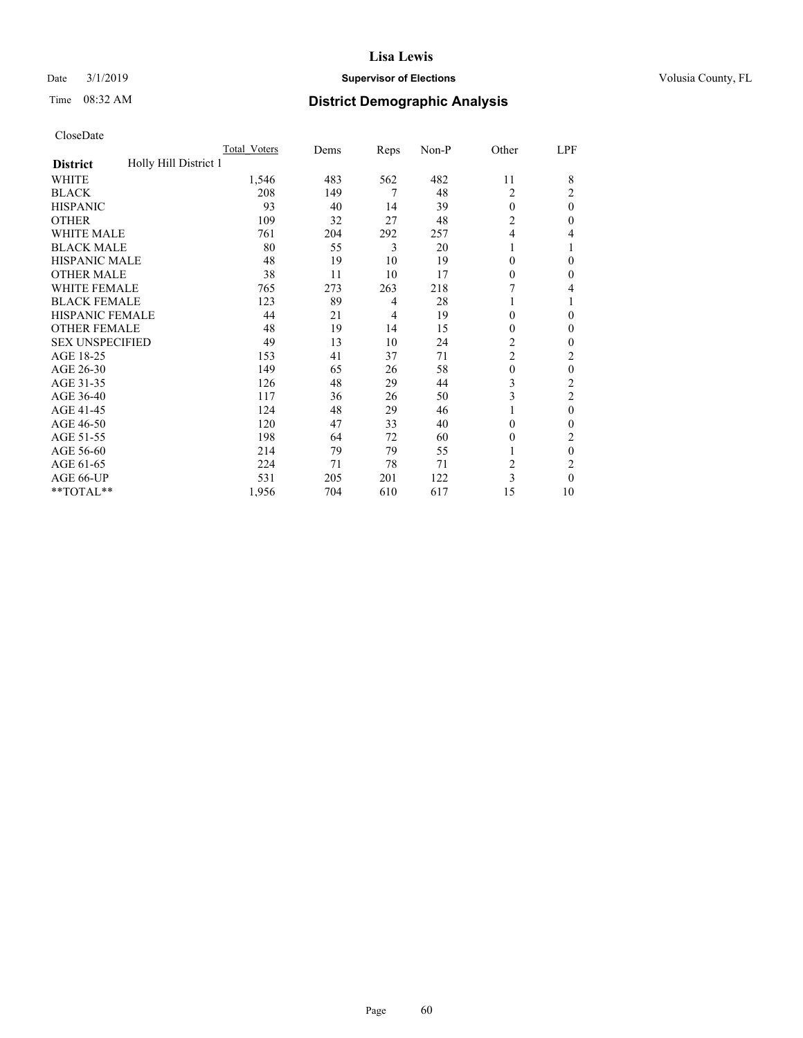### Date  $3/1/2019$  **Supervisor of Elections Supervisor of Elections** Volusia County, FL

# Time 08:32 AM **District Demographic Analysis**

|                                          | Total Voters | Dems | Reps           | Non-P | Other          | LPF            |
|------------------------------------------|--------------|------|----------------|-------|----------------|----------------|
| Holly Hill District 1<br><b>District</b> |              |      |                |       |                |                |
| WHITE                                    | 1,546        | 483  | 562            | 482   | 11             | 8              |
| <b>BLACK</b>                             | 208          | 149  | 7              | 48    | 2              | 2              |
| <b>HISPANIC</b>                          | 93           | 40   | 14             | 39    | $\theta$       | $\theta$       |
| <b>OTHER</b>                             | 109          | 32   | 27             | 48    | $\overline{2}$ | 0              |
| WHITE MALE                               | 761          | 204  | 292            | 257   | 4              | 4              |
| <b>BLACK MALE</b>                        | 80           | 55   | 3              | 20    | 1              |                |
| <b>HISPANIC MALE</b>                     | 48           | 19   | 10             | 19    | $\theta$       | 0              |
| <b>OTHER MALE</b>                        | 38           | 11   | 10             | 17    | $\Omega$       | 0              |
| WHITE FEMALE                             | 765          | 273  | 263            | 218   |                | 4              |
| <b>BLACK FEMALE</b>                      | 123          | 89   | $\overline{4}$ | 28    | 1              |                |
| <b>HISPANIC FEMALE</b>                   | 44           | 21   | 4              | 19    | $\theta$       | 0              |
| <b>OTHER FEMALE</b>                      | 48           | 19   | 14             | 15    | $\Omega$       | 0              |
| <b>SEX UNSPECIFIED</b>                   | 49           | 13   | 10             | 24    | $\overline{c}$ | 0              |
| AGE 18-25                                | 153          | 41   | 37             | 71    | $\overline{c}$ | 2              |
| AGE 26-30                                | 149          | 65   | 26             | 58    | $\mathbf{0}$   | $\theta$       |
| AGE 31-35                                | 126          | 48   | 29             | 44    | 3              | $\overline{c}$ |
| AGE 36-40                                | 117          | 36   | 26             | 50    | 3              | 2              |
| AGE 41-45                                | 124          | 48   | 29             | 46    |                | $\theta$       |
| AGE 46-50                                | 120          | 47   | 33             | 40    | $\theta$       | 0              |
| AGE 51-55                                | 198          | 64   | 72             | 60    | $\Omega$       | 2              |
| AGE 56-60                                | 214          | 79   | 79             | 55    |                | $\theta$       |
| AGE 61-65                                | 224          | 71   | 78             | 71    | $\overline{2}$ | $\overline{2}$ |
| AGE 66-UP                                | 531          | 205  | 201            | 122   | 3              | $\Omega$       |
| **TOTAL**                                | 1,956        | 704  | 610            | 617   | 15             | 10             |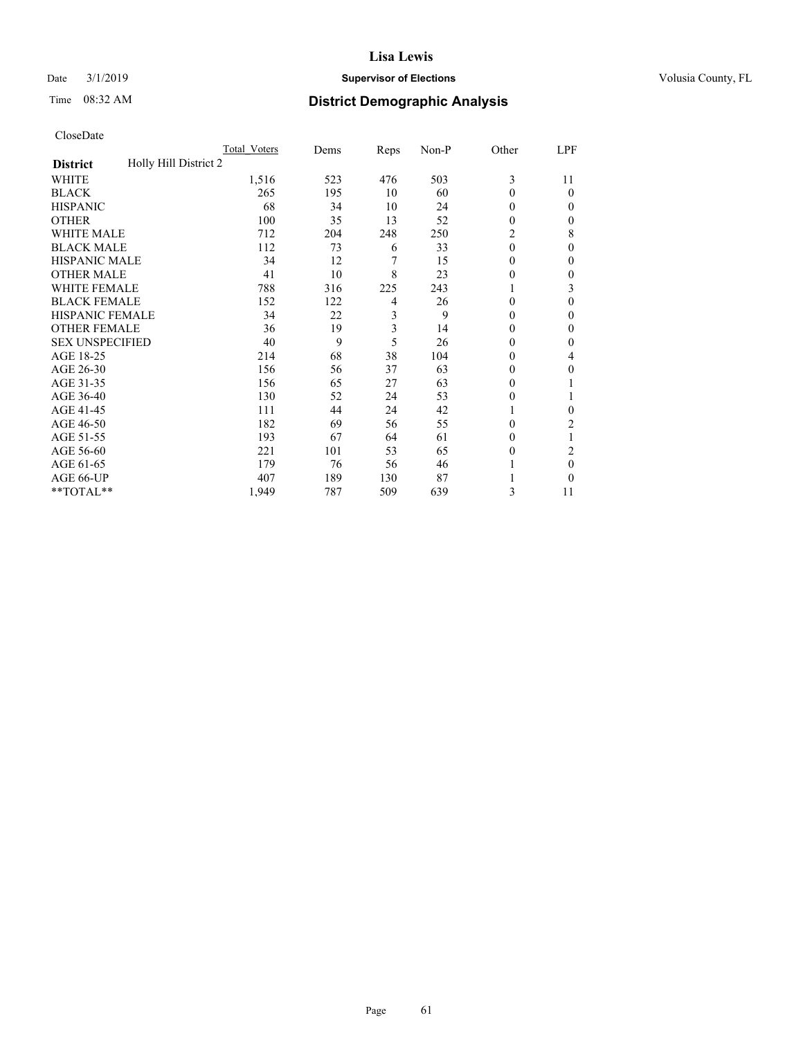## Date  $3/1/2019$  **Supervisor of Elections Supervisor of Elections** Volusia County, FL

# Time 08:32 AM **District Demographic Analysis**

| CloseDate |
|-----------|
|-----------|

|                                          | Total Voters | Dems | Reps | Non-P | Other    | LPF            |
|------------------------------------------|--------------|------|------|-------|----------|----------------|
| Holly Hill District 2<br><b>District</b> |              |      |      |       |          |                |
| <b>WHITE</b>                             | 1,516        | 523  | 476  | 503   | 3        | 11             |
| BLACK                                    | 265          | 195  | 10   | 60    | 0        | $\theta$       |
| <b>HISPANIC</b>                          | 68           | 34   | 10   | 24    | 0        | $\theta$       |
| OTHER                                    | 100          | 35   | 13   | 52    | 0        | 0              |
| <b>WHITE MALE</b>                        | 712          | 204  | 248  | 250   | 2        | 8              |
| <b>BLACK MALE</b>                        | 112          | 73   | 6    | 33    | $\theta$ | $\Omega$       |
| <b>HISPANIC MALE</b>                     | 34           | 12   | 7    | 15    | 0        | 0              |
| OTHER MALE                               | 41           | 10   | 8    | 23    | 0        | $\overline{0}$ |
| <b>WHITE FEMALE</b>                      | 788          | 316  | 225  | 243   |          | 3              |
| <b>BLACK FEMALE</b>                      | 152          | 122  | 4    | 26    | 0        | 0              |
| <b>HISPANIC FEMALE</b>                   | 34           | 22   | 3    | 9     | 0        | 0              |
| <b>OTHER FEMALE</b>                      | 36           | 19   | 3    | 14    | 0        | $\Omega$       |
| <b>SEX UNSPECIFIED</b>                   | 40           | 9    | 5    | 26    | 0        | 0              |
| AGE 18-25                                | 214          | 68   | 38   | 104   | 0        | 4              |
| AGE 26-30                                | 156          | 56   | 37   | 63    | 0        | $\Omega$       |
| AGE 31-35                                | 156          | 65   | 27   | 63    | 0        |                |
| AGE 36-40                                | 130          | 52   | 24   | 53    | 0        |                |
| AGE 41-45                                | 111          | 44   | 24   | 42    |          | 0              |
| AGE 46-50                                | 182          | 69   | 56   | 55    | 0        | 2              |
| AGE 51-55                                | 193          | 67   | 64   | 61    | 0        |                |
| AGE 56-60                                | 221          | 101  | 53   | 65    | 0        | 2              |
| AGE 61-65                                | 179          | 76   | 56   | 46    |          | $\theta$       |
| AGE 66-UP                                | 407          | 189  | 130  | 87    |          | 0              |
| **TOTAL**                                | 1,949        | 787  | 509  | 639   | 3        | 11             |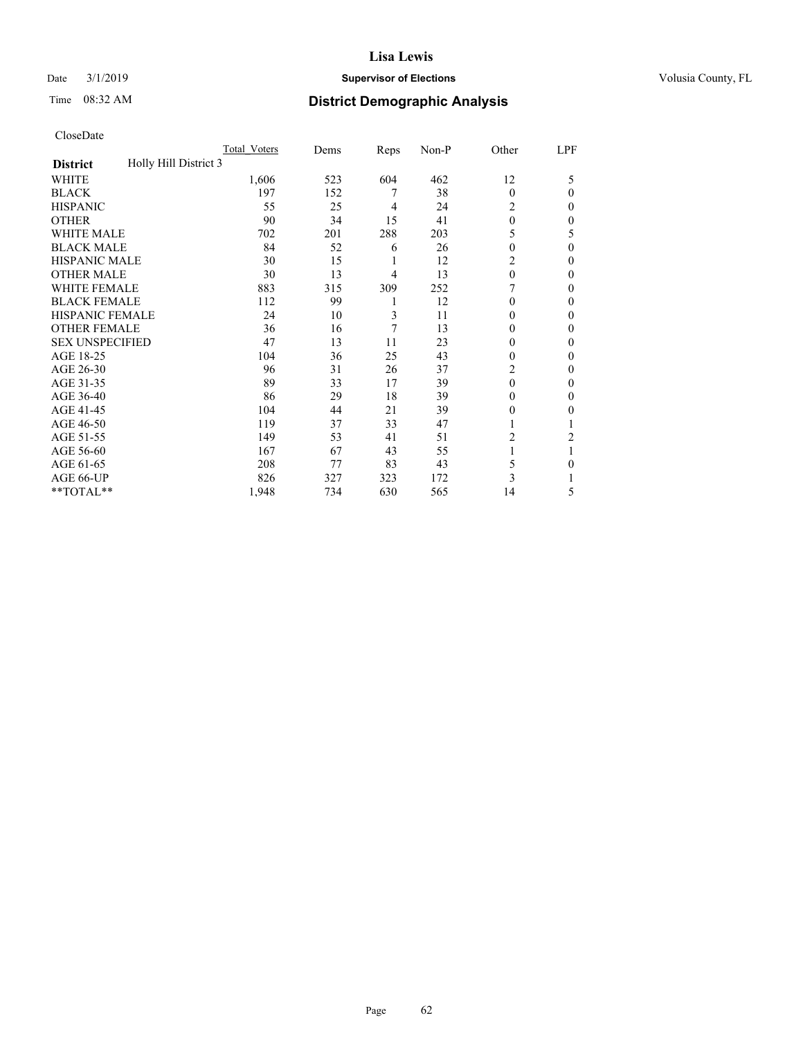## Date  $3/1/2019$  **Supervisor of Elections Supervisor of Elections** Volusia County, FL

# Time 08:32 AM **District Demographic Analysis**

|                                          | Total Voters | Dems | Reps | Non-P | Other          | LPF          |
|------------------------------------------|--------------|------|------|-------|----------------|--------------|
| Holly Hill District 3<br><b>District</b> |              |      |      |       |                |              |
| WHITE                                    | 1,606        | 523  | 604  | 462   | 12             | 5            |
| <b>BLACK</b>                             | 197          | 152  | 7    | 38    | $\theta$       | $\Omega$     |
| <b>HISPANIC</b>                          | 55           | 25   | 4    | 24    | 2              | 0            |
| <b>OTHER</b>                             | 90           | 34   | 15   | 41    | $\theta$       | 0            |
| WHITE MALE                               | 702          | 201  | 288  | 203   | 5              | 5            |
| <b>BLACK MALE</b>                        | 84           | 52   | 6    | 26    | $\Omega$       | $\theta$     |
| <b>HISPANIC MALE</b>                     | 30           | 15   | 1    | 12    | 2              | 0            |
| <b>OTHER MALE</b>                        | 30           | 13   | 4    | 13    | $\Omega$       | 0            |
| WHITE FEMALE                             | 883          | 315  | 309  | 252   |                | 0            |
| <b>BLACK FEMALE</b>                      | 112          | 99   | 1    | 12    | $\Omega$       | 0            |
| <b>HISPANIC FEMALE</b>                   | 24           | 10   | 3    | 11    | $\Omega$       | 0            |
| <b>OTHER FEMALE</b>                      | 36           | 16   | 7    | 13    | $\Omega$       | 0            |
| <b>SEX UNSPECIFIED</b>                   | 47           | 13   | 11   | 23    | $\theta$       | 0            |
| AGE 18-25                                | 104          | 36   | 25   | 43    | $\Omega$       | 0            |
| AGE 26-30                                | 96           | 31   | 26   | 37    | $\overline{c}$ | $\mathbf{0}$ |
| AGE 31-35                                | 89           | 33   | 17   | 39    | $\theta$       | 0            |
| AGE 36-40                                | 86           | 29   | 18   | 39    | $\theta$       | 0            |
| AGE 41-45                                | 104          | 44   | 21   | 39    | $\theta$       | 0            |
| AGE 46-50                                | 119          | 37   | 33   | 47    | 1              |              |
| AGE 51-55                                | 149          | 53   | 41   | 51    | 2              | 2            |
| AGE 56-60                                | 167          | 67   | 43   | 55    |                |              |
| AGE 61-65                                | 208          | 77   | 83   | 43    | 5              | 0            |
| AGE 66-UP                                | 826          | 327  | 323  | 172   | 3              |              |
| **TOTAL**                                | 1,948        | 734  | 630  | 565   | 14             | 5            |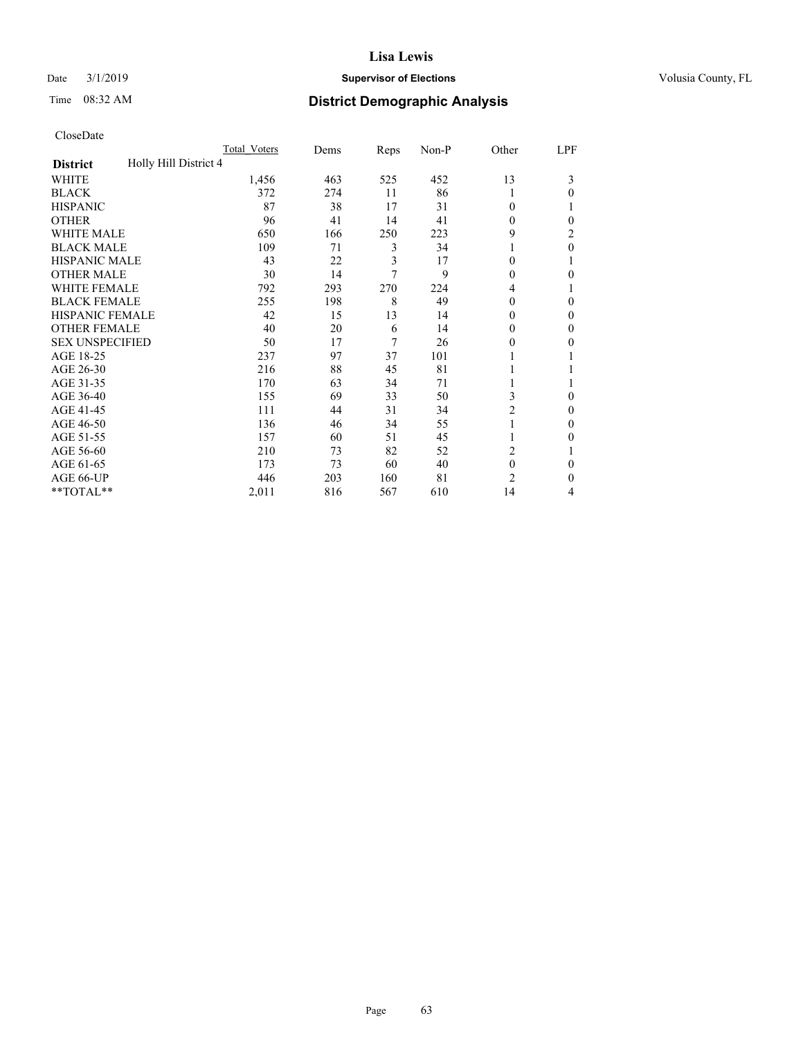## Date  $3/1/2019$  **Supervisor of Elections Supervisor of Elections** Volusia County, FL

# Time 08:32 AM **District Demographic Analysis**

|                                          | Total Voters | Dems | Reps | Non-P | Other          | LPF |
|------------------------------------------|--------------|------|------|-------|----------------|-----|
| Holly Hill District 4<br><b>District</b> |              |      |      |       |                |     |
| WHITE                                    | 1,456        | 463  | 525  | 452   | 13             | 3   |
| <b>BLACK</b>                             | 372          | 274  | 11   | 86    |                | 0   |
| <b>HISPANIC</b>                          | 87           | 38   | 17   | 31    | $\theta$       |     |
| <b>OTHER</b>                             | 96           | 41   | 14   | 41    | $\theta$       | 0   |
| <b>WHITE MALE</b>                        | 650          | 166  | 250  | 223   | 9              | 2   |
| <b>BLACK MALE</b>                        | 109          | 71   | 3    | 34    |                | 0   |
| <b>HISPANIC MALE</b>                     | 43           | 22   | 3    | 17    | $\theta$       |     |
| <b>OTHER MALE</b>                        | 30           | 14   | 7    | 9     | $\theta$       | 0   |
| <b>WHITE FEMALE</b>                      | 792          | 293  | 270  | 224   | 4              |     |
| <b>BLACK FEMALE</b>                      | 255          | 198  | 8    | 49    | $\theta$       | 0   |
| <b>HISPANIC FEMALE</b>                   | 42           | 15   | 13   | 14    | 0              | 0   |
| <b>OTHER FEMALE</b>                      | 40           | 20   | 6    | 14    | $\theta$       | 0   |
| <b>SEX UNSPECIFIED</b>                   | 50           | 17   | 7    | 26    | 0              | 0   |
| AGE 18-25                                | 237          | 97   | 37   | 101   |                |     |
| AGE 26-30                                | 216          | 88   | 45   | 81    |                |     |
| AGE 31-35                                | 170          | 63   | 34   | 71    |                |     |
| AGE 36-40                                | 155          | 69   | 33   | 50    | 3              | 0   |
| AGE 41-45                                | 111          | 44   | 31   | 34    | 2              | 0   |
| AGE 46-50                                | 136          | 46   | 34   | 55    | 1              | 0   |
| AGE 51-55                                | 157          | 60   | 51   | 45    |                | 0   |
| AGE 56-60                                | 210          | 73   | 82   | 52    | 2              |     |
| AGE 61-65                                | 173          | 73   | 60   | 40    | $\theta$       | 0   |
| AGE 66-UP                                | 446          | 203  | 160  | 81    | $\overline{c}$ | 0   |
| **TOTAL**                                | 2,011        | 816  | 567  | 610   | 14             | 4   |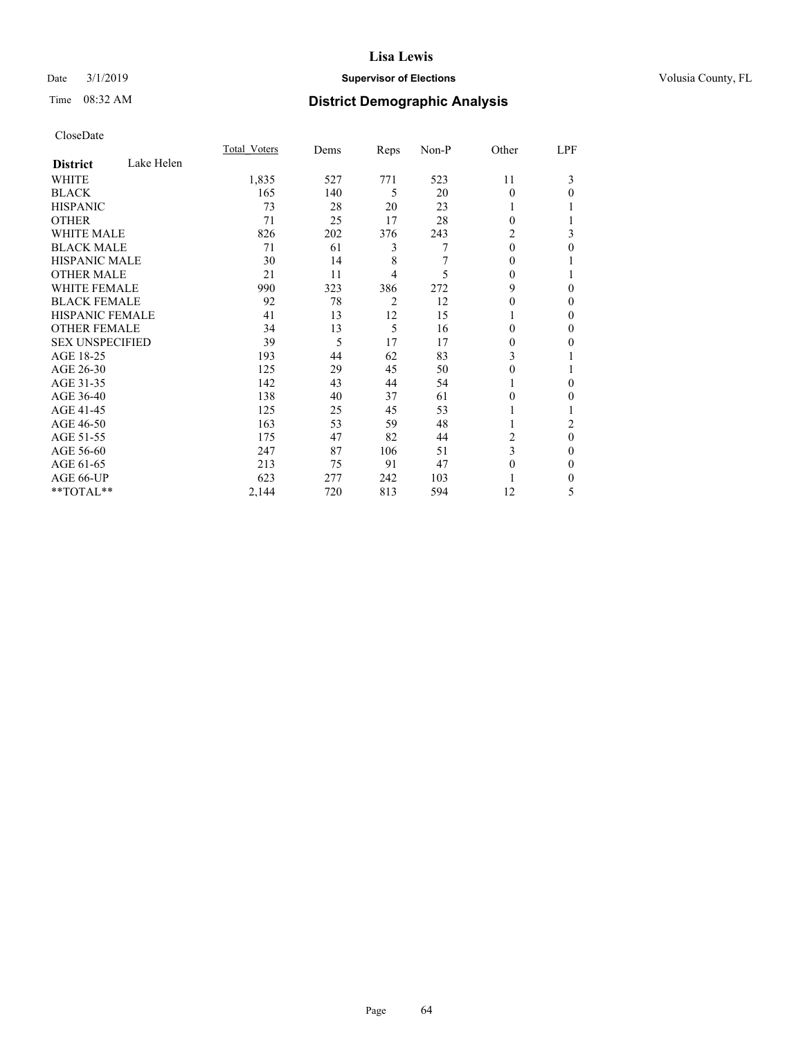## Date  $3/1/2019$  **Supervisor of Elections Supervisor of Elections** Volusia County, FL

# Time 08:32 AM **District Demographic Analysis**

|                        |            | Total Voters | Dems | Reps           | Non-P | Other    | LPF          |
|------------------------|------------|--------------|------|----------------|-------|----------|--------------|
| <b>District</b>        | Lake Helen |              |      |                |       |          |              |
| WHITE                  |            | 1,835        | 527  | 771            | 523   | 11       | 3            |
| <b>BLACK</b>           |            | 165          | 140  | 5              | 20    | $\theta$ | 0            |
| <b>HISPANIC</b>        |            | 73           | 28   | 20             | 23    | 1        |              |
| <b>OTHER</b>           |            | 71           | 25   | 17             | 28    | $\Omega$ |              |
| WHITE MALE             |            | 826          | 202  | 376            | 243   | 2        | 3            |
| <b>BLACK MALE</b>      |            | 71           | 61   | 3              | 7     | $\theta$ | 0            |
| <b>HISPANIC MALE</b>   |            | 30           | 14   | 8              | 7     | $\Omega$ |              |
| <b>OTHER MALE</b>      |            | 21           | 11   | 4              | 5     | $\Omega$ |              |
| <b>WHITE FEMALE</b>    |            | 990          | 323  | 386            | 272   | 9        | 0            |
| <b>BLACK FEMALE</b>    |            | 92           | 78   | $\overline{2}$ | 12    | 0        | 0            |
| <b>HISPANIC FEMALE</b> |            | 41           | 13   | 12             | 15    |          | 0            |
| <b>OTHER FEMALE</b>    |            | 34           | 13   | 5              | 16    | 0        | 0            |
| <b>SEX UNSPECIFIED</b> |            | 39           | 5    | 17             | 17    | 0        | 0            |
| AGE 18-25              |            | 193          | 44   | 62             | 83    | 3        |              |
| AGE 26-30              |            | 125          | 29   | 45             | 50    | 0        |              |
| AGE 31-35              |            | 142          | 43   | 44             | 54    |          | 0            |
| AGE 36-40              |            | 138          | 40   | 37             | 61    | $\Omega$ | 0            |
| AGE 41-45              |            | 125          | 25   | 45             | 53    |          |              |
| AGE 46-50              |            | 163          | 53   | 59             | 48    |          | 2            |
| AGE 51-55              |            | 175          | 47   | 82             | 44    | 2        | $\theta$     |
| AGE 56-60              |            | 247          | 87   | 106            | 51    | 3        | 0            |
| AGE 61-65              |            | 213          | 75   | 91             | 47    | 0        | $\mathbf{0}$ |
| AGE 66-UP              |            | 623          | 277  | 242            | 103   |          | 0            |
| **TOTAL**              |            | 2,144        | 720  | 813            | 594   | 12       | 5            |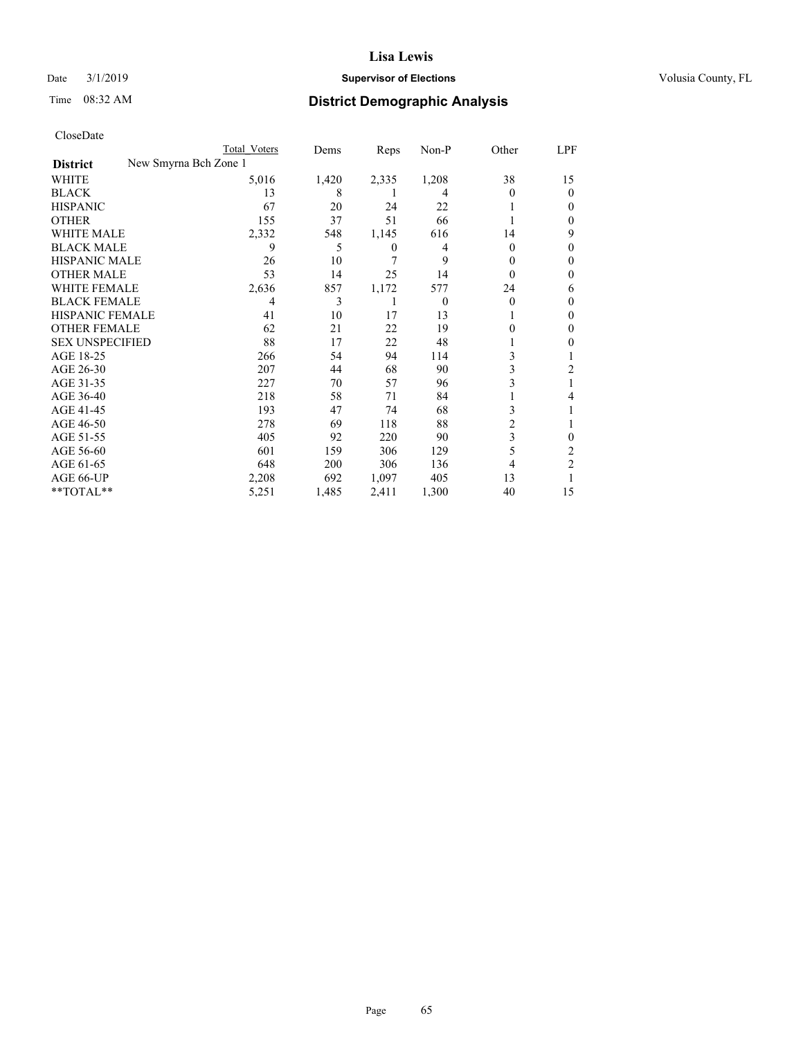## Date  $3/1/2019$  **Supervisor of Elections Supervisor of Elections** Volusia County, FL

# Time 08:32 AM **District Demographic Analysis**

| CloseDate |
|-----------|
|-----------|

|                                          | Total Voters | Dems  | Reps  | Non-P    | Other    | LPF            |
|------------------------------------------|--------------|-------|-------|----------|----------|----------------|
| New Smyrna Bch Zone 1<br><b>District</b> |              |       |       |          |          |                |
| WHITE                                    | 5,016        | 1,420 | 2,335 | 1,208    | 38       | 15             |
| BLACK                                    | 13           | 8     |       | 4        | $\Omega$ | 0              |
| HISPANIC                                 | 67           | 20    | 24    | 22       |          | $_{0}$         |
| OTHER                                    | 155          | 37    | 51    | 66       |          | 0              |
| WHITE MALE                               | 2,332        | 548   | 1,145 | 616      | 14       | 9              |
| BLACK MALE                               | 9            | 5     | 0     | 4        | $\Omega$ | $_{0}$         |
| HISPANIC MALE                            | 26           | 10    | 7     | 9        | 0        | 0              |
| <b>OTHER MALE</b>                        | 53           | 14    | 25    | 14       | 0        | 0              |
| WHITE FEMALE                             | 2,636        | 857   | 1,172 | 577      | 24       | 6              |
| BLACK FEMALE                             | 4            | 3     |       | $\Omega$ | $\theta$ | 0              |
| HISPANIC FEMALE                          | 41           | 10    | 17    | 13       |          | 0              |
| OTHER FEMALE                             | 62           | 21    | 22    | 19       |          | $_{0}$         |
| <b>SEX UNSPECIFIED</b>                   | 88           | 17    | 22    | 48       |          | 0              |
| AGE 18-25                                | 266          | 54    | 94    | 114      | 3        |                |
| AGE 26-30                                | 207          | 44    | 68    | 90       | 3        | 2              |
| AGE 31-35                                | 227          | 70    | 57    | 96       | 3        |                |
| AGE 36-40                                | 218          | 58    | 71    | 84       |          | 4              |
| AGE 41-45                                | 193          | 47    | 74    | 68       | 3        |                |
| AGE 46-50                                | 278          | 69    | 118   | 88       | 2        |                |
| AGE 51-55                                | 405          | 92    | 220   | 90       | 3        | 0              |
| AGE 56-60                                | 601          | 159   | 306   | 129      | 5        | 2              |
| AGE 61-65                                | 648          | 200   | 306   | 136      | 4        | $\overline{2}$ |
| AGE 66-UP                                | 2,208        | 692   | 1,097 | 405      | 13       |                |
| **TOTAL**                                | 5,251        | 1,485 | 2,411 | 1,300    | 40       | 15             |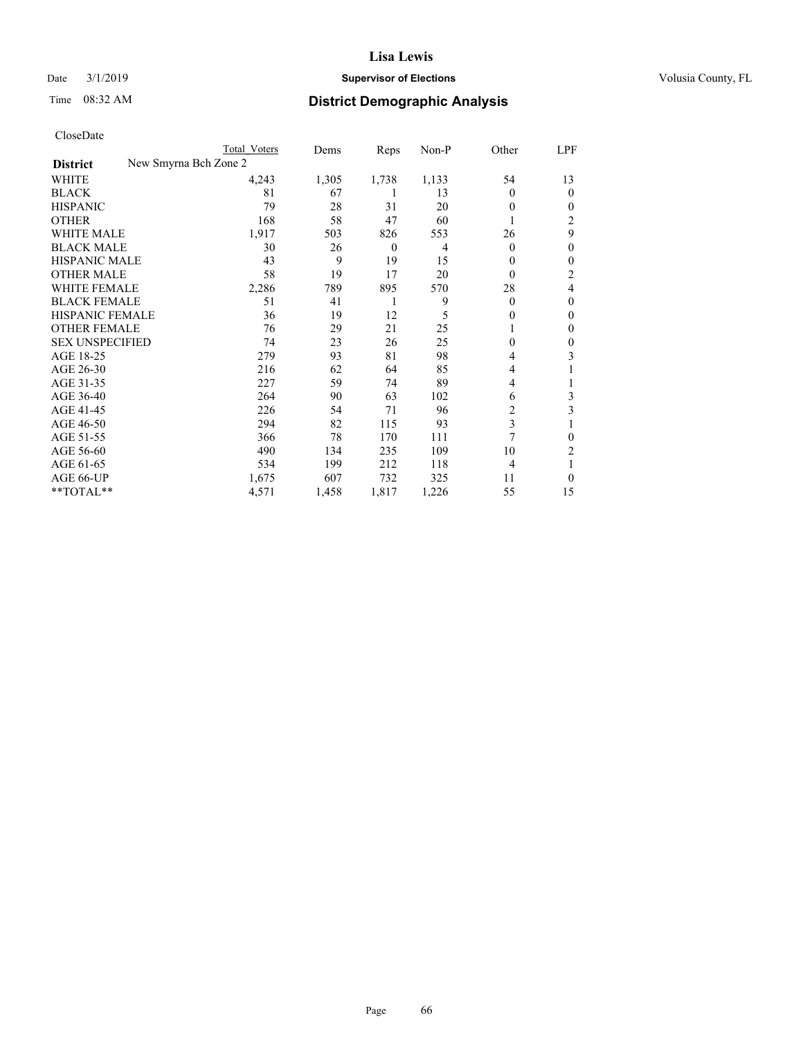AGE 61-65  $\,$ 

#### **Lisa Lewis**

#### Date  $3/1/2019$  **Supervisor of Elections Supervisor of Elections** Volusia County, FL

## Time 08:32 AM **District Demographic Analysis**

| CloseDate              |                       |              |       |       |       |       |                |
|------------------------|-----------------------|--------------|-------|-------|-------|-------|----------------|
|                        |                       | Total Voters | Dems  | Reps  | Non-P | Other | LPF            |
| <b>District</b>        | New Smyrna Bch Zone 2 |              |       |       |       |       |                |
| <b>WHITE</b>           |                       | 4.243        | 1,305 | 1,738 | 1,133 | 54    | 13             |
| <b>BLACK</b>           |                       | 81           | 67    |       | 13    | 0     | $\theta$       |
| <b>HISPANIC</b>        |                       | 79           | 28    | 31    | 20    |       | $\theta$       |
| <b>OTHER</b>           |                       | 168          | 58    | 47    | 60    |       | 2              |
| <b>WHITE MALE</b>      |                       | 1.917        | 503   | 826   | 553   | 26    | 9              |
| <b>BLACK MALE</b>      |                       | 30           | 26    | 0     | 4     | 0     | $\theta$       |
| <b>HISPANIC MALE</b>   |                       | 43           | 9     | 19    | 15    |       | $\theta$       |
| <b>OTHER MALE</b>      |                       | 58           | 19    | 17    | 20    |       | $\overline{c}$ |
| WHITE FEMALE           |                       | 2,286        | 789   | 895   | 570   | 28    | 4              |
| <b>BLACK FEMALE</b>    |                       | 51           | 41    |       | 9     |       | $\theta$       |
| <b>HISPANIC FEMALE</b> |                       | 36           | 19    | 12    |       |       | $\theta$       |
| <b>OTHER FEMALE</b>    |                       | 76           | 29    | 21    | 25    |       | 0              |
| <b>SEX UNSPECIFIED</b> |                       | 74           | 23    | 26    | 25    |       | 0              |
| AGE 18-25              |                       | 279          | 93    | 81    | 98    |       | 3              |
| AGE 26-30              |                       | 216          | 62    | 64    | 85    | 4     |                |

AGE 31-35<br>
AGE 31-35<br>
AGE 364<br>
264<br>
264<br>
264<br>
27<br>
264<br>
264<br>
27<br>
59<br>
37<br>
37<br>
38<br>
3102<br>
6<br>
3<br>
3<br>
27<br>
39<br>
27<br>
37<br>
4<br>
27<br>
54<br>
27<br>
54<br>
27<br>
37<br>
37<br>
38<br>
37<br>
38<br>
37<br>
38<br>
37<br>
38<br>
37<br>
38<br>
37<br>
38<br>
37<br>
38<br>
37<br>
38 AGE 36-40 264 90 63 102 6 3<br>AGE 41-45 226 54 71 96 2 3 AGE 41-45 226 54 71 96 2 3 AGE 46-50 294 82 115 93 3 1<br>AGE 51-55 366 78 170 111 7 0 AGE 51-55 366 78 170 111 7 0<br>AGE 56-60 490 134 235 109 10 2 AGE 56-60 490 134 235 109 10 2<br>AGE 61-65 534 199 212 118 4 1

AGE 66-UP 1,675 607 732 325 11 0

\*\*TOTAL\*\* 1,571 1,458 1,817 1,226 55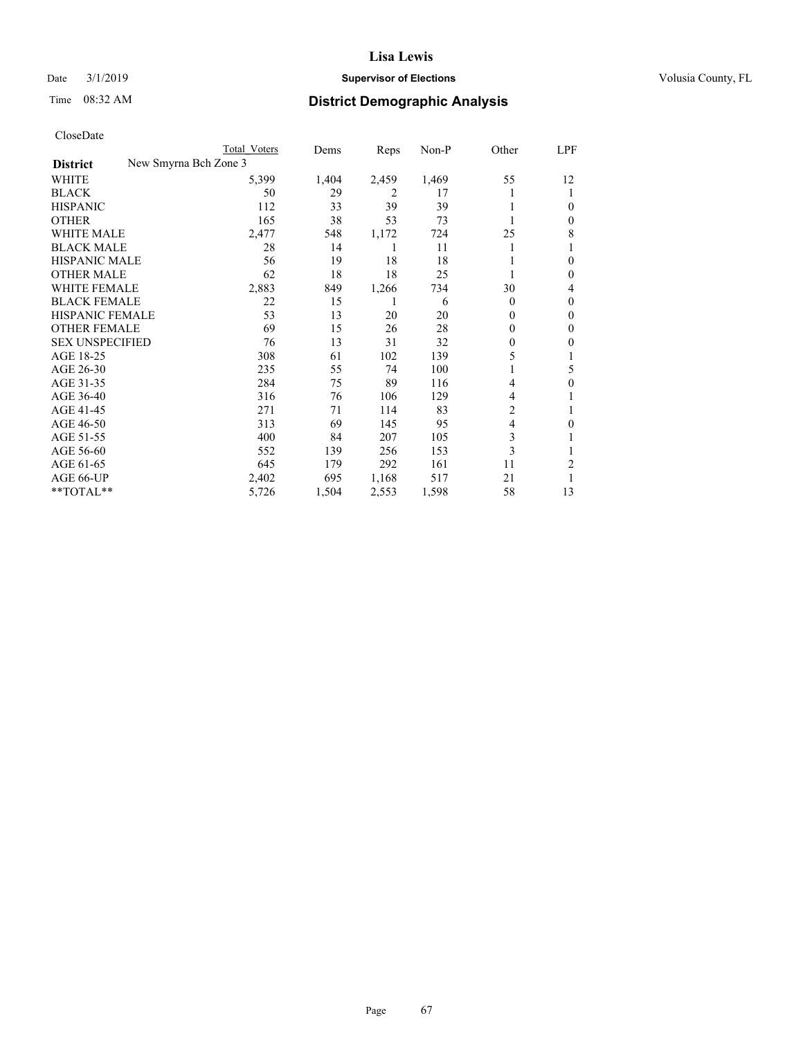## Date  $3/1/2019$  **Supervisor of Elections Supervisor of Elections** Volusia County, FL

# Time 08:32 AM **District Demographic Analysis**

| CloseDate |
|-----------|
|-----------|

|                                          | Total Voters | Dems  | Reps  | Non-P | Other    | LPF    |
|------------------------------------------|--------------|-------|-------|-------|----------|--------|
| New Smyrna Bch Zone 3<br><b>District</b> |              |       |       |       |          |        |
| WHITE                                    | 5,399        | 1,404 | 2,459 | 1,469 | 55       | 12     |
| BLACK                                    | 50           | 29    | 2     | 17    |          |        |
| HISPANIC                                 | 112          | 33    | 39    | 39    |          | $_{0}$ |
| OTHER                                    | 165          | 38    | 53    | 73    |          | $_{0}$ |
| WHITE MALE                               | 2,477        | 548   | 1,172 | 724   | 25       | 8      |
| BLACK MALE                               | 28           | 14    |       | 11    |          |        |
| HISPANIC MALE                            | 56           | 19    | 18    | 18    |          | $_{0}$ |
| OTHER MALE                               | 62           | 18    | 18    | 25    |          | $_{0}$ |
| WHITE FEMALE                             | 2,883        | 849   | 1,266 | 734   | 30       | 4      |
| BLACK FEMALE                             | 22           | 15    |       | 6     | $\Omega$ | $_{0}$ |
| HISPANIC FEMALE                          | 53           | 13    | 20    | 20    | $\Omega$ | $_{0}$ |
| OTHER FEMALE                             | 69           | 15    | 26    | 28    | $\Omega$ | $_{0}$ |
| <b>SEX UNSPECIFIED</b>                   | 76           | 13    | 31    | 32    | 0        | 0      |
| AGE 18-25                                | 308          | 61    | 102   | 139   | 5        |        |
| AGE 26-30                                | 235          | 55    | 74    | 100   |          | 5      |
| AGE 31-35                                | 284          | 75    | 89    | 116   | 4        | 0      |
| AGE 36-40                                | 316          | 76    | 106   | 129   | 4        |        |
| AGE 41-45                                | 271          | 71    | 114   | 83    | 2        |        |
| AGE 46-50                                | 313          | 69    | 145   | 95    | 4        | $_{0}$ |
| AGE 51-55                                | 400          | 84    | 207   | 105   | 3        |        |
| AGE 56-60                                | 552          | 139   | 256   | 153   | 3        |        |
| AGE 61-65                                | 645          | 179   | 292   | 161   | 11       | 2      |
| AGE 66-UP                                | 2,402        | 695   | 1,168 | 517   | 21       |        |
| **TOTAL**                                | 5,726        | 1,504 | 2,553 | 1,598 | 58       | 13     |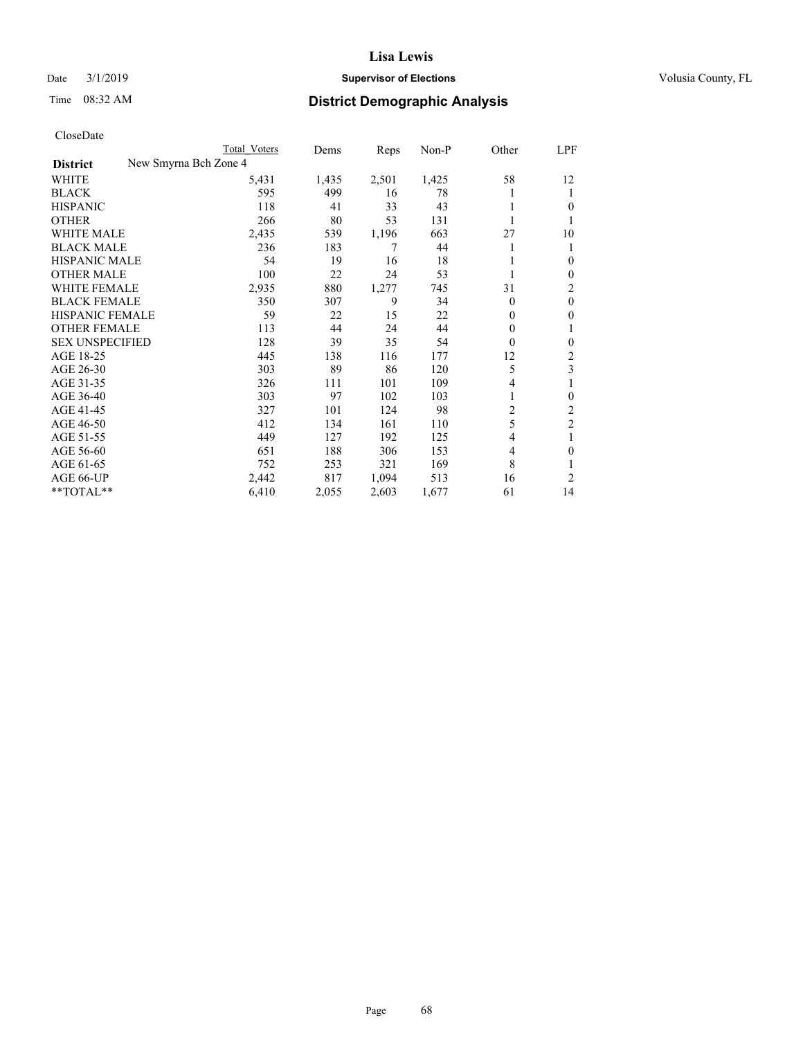## Date  $3/1/2019$  **Supervisor of Elections Supervisor of Elections** Volusia County, FL

# Time 08:32 AM **District Demographic Analysis**

|                                          | Total Voters | Dems  | Reps  | Non-P | Other          | LPF            |
|------------------------------------------|--------------|-------|-------|-------|----------------|----------------|
| New Smyrna Bch Zone 4<br><b>District</b> |              |       |       |       |                |                |
| WHITE                                    | 5,431        | 1,435 | 2,501 | 1,425 | 58             | 12             |
| <b>BLACK</b>                             | 595          | 499   | 16    | 78    |                | 1              |
| <b>HISPANIC</b>                          | 118          | 41    | 33    | 43    |                | 0              |
| <b>OTHER</b>                             | 266          | 80    | 53    | 131   |                | 1              |
| <b>WHITE MALE</b>                        | 2,435        | 539   | 1,196 | 663   | 27             | 10             |
| <b>BLACK MALE</b>                        | 236          | 183   | 7     | 44    |                | 1              |
| HISPANIC MALE                            | 54           | 19    | 16    | 18    |                | 0              |
| <b>OTHER MALE</b>                        | 100          | 22    | 24    | 53    |                | 0              |
| <b>WHITE FEMALE</b>                      | 2,935        | 880   | 1,277 | 745   | 31             | 2              |
| <b>BLACK FEMALE</b>                      | 350          | 307   | 9     | 34    | $\theta$       | $\theta$       |
| HISPANIC FEMALE                          | 59           | 22    | 15    | 22    | $\Omega$       | 0              |
| <b>OTHER FEMALE</b>                      | 113          | 44    | 24    | 44    | $\mathbf{0}$   | 1              |
| <b>SEX UNSPECIFIED</b>                   | 128          | 39    | 35    | 54    | $\mathbf{0}$   | $\theta$       |
| AGE 18-25                                | 445          | 138   | 116   | 177   | 12             | 2              |
| AGE 26-30                                | 303          | 89    | 86    | 120   | 5              | 3              |
| AGE 31-35                                | 326          | 111   | 101   | 109   | 4              | 1              |
| AGE 36-40                                | 303          | 97    | 102   | 103   | 1              | 0              |
| AGE 41-45                                | 327          | 101   | 124   | 98    | $\overline{c}$ | $\overline{c}$ |
| AGE 46-50                                | 412          | 134   | 161   | 110   | 5              | $\overline{2}$ |
| AGE 51-55                                | 449          | 127   | 192   | 125   | 4              | 1              |
| AGE 56-60                                | 651          | 188   | 306   | 153   | 4              | 0              |
| AGE 61-65                                | 752          | 253   | 321   | 169   | 8              |                |
| AGE 66-UP                                | 2,442        | 817   | 1,094 | 513   | 16             | 2              |
| **TOTAL**                                | 6,410        | 2,055 | 2,603 | 1,677 | 61             | 14             |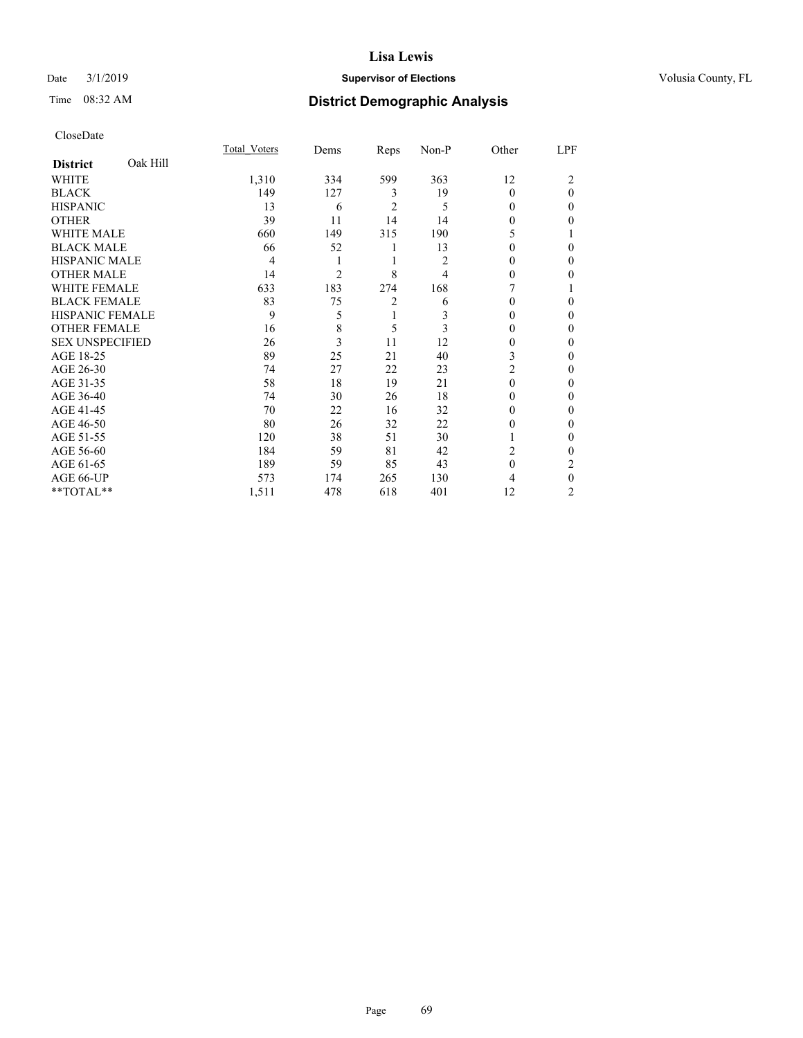## Date  $3/1/2019$  **Supervisor of Elections Supervisor of Elections** Volusia County, FL

# Time 08:32 AM **District Demographic Analysis**

|                        |          | Total Voters | Dems           | Reps           | Non-P | Other        | LPF      |
|------------------------|----------|--------------|----------------|----------------|-------|--------------|----------|
| <b>District</b>        | Oak Hill |              |                |                |       |              |          |
| WHITE                  |          | 1,310        | 334            | 599            | 363   | 12           | 2        |
| <b>BLACK</b>           |          | 149          | 127            | 3              | 19    | $\theta$     | $\theta$ |
| <b>HISPANIC</b>        |          | 13           | 6              | $\overline{2}$ | 5     | 0            | $\Omega$ |
| <b>OTHER</b>           |          | 39           | 11             | 14             | 14    | 0            | 0        |
| WHITE MALE             |          | 660          | 149            | 315            | 190   | 5            |          |
| <b>BLACK MALE</b>      |          | 66           | 52             | 1              | 13    | 0            | $\theta$ |
| <b>HISPANIC MALE</b>   |          | 4            | 1              | 1              | 2     | 0            | $\theta$ |
| <b>OTHER MALE</b>      |          | 14           | $\overline{2}$ | 8              | 4     | 0            | 0        |
| WHITE FEMALE           |          | 633          | 183            | 274            | 168   |              |          |
| <b>BLACK FEMALE</b>    |          | 83           | 75             | $\overline{2}$ | 6     | 0            | $\Omega$ |
| <b>HISPANIC FEMALE</b> |          | 9            | 5              | 1              | 3     | 0            | 0        |
| <b>OTHER FEMALE</b>    |          | 16           | 8              | 5              | 3     | $\theta$     | 0        |
| <b>SEX UNSPECIFIED</b> |          | 26           | 3              | 11             | 12    | $\theta$     | $\Omega$ |
| AGE 18-25              |          | 89           | 25             | 21             | 40    | 3            | 0        |
| AGE 26-30              |          | 74           | 27             | 22             | 23    | 2            | 0        |
| AGE 31-35              |          | 58           | 18             | 19             | 21    | $\Omega$     | 0        |
| AGE 36-40              |          | 74           | 30             | 26             | 18    | 0            | $\Omega$ |
| AGE 41-45              |          | 70           | 22             | 16             | 32    | 0            | 0        |
| AGE 46-50              |          | 80           | 26             | 32             | 22    | $\mathbf{0}$ | 0        |
| AGE 51-55              |          | 120          | 38             | 51             | 30    |              | $\theta$ |
| AGE 56-60              |          | 184          | 59             | 81             | 42    | 2            | 0        |
| AGE 61-65              |          | 189          | 59             | 85             | 43    | $\theta$     | 2        |
| AGE 66-UP              |          | 573          | 174            | 265            | 130   | 4            | $\theta$ |
| **TOTAL**              |          | 1,511        | 478            | 618            | 401   | 12           | 2        |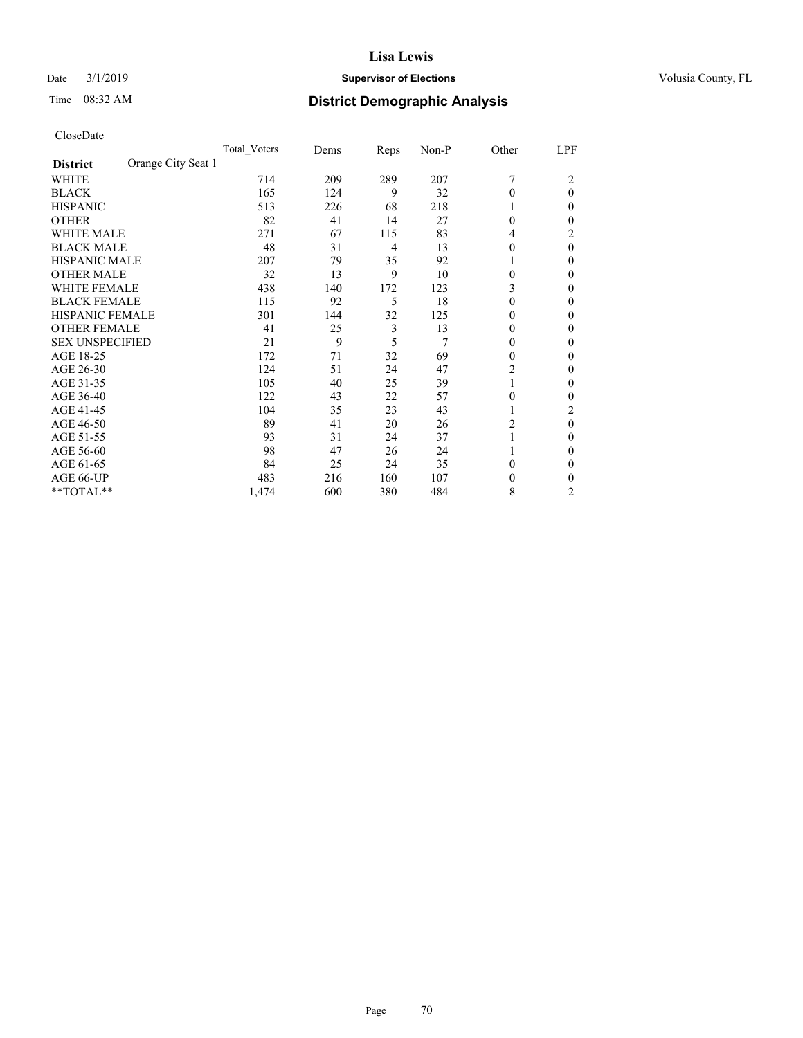## Date  $3/1/2019$  **Supervisor of Elections Supervisor of Elections** Volusia County, FL

# Time 08:32 AM **District Demographic Analysis**

|                        |                    | Total Voters | Dems | Reps | Non-P | Other          | LPF            |
|------------------------|--------------------|--------------|------|------|-------|----------------|----------------|
| <b>District</b>        | Orange City Seat 1 |              |      |      |       |                |                |
| WHITE                  |                    | 714          | 209  | 289  | 207   | 7              | 2              |
| <b>BLACK</b>           |                    | 165          | 124  | 9    | 32    | $\Omega$       | $\theta$       |
| <b>HISPANIC</b>        |                    | 513          | 226  | 68   | 218   | 1              | 0              |
| <b>OTHER</b>           |                    | 82           | 41   | 14   | 27    | $\theta$       | 0              |
| WHITE MALE             |                    | 271          | 67   | 115  | 83    | 4              | 2              |
| <b>BLACK MALE</b>      |                    | 48           | 31   | 4    | 13    | $\Omega$       | $\theta$       |
| HISPANIC MALE          |                    | 207          | 79   | 35   | 92    | 1              | 0              |
| <b>OTHER MALE</b>      |                    | 32           | 13   | 9    | 10    | $\theta$       | 0              |
| WHITE FEMALE           |                    | 438          | 140  | 172  | 123   | 3              | 0              |
| <b>BLACK FEMALE</b>    |                    | 115          | 92   | 5    | 18    | $\Omega$       | 0              |
| <b>HISPANIC FEMALE</b> |                    | 301          | 144  | 32   | 125   | $\Omega$       | 0              |
| <b>OTHER FEMALE</b>    |                    | 41           | 25   | 3    | 13    | $\Omega$       | 0              |
| <b>SEX UNSPECIFIED</b> |                    | 21           | 9    | 5    | 7     | $\theta$       | 0              |
| AGE 18-25              |                    | 172          | 71   | 32   | 69    | $\Omega$       | 0              |
| AGE 26-30              |                    | 124          | 51   | 24   | 47    | $\overline{c}$ | 0              |
| AGE 31-35              |                    | 105          | 40   | 25   | 39    | 1              | 0              |
| AGE 36-40              |                    | 122          | 43   | 22   | 57    | $\theta$       | 0              |
| AGE 41-45              |                    | 104          | 35   | 23   | 43    |                | 2              |
| AGE 46-50              |                    | 89           | 41   | 20   | 26    | 2              | $\theta$       |
| AGE 51-55              |                    | 93           | 31   | 24   | 37    |                | 0              |
| AGE 56-60              |                    | 98           | 47   | 26   | 24    |                | 0              |
| AGE 61-65              |                    | 84           | 25   | 24   | 35    | $\theta$       | 0              |
| AGE 66-UP              |                    | 483          | 216  | 160  | 107   | $\theta$       | 0              |
| **TOTAL**              |                    | 1,474        | 600  | 380  | 484   | 8              | $\overline{c}$ |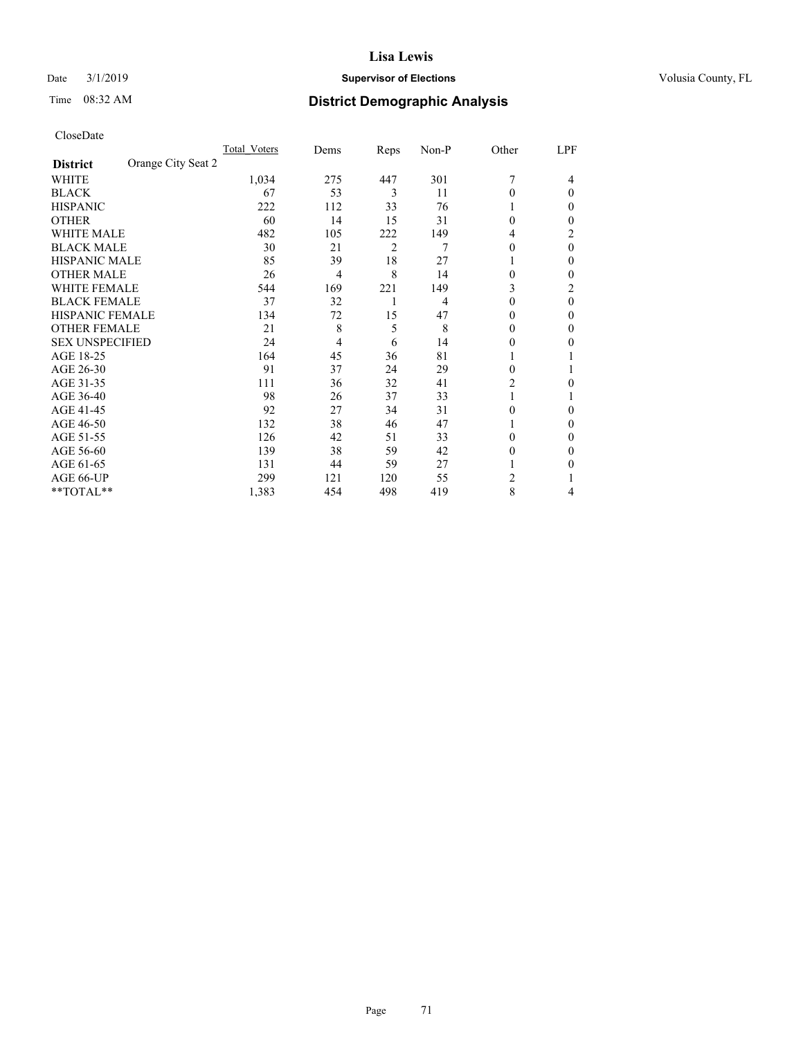## Date  $3/1/2019$  **Supervisor of Elections Supervisor of Elections** Volusia County, FL

# Time 08:32 AM **District Demographic Analysis**

|                                       | Total Voters | Dems | Reps | Non-P | Other          | LPF            |
|---------------------------------------|--------------|------|------|-------|----------------|----------------|
| Orange City Seat 2<br><b>District</b> |              |      |      |       |                |                |
| WHITE                                 | 1,034        | 275  | 447  | 301   | 7              | 4              |
| <b>BLACK</b>                          | 67           | 53   | 3    | 11    | $\Omega$       | $\Omega$       |
| <b>HISPANIC</b>                       | 222          | 112  | 33   | 76    | 1              | 0              |
| <b>OTHER</b>                          | 60           | 14   | 15   | 31    | $\Omega$       | 0              |
| <b>WHITE MALE</b>                     | 482          | 105  | 222  | 149   | 4              | 2              |
| <b>BLACK MALE</b>                     | 30           | 21   | 2    | 7     | $\theta$       | $\theta$       |
| <b>HISPANIC MALE</b>                  | 85           | 39   | 18   | 27    |                | 0              |
| <b>OTHER MALE</b>                     | 26           | 4    | 8    | 14    | $\theta$       | 0              |
| <b>WHITE FEMALE</b>                   | 544          | 169  | 221  | 149   | 3              | $\overline{c}$ |
| <b>BLACK FEMALE</b>                   | 37           | 32   | 1    | 4     | $\theta$       | $\theta$       |
| <b>HISPANIC FEMALE</b>                | 134          | 72   | 15   | 47    | $\Omega$       | 0              |
| <b>OTHER FEMALE</b>                   | 21           | 8    | 5    | 8     | $\Omega$       | 0              |
| <b>SEX UNSPECIFIED</b>                | 24           | 4    | 6    | 14    | $\Omega$       | 0              |
| AGE 18-25                             | 164          | 45   | 36   | 81    |                |                |
| AGE 26-30                             | 91           | 37   | 24   | 29    | $\theta$       |                |
| AGE 31-35                             | 111          | 36   | 32   | 41    | $\overline{2}$ | 0              |
| AGE 36-40                             | 98           | 26   | 37   | 33    | 1              |                |
| AGE 41-45                             | 92           | 27   | 34   | 31    | $\Omega$       | 0              |
| AGE 46-50                             | 132          | 38   | 46   | 47    | 1              | 0              |
| AGE 51-55                             | 126          | 42   | 51   | 33    | $\Omega$       | 0              |
| AGE 56-60                             | 139          | 38   | 59   | 42    | $\theta$       | 0              |
| AGE 61-65                             | 131          | 44   | 59   | 27    |                | 0              |
| AGE 66-UP                             | 299          | 121  | 120  | 55    | 2              |                |
| **TOTAL**                             | 1,383        | 454  | 498  | 419   | 8              | 4              |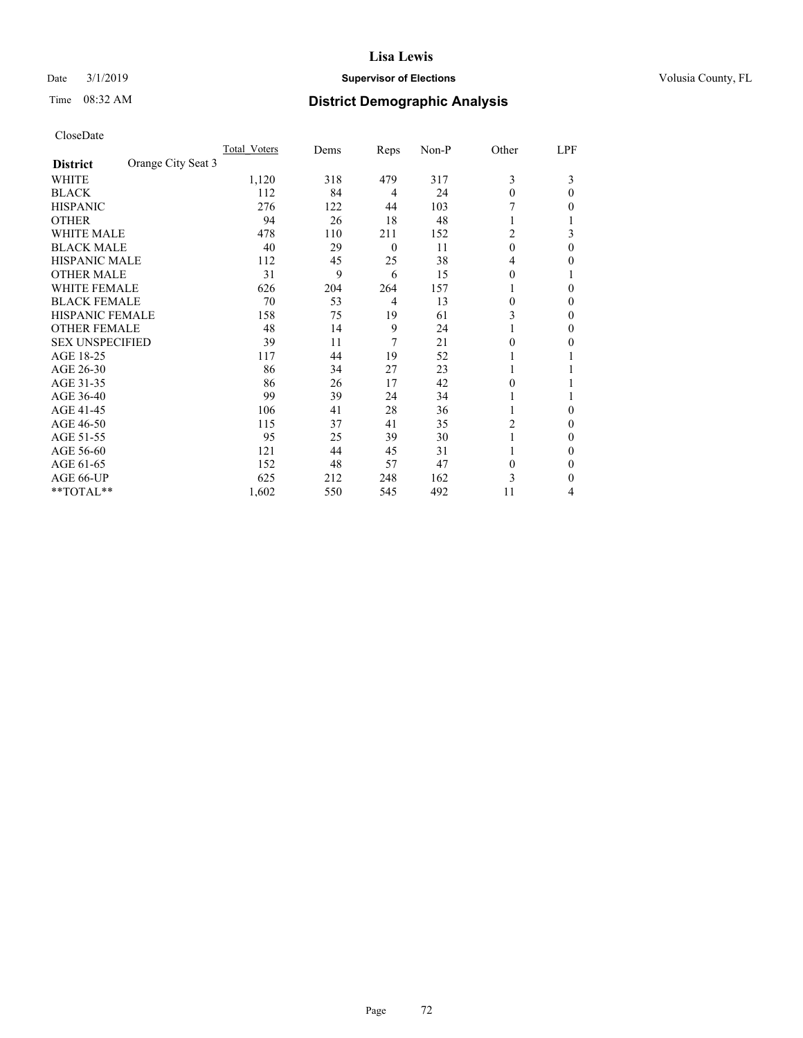## Date  $3/1/2019$  **Supervisor of Elections Supervisor of Elections** Volusia County, FL

# Time 08:32 AM **District Demographic Analysis**

|                        |                    | Total Voters | Dems | Reps           | Non-P | Other    | LPF      |
|------------------------|--------------------|--------------|------|----------------|-------|----------|----------|
| <b>District</b>        | Orange City Seat 3 |              |      |                |       |          |          |
| WHITE                  |                    | 1,120        | 318  | 479            | 317   | 3        | 3        |
| <b>BLACK</b>           |                    | 112          | 84   | 4              | 24    | $\theta$ | 0        |
| <b>HISPANIC</b>        |                    | 276          | 122  | 44             | 103   |          | 0        |
| <b>OTHER</b>           |                    | 94           | 26   | 18             | 48    |          |          |
| <b>WHITE MALE</b>      |                    | 478          | 110  | 211            | 152   | 2        | 3        |
| <b>BLACK MALE</b>      |                    | 40           | 29   | $\overline{0}$ | 11    | $\theta$ | $\Omega$ |
| <b>HISPANIC MALE</b>   |                    | 112          | 45   | 25             | 38    | 4        | 0        |
| <b>OTHER MALE</b>      |                    | 31           | 9    | 6              | 15    | $\theta$ |          |
| <b>WHITE FEMALE</b>    |                    | 626          | 204  | 264            | 157   |          | 0        |
| <b>BLACK FEMALE</b>    |                    | 70           | 53   | 4              | 13    | $\theta$ | 0        |
| <b>HISPANIC FEMALE</b> |                    | 158          | 75   | 19             | 61    | 3        | 0        |
| <b>OTHER FEMALE</b>    |                    | 48           | 14   | 9              | 24    | 1        | 0        |
| <b>SEX UNSPECIFIED</b> |                    | 39           | 11   | 7              | 21    | $\Omega$ | 0        |
| AGE 18-25              |                    | 117          | 44   | 19             | 52    |          |          |
| AGE 26-30              |                    | 86           | 34   | 27             | 23    | 1        |          |
| AGE 31-35              |                    | 86           | 26   | 17             | 42    | 0        |          |
| AGE 36-40              |                    | 99           | 39   | 24             | 34    | 1        |          |
| AGE 41-45              |                    | 106          | 41   | 28             | 36    |          | 0        |
| AGE 46-50              |                    | 115          | 37   | 41             | 35    | 2        | 0        |
| AGE 51-55              |                    | 95           | 25   | 39             | 30    |          | 0        |
| AGE 56-60              |                    | 121          | 44   | 45             | 31    |          | 0        |
| AGE 61-65              |                    | 152          | 48   | 57             | 47    | $\theta$ | 0        |
| AGE 66-UP              |                    | 625          | 212  | 248            | 162   | 3        | 0        |
| **TOTAL**              |                    | 1,602        | 550  | 545            | 492   | 11       | 4        |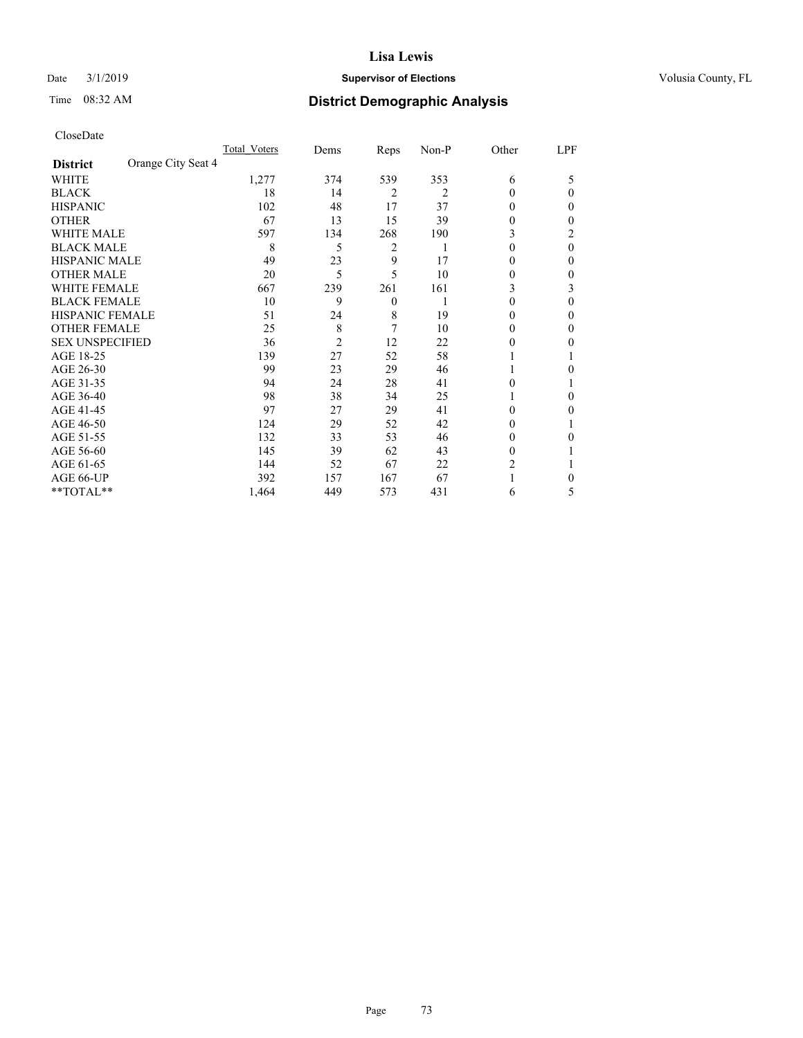# Date  $3/1/2019$  **Supervisor of Elections Supervisor of Elections** Volusia County, FL

# Time 08:32 AM **District Demographic Analysis**

|                                       | Total Voters | Dems           | Reps           | Non-P | Other    | LPF      |
|---------------------------------------|--------------|----------------|----------------|-------|----------|----------|
| Orange City Seat 4<br><b>District</b> |              |                |                |       |          |          |
| WHITE                                 | 1,277        | 374            | 539            | 353   | 6        | 5        |
| <b>BLACK</b>                          | 18           | 14             | $\overline{2}$ | 2     | $\theta$ | 0        |
| <b>HISPANIC</b>                       | 102          | 48             | 17             | 37    | $\Omega$ | 0        |
| <b>OTHER</b>                          | 67           | 13             | 15             | 39    | 0        | 0        |
| WHITE MALE                            | 597          | 134            | 268            | 190   | 3        | 2        |
| <b>BLACK MALE</b>                     | 8            | 5              | 2              | 1     | $\theta$ | $\theta$ |
| <b>HISPANIC MALE</b>                  | 49           | 23             | 9              | 17    | 0        | 0        |
| <b>OTHER MALE</b>                     | 20           | 5              | 5              | 10    | 0        | 0        |
| <b>WHITE FEMALE</b>                   | 667          | 239            | 261            | 161   | 3        | 3        |
| <b>BLACK FEMALE</b>                   | 10           | 9              | $\overline{0}$ |       | $\theta$ | 0        |
| <b>HISPANIC FEMALE</b>                | 51           | 24             | 8              | 19    | 0        | 0        |
| <b>OTHER FEMALE</b>                   | 25           | 8              | 7              | 10    | $\Omega$ | 0        |
| <b>SEX UNSPECIFIED</b>                | 36           | $\overline{2}$ | 12             | 22    | 0        | 0        |
| AGE 18-25                             | 139          | 27             | 52             | 58    |          |          |
| AGE 26-30                             | 99           | 23             | 29             | 46    | 1        | 0        |
| AGE 31-35                             | 94           | 24             | 28             | 41    | 0        |          |
| AGE 36-40                             | 98           | 38             | 34             | 25    | 1        | 0        |
| AGE 41-45                             | 97           | 27             | 29             | 41    | 0        | 0        |
| AGE 46-50                             | 124          | 29             | 52             | 42    | $\Omega$ |          |
| AGE 51-55                             | 132          | 33             | 53             | 46    | $\Omega$ | 0        |
| AGE 56-60                             | 145          | 39             | 62             | 43    | $\theta$ |          |
| AGE 61-65                             | 144          | 52             | 67             | 22    | 2        |          |
| AGE 66-UP                             | 392          | 157            | 167            | 67    |          | 0        |
| **TOTAL**                             | 1,464        | 449            | 573            | 431   | 6        | 5        |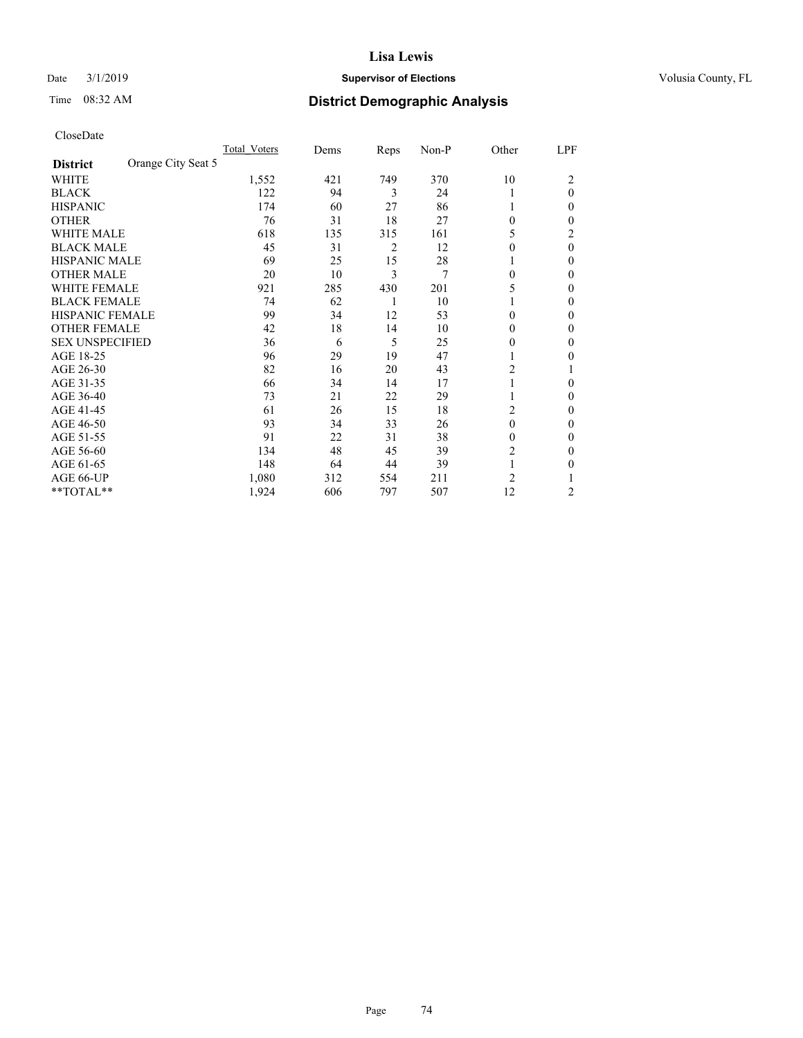# Date  $3/1/2019$  **Supervisor of Elections Supervisor of Elections** Volusia County, FL

# Time 08:32 AM **District Demographic Analysis**

| CloseDate |
|-----------|
|-----------|

|                                       | Total Voters | Dems | Reps | Non-P | Other          | LPF          |
|---------------------------------------|--------------|------|------|-------|----------------|--------------|
| Orange City Seat 5<br><b>District</b> |              |      |      |       |                |              |
| WHITE                                 | 1,552        | 421  | 749  | 370   | 10             | 2            |
| <b>BLACK</b>                          | 122          | 94   | 3    | 24    | 1              | $\mathbf{0}$ |
| <b>HISPANIC</b>                       | 174          | 60   | 27   | 86    |                | $\theta$     |
| <b>OTHER</b>                          | 76           | 31   | 18   | 27    | $\mathbf{0}$   | $\theta$     |
| <b>WHITE MALE</b>                     | 618          | 135  | 315  | 161   | 5              | 2            |
| <b>BLACK MALE</b>                     | 45           | 31   | 2    | 12    | $\theta$       | $\theta$     |
| <b>HISPANIC MALE</b>                  | 69           | 25   | 15   | 28    |                | $\theta$     |
| <b>OTHER MALE</b>                     | 20           | 10   | 3    | 7     | $\mathbf{0}$   | $\mathbf{0}$ |
| <b>WHITE FEMALE</b>                   | 921          | 285  | 430  | 201   | 5              | 0            |
| <b>BLACK FEMALE</b>                   | 74           | 62   |      | 10    |                | $\theta$     |
| HISPANIC FEMALE                       | 99           | 34   | 12   | 53    | $\theta$       | $\theta$     |
| <b>OTHER FEMALE</b>                   | 42           | 18   | 14   | 10    | 0              | $\theta$     |
| <b>SEX UNSPECIFIED</b>                | 36           | 6    | 5    | 25    | 0              | $\theta$     |
| AGE 18-25                             | 96           | 29   | 19   | 47    |                | $\theta$     |
| AGE 26-30                             | 82           | 16   | 20   | 43    | $\overline{2}$ |              |
| AGE 31-35                             | 66           | 34   | 14   | 17    |                | $\theta$     |
| AGE 36-40                             | 73           | 21   | 22   | 29    |                | $\theta$     |
| AGE 41-45                             | 61           | 26   | 15   | 18    | 2              | $\theta$     |
| AGE 46-50                             | 93           | 34   | 33   | 26    | $\theta$       | $\theta$     |
| AGE 51-55                             | 91           | 22   | 31   | 38    | 0              | $\theta$     |
| AGE 56-60                             | 134          | 48   | 45   | 39    | 2              | $\bf{0}$     |
| AGE 61-65                             | 148          | 64   | 44   | 39    | 1              | $\theta$     |
| AGE 66-UP                             | 1,080        | 312  | 554  | 211   | $\overline{2}$ |              |
| **TOTAL**                             | 1,924        | 606  | 797  | 507   | 12             | 2            |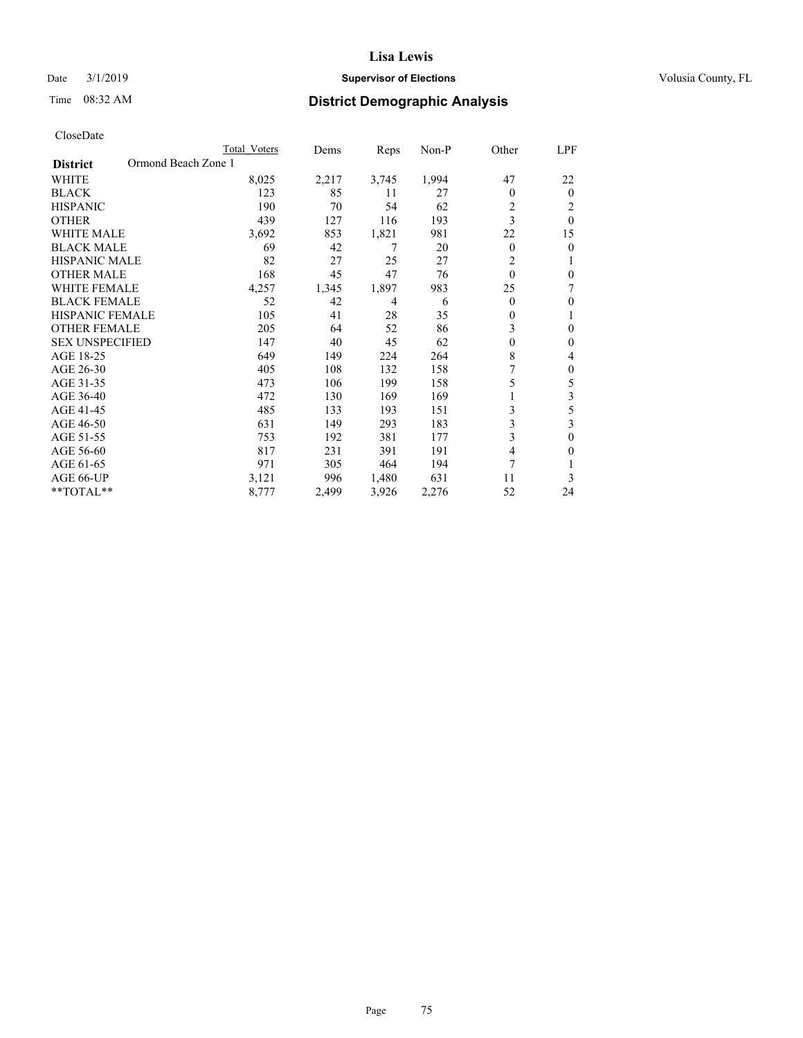# Date  $3/1/2019$  **Supervisor of Elections Supervisor of Elections** Volusia County, FL

# Time 08:32 AM **District Demographic Analysis**

|                                        | Total Voters | Dems  | Reps  | Non-P | Other          | LPF      |
|----------------------------------------|--------------|-------|-------|-------|----------------|----------|
| Ormond Beach Zone 1<br><b>District</b> |              |       |       |       |                |          |
| <b>WHITE</b>                           | 8,025        | 2,217 | 3,745 | 1,994 | 47             | 22       |
| <b>BLACK</b>                           | 123          | 85    | 11    | 27    | $\theta$       | $\theta$ |
| <b>HISPANIC</b>                        | 190          | 70    | 54    | 62    | $\overline{c}$ | 2        |
| <b>OTHER</b>                           | 439          | 127   | 116   | 193   | 3              | $\theta$ |
| <b>WHITE MALE</b>                      | 3,692        | 853   | 1,821 | 981   | 22             | 15       |
| <b>BLACK MALE</b>                      | 69           | 42    | 7     | 20    | $\mathbf{0}$   | $\theta$ |
| HISPANIC MALE                          | 82           | 27    | 25    | 27    | $\overline{2}$ |          |
| <b>OTHER MALE</b>                      | 168          | 45    | 47    | 76    | $\theta$       | $\theta$ |
| WHITE FEMALE                           | 4,257        | 1,345 | 1,897 | 983   | 25             | 7        |
| <b>BLACK FEMALE</b>                    | 52           | 42    | 4     | 6     | $\theta$       | $\theta$ |
| <b>HISPANIC FEMALE</b>                 | 105          | 41    | 28    | 35    | $\mathbf{0}$   | 1        |
| <b>OTHER FEMALE</b>                    | 205          | 64    | 52    | 86    | 3              | $\theta$ |
| <b>SEX UNSPECIFIED</b>                 | 147          | 40    | 45    | 62    | $\theta$       | $\theta$ |
| AGE 18-25                              | 649          | 149   | 224   | 264   | 8              | 4        |
| AGE 26-30                              | 405          | 108   | 132   | 158   |                | $\theta$ |
| AGE 31-35                              | 473          | 106   | 199   | 158   | 5              | 5        |
| AGE 36-40                              | 472          | 130   | 169   | 169   |                | 3        |
| AGE 41-45                              | 485          | 133   | 193   | 151   | 3              | 5        |
| AGE 46-50                              | 631          | 149   | 293   | 183   | 3              | 3        |
| AGE 51-55                              | 753          | 192   | 381   | 177   | 3              | $\theta$ |
| AGE 56-60                              | 817          | 231   | 391   | 191   | 4              | $\Omega$ |
| AGE 61-65                              | 971          | 305   | 464   | 194   | 7              |          |
| AGE 66-UP                              | 3,121        | 996   | 1,480 | 631   | 11             | 3        |
| $*$ TOTAL $*$                          | 8,777        | 2,499 | 3,926 | 2,276 | 52             | 24       |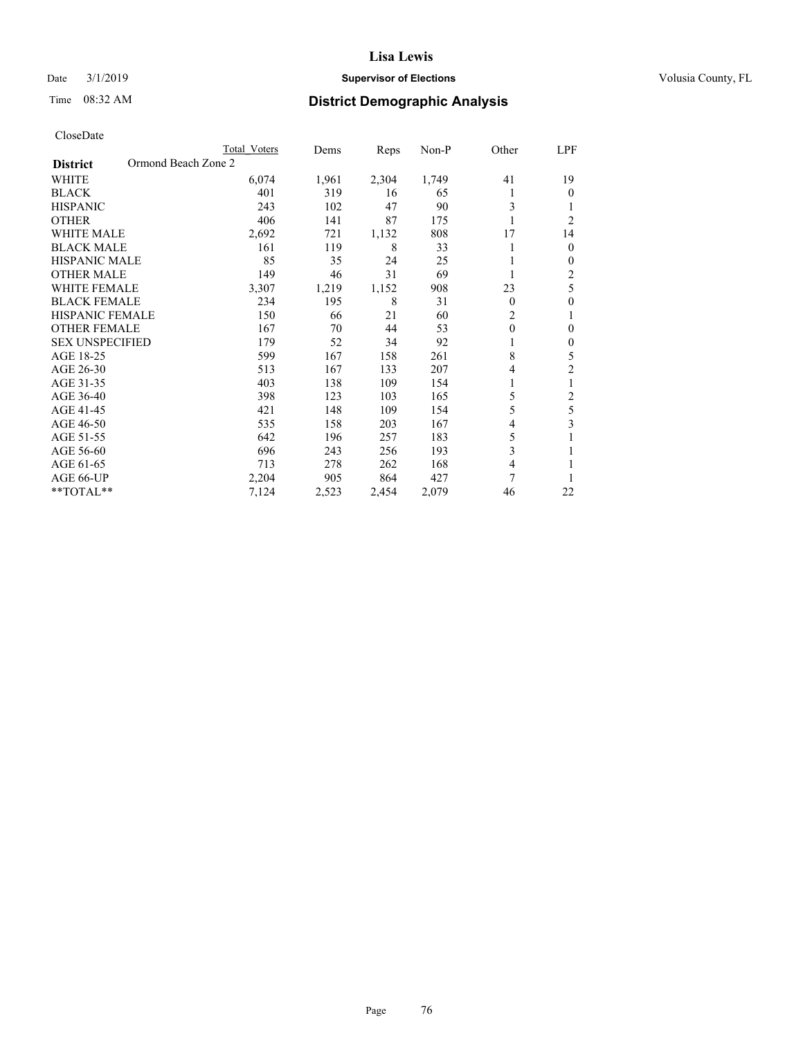# Date  $3/1/2019$  **Supervisor of Elections Supervisor of Elections** Volusia County, FL

# Time 08:32 AM **District Demographic Analysis**

|                                        | Total Voters | Dems  | Reps  | Non-P | Other          | LPF            |
|----------------------------------------|--------------|-------|-------|-------|----------------|----------------|
| Ormond Beach Zone 2<br><b>District</b> |              |       |       |       |                |                |
| WHITE                                  | 6,074        | 1,961 | 2,304 | 1,749 | 41             | 19             |
| <b>BLACK</b>                           | 401          | 319   | 16    | 65    |                | $\theta$       |
| <b>HISPANIC</b>                        | 243          | 102   | 47    | 90    | 3              | 1              |
| <b>OTHER</b>                           | 406          | 141   | 87    | 175   |                | $\overline{2}$ |
| <b>WHITE MALE</b>                      | 2,692        | 721   | 1,132 | 808   | 17             | 14             |
| <b>BLACK MALE</b>                      | 161          | 119   | 8     | 33    |                | $\mathbf{0}$   |
| <b>HISPANIC MALE</b>                   | 85           | 35    | 24    | 25    |                | $\mathbf{0}$   |
| <b>OTHER MALE</b>                      | 149          | 46    | 31    | 69    |                | 2              |
| WHITE FEMALE                           | 3,307        | 1,219 | 1,152 | 908   | 23             | 5              |
| <b>BLACK FEMALE</b>                    | 234          | 195   | 8     | 31    | $\theta$       | $\theta$       |
| <b>HISPANIC FEMALE</b>                 | 150          | 66    | 21    | 60    | $\overline{2}$ | 1              |
| <b>OTHER FEMALE</b>                    | 167          | 70    | 44    | 53    | $\theta$       | $\theta$       |
| <b>SEX UNSPECIFIED</b>                 | 179          | 52    | 34    | 92    |                | $\theta$       |
| AGE 18-25                              | 599          | 167   | 158   | 261   | 8              | 5              |
| AGE 26-30                              | 513          | 167   | 133   | 207   | 4              | $\overline{2}$ |
| AGE 31-35                              | 403          | 138   | 109   | 154   |                | 1              |
| AGE 36-40                              | 398          | 123   | 103   | 165   | 5              | 2              |
| AGE 41-45                              | 421          | 148   | 109   | 154   | 5              | 5              |
| AGE 46-50                              | 535          | 158   | 203   | 167   | 4              | 3              |
| AGE 51-55                              | 642          | 196   | 257   | 183   | 5              | 1              |
| AGE 56-60                              | 696          | 243   | 256   | 193   | 3              |                |
| AGE 61-65                              | 713          | 278   | 262   | 168   | 4              |                |
| AGE 66-UP                              | 2,204        | 905   | 864   | 427   | 7              |                |
| **TOTAL**                              | 7,124        | 2,523 | 2,454 | 2,079 | 46             | 22             |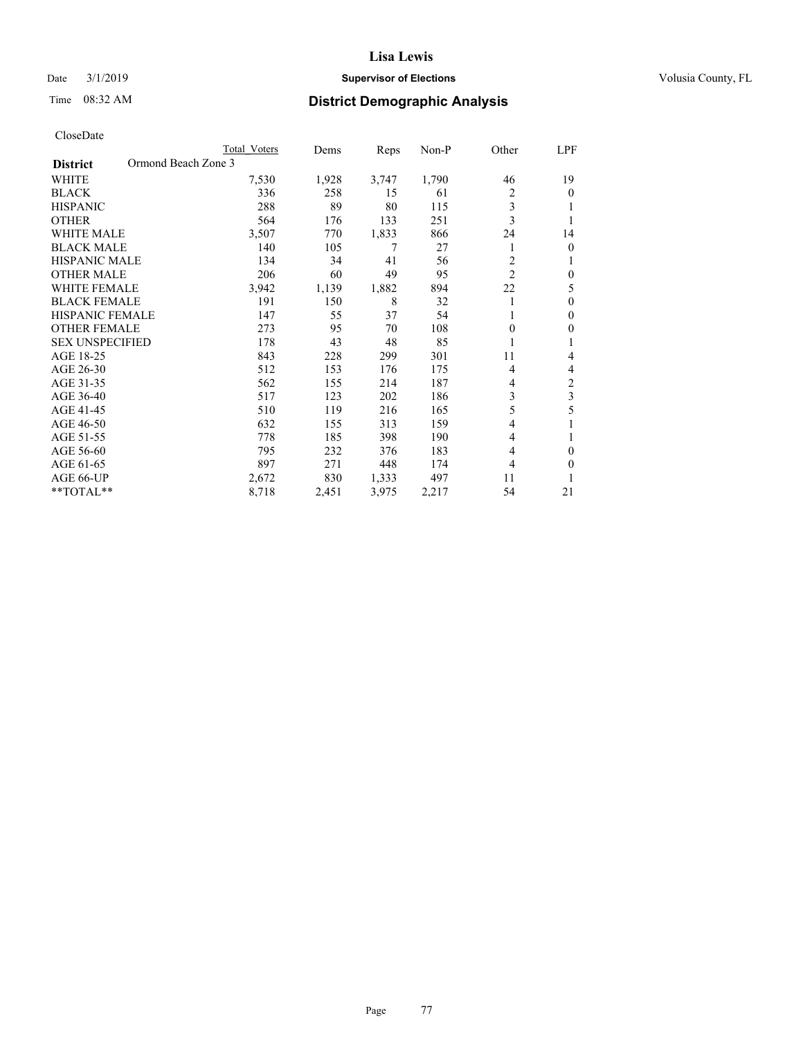## Date  $3/1/2019$  **Supervisor of Elections Supervisor of Elections** Volusia County, FL

# Time 08:32 AM **District Demographic Analysis**

|                                        | Total Voters | Dems  | Reps  | Non-P | Other          | LPF |
|----------------------------------------|--------------|-------|-------|-------|----------------|-----|
| Ormond Beach Zone 3<br><b>District</b> |              |       |       |       |                |     |
| WHITE                                  | 7,530        | 1,928 | 3,747 | 1,790 | 46             | 19  |
| <b>BLACK</b>                           | 336          | 258   | 15    | 61    | 2              | 0   |
| <b>HISPANIC</b>                        | 288          | 89    | 80    | 115   | 3              |     |
| <b>OTHER</b>                           | 564          | 176   | 133   | 251   | 3              |     |
| WHITE MALE                             | 3,507        | 770   | 1,833 | 866   | 24             | 14  |
| <b>BLACK MALE</b>                      | 140          | 105   | 7     | 27    | 1              | 0   |
| <b>HISPANIC MALE</b>                   | 134          | 34    | 41    | 56    | 2              |     |
| <b>OTHER MALE</b>                      | 206          | 60    | 49    | 95    | $\overline{2}$ | 0   |
| WHITE FEMALE                           | 3,942        | 1,139 | 1,882 | 894   | 22             | 5   |
| <b>BLACK FEMALE</b>                    | 191          | 150   | 8     | 32    | 1              | 0   |
| <b>HISPANIC FEMALE</b>                 | 147          | 55    | 37    | 54    |                | 0   |
| <b>OTHER FEMALE</b>                    | 273          | 95    | 70    | 108   | $\Omega$       | 0   |
| <b>SEX UNSPECIFIED</b>                 | 178          | 43    | 48    | 85    |                |     |
| AGE 18-25                              | 843          | 228   | 299   | 301   | 11             | 4   |
| AGE 26-30                              | 512          | 153   | 176   | 175   | 4              | 4   |
| AGE 31-35                              | 562          | 155   | 214   | 187   | 4              | 2   |
| AGE 36-40                              | 517          | 123   | 202   | 186   | 3              | 3   |
| AGE 41-45                              | 510          | 119   | 216   | 165   | 5              | 5   |
| AGE 46-50                              | 632          | 155   | 313   | 159   | 4              |     |
| AGE 51-55                              | 778          | 185   | 398   | 190   | 4              |     |
| AGE 56-60                              | 795          | 232   | 376   | 183   | 4              | 0   |
| AGE 61-65                              | 897          | 271   | 448   | 174   | 4              | 0   |
| AGE 66-UP                              | 2,672        | 830   | 1,333 | 497   | 11             |     |
| **TOTAL**                              | 8,718        | 2,451 | 3,975 | 2,217 | 54             | 21  |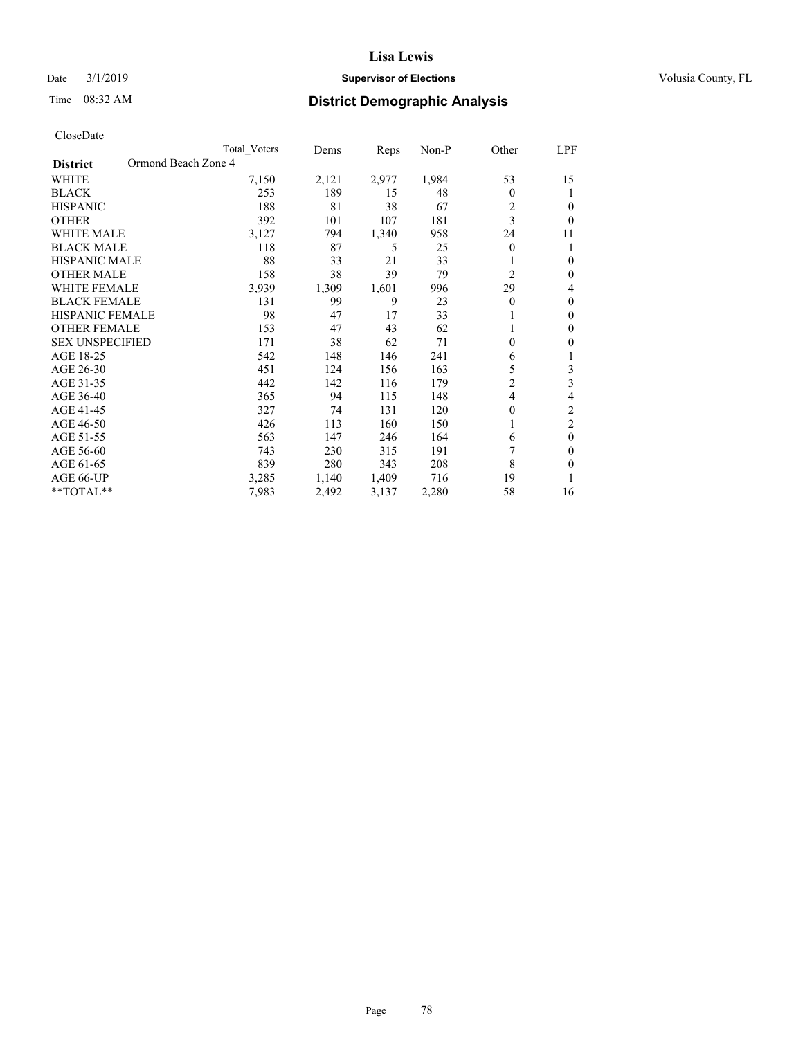# Date  $3/1/2019$  **Supervisor of Elections Supervisor of Elections** Volusia County, FL

# Time 08:32 AM **District Demographic Analysis**

|                        |                     | Total Voters | Dems  | Reps  | $Non-P$ | Other          | LPF            |
|------------------------|---------------------|--------------|-------|-------|---------|----------------|----------------|
| <b>District</b>        | Ormond Beach Zone 4 |              |       |       |         |                |                |
| <b>WHITE</b>           |                     | 7,150        | 2,121 | 2,977 | 1,984   | 53             | 15             |
| <b>BLACK</b>           |                     | 253          | 189   | 15    | 48      | $\theta$       | 1              |
| <b>HISPANIC</b>        |                     | 188          | 81    | 38    | 67      | $\overline{2}$ | $\theta$       |
| <b>OTHER</b>           |                     | 392          | 101   | 107   | 181     | 3              | $\theta$       |
| <b>WHITE MALE</b>      |                     | 3,127        | 794   | 1,340 | 958     | 24             | 11             |
| <b>BLACK MALE</b>      |                     | 118          | 87    | 5     | 25      | 0              | 1              |
| HISPANIC MALE          |                     | 88           | 33    | 21    | 33      |                | $\theta$       |
| <b>OTHER MALE</b>      |                     | 158          | 38    | 39    | 79      | $\overline{c}$ | $\theta$       |
| <b>WHITE FEMALE</b>    |                     | 3,939        | 1,309 | 1,601 | 996     | 29             | 4              |
| <b>BLACK FEMALE</b>    |                     | 131          | 99    | 9     | 23      | $\theta$       | $\theta$       |
| <b>HISPANIC FEMALE</b> |                     | 98           | 47    | 17    | 33      |                | $\mathbf{0}$   |
| <b>OTHER FEMALE</b>    |                     | 153          | 47    | 43    | 62      |                | $\mathbf{0}$   |
| <b>SEX UNSPECIFIED</b> |                     | 171          | 38    | 62    | 71      | $\theta$       | $\theta$       |
| AGE 18-25              |                     | 542          | 148   | 146   | 241     | 6              | 1              |
| AGE 26-30              |                     | 451          | 124   | 156   | 163     | 5              | 3              |
| AGE 31-35              |                     | 442          | 142   | 116   | 179     | $\overline{c}$ | 3              |
| AGE 36-40              |                     | 365          | 94    | 115   | 148     | 4              | 4              |
| AGE 41-45              |                     | 327          | 74    | 131   | 120     | $\theta$       | $\mathfrak{2}$ |
| AGE 46-50              |                     | 426          | 113   | 160   | 150     |                | $\overline{2}$ |
| AGE 51-55              |                     | 563          | 147   | 246   | 164     | 6              | $\theta$       |
| AGE 56-60              |                     | 743          | 230   | 315   | 191     | 7              | $\Omega$       |
| AGE 61-65              |                     | 839          | 280   | 343   | 208     | 8              | $\theta$       |
| AGE 66-UP              |                     | 3,285        | 1,140 | 1,409 | 716     | 19             | 1              |
| $*$ TOTAL $*$          |                     | 7,983        | 2,492 | 3,137 | 2,280   | 58             | 16             |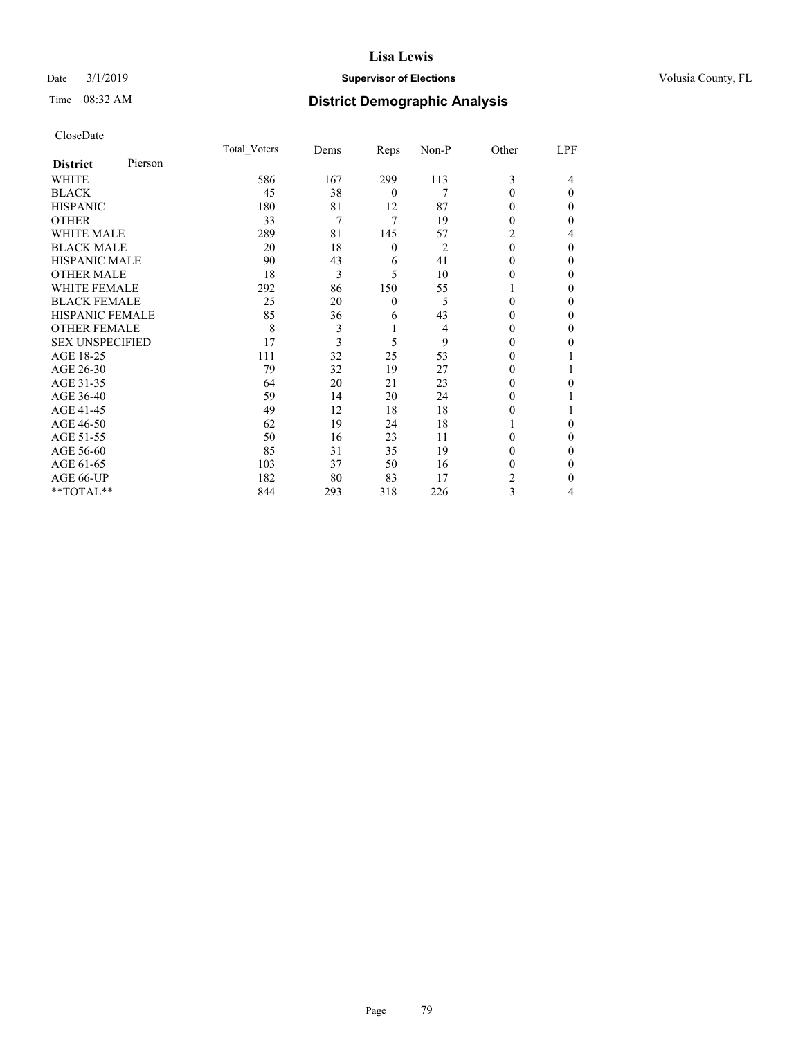# Date  $3/1/2019$  **Supervisor of Elections Supervisor of Elections** Volusia County, FL

# Time 08:32 AM **District Demographic Analysis**

| CloseDate |
|-----------|
|-----------|

|                            | Total Voters | Dems | Reps     | Non-P          | Other    | LPF      |
|----------------------------|--------------|------|----------|----------------|----------|----------|
| Pierson<br><b>District</b> |              |      |          |                |          |          |
| WHITE                      | 586          | 167  | 299      | 113            | 3        | 4        |
| BLACK                      | 45           | 38   | $\theta$ | 7              | $\theta$ | $\theta$ |
| HISPANIC                   | 180          | 81   | 12       | 87             | 0        | $\Omega$ |
| OTHER                      | 33           | 7    | 7        | 19             | 0        | 0        |
| WHITE MALE                 | 289          | 81   | 145      | 57             | 2        | 4        |
| <b>BLACK MALE</b>          | 20           | 18   | 0        | $\overline{2}$ | 0        | $\Omega$ |
| HISPANIC MALE              | 90           | 43   | 6        | 41             | 0        | 0        |
| OTHER MALE                 | 18           | 3    | 5        | 10             | 0        | 0        |
| WHITE FEMALE               | 292          | 86   | 150      | 55             |          | 0        |
| BLACK FEMALE               | 25           | 20   | $\theta$ | 5              | 0        | 0        |
| HISPANIC FEMALE            | 85           | 36   | 6        | 43             | 0        | 0        |
| OTHER FEMALE               | 8            | 3    | 1        | 4              | 0        | 0        |
| <b>SEX UNSPECIFIED</b>     | 17           | 3    | 5        | 9              | 0        | 0        |
| AGE 18-25                  | 111          | 32   | 25       | 53             |          |          |
| AGE 26-30                  | 79           | 32   | 19       | 27             | 0        |          |
| AGE 31-35                  | 64           | 20   | 21       | 23             | 0        | 0        |
| AGE 36-40                  | 59           | 14   | 20       | 24             | 0        |          |
| AGE 41-45                  | 49           | 12   | 18       | 18             | 0        |          |
| AGE 46-50                  | 62           | 19   | 24       | 18             |          | 0        |
| AGE 51-55                  | 50           | 16   | 23       | 11             | 0        | $\theta$ |
| AGE 56-60                  | 85           | 31   | 35       | 19             | 0        | 0        |
| AGE 61-65                  | 103          | 37   | 50       | 16             | 0        | 0        |
| AGE 66-UP                  | 182          | 80   | 83       | 17             | 2        | 0        |
| $*$ $TOTAL**$              | 844          | 293  | 318      | 226            | 3        | 4        |
|                            |              |      |          |                |          |          |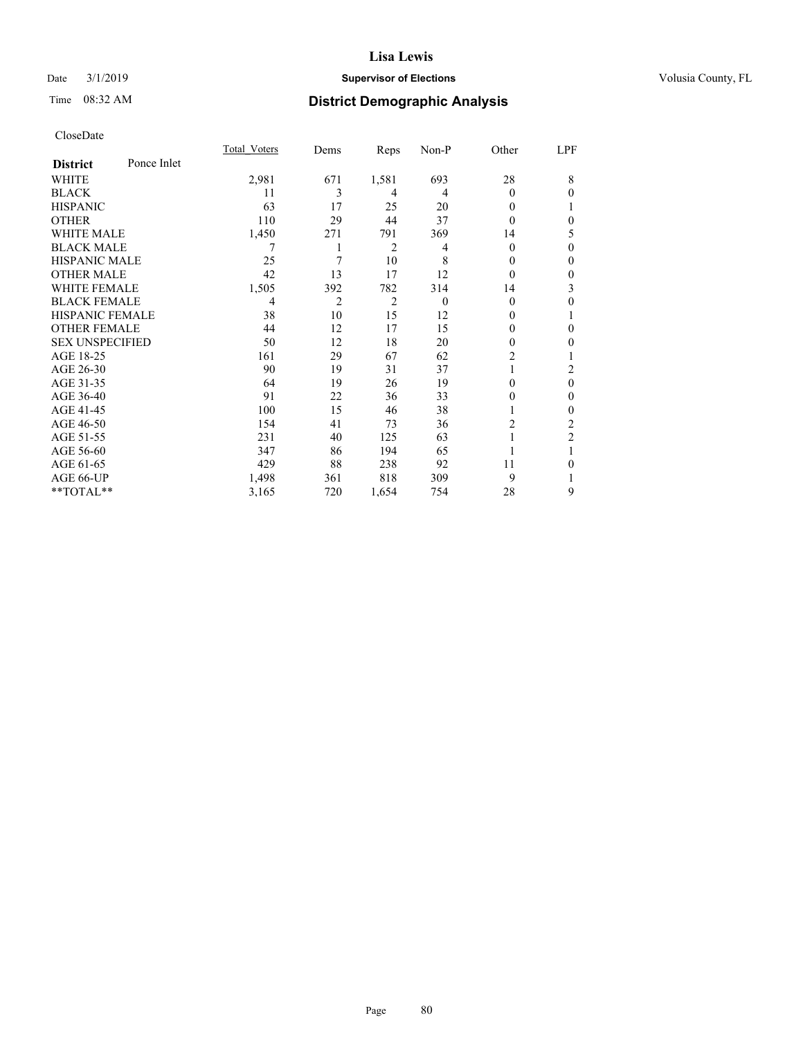# Date  $3/1/2019$  **Supervisor of Elections Supervisor of Elections** Volusia County, FL

# Time 08:32 AM **District Demographic Analysis**

|                        |             | Total Voters | Dems | Reps           | Non-P    | Other          | LPF            |
|------------------------|-------------|--------------|------|----------------|----------|----------------|----------------|
| <b>District</b>        | Ponce Inlet |              |      |                |          |                |                |
| WHITE                  |             | 2,981        | 671  | 1,581          | 693      | 28             | 8              |
| <b>BLACK</b>           |             | 11           | 3    | 4              | 4        | 0              | 0              |
| <b>HISPANIC</b>        |             | 63           | 17   | 25             | 20       | 0              |                |
| <b>OTHER</b>           |             | 110          | 29   | 44             | 37       | 0              | 0              |
| WHITE MALE             |             | 1,450        | 271  | 791            | 369      | 14             | 5              |
| <b>BLACK MALE</b>      |             | 7            |      | $\overline{2}$ | 4        | 0              | $\theta$       |
| <b>HISPANIC MALE</b>   |             | 25           | 7    | 10             | 8        | 0              | $\Omega$       |
| <b>OTHER MALE</b>      |             | 42           | 13   | 17             | 12       | $\Omega$       | $\mathbf{0}$   |
| <b>WHITE FEMALE</b>    |             | 1,505        | 392  | 782            | 314      | 14             | 3              |
| <b>BLACK FEMALE</b>    |             | 4            | 2    | $\overline{2}$ | $\theta$ | 0              | $\theta$       |
| <b>HISPANIC FEMALE</b> |             | 38           | 10   | 15             | 12       | 0              |                |
| <b>OTHER FEMALE</b>    |             | 44           | 12   | 17             | 15       | 0              | 0              |
| <b>SEX UNSPECIFIED</b> |             | 50           | 12   | 18             | 20       | 0              | 0              |
| AGE 18-25              |             | 161          | 29   | 67             | 62       | $\overline{c}$ |                |
| AGE 26-30              |             | 90           | 19   | 31             | 37       | 1              | 2              |
| AGE 31-35              |             | 64           | 19   | 26             | 19       | 0              | $\theta$       |
| AGE 36-40              |             | 91           | 22   | 36             | 33       | 0              | 0              |
| AGE 41-45              |             | 100          | 15   | 46             | 38       |                | 0              |
| AGE 46-50              |             | 154          | 41   | 73             | 36       | 2              | 2              |
| AGE 51-55              |             | 231          | 40   | 125            | 63       |                | $\overline{2}$ |
| AGE 56-60              |             | 347          | 86   | 194            | 65       |                |                |
| AGE 61-65              |             | 429          | 88   | 238            | 92       | 11             | 0              |
| AGE 66-UP              |             | 1,498        | 361  | 818            | 309      | 9              |                |
| **TOTAL**              |             | 3,165        | 720  | 1,654          | 754      | 28             | 9              |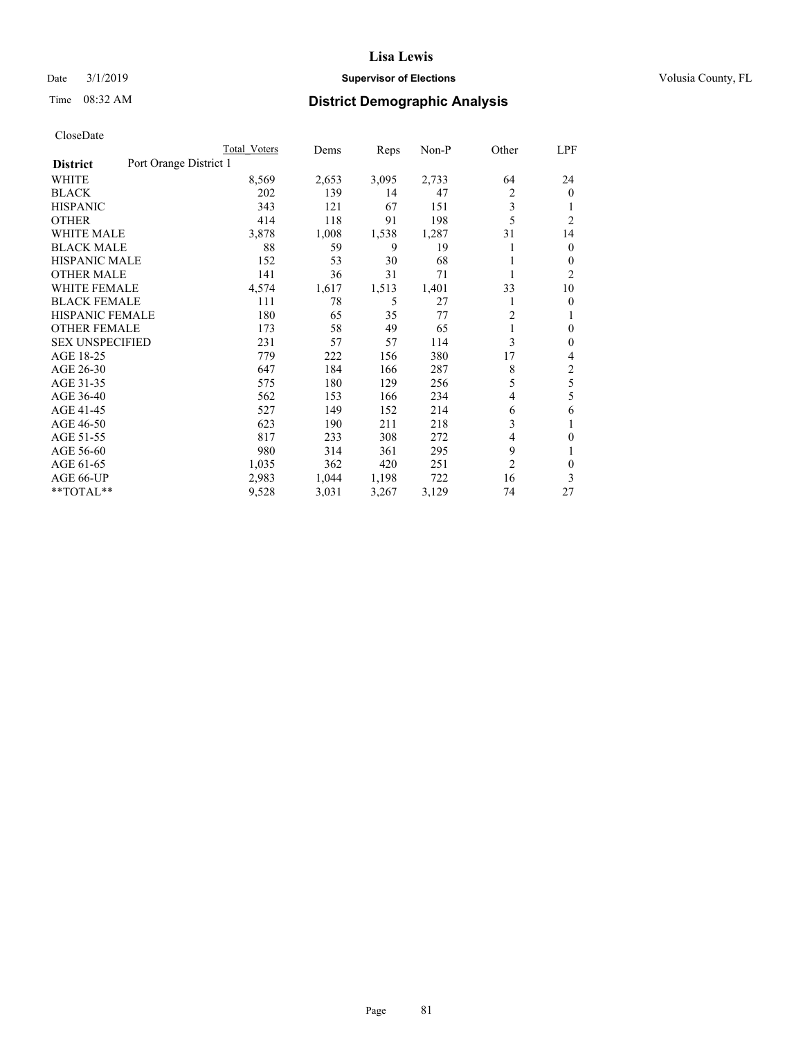# Date  $3/1/2019$  **Supervisor of Elections Supervisor of Elections** Volusia County, FL

# Time 08:32 AM **District Demographic Analysis**

|                        | Total Voters           | Dems  | Reps  | Non-P | Other          | LPF            |
|------------------------|------------------------|-------|-------|-------|----------------|----------------|
| <b>District</b>        | Port Orange District 1 |       |       |       |                |                |
| <b>WHITE</b>           | 8,569                  | 2,653 | 3,095 | 2,733 | 64             | 24             |
| <b>BLACK</b>           | 202                    | 139   | 14    | 47    | 2              | $\mathbf{0}$   |
| <b>HISPANIC</b>        | 343                    | 121   | 67    | 151   | 3              | 1              |
| <b>OTHER</b>           | 414                    | 118   | 91    | 198   | 5              | $\overline{2}$ |
| <b>WHITE MALE</b>      | 3,878                  | 1,008 | 1,538 | 1,287 | 31             | 14             |
| <b>BLACK MALE</b>      | 88                     | 59    | 9     | 19    |                | $\mathbf{0}$   |
| <b>HISPANIC MALE</b>   | 152                    | 53    | 30    | 68    |                | $\mathbf{0}$   |
| <b>OTHER MALE</b>      | 141                    | 36    | 31    | 71    | 1              | 2              |
| <b>WHITE FEMALE</b>    | 4,574                  | 1,617 | 1,513 | 1,401 | 33             | 10             |
| <b>BLACK FEMALE</b>    | 111                    | 78    | 5     | 27    |                | $\theta$       |
| <b>HISPANIC FEMALE</b> | 180                    | 65    | 35    | 77    | $\overline{2}$ | 1              |
| <b>OTHER FEMALE</b>    | 173                    | 58    | 49    | 65    |                | $\theta$       |
| <b>SEX UNSPECIFIED</b> | 231                    | 57    | 57    | 114   | 3              | $\theta$       |
| AGE 18-25              | 779                    | 222   | 156   | 380   | 17             | 4              |
| AGE 26-30              | 647                    | 184   | 166   | 287   | 8              | $\overline{c}$ |
| AGE 31-35              | 575                    | 180   | 129   | 256   | 5              | 5              |
| AGE 36-40              | 562                    | 153   | 166   | 234   | 4              | 5              |
| AGE 41-45              | 527                    | 149   | 152   | 214   | 6              | 6              |
| AGE 46-50              | 623                    | 190   | 211   | 218   | 3              | 1              |
| AGE 51-55              | 817                    | 233   | 308   | 272   | 4              | $\theta$       |
| AGE 56-60              | 980                    | 314   | 361   | 295   | 9              |                |
| AGE 61-65              | 1,035                  | 362   | 420   | 251   | $\overline{2}$ | $\theta$       |
| AGE 66-UP              | 2,983                  | 1,044 | 1,198 | 722   | 16             | 3              |
| **TOTAL**              | 9,528                  | 3,031 | 3,267 | 3,129 | 74             | 27             |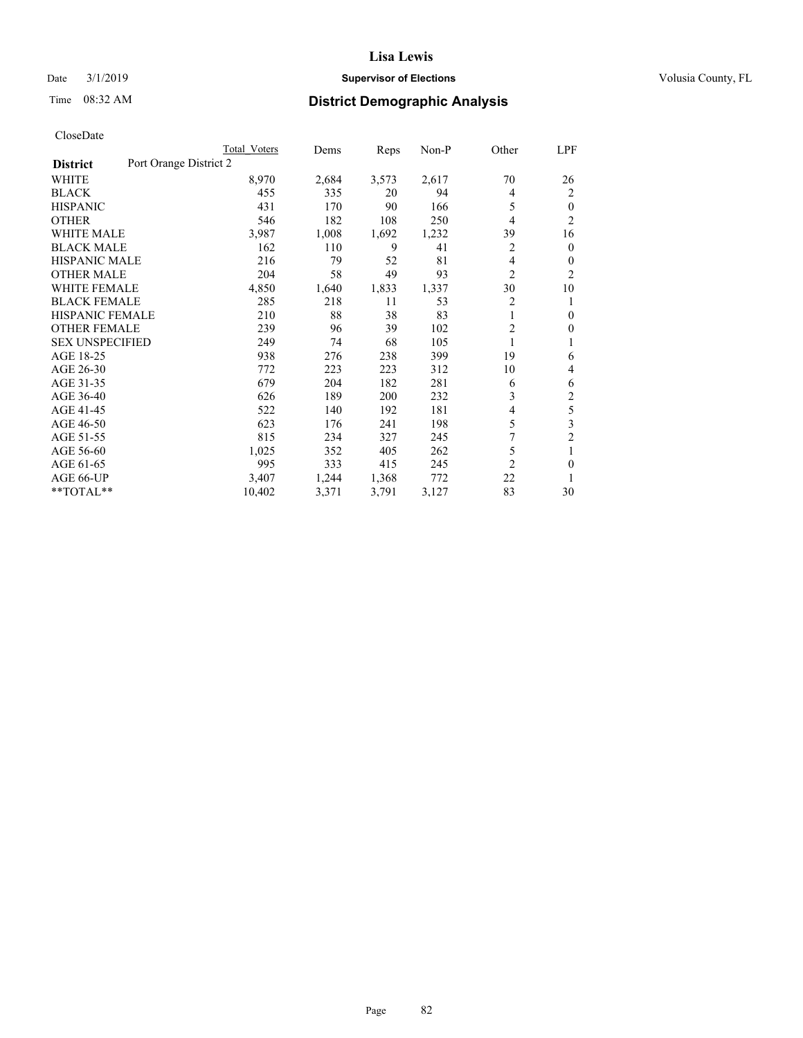# Date  $3/1/2019$  **Supervisor of Elections Supervisor of Elections** Volusia County, FL

# Time 08:32 AM **District Demographic Analysis**

|                                           | Total Voters | Dems  | Reps  | Non-P | Other          | LPF            |
|-------------------------------------------|--------------|-------|-------|-------|----------------|----------------|
| Port Orange District 2<br><b>District</b> |              |       |       |       |                |                |
| <b>WHITE</b>                              | 8,970        | 2,684 | 3,573 | 2,617 | 70             | 26             |
| <b>BLACK</b>                              | 455          | 335   | 20    | 94    | 4              | 2              |
| <b>HISPANIC</b>                           | 431          | 170   | 90    | 166   | 5              | $\theta$       |
| <b>OTHER</b>                              | 546          | 182   | 108   | 250   | 4              | $\overline{2}$ |
| <b>WHITE MALE</b>                         | 3,987        | 1,008 | 1,692 | 1,232 | 39             | 16             |
| <b>BLACK MALE</b>                         | 162          | 110   | 9     | 41    | 2              | $\mathbf{0}$   |
| <b>HISPANIC MALE</b>                      | 216          | 79    | 52    | 81    | 4              | $\mathbf{0}$   |
| <b>OTHER MALE</b>                         | 204          | 58    | 49    | 93    | $\overline{2}$ | 2              |
| <b>WHITE FEMALE</b>                       | 4,850        | 1,640 | 1,833 | 1,337 | 30             | 10             |
| <b>BLACK FEMALE</b>                       | 285          | 218   | 11    | 53    | 2              | 1              |
| <b>HISPANIC FEMALE</b>                    | 210          | 88    | 38    | 83    | 1              | $\theta$       |
| <b>OTHER FEMALE</b>                       | 239          | 96    | 39    | 102   | 2              | $\theta$       |
| <b>SEX UNSPECIFIED</b>                    | 249          | 74    | 68    | 105   | 1              | 1              |
| AGE 18-25                                 | 938          | 276   | 238   | 399   | 19             | 6              |
| AGE 26-30                                 | 772          | 223   | 223   | 312   | 10             | 4              |
| AGE 31-35                                 | 679          | 204   | 182   | 281   | 6              | 6              |
| AGE 36-40                                 | 626          | 189   | 200   | 232   | 3              | 2              |
| AGE 41-45                                 | 522          | 140   | 192   | 181   | 4              | 5              |
| AGE 46-50                                 | 623          | 176   | 241   | 198   | 5              | 3              |
| AGE 51-55                                 | 815          | 234   | 327   | 245   | 7              | $\overline{c}$ |
| AGE 56-60                                 | 1,025        | 352   | 405   | 262   | 5              | 1              |
| AGE 61-65                                 | 995          | 333   | 415   | 245   | $\overline{2}$ | $\mathbf{0}$   |
| AGE 66-UP                                 | 3,407        | 1,244 | 1,368 | 772   | 22             |                |
| **TOTAL**                                 | 10,402       | 3,371 | 3,791 | 3,127 | 83             | 30             |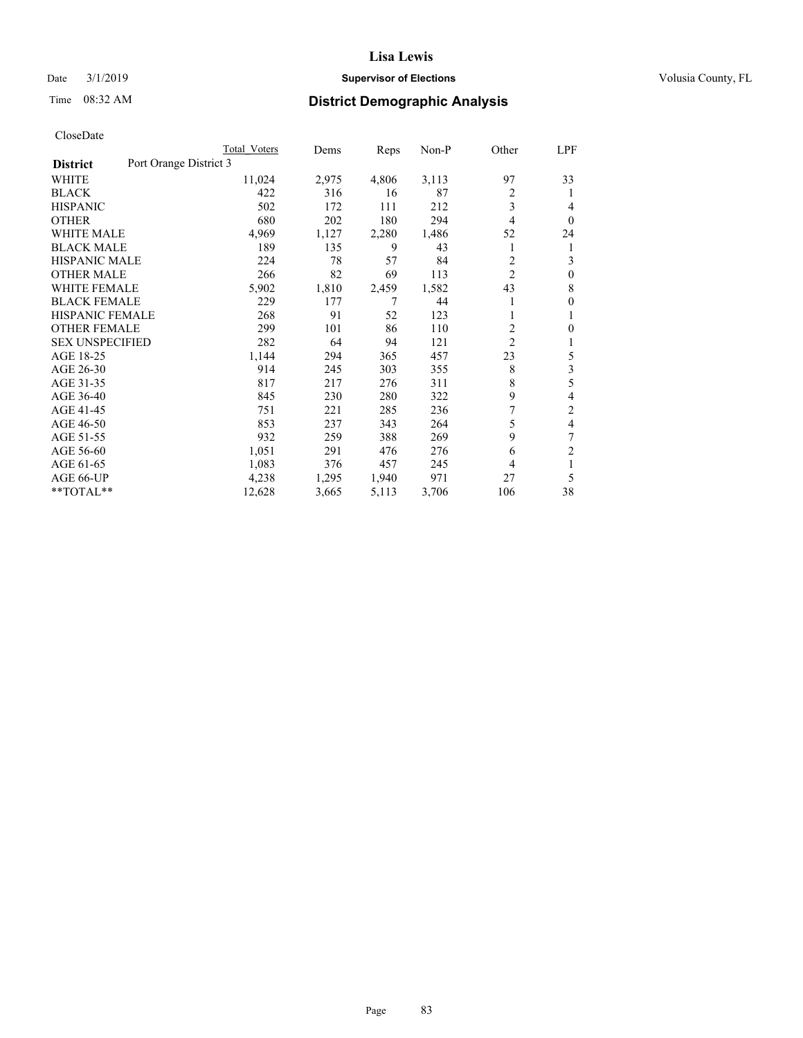## Date  $3/1/2019$  **Supervisor of Elections Supervisor of Elections** Volusia County, FL

# Time 08:32 AM **District Demographic Analysis**

|                        |                        | Total Voters | Dems  | Reps  | Non-P | Other          | LPF          |
|------------------------|------------------------|--------------|-------|-------|-------|----------------|--------------|
| <b>District</b>        | Port Orange District 3 |              |       |       |       |                |              |
| WHITE                  |                        | 11,024       | 2,975 | 4,806 | 3,113 | 97             | 33           |
| <b>BLACK</b>           |                        | 422          | 316   | 16    | 87    | 2              | 1            |
| <b>HISPANIC</b>        |                        | 502          | 172   | 111   | 212   | 3              | 4            |
| <b>OTHER</b>           |                        | 680          | 202   | 180   | 294   | 4              | $\theta$     |
| <b>WHITE MALE</b>      |                        | 4,969        | 1,127 | 2,280 | 1,486 | 52             | 24           |
| <b>BLACK MALE</b>      |                        | 189          | 135   | 9     | 43    | 1              | 1            |
| <b>HISPANIC MALE</b>   |                        | 224          | 78    | 57    | 84    | 2              | 3            |
| <b>OTHER MALE</b>      |                        | 266          | 82    | 69    | 113   | 2              | $\mathbf{0}$ |
| WHITE FEMALE           |                        | 5,902        | 1,810 | 2,459 | 1,582 | 43             | 8            |
| <b>BLACK FEMALE</b>    |                        | 229          | 177   |       | 44    |                | $\mathbf{0}$ |
| <b>HISPANIC FEMALE</b> |                        | 268          | 91    | 52    | 123   |                | 1            |
| <b>OTHER FEMALE</b>    |                        | 299          | 101   | 86    | 110   | $\overline{c}$ | $\theta$     |
| <b>SEX UNSPECIFIED</b> |                        | 282          | 64    | 94    | 121   | $\overline{2}$ | 1            |
| AGE 18-25              |                        | 1,144        | 294   | 365   | 457   | 23             | 5            |
| AGE 26-30              |                        | 914          | 245   | 303   | 355   | 8              | 3            |
| AGE 31-35              |                        | 817          | 217   | 276   | 311   | 8              | 5            |
| AGE 36-40              |                        | 845          | 230   | 280   | 322   | 9              | 4            |
| AGE 41-45              |                        | 751          | 221   | 285   | 236   |                | 2            |
| AGE 46-50              |                        | 853          | 237   | 343   | 264   | 5              | 4            |
| AGE 51-55              |                        | 932          | 259   | 388   | 269   | 9              | 7            |
| AGE 56-60              |                        | 1,051        | 291   | 476   | 276   | 6              | 2            |
| AGE 61-65              |                        | 1,083        | 376   | 457   | 245   | 4              | 1            |
| AGE 66-UP              |                        | 4,238        | 1,295 | 1,940 | 971   | 27             | 5            |
| $*$ TOTAL $*$          |                        | 12,628       | 3,665 | 5,113 | 3,706 | 106            | 38           |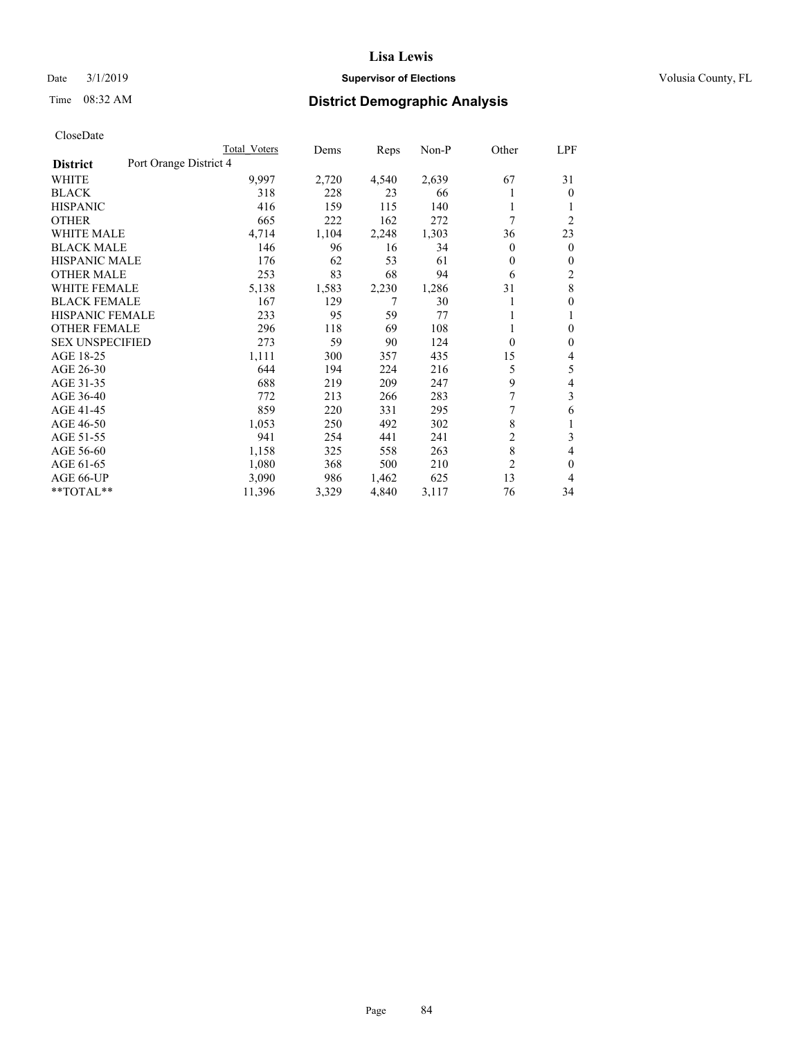# Date  $3/1/2019$  **Supervisor of Elections Supervisor of Elections** Volusia County, FL

# Time 08:32 AM **District Demographic Analysis**

|                                           | Total Voters | Dems  | Reps  | $Non-P$ | Other          | <u>LPF</u>     |
|-------------------------------------------|--------------|-------|-------|---------|----------------|----------------|
| Port Orange District 4<br><b>District</b> |              |       |       |         |                |                |
| WHITE                                     | 9,997        | 2,720 | 4,540 | 2,639   | 67             | 31             |
| <b>BLACK</b>                              | 318          | 228   | 23    | 66      |                | $\theta$       |
| <b>HISPANIC</b>                           | 416          | 159   | 115   | 140     | 1              | 1              |
| <b>OTHER</b>                              | 665          | 222   | 162   | 272     | 7              | $\overline{2}$ |
| <b>WHITE MALE</b>                         | 4,714        | 1,104 | 2,248 | 1,303   | 36             | 23             |
| <b>BLACK MALE</b>                         | 146          | 96    | 16    | 34      | 0              | $\overline{0}$ |
| <b>HISPANIC MALE</b>                      | 176          | 62    | 53    | 61      | 0              | $\theta$       |
| <b>OTHER MALE</b>                         | 253          | 83    | 68    | 94      | 6              | 2              |
| <b>WHITE FEMALE</b>                       | 5,138        | 1,583 | 2,230 | 1,286   | 31             | 8              |
| <b>BLACK FEMALE</b>                       | 167          | 129   | 7     | 30      |                | $\theta$       |
| <b>HISPANIC FEMALE</b>                    | 233          | 95    | 59    | 77      | 1              | 1              |
| <b>OTHER FEMALE</b>                       | 296          | 118   | 69    | 108     | 1              | $\theta$       |
| <b>SEX UNSPECIFIED</b>                    | 273          | 59    | 90    | 124     | $\theta$       | $\mathbf{0}$   |
| AGE 18-25                                 | 1,111        | 300   | 357   | 435     | 15             | 4              |
| AGE 26-30                                 | 644          | 194   | 224   | 216     | 5              | 5              |
| AGE 31-35                                 | 688          | 219   | 209   | 247     | 9              | 4              |
| AGE 36-40                                 | 772          | 213   | 266   | 283     | 7              | 3              |
| AGE 41-45                                 | 859          | 220   | 331   | 295     | 7              | 6              |
| AGE 46-50                                 | 1,053        | 250   | 492   | 302     | 8              | 1              |
| AGE 51-55                                 | 941          | 254   | 441   | 241     | 2              | 3              |
| AGE 56-60                                 | 1,158        | 325   | 558   | 263     | 8              | 4              |
| AGE 61-65                                 | 1,080        | 368   | 500   | 210     | $\overline{2}$ | $\theta$       |
| AGE 66-UP                                 | 3,090        | 986   | 1,462 | 625     | 13             | 4              |
| **TOTAL**                                 | 11,396       | 3,329 | 4,840 | 3,117   | 76             | 34             |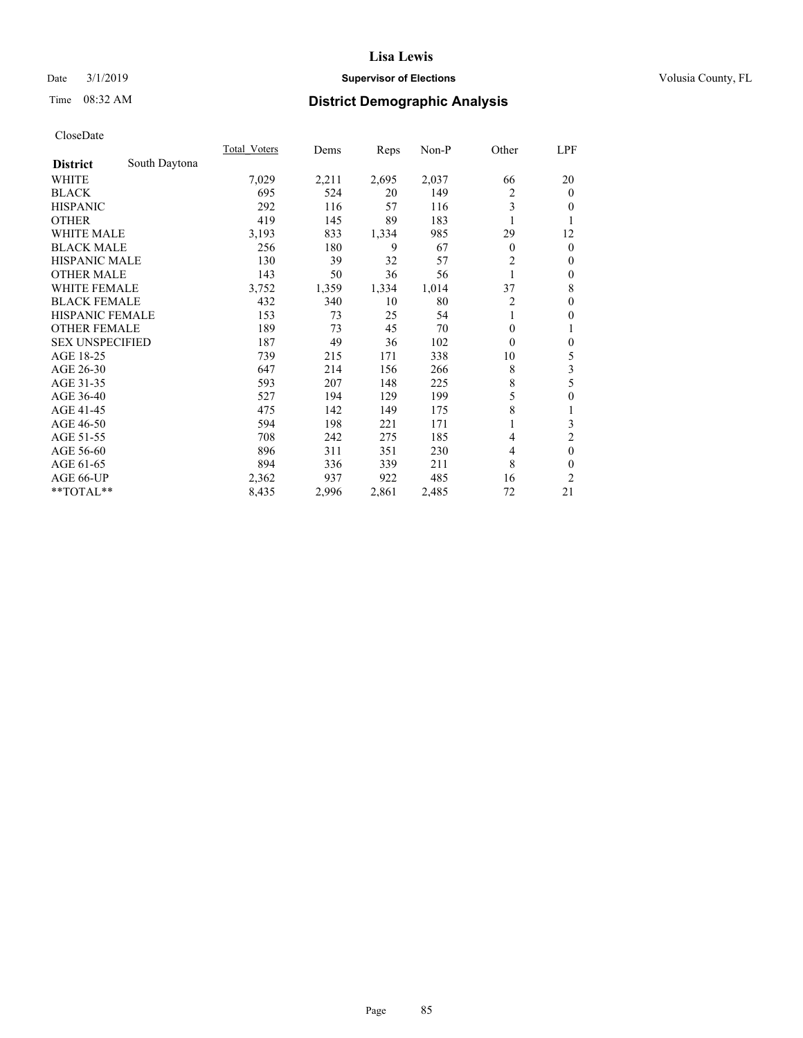# Date  $3/1/2019$  **Supervisor of Elections Supervisor of Elections** Volusia County, FL

# Time 08:32 AM **District Demographic Analysis**

|                        |               | Total Voters | Dems  | Reps  | Non-P | Other          | LPF              |
|------------------------|---------------|--------------|-------|-------|-------|----------------|------------------|
| <b>District</b>        | South Daytona |              |       |       |       |                |                  |
| WHITE                  |               | 7,029        | 2,211 | 2,695 | 2,037 | 66             | 20               |
| <b>BLACK</b>           |               | 695          | 524   | 20    | 149   | 2              | $\mathbf{0}$     |
| <b>HISPANIC</b>        |               | 292          | 116   | 57    | 116   | 3              | $\overline{0}$   |
| <b>OTHER</b>           |               | 419          | 145   | 89    | 183   |                | 1                |
| WHITE MALE             |               | 3,193        | 833   | 1,334 | 985   | 29             | 12               |
| <b>BLACK MALE</b>      |               | 256          | 180   | 9     | 67    | $\theta$       | $\mathbf{0}$     |
| <b>HISPANIC MALE</b>   |               | 130          | 39    | 32    | 57    | $\overline{2}$ | $\mathbf{0}$     |
| <b>OTHER MALE</b>      |               | 143          | 50    | 36    | 56    | 1              | $\mathbf{0}$     |
| <b>WHITE FEMALE</b>    |               | 3,752        | 1,359 | 1,334 | 1,014 | 37             | 8                |
| <b>BLACK FEMALE</b>    |               | 432          | 340   | 10    | 80    | 2              | $\mathbf{0}$     |
| <b>HISPANIC FEMALE</b> |               | 153          | 73    | 25    | 54    |                | $\mathbf{0}$     |
| <b>OTHER FEMALE</b>    |               | 189          | 73    | 45    | 70    | $\theta$       | 1                |
| <b>SEX UNSPECIFIED</b> |               | 187          | 49    | 36    | 102   | $\theta$       | $\mathbf{0}$     |
| AGE 18-25              |               | 739          | 215   | 171   | 338   | 10             | 5                |
| AGE 26-30              |               | 647          | 214   | 156   | 266   | 8              | 3                |
| AGE 31-35              |               | 593          | 207   | 148   | 225   | 8              | 5                |
| AGE 36-40              |               | 527          | 194   | 129   | 199   | 5              | $\boldsymbol{0}$ |
| AGE 41-45              |               | 475          | 142   | 149   | 175   | 8              | 1                |
| AGE 46-50              |               | 594          | 198   | 221   | 171   |                | 3                |
| AGE 51-55              |               | 708          | 242   | 275   | 185   | 4              | $\overline{c}$   |
| AGE 56-60              |               | 896          | 311   | 351   | 230   | 4              | $\mathbf{0}$     |
| AGE 61-65              |               | 894          | 336   | 339   | 211   | 8              | $\theta$         |
| AGE 66-UP              |               | 2,362        | 937   | 922   | 485   | 16             | 2                |
| **TOTAL**              |               | 8,435        | 2,996 | 2,861 | 2,485 | 72             | 21               |